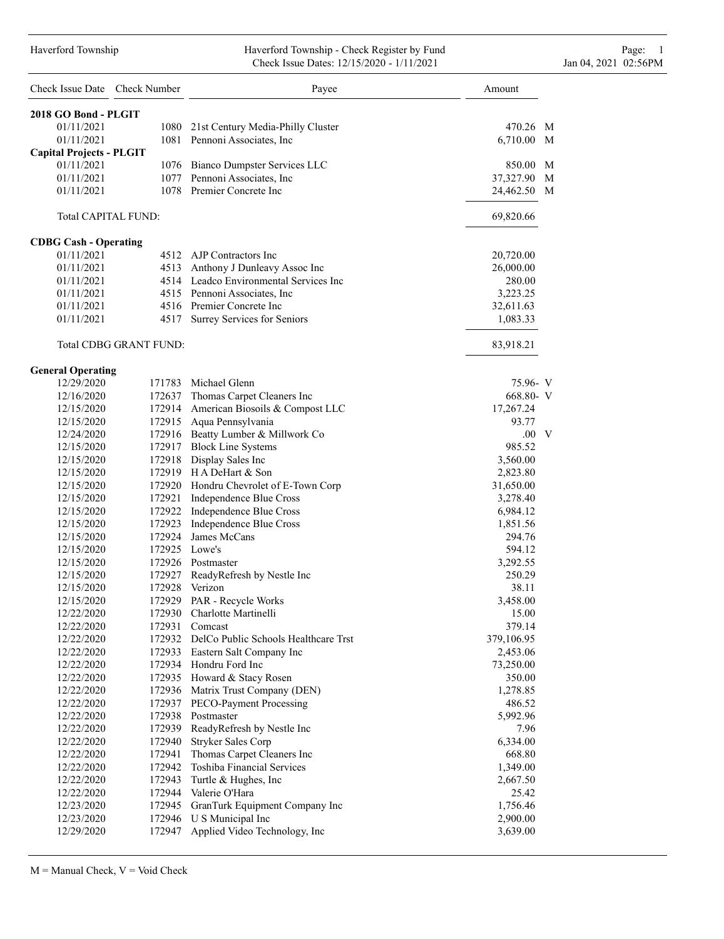#### Haverford Township **Haverford Township - Check Register by Fund** Page: 1 Check Issue Dates: 12/15/2020 - 1/11/2021 Jan 04, 2021 02:56PM

| Check Issue Date Check Number   |                        | Payee                                       | Amount         |
|---------------------------------|------------------------|---------------------------------------------|----------------|
| 2018 GO Bond - PLGIT            |                        |                                             |                |
| 01/11/2021                      |                        | 1080 21st Century Media-Philly Cluster      | 470.26 M       |
| 01/11/2021                      |                        | 1081 Pennoni Associates, Inc                | 6,710.00 M     |
| <b>Capital Projects - PLGIT</b> |                        |                                             |                |
| 01/11/2021                      |                        | 1076 Bianco Dumpster Services LLC           | 850.00 M       |
| 01/11/2021                      |                        | 1077 Pennoni Associates, Inc.               | 37,327.90 M    |
| 01/11/2021                      |                        | 1078 Premier Concrete Inc                   | 24,462.50<br>M |
|                                 | Total CAPITAL FUND:    |                                             | 69,820.66      |
| <b>CDBG Cash - Operating</b>    |                        |                                             |                |
| 01/11/2021                      |                        | 4512 AJP Contractors Inc                    | 20,720.00      |
| 01/11/2021                      |                        | 4513 Anthony J Dunleavy Assoc Inc           | 26,000.00      |
| 01/11/2021                      |                        | 4514 Leadco Environmental Services Inc      | 280.00         |
| 01/11/2021                      |                        | 4515 Pennoni Associates, Inc.               | 3,223.25       |
| 01/11/2021                      |                        | 4516 Premier Concrete Inc                   | 32,611.63      |
| 01/11/2021                      |                        | 4517 Surrey Services for Seniors            | 1,083.33       |
|                                 | Total CDBG GRANT FUND: |                                             | 83,918.21      |
| <b>General Operating</b>        |                        |                                             |                |
| 12/29/2020                      |                        | 171783 Michael Glenn                        | 75.96- V       |
| 12/16/2020                      |                        | 172637 Thomas Carpet Cleaners Inc           | 668.80- V      |
| 12/15/2020                      |                        | 172914 American Biosoils & Compost LLC      | 17,267.24      |
| 12/15/2020                      |                        | 172915 Aqua Pennsylvania                    | 93.77          |
| 12/24/2020                      |                        | 172916 Beatty Lumber & Millwork Co          | $.00\quad V$   |
| 12/15/2020                      |                        | 172917 Block Line Systems                   | 985.52         |
| 12/15/2020                      |                        | 172918 Display Sales Inc                    | 3,560.00       |
| 12/15/2020                      |                        | 172919 H A DeHart & Son                     | 2,823.80       |
| 12/15/2020                      |                        | 172920 Hondru Chevrolet of E-Town Corp      | 31,650.00      |
| 12/15/2020                      |                        | 172921 Independence Blue Cross              | 3,278.40       |
| 12/15/2020                      |                        | 172922 Independence Blue Cross              | 6,984.12       |
| 12/15/2020                      |                        | 172923 Independence Blue Cross              | 1,851.56       |
| 12/15/2020                      |                        | 172924 James McCans                         | 294.76         |
| 12/15/2020                      | 172925 Lowe's          |                                             | 594.12         |
| 12/15/2020                      |                        | 172926 Postmaster                           | 3,292.55       |
| 12/15/2020                      |                        | 172927 ReadyRefresh by Nestle Inc           | 250.29         |
| 12/15/2020                      |                        | 172928 Verizon                              | 38.11          |
| 12/15/2020                      |                        | 172929 PAR - Recycle Works                  | 3,458.00       |
| 12/22/2020                      |                        | 172930 Charlotte Martinelli                 | 15.00          |
| 12/22/2020                      | 172931                 | Comcast                                     | 379.14         |
| 12/22/2020                      |                        | 172932 DelCo Public Schools Healthcare Trst | 379,106.95     |
| 12/22/2020                      |                        | 172933 Eastern Salt Company Inc             | 2,453.06       |
| 12/22/2020                      |                        | 172934 Hondru Ford Inc                      | 73,250.00      |
| 12/22/2020                      |                        | 172935 Howard & Stacy Rosen                 | 350.00         |
| 12/22/2020                      |                        | 172936 Matrix Trust Company (DEN)           | 1,278.85       |
| 12/22/2020                      |                        | 172937 PECO-Payment Processing              | 486.52         |
| 12/22/2020                      |                        | 172938 Postmaster                           | 5,992.96       |
| 12/22/2020                      |                        | 172939 ReadyRefresh by Nestle Inc           | 7.96           |
| 12/22/2020                      | 172940                 | Stryker Sales Corp                          | 6,334.00       |
| 12/22/2020                      | 172941                 | Thomas Carpet Cleaners Inc                  | 668.80         |
| 12/22/2020                      |                        | 172942 Toshiba Financial Services           | 1,349.00       |
| 12/22/2020                      |                        | 172943 Turtle & Hughes, Inc                 | 2,667.50       |
| 12/22/2020                      |                        | 172944 Valerie O'Hara                       | 25.42          |
| 12/23/2020                      |                        | 172945 GranTurk Equipment Company Inc       | 1,756.46       |
| 12/23/2020                      |                        | 172946 U S Municipal Inc                    | 2,900.00       |
| 12/29/2020                      | 172947                 | Applied Video Technology, Inc               | 3,639.00       |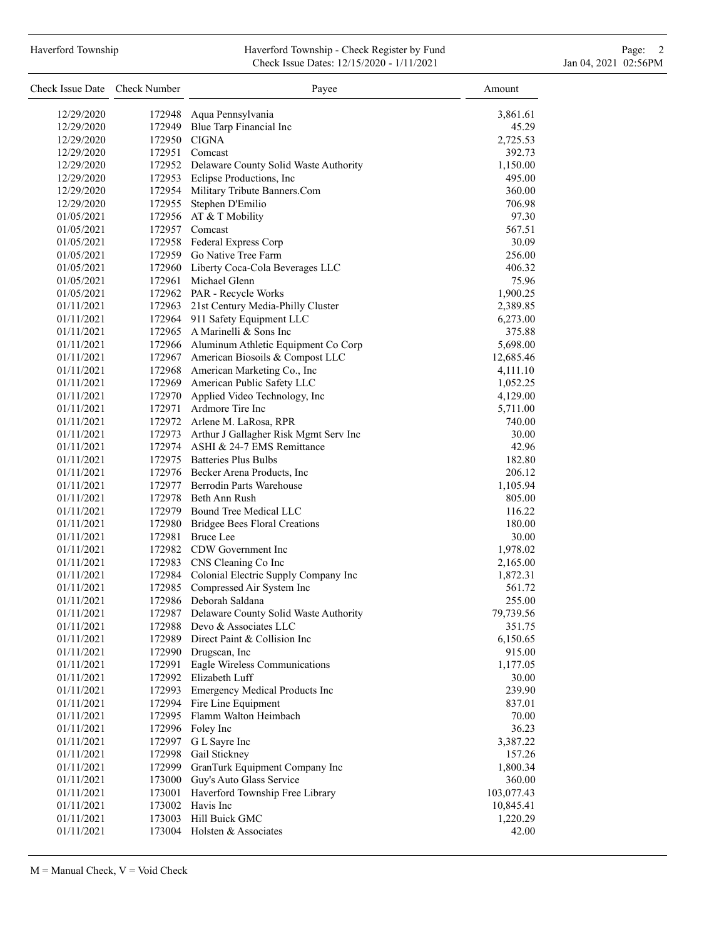# Haverford Township **Haverford Township - Check Register by Fund** Page: 2 Check Issue Dates: 12/15/2020 - 1/11/2021 Jan 04, 2021 02:56PM

| Check Issue Date Check Number |        | Payee                                                                     | Amount               |
|-------------------------------|--------|---------------------------------------------------------------------------|----------------------|
| 12/29/2020                    | 172948 | Aqua Pennsylvania                                                         | 3,861.61             |
| 12/29/2020                    |        | 172949 Blue Tarp Financial Inc                                            | 45.29                |
| 12/29/2020                    |        | 172950 CIGNA                                                              | 2,725.53             |
| 12/29/2020                    |        | 172951 Comcast                                                            | 392.73               |
| 12/29/2020                    |        | 172952 Delaware County Solid Waste Authority                              | 1,150.00             |
| 12/29/2020                    |        | 172953 Eclipse Productions, Inc                                           | 495.00               |
| 12/29/2020                    |        | 172954 Military Tribute Banners.Com                                       | 360.00               |
| 12/29/2020                    |        | 172955 Stephen D'Emilio                                                   | 706.98               |
| 01/05/2021                    |        | 172956 AT & T Mobility                                                    | 97.30                |
| 01/05/2021                    |        | 172957 Comcast                                                            | 567.51               |
| 01/05/2021                    |        | 172958 Federal Express Corp                                               | 30.09                |
| 01/05/2021                    |        | 172959 Go Native Tree Farm                                                | 256.00               |
| 01/05/2021                    |        | 172960 Liberty Coca-Cola Beverages LLC                                    | 406.32               |
| 01/05/2021                    |        | 172961 Michael Glenn                                                      | 75.96                |
| 01/05/2021                    |        | 172962 PAR - Recycle Works                                                | 1,900.25             |
| 01/11/2021                    |        | 172963 21st Century Media-Philly Cluster                                  | 2,389.85             |
| 01/11/2021                    |        | 172964 911 Safety Equipment LLC                                           | 6,273.00             |
| 01/11/2021                    |        | 172965 A Marinelli & Sons Inc                                             | 375.88               |
| 01/11/2021                    |        | 172966 Aluminum Athletic Equipment Co Corp                                | 5,698.00             |
| 01/11/2021                    |        | 172967 American Biosoils & Compost LLC                                    | 12,685.46            |
| 01/11/2021                    |        | 172968 American Marketing Co., Inc                                        | 4,111.10             |
| 01/11/2021                    |        | 172969 American Public Safety LLC                                         | 1,052.25             |
| 01/11/2021                    |        | 172970 Applied Video Technology, Inc                                      | 4,129.00             |
| 01/11/2021                    |        | 172971 Ardmore Tire Inc                                                   | 5,711.00             |
| 01/11/2021                    |        | 172972 Arlene M. LaRosa, RPR                                              | 740.00               |
| 01/11/2021                    |        | 172973 Arthur J Gallagher Risk Mgmt Serv Inc                              | 30.00                |
| 01/11/2021                    |        | 172974 ASHI & 24-7 EMS Remittance                                         | 42.96                |
| 01/11/2021                    |        | 172975 Batteries Plus Bulbs                                               | 182.80               |
| 01/11/2021                    |        | 172976 Becker Arena Products, Inc                                         | 206.12               |
| 01/11/2021                    |        | 172977 Berrodin Parts Warehouse                                           | 1,105.94             |
| 01/11/2021                    |        | 172978 Beth Ann Rush                                                      | 805.00               |
| 01/11/2021                    |        | 172979 Bound Tree Medical LLC                                             | 116.22               |
| 01/11/2021                    |        | 172980 Bridgee Bees Floral Creations                                      | 180.00               |
| 01/11/2021                    |        | 172981 Bruce Lee                                                          | 30.00                |
| 01/11/2021                    |        | 172982 CDW Government Inc                                                 | 1,978.02             |
| 01/11/2021<br>01/11/2021      |        | 172983 CNS Cleaning Co Inc<br>172984 Colonial Electric Supply Company Inc | 2,165.00<br>1,872.31 |
|                               |        | 172985 Compressed Air System Inc                                          |                      |
| 01/11/2021<br>01/11/2021      |        | 172986 Deborah Saldana                                                    | 561.72<br>255.00     |
| 01/11/2021                    | 172987 | Delaware County Solid Waste Authority                                     | 79,739.56            |
| 01/11/2021                    | 172988 | Devo & Associates LLC                                                     | 351.75               |
| 01/11/2021                    |        | 172989 Direct Paint & Collision Inc                                       | 6,150.65             |
| 01/11/2021                    |        | 172990 Drugscan, Inc                                                      | 915.00               |
| 01/11/2021                    | 172991 | Eagle Wireless Communications                                             | 1,177.05             |
| 01/11/2021                    |        | 172992 Elizabeth Luff                                                     | 30.00                |
| 01/11/2021                    |        | 172993 Emergency Medical Products Inc                                     | 239.90               |
| 01/11/2021                    |        | 172994 Fire Line Equipment                                                | 837.01               |
| 01/11/2021                    |        | 172995 Flamm Walton Heimbach                                              | 70.00                |
| 01/11/2021                    |        | 172996 Foley Inc                                                          | 36.23                |
| 01/11/2021                    |        | 172997 G L Sayre Inc                                                      | 3,387.22             |
| 01/11/2021                    |        | 172998 Gail Stickney                                                      | 157.26               |
| 01/11/2021                    |        | 172999 GranTurk Equipment Company Inc                                     | 1,800.34             |
| 01/11/2021                    |        | 173000 Guy's Auto Glass Service                                           | 360.00               |
| 01/11/2021                    | 173001 | Haverford Township Free Library                                           | 103,077.43           |
| 01/11/2021                    |        | 173002 Havis Inc                                                          | 10,845.41            |
| 01/11/2021                    |        | 173003 Hill Buick GMC                                                     | 1,220.29             |
| 01/11/2021                    |        | 173004 Holsten & Associates                                               | 42.00                |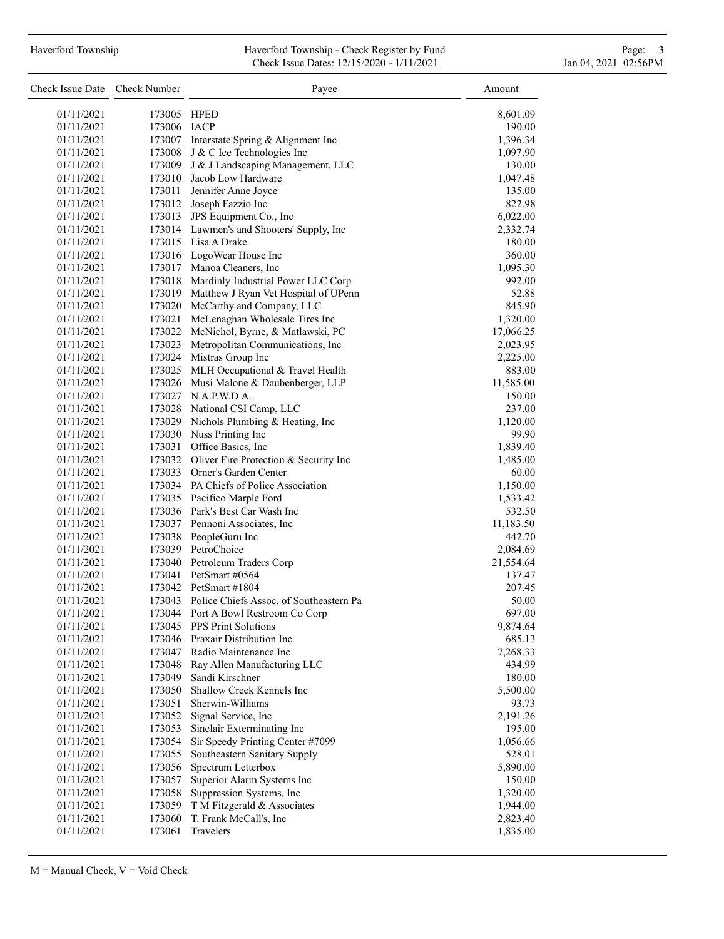#### Haverford Township **Haverford Township - Check Register by Fund** Page: 3 Check Issue Dates: 12/15/2020 - 1/11/2021 Jan 04, 2021 02:56PM

| Check Issue Date Check Number |                  | Payee                                                  | Amount               |
|-------------------------------|------------------|--------------------------------------------------------|----------------------|
| 01/11/2021                    | 173005 HPED      |                                                        | 8,601.09             |
| 01/11/2021                    | 173006 IACP      |                                                        | 190.00               |
| 01/11/2021                    |                  | 173007 Interstate Spring & Alignment Inc               | 1,396.34             |
| 01/11/2021                    |                  | 173008 J & C Ice Technologies Inc                      | 1,097.90             |
| 01/11/2021                    |                  | 173009 J & J Landscaping Management, LLC               | 130.00               |
| 01/11/2021                    |                  | 173010 Jacob Low Hardware                              | 1,047.48             |
| 01/11/2021                    |                  | 173011 Jennifer Anne Joyce                             | 135.00               |
| 01/11/2021                    |                  | 173012 Joseph Fazzio Inc                               | 822.98               |
| 01/11/2021                    |                  | 173013 JPS Equipment Co., Inc                          | 6,022.00             |
| 01/11/2021                    |                  | 173014 Lawmen's and Shooters' Supply, Inc              | 2,332.74             |
| 01/11/2021                    |                  | 173015 Lisa A Drake                                    | 180.00               |
| 01/11/2021                    |                  | 173016 LogoWear House Inc                              | 360.00               |
| 01/11/2021                    |                  | 173017 Manoa Cleaners, Inc                             | 1,095.30             |
| 01/11/2021                    |                  | 173018 Mardinly Industrial Power LLC Corp              | 992.00               |
| 01/11/2021                    |                  | 173019 Matthew J Ryan Vet Hospital of UPenn            | 52.88                |
| 01/11/2021                    |                  | 173020 McCarthy and Company, LLC                       | 845.90               |
| 01/11/2021                    |                  | 173021 McLenaghan Wholesale Tires Inc                  | 1,320.00             |
| 01/11/2021                    |                  | 173022 McNichol, Byrne, & Matlawski, PC                | 17,066.25            |
| 01/11/2021                    |                  | 173023 Metropolitan Communications, Inc                | 2,023.95             |
| 01/11/2021                    |                  | 173024 Mistras Group Inc                               | 2,225.00             |
| 01/11/2021                    |                  | 173025 MLH Occupational & Travel Health                | 883.00               |
| 01/11/2021                    |                  | 173026 Musi Malone & Daubenberger, LLP                 | 11,585.00            |
| 01/11/2021                    |                  | 173027 N.A.P.W.D.A.                                    | 150.00               |
| 01/11/2021                    |                  | 173028 National CSI Camp, LLC                          | 237.00               |
| 01/11/2021                    |                  | 173029 Nichols Plumbing & Heating, Inc                 | 1,120.00             |
| 01/11/2021                    |                  | 173030 Nuss Printing Inc                               | 99.90                |
| 01/11/2021                    |                  | 173031 Office Basics, Inc.                             | 1,839.40             |
| 01/11/2021                    |                  | 173032 Oliver Fire Protection & Security Inc           | 1,485.00             |
| 01/11/2021                    |                  | 173033 Orner's Garden Center                           | 60.00                |
| 01/11/2021                    |                  | 173034 PA Chiefs of Police Association                 | 1,150.00             |
| 01/11/2021                    |                  | 173035 Pacifico Marple Ford                            | 1,533.42             |
| 01/11/2021                    |                  | 173036 Park's Best Car Wash Inc                        | 532.50               |
| 01/11/2021                    |                  | 173037 Pennoni Associates, Inc.                        | 11,183.50            |
| 01/11/2021                    |                  | 173038 PeopleGuru Inc                                  | 442.70               |
| 01/11/2021                    |                  | 173039 PetroChoice                                     | 2,084.69             |
| 01/11/2021                    |                  | 173040 Petroleum Traders Corp                          | 21,554.64            |
| 01/11/2021                    |                  | 173041 PetSmart #0564                                  | 137.47               |
| 01/11/2021                    |                  | 173042 PetSmart #1804                                  | 207.45               |
| 01/11/2021                    |                  | 173043 Police Chiefs Assoc. of Southeastern Pa         | 50.00                |
| 01/11/2021                    |                  | 173044 Port A Bowl Restroom Co Corp                    | 697.00               |
| 01/11/2021                    |                  | 173045 PPS Print Solutions                             | 9,874.64             |
| 01/11/2021                    |                  | 173046 Praxair Distribution Inc                        | 685.13               |
| 01/11/2021                    | 173047           | Radio Maintenance Inc                                  | 7,268.33             |
| 01/11/2021                    | 173048           | Ray Allen Manufacturing LLC                            | 434.99               |
| 01/11/2021                    | 173049           | Sandi Kirschner                                        | 180.00               |
| 01/11/2021                    | 173050           | Shallow Creek Kennels Inc                              | 5,500.00             |
| 01/11/2021                    | 173051           | Sherwin-Williams                                       | 93.73                |
| 01/11/2021                    | 173052           | Signal Service, Inc                                    | 2,191.26             |
| 01/11/2021                    | 173053           | Sinclair Exterminating Inc                             | 195.00               |
| 01/11/2021                    | 173054           | Sir Speedy Printing Center #7099                       | 1,056.66             |
| 01/11/2021                    | 173055           | Southeastern Sanitary Supply                           | 528.01               |
| 01/11/2021                    | 173056           | Spectrum Letterbox                                     | 5,890.00             |
| 01/11/2021<br>01/11/2021      | 173057<br>173058 | Superior Alarm Systems Inc<br>Suppression Systems, Inc | 150.00               |
| 01/11/2021                    | 173059           | T M Fitzgerald & Associates                            | 1,320.00             |
| 01/11/2021                    | 173060           | T. Frank McCall's, Inc                                 | 1,944.00<br>2,823.40 |
| 01/11/2021                    | 173061           | Travelers                                              | 1,835.00             |
|                               |                  |                                                        |                      |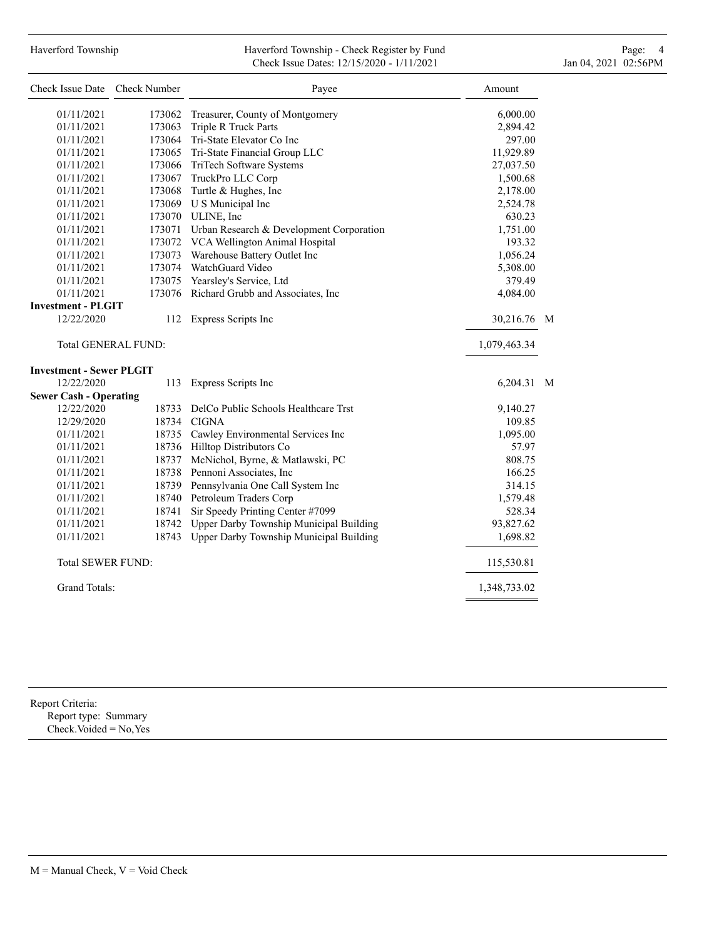# Haverford Township **Haverford Township - Check Register by Fund** Page: 4 Page: 4 Check Issue Dates: 12/15/2020 - 1/11/2021 Jan 04, 2021 02:56PM

| Check Issue Date                | Check Number               | Payee                                           | Amount       |   |
|---------------------------------|----------------------------|-------------------------------------------------|--------------|---|
| 01/11/2021                      |                            | 173062 Treasurer, County of Montgomery          | 6,000.00     |   |
| 01/11/2021                      |                            | 173063 Triple R Truck Parts                     | 2,894.42     |   |
| 01/11/2021                      |                            | 173064 Tri-State Elevator Co Inc                | 297.00       |   |
| 01/11/2021                      |                            | 173065 Tri-State Financial Group LLC            | 11,929.89    |   |
| 01/11/2021                      |                            | 173066 TriTech Software Systems                 | 27,037.50    |   |
| 01/11/2021                      |                            | 173067 TruckPro LLC Corp                        | 1,500.68     |   |
| 01/11/2021                      |                            | 173068 Turtle & Hughes, Inc.                    | 2,178.00     |   |
| 01/11/2021                      |                            | 173069 U S Municipal Inc                        | 2,524.78     |   |
| 01/11/2021                      |                            | 173070 ULINE, Inc                               | 630.23       |   |
| 01/11/2021                      |                            | 173071 Urban Research & Development Corporation | 1,751.00     |   |
| 01/11/2021                      | 173072                     | VCA Wellington Animal Hospital                  | 193.32       |   |
| 01/11/2021                      | 173073                     | Warehouse Battery Outlet Inc                    | 1,056.24     |   |
| 01/11/2021                      | 173074                     | WatchGuard Video                                | 5,308.00     |   |
| 01/11/2021                      | 173075                     | Yearsley's Service, Ltd                         | 379.49       |   |
| 01/11/2021                      | 173076                     | Richard Grubb and Associates, Inc               | 4,084.00     |   |
| <b>Investment - PLGIT</b>       |                            |                                                 |              |   |
| 12/22/2020                      | 112                        | Express Scripts Inc                             | 30,216.76    | M |
|                                 | <b>Total GENERAL FUND:</b> |                                                 | 1,079,463.34 |   |
| <b>Investment - Sewer PLGIT</b> |                            |                                                 |              |   |
| 12/22/2020                      | 113                        | Express Scripts Inc                             | 6,204.31 M   |   |
| <b>Sewer Cash - Operating</b>   |                            |                                                 |              |   |
| 12/22/2020                      | 18733                      | DelCo Public Schools Healthcare Trst            | 9,140.27     |   |
| 12/29/2020                      |                            | 18734 CIGNA                                     | 109.85       |   |
| 01/11/2021                      |                            | 18735 Cawley Environmental Services Inc         | 1,095.00     |   |
| 01/11/2021                      |                            | 18736 Hilltop Distributors Co                   | 57.97        |   |
| 01/11/2021                      | 18737                      | McNichol, Byrne, & Matlawski, PC                | 808.75       |   |
| 01/11/2021                      |                            | 18738 Pennoni Associates, Inc                   | 166.25       |   |
| 01/11/2021                      |                            | 18739 Pennsylvania One Call System Inc          | 314.15       |   |
| 01/11/2021                      |                            | 18740 Petroleum Traders Corp                    | 1,579.48     |   |
| 01/11/2021                      | 18741                      | Sir Speedy Printing Center #7099                | 528.34       |   |
| 01/11/2021                      | 18742                      | Upper Darby Township Municipal Building         | 93,827.62    |   |
| 01/11/2021                      | 18743                      | Upper Darby Township Municipal Building         | 1,698.82     |   |
| <b>Total SEWER FUND:</b>        |                            |                                                 | 115,530.81   |   |
| <b>Grand Totals:</b>            |                            |                                                 | 1,348,733.02 |   |
|                                 |                            |                                                 |              |   |

Report Criteria: Report type: Summary Check.Voided = No,Yes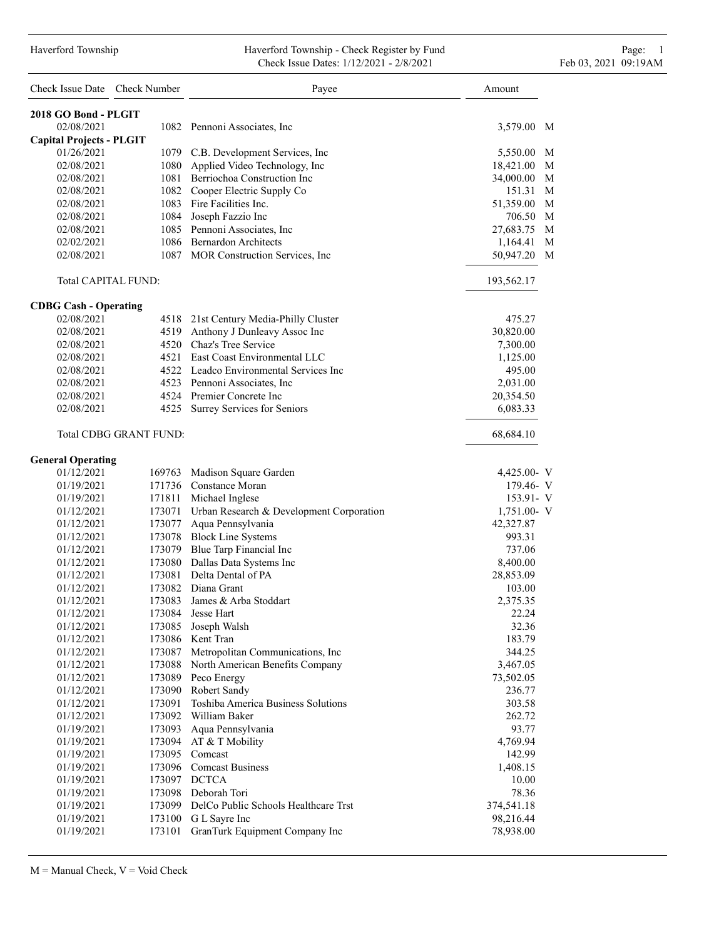### Haverford Township Haverford Township - Check Register by Fund Page: 1 Check Issue Dates: 1/12/2021 - 2/8/2021 Feb 03, 2021 09:19AM

| Check Issue Date Check Number                 |                               | Payee                                                                     | Amount                          |
|-----------------------------------------------|-------------------------------|---------------------------------------------------------------------------|---------------------------------|
| 2018 GO Bond - PLGIT                          |                               |                                                                           |                                 |
| 02/08/2021                                    |                               | 1082 Pennoni Associates, Inc.                                             | 3,579.00<br>M                   |
| <b>Capital Projects - PLGIT</b><br>01/26/2021 |                               |                                                                           | 5,550.00 M                      |
| 02/08/2021                                    |                               | 1079 C.B. Development Services, Inc<br>1080 Applied Video Technology, Inc | 18,421.00 M                     |
| 02/08/2021                                    |                               | 1081 Berriochoa Construction Inc                                          | 34,000.00<br>M                  |
| 02/08/2021                                    |                               | 1082 Cooper Electric Supply Co                                            | M                               |
| 02/08/2021                                    |                               | 1083 Fire Facilities Inc.                                                 | 151.31<br>51,359.00 M           |
| 02/08/2021                                    |                               | 1084 Joseph Fazzio Inc                                                    | 706.50<br>M                     |
| 02/08/2021                                    |                               |                                                                           | M<br>27,683.75                  |
| 02/02/2021                                    |                               | 1085 Pennoni Associates, Inc.<br>1086 Bernardon Architects                |                                 |
| 02/08/2021                                    |                               | 1087 MOR Construction Services, Inc                                       | М<br>1,164.41<br>50,947.20<br>M |
| Total CAPITAL FUND:                           |                               |                                                                           | 193,562.17                      |
| <b>CDBG Cash - Operating</b>                  |                               |                                                                           |                                 |
| 02/08/2021                                    |                               | 4518 21st Century Media-Philly Cluster                                    | 475.27                          |
| 02/08/2021                                    |                               | 4519 Anthony J Dunleavy Assoc Inc                                         | 30,820.00                       |
| 02/08/2021                                    |                               | 4520 Chaz's Tree Service                                                  | 7,300.00                        |
| 02/08/2021                                    |                               | 4521 East Coast Environmental LLC                                         | 1,125.00                        |
| 02/08/2021                                    |                               | 4522 Leadco Environmental Services Inc                                    | 495.00                          |
| 02/08/2021                                    |                               | 4523 Pennoni Associates, Inc                                              | 2,031.00                        |
| 02/08/2021                                    |                               | 4524 Premier Concrete Inc                                                 | 20,354.50                       |
| 02/08/2021                                    |                               | 4525 Surrey Services for Seniors                                          | 6,083.33                        |
|                                               | <b>Total CDBG GRANT FUND:</b> |                                                                           | 68,684.10                       |
| <b>General Operating</b>                      |                               |                                                                           |                                 |
| 01/12/2021                                    |                               | 169763 Madison Square Garden                                              | 4,425.00- V                     |
| 01/19/2021                                    |                               | 171736 Constance Moran                                                    | 179.46- V                       |
| 01/19/2021                                    |                               | 171811 Michael Inglese                                                    | 153.91- V                       |
| 01/12/2021                                    |                               | 173071 Urban Research & Development Corporation                           | $1,751.00-V$                    |
| 01/12/2021                                    |                               | 173077 Aqua Pennsylvania                                                  | 42,327.87                       |
| 01/12/2021                                    |                               | 173078 Block Line Systems                                                 | 993.31                          |
| 01/12/2021                                    |                               | 173079 Blue Tarp Financial Inc                                            | 737.06                          |
| 01/12/2021                                    |                               | 173080 Dallas Data Systems Inc                                            | 8,400.00                        |
| 01/12/2021                                    |                               | 173081 Delta Dental of PA                                                 | 28,853.09                       |
| 01/12/2021                                    |                               | 173082 Diana Grant                                                        | 103.00                          |
| 01/12/2021                                    | 173083                        | James & Arba Stoddart                                                     | 2,375.35                        |
| 01/12/2021                                    | 173084                        | Jesse Hart                                                                | 22.24                           |
| 01/12/2021                                    | 173085                        | Joseph Walsh                                                              | 32.36                           |
| 01/12/2021                                    |                               | 173086 Kent Tran                                                          | 183.79                          |
| 01/12/2021                                    |                               | 173087 Metropolitan Communications, Inc                                   | 344.25                          |
| 01/12/2021                                    |                               | 173088 North American Benefits Company                                    | 3,467.05                        |
| 01/12/2021                                    |                               | 173089 Peco Energy                                                        | 73,502.05                       |
| 01/12/2021                                    | 173090                        | Robert Sandy                                                              | 236.77                          |
| 01/12/2021                                    | 173091                        | Toshiba America Business Solutions                                        | 303.58                          |
| 01/12/2021                                    | 173092                        | William Baker                                                             | 262.72                          |
| 01/19/2021                                    | 173093                        | Aqua Pennsylvania                                                         | 93.77                           |
| 01/19/2021                                    | 173094                        | AT & T Mobility                                                           | 4,769.94                        |
| 01/19/2021                                    |                               | 173095 Comcast                                                            | 142.99                          |
| 01/19/2021                                    |                               | 173096 Comcast Business                                                   | 1,408.15                        |
| 01/19/2021                                    |                               | 173097 DCTCA                                                              | 10.00                           |
| 01/19/2021                                    |                               | 173098 Deborah Tori                                                       | 78.36                           |
| 01/19/2021                                    |                               | 173099 DelCo Public Schools Healthcare Trst                               | 374,541.18                      |
| 01/19/2021                                    |                               | 173100 G L Sayre Inc                                                      | 98,216.44                       |
| 01/19/2021                                    | 173101                        | GranTurk Equipment Company Inc                                            | 78,938.00                       |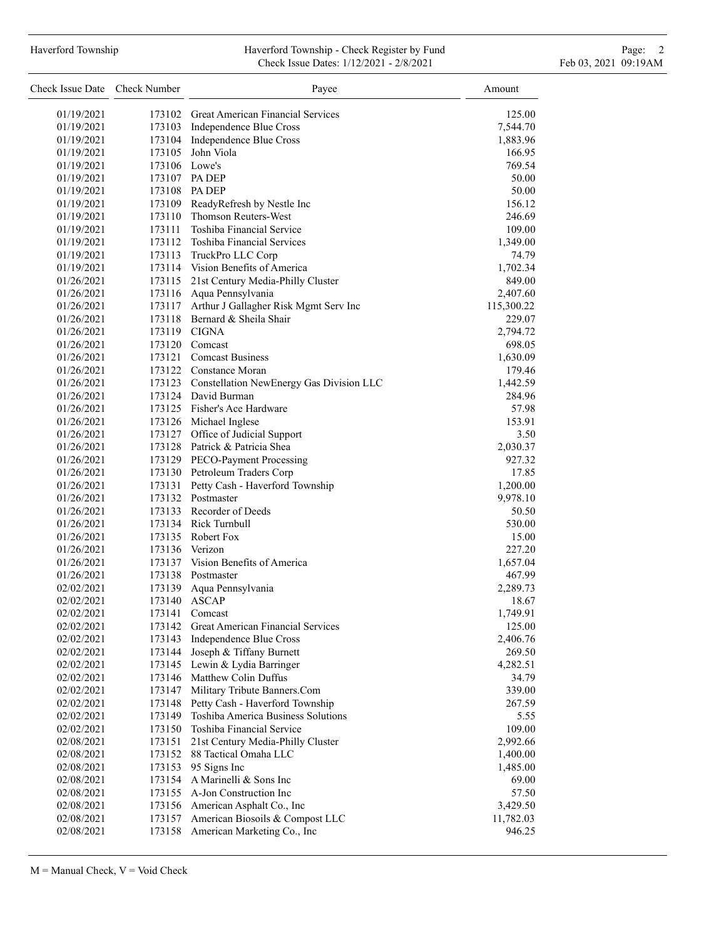# Haverford Township **Haverford Township - Check Register by Fund** Page: 2 Check Issue Dates: 1/12/2021 - 2/8/2021 Feb 03, 2021 09:19AM

| Check Issue Date Check Number |        | Payee                                           | Amount             |
|-------------------------------|--------|-------------------------------------------------|--------------------|
| 01/19/2021                    |        | 173102 Great American Financial Services        | 125.00             |
| 01/19/2021                    |        | 173103 Independence Blue Cross                  | 7,544.70           |
| 01/19/2021                    |        | 173104 Independence Blue Cross                  | 1,883.96           |
| 01/19/2021                    | 173105 | John Viola                                      | 166.95             |
| 01/19/2021                    |        | 173106 Lowe's                                   | 769.54             |
| 01/19/2021                    |        | 173107 PA DEP                                   | 50.00              |
| 01/19/2021                    |        | 173108 PA DEP                                   | 50.00              |
| 01/19/2021                    |        | 173109 ReadyRefresh by Nestle Inc               | 156.12             |
| 01/19/2021                    | 173110 | Thomson Reuters-West                            | 246.69             |
| 01/19/2021                    |        | 173111 Toshiba Financial Service                | 109.00             |
| 01/19/2021                    |        | 173112 Toshiba Financial Services               | 1,349.00           |
| 01/19/2021                    |        | 173113 TruckPro LLC Corp                        | 74.79              |
| 01/19/2021                    |        | 173114 Vision Benefits of America               | 1,702.34           |
| 01/26/2021                    |        | 173115 21st Century Media-Philly Cluster        | 849.00             |
| 01/26/2021                    |        | 173116 Aqua Pennsylvania                        | 2,407.60           |
| 01/26/2021                    |        | 173117 Arthur J Gallagher Risk Mgmt Serv Inc    | 115,300.22         |
| 01/26/2021                    |        | 173118 Bernard & Sheila Shair                   | 229.07             |
| 01/26/2021                    |        | 173119 CIGNA                                    | 2,794.72           |
| 01/26/2021                    |        | 173120 Comcast                                  |                    |
| 01/26/2021                    |        | 173121 Comcast Business                         | 698.05             |
| 01/26/2021                    |        | 173122 Constance Moran                          | 1,630.09<br>179.46 |
|                               |        | 173123 Constellation NewEnergy Gas Division LLC |                    |
| 01/26/2021                    |        | 173124 David Burman                             | 1,442.59<br>284.96 |
| 01/26/2021                    |        | 173125 Fisher's Ace Hardware                    |                    |
| 01/26/2021                    |        |                                                 | 57.98              |
| 01/26/2021                    |        | 173126 Michael Inglese                          | 153.91             |
| 01/26/2021                    |        | 173127 Office of Judicial Support               | 3.50               |
| 01/26/2021                    |        | 173128 Patrick & Patricia Shea                  | 2,030.37           |
| 01/26/2021                    |        | 173129 PECO-Payment Processing                  | 927.32             |
| 01/26/2021                    |        | 173130 Petroleum Traders Corp                   | 17.85              |
| 01/26/2021                    |        | 173131 Petty Cash - Haverford Township          | 1,200.00           |
| 01/26/2021                    |        | 173132 Postmaster                               | 9,978.10           |
| 01/26/2021                    |        | 173133 Recorder of Deeds                        | 50.50              |
| 01/26/2021                    |        | 173134 Rick Turnbull                            | 530.00             |
| 01/26/2021                    |        | 173135 Robert Fox                               | 15.00              |
| 01/26/2021                    |        | 173136 Verizon                                  | 227.20             |
| 01/26/2021                    |        | 173137 Vision Benefits of America               | 1,657.04           |
| 01/26/2021                    |        | 173138 Postmaster                               | 467.99             |
| 02/02/2021                    | 173139 | Aqua Pennsylvania                               | 2,289.73           |
| 02/02/2021                    |        | 173140 ASCAP                                    | 18.67              |
| 02/02/2021                    | 173141 | Comcast                                         | 1,749.91           |
| 02/02/2021                    | 173142 | Great American Financial Services               | 125.00             |
| 02/02/2021                    | 173143 | Independence Blue Cross                         | 2,406.76           |
| 02/02/2021                    | 173144 | Joseph & Tiffany Burnett                        | 269.50             |
| 02/02/2021                    | 173145 | Lewin & Lydia Barringer                         | 4,282.51           |
| 02/02/2021                    | 173146 | Matthew Colin Duffus                            | 34.79              |
| 02/02/2021                    | 173147 | Military Tribute Banners.Com                    | 339.00             |
| 02/02/2021                    | 173148 | Petty Cash - Haverford Township                 | 267.59             |
| 02/02/2021                    | 173149 | Toshiba America Business Solutions              | 5.55               |
| 02/02/2021                    | 173150 | Toshiba Financial Service                       | 109.00             |
| 02/08/2021                    | 173151 | 21st Century Media-Philly Cluster               | 2,992.66           |
| 02/08/2021                    | 173152 | 88 Tactical Omaha LLC                           | 1,400.00           |
| 02/08/2021                    | 173153 | 95 Signs Inc                                    | 1,485.00           |
| 02/08/2021                    | 173154 | A Marinelli & Sons Inc                          | 69.00              |
| 02/08/2021                    | 173155 | A-Jon Construction Inc                          | 57.50              |
| 02/08/2021                    | 173156 | American Asphalt Co., Inc                       | 3,429.50           |
| 02/08/2021                    | 173157 | American Biosoils & Compost LLC                 | 11,782.03          |
| 02/08/2021                    | 173158 | American Marketing Co., Inc                     | 946.25             |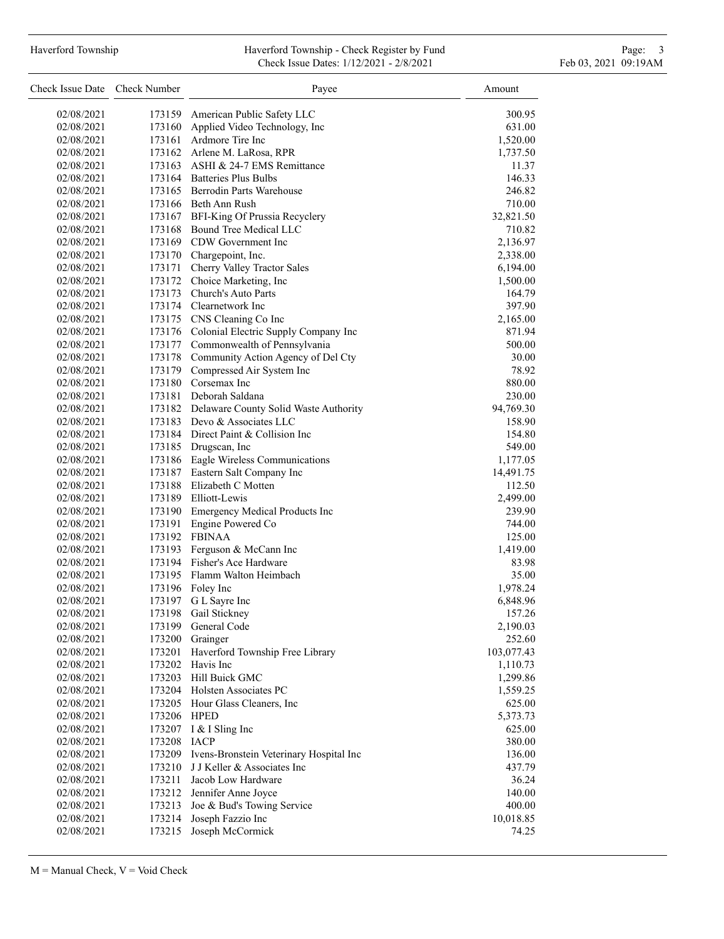# Haverford Township **Haverford Township - Check Register by Fund** Page: 3 and Page: 3 Check Issue Dates: 1/12/2021 - 2/8/2021 Feb 03, 2021 09:19AM

| Check Issue Date Check Number |                  | Payee                                                                  | Amount           |
|-------------------------------|------------------|------------------------------------------------------------------------|------------------|
| 02/08/2021                    |                  | 173159 American Public Safety LLC                                      | 300.95           |
| 02/08/2021                    | 173160           | Applied Video Technology, Inc                                          | 631.00           |
| 02/08/2021                    |                  | 173161 Ardmore Tire Inc                                                | 1,520.00         |
| 02/08/2021                    |                  | 173162 Arlene M. LaRosa, RPR                                           | 1,737.50         |
| 02/08/2021                    |                  | 173163 ASHI & 24-7 EMS Remittance                                      | 11.37            |
| 02/08/2021                    |                  | 173164 Batteries Plus Bulbs                                            | 146.33           |
| 02/08/2021                    |                  | 173165 Berrodin Parts Warehouse                                        | 246.82           |
| 02/08/2021                    |                  | 173166 Beth Ann Rush                                                   | 710.00           |
| 02/08/2021                    |                  | 173167 BFI-King Of Prussia Recyclery                                   | 32,821.50        |
| 02/08/2021                    |                  | 173168 Bound Tree Medical LLC                                          | 710.82           |
| 02/08/2021                    |                  | 173169 CDW Government Inc                                              | 2,136.97         |
| 02/08/2021                    |                  | 173170 Chargepoint, Inc.                                               | 2,338.00         |
| 02/08/2021                    |                  | 173171 Cherry Valley Tractor Sales                                     | 6,194.00         |
| 02/08/2021                    |                  | 173172 Choice Marketing, Inc                                           | 1,500.00         |
| 02/08/2021                    |                  | 173173 Church's Auto Parts                                             | 164.79           |
| 02/08/2021                    |                  | 173174 Clearnetwork Inc                                                | 397.90           |
| 02/08/2021                    |                  | 173175 CNS Cleaning Co Inc                                             | 2,165.00         |
| 02/08/2021                    |                  | 173176 Colonial Electric Supply Company Inc                            | 871.94           |
| 02/08/2021                    |                  | 173177 Commonwealth of Pennsylvania                                    | 500.00           |
| 02/08/2021                    |                  | 173178 Community Action Agency of Del Cty                              | 30.00            |
| 02/08/2021                    |                  | 173179 Compressed Air System Inc                                       | 78.92            |
| 02/08/2021                    |                  | 173180 Corsemax Inc                                                    | 880.00           |
| 02/08/2021                    |                  | 173181 Deborah Saldana                                                 | 230.00           |
| 02/08/2021                    |                  | 173182 Delaware County Solid Waste Authority                           | 94,769.30        |
| 02/08/2021                    |                  | 173183 Devo & Associates LLC                                           | 158.90           |
| 02/08/2021                    |                  | 173184 Direct Paint & Collision Inc                                    | 154.80           |
| 02/08/2021                    |                  | 173185 Drugscan, Inc                                                   | 549.00           |
| 02/08/2021                    |                  | 173186 Eagle Wireless Communications                                   | 1,177.05         |
| 02/08/2021                    |                  | 173187 Eastern Salt Company Inc                                        | 14,491.75        |
| 02/08/2021                    |                  | 173188 Elizabeth C Motten                                              | 112.50           |
| 02/08/2021                    |                  | 173189 Elliott-Lewis                                                   | 2,499.00         |
| 02/08/2021                    |                  | 173190 Emergency Medical Products Inc                                  | 239.90           |
| 02/08/2021                    | 173191           | Engine Powered Co                                                      | 744.00           |
| 02/08/2021                    |                  | 173192 FBINAA                                                          | 125.00           |
| 02/08/2021                    |                  | 173193 Ferguson & McCann Inc                                           | 1,419.00         |
| 02/08/2021                    |                  | 173194 Fisher's Ace Hardware                                           | 83.98            |
| 02/08/2021                    |                  | 173195 Flamm Walton Heimbach                                           | 35.00            |
| 02/08/2021                    |                  | 173196 Foley Inc                                                       | 1,978.24         |
| 02/08/2021                    |                  | 173197 G L Sayre Inc                                                   | 6,848.96         |
| 02/08/2021                    | 173198           | Gail Stickney                                                          | 157.26           |
| 02/08/2021                    | 173199           | General Code                                                           | 2,190.03         |
| 02/08/2021                    | 173200           | Grainger                                                               | 252.60           |
| 02/08/2021                    | 173201           | Haverford Township Free Library                                        | 103,077.43       |
| 02/08/2021                    | 173202           | Havis Inc                                                              | 1,110.73         |
| 02/08/2021                    | 173203           | Hill Buick GMC                                                         | 1,299.86         |
| 02/08/2021                    |                  | 173204 Holsten Associates PC                                           | 1,559.25         |
| 02/08/2021                    |                  | 173205 Hour Glass Cleaners, Inc.                                       | 625.00           |
| 02/08/2021                    | 173206 HPED      |                                                                        | 5,373.73         |
| 02/08/2021                    |                  | 173207 I & I Sling Inc                                                 | 625.00           |
| 02/08/2021                    | 173208           | <b>IACP</b>                                                            | 380.00           |
| 02/08/2021<br>02/08/2021      | 173209<br>173210 | Ivens-Bronstein Veterinary Hospital Inc<br>J J Keller & Associates Inc | 136.00<br>437.79 |
| 02/08/2021                    | 173211           | Jacob Low Hardware                                                     | 36.24            |
| 02/08/2021                    | 173212           | Jennifer Anne Joyce                                                    | 140.00           |
| 02/08/2021                    | 173213           | Joe & Bud's Towing Service                                             | 400.00           |
| 02/08/2021                    | 173214           | Joseph Fazzio Inc                                                      | 10,018.85        |
| 02/08/2021                    |                  | 173215 Joseph McCormick                                                | 74.25            |
|                               |                  |                                                                        |                  |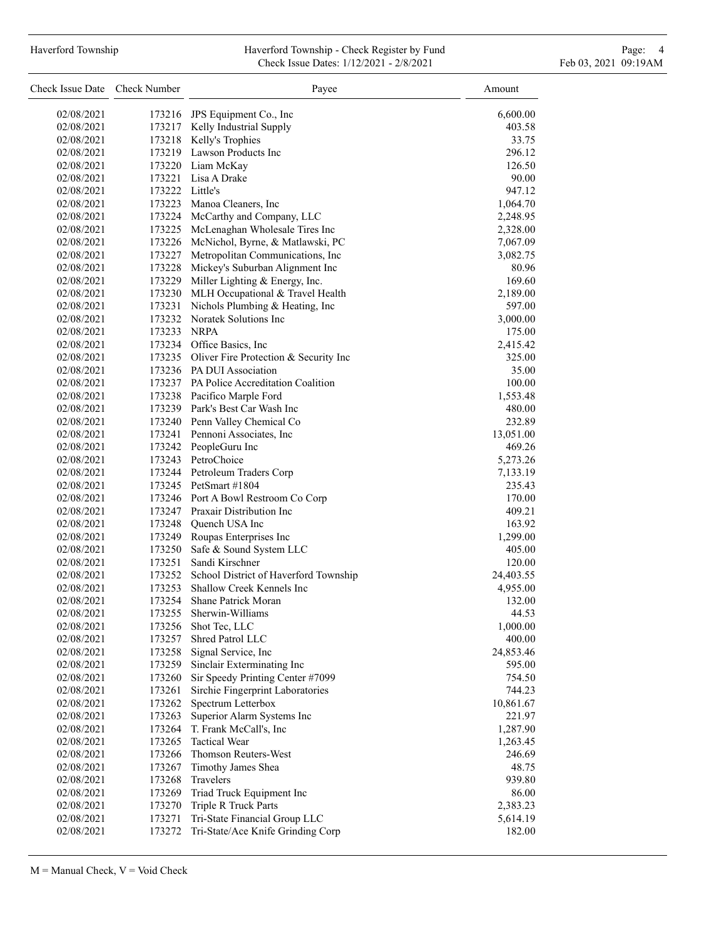## Haverford Township **Haverford Township - Check Register by Fund** Page: 4 Page: 4 Check Issue Dates: 1/12/2021 - 2/8/2021 Feb 03, 2021 09:19AM

| Check Issue Date Check Number |                  | Payee                                             | Amount            |
|-------------------------------|------------------|---------------------------------------------------|-------------------|
| 02/08/2021                    |                  | 173216 JPS Equipment Co., Inc.                    | 6,600.00          |
| 02/08/2021                    |                  | 173217 Kelly Industrial Supply                    | 403.58            |
| 02/08/2021                    |                  | 173218 Kelly's Trophies                           | 33.75             |
| 02/08/2021                    |                  | 173219 Lawson Products Inc                        | 296.12            |
| 02/08/2021                    |                  | 173220 Liam McKay                                 | 126.50            |
| 02/08/2021                    |                  | 173221 Lisa A Drake                               | 90.00             |
| 02/08/2021                    | 173222 Little's  |                                                   | 947.12            |
| 02/08/2021                    |                  | 173223 Manoa Cleaners, Inc                        | 1,064.70          |
| 02/08/2021                    |                  | 173224 McCarthy and Company, LLC                  | 2,248.95          |
| 02/08/2021                    |                  | 173225 McLenaghan Wholesale Tires Inc             | 2,328.00          |
| 02/08/2021                    |                  | 173226 McNichol, Byrne, & Matlawski, PC           | 7,067.09          |
| 02/08/2021                    |                  | 173227 Metropolitan Communications, Inc           | 3,082.75          |
| 02/08/2021                    |                  | 173228 Mickey's Suburban Alignment Inc            | 80.96             |
| 02/08/2021                    |                  | 173229 Miller Lighting & Energy, Inc.             | 169.60            |
| 02/08/2021                    |                  | 173230 MLH Occupational & Travel Health           | 2,189.00          |
| 02/08/2021                    | 173231           | Nichols Plumbing & Heating, Inc                   | 597.00            |
| 02/08/2021                    |                  | 173232 Noratek Solutions Inc                      | 3,000.00          |
| 02/08/2021                    | 173233 NRPA      |                                                   | 175.00            |
| 02/08/2021                    |                  | 173234 Office Basics, Inc                         | 2,415.42          |
| 02/08/2021                    |                  | 173235 Oliver Fire Protection & Security Inc      | 325.00            |
| 02/08/2021                    |                  | 173236 PA DUI Association                         | 35.00             |
| 02/08/2021                    |                  | 173237 PA Police Accreditation Coalition          | 100.00            |
| 02/08/2021                    |                  | 173238 Pacifico Marple Ford                       | 1,553.48          |
| 02/08/2021                    |                  | 173239 Park's Best Car Wash Inc                   | 480.00            |
| 02/08/2021                    |                  | 173240 Penn Valley Chemical Co                    | 232.89            |
| 02/08/2021                    |                  | 173241 Pennoni Associates, Inc                    | 13,051.00         |
| 02/08/2021                    |                  | 173242 PeopleGuru Inc                             | 469.26            |
| 02/08/2021                    |                  | 173243 PetroChoice                                | 5,273.26          |
| 02/08/2021                    |                  | 173244 Petroleum Traders Corp                     | 7,133.19          |
| 02/08/2021                    |                  | 173245 PetSmart #1804                             | 235.43            |
| 02/08/2021                    |                  | 173246 Port A Bowl Restroom Co Corp               | 170.00            |
| 02/08/2021                    |                  | 173247 Praxair Distribution Inc                   | 409.21            |
| 02/08/2021                    |                  | 173248 Ouench USA Inc                             | 163.92            |
| 02/08/2021                    |                  | 173249 Roupas Enterprises Inc                     | 1,299.00          |
| 02/08/2021                    |                  | 173250 Safe & Sound System LLC                    | 405.00            |
| 02/08/2021                    |                  | 173251 Sandi Kirschner                            | 120.00            |
| 02/08/2021                    |                  | 173252 School District of Haverford Township      | 24,403.55         |
| 02/08/2021                    |                  | 173253 Shallow Creek Kennels Inc                  | 4,955.00          |
| 02/08/2021                    |                  | 173254 Shane Patrick Moran                        | 132.00            |
| 02/08/2021                    | 173255           | Sherwin-Williams                                  | 44.53             |
| 02/08/2021                    | 173256           | Shot Tec, LLC                                     | 1,000.00          |
| 02/08/2021                    | 173257           | Shred Patrol LLC                                  | 400.00            |
| 02/08/2021                    |                  | 173258 Signal Service, Inc                        | 24,853.46         |
| 02/08/2021                    | 173259           | Sinclair Exterminating Inc                        | 595.00            |
| 02/08/2021                    | 173260           | Sir Speedy Printing Center #7099                  | 754.50            |
| 02/08/2021                    | 173261           | Sirchie Fingerprint Laboratories                  | 744.23            |
| 02/08/2021                    | 173262           | Spectrum Letterbox                                | 10,861.67         |
| 02/08/2021                    | 173263           | Superior Alarm Systems Inc                        | 221.97            |
| 02/08/2021                    | 173264           | T. Frank McCall's, Inc                            | 1,287.90          |
| 02/08/2021<br>02/08/2021      | 173265           | <b>Tactical Wear</b><br>Thomson Reuters-West      | 1,263.45          |
|                               | 173266           |                                                   | 246.69            |
| 02/08/2021                    | 173267           | Timothy James Shea<br>Travelers                   | 48.75             |
| 02/08/2021                    | 173268           |                                                   | 939.80            |
| 02/08/2021<br>02/08/2021      | 173269<br>173270 | Triad Truck Equipment Inc<br>Triple R Truck Parts | 86.00<br>2,383.23 |
| 02/08/2021                    | 173271           | Tri-State Financial Group LLC                     | 5,614.19          |
| 02/08/2021                    | 173272           | Tri-State/Ace Knife Grinding Corp                 | 182.00            |
|                               |                  |                                                   |                   |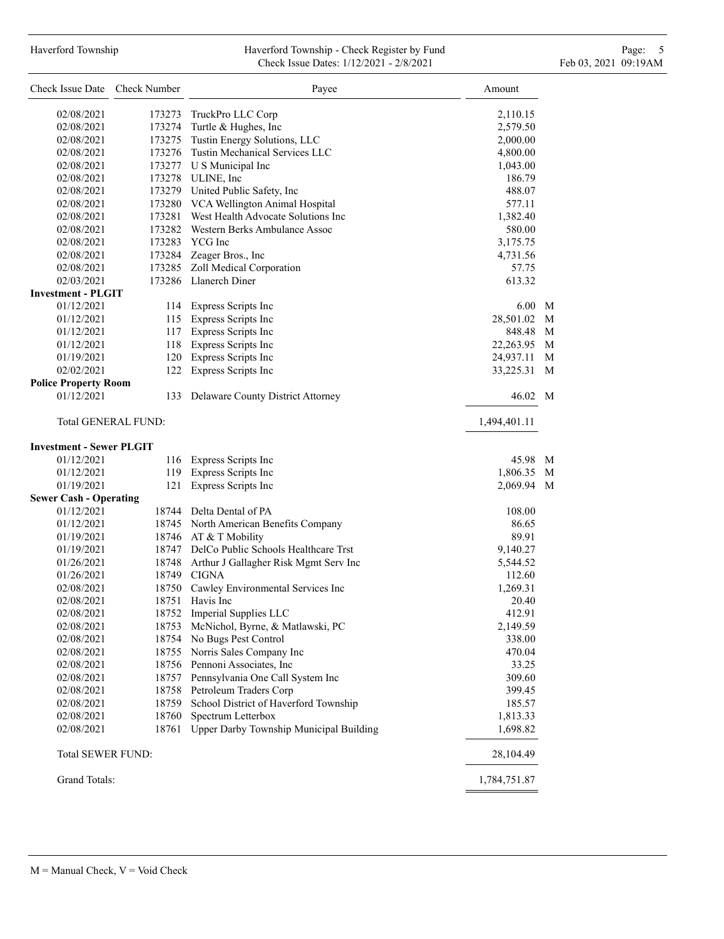# Haverford Township **Haverford Township - Check Register by Fund** Page: 5 - 5 - 7 Page: 5 - 7 Page: 5 - 7 Page: 5 Check Issue Dates: 1/12/2021 - 2/8/2021 Feb 03, 2021 09:19AM

| Check Issue Date Check Number   |                            | Payee                                         | Amount       |   |
|---------------------------------|----------------------------|-----------------------------------------------|--------------|---|
| 02/08/2021                      | 173273                     | TruckPro LLC Corp                             | 2,110.15     |   |
| 02/08/2021                      |                            | 173274 Turtle & Hughes, Inc                   | 2,579.50     |   |
| 02/08/2021                      |                            | 173275 Tustin Energy Solutions, LLC           | 2,000.00     |   |
| 02/08/2021                      |                            | 173276 Tustin Mechanical Services LLC         | 4,800.00     |   |
| 02/08/2021                      |                            | 173277 U S Municipal Inc                      | 1,043.00     |   |
| 02/08/2021                      |                            | 173278 ULINE, Inc                             | 186.79       |   |
| 02/08/2021                      |                            | 173279 United Public Safety, Inc              | 488.07       |   |
| 02/08/2021                      |                            | 173280 VCA Wellington Animal Hospital         | 577.11       |   |
| 02/08/2021                      |                            | 173281 West Health Advocate Solutions Inc     | 1,382.40     |   |
| 02/08/2021                      |                            | 173282 Western Berks Ambulance Assoc          | 580.00       |   |
| 02/08/2021                      |                            | 173283 YCG Inc                                | 3,175.75     |   |
| 02/08/2021                      |                            | 173284 Zeager Bros., Inc                      | 4,731.56     |   |
| 02/08/2021                      |                            | 173285 Zoll Medical Corporation               | 57.75        |   |
| 02/03/2021                      |                            | 173286 Llanerch Diner                         | 613.32       |   |
| <b>Investment - PLGIT</b>       |                            |                                               |              |   |
| 01/12/2021                      |                            | 114 Express Scripts Inc                       | 6.00 M       |   |
| 01/12/2021                      |                            | 115 Express Scripts Inc                       | 28,501.02    | M |
| 01/12/2021                      |                            | 117 Express Scripts Inc                       | 848.48 M     |   |
| 01/12/2021                      |                            | 118 Express Scripts Inc                       | 22,263.95 M  |   |
| 01/19/2021                      |                            | 120 Express Scripts Inc                       | 24,937.11    | M |
| 02/02/2021                      |                            | 122 Express Scripts Inc                       | 33,225.31    | M |
| <b>Police Property Room</b>     |                            |                                               |              |   |
| 01/12/2021                      |                            | 133 Delaware County District Attorney         | 46.02 M      |   |
|                                 | <b>Total GENERAL FUND:</b> |                                               | 1,494,401.11 |   |
| <b>Investment - Sewer PLGIT</b> |                            |                                               |              |   |
| 01/12/2021                      |                            | 116 Express Scripts Inc                       | 45.98 M      |   |
| 01/12/2021                      |                            | 119 Express Scripts Inc                       | 1,806.35 M   |   |
| 01/19/2021                      |                            | 121 Express Scripts Inc                       | 2,069.94 M   |   |
| <b>Sewer Cash - Operating</b>   |                            |                                               |              |   |
| 01/12/2021                      |                            | 18744 Delta Dental of PA                      | 108.00       |   |
| 01/12/2021                      |                            | 18745 North American Benefits Company         | 86.65        |   |
| 01/19/2021                      |                            | 18746 AT & T Mobility                         | 89.91        |   |
| 01/19/2021                      |                            | 18747 DelCo Public Schools Healthcare Trst    | 9,140.27     |   |
| 01/26/2021                      |                            | 18748 Arthur J Gallagher Risk Mgmt Serv Inc   | 5,544.52     |   |
| 01/26/2021                      |                            | 18749 CIGNA                                   | 112.60       |   |
| 02/08/2021                      |                            | 18750 Cawley Environmental Services Inc       | 1,269.31     |   |
| 02/08/2021                      | 18751                      | Havis Inc                                     | 20.40        |   |
| 02/08/2021                      |                            | 18752 Imperial Supplies LLC                   | 412.91       |   |
| 02/08/2021                      | 18753                      | McNichol, Byrne, & Matlawski, PC              | 2,149.59     |   |
| 02/08/2021                      |                            | 18754 No Bugs Pest Control                    | 338.00       |   |
| 02/08/2021                      |                            | 18755 Norris Sales Company Inc                | 470.04       |   |
| 02/08/2021                      |                            | 18756 Pennoni Associates, Inc                 | 33.25        |   |
| 02/08/2021                      |                            | 18757 Pennsylvania One Call System Inc        | 309.60       |   |
| 02/08/2021                      |                            | 18758 Petroleum Traders Corp                  | 399.45       |   |
| 02/08/2021                      | 18759                      | School District of Haverford Township         | 185.57       |   |
| 02/08/2021                      | 18760                      | Spectrum Letterbox                            | 1,813.33     |   |
| 02/08/2021                      |                            | 18761 Upper Darby Township Municipal Building | 1,698.82     |   |
| Total SEWER FUND:               |                            |                                               | 28,104.49    |   |
| Grand Totals:                   |                            |                                               | 1,784,751.87 |   |
|                                 |                            |                                               |              |   |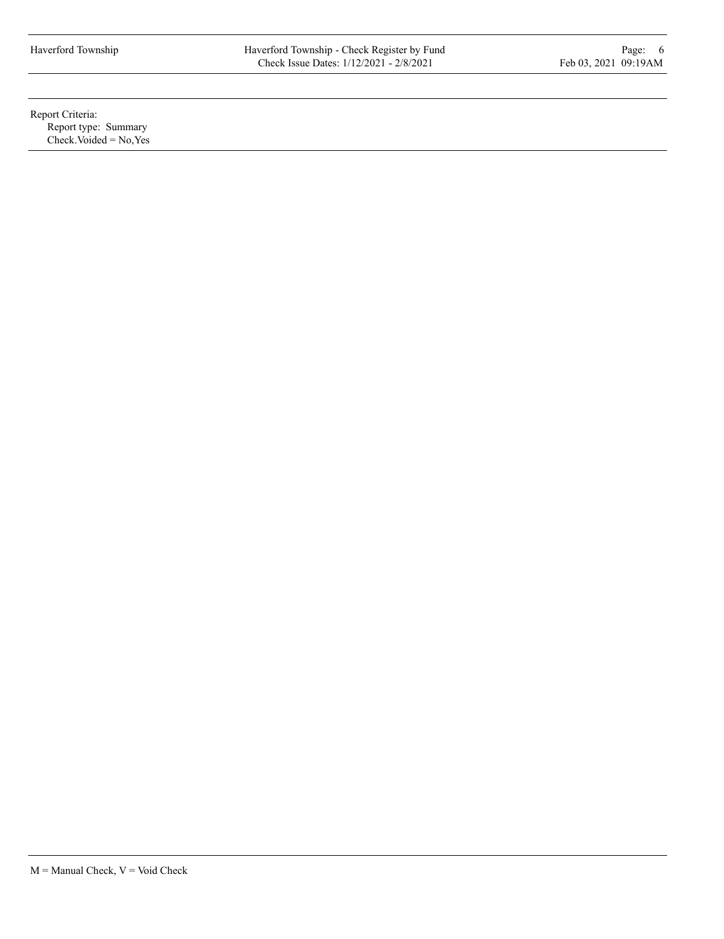Report Criteria: Report type: Summary  $Check. Voded = No, Yes$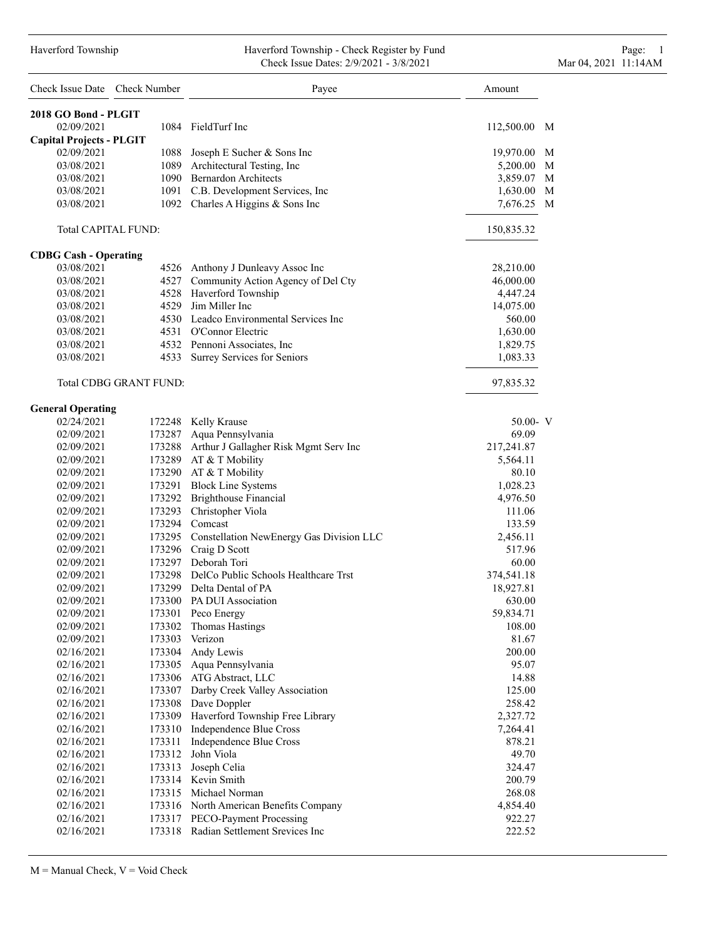#### Haverford Township Haverford Township - Check Register by Fund Page: 1 Check Issue Dates: 2/9/2021 - 3/8/2021 Mar 04, 2021 11:14AM

| Check Issue Date Check Number   |                               | Payee                                           | Amount       |   |
|---------------------------------|-------------------------------|-------------------------------------------------|--------------|---|
| 2018 GO Bond - PLGIT            |                               |                                                 |              |   |
| 02/09/2021                      |                               | 1084 FieldTurf Inc                              | 112,500.00 M |   |
| <b>Capital Projects - PLGIT</b> |                               |                                                 |              |   |
| 02/09/2021                      |                               | 1088 Joseph E Sucher & Sons Inc                 | 19,970.00 M  |   |
| 03/08/2021                      |                               | 1089 Architectural Testing, Inc                 | 5,200.00 M   |   |
| 03/08/2021                      |                               | 1090 Bernardon Architects                       | 3,859.07 M   |   |
| 03/08/2021                      |                               | 1091 C.B. Development Services, Inc             | 1,630.00     | M |
| 03/08/2021                      |                               | 1092 Charles A Higgins & Sons Inc               | 7,676.25 M   |   |
|                                 | Total CAPITAL FUND:           |                                                 | 150,835.32   |   |
| <b>CDBG Cash - Operating</b>    |                               |                                                 |              |   |
| 03/08/2021                      |                               | 4526 Anthony J Dunleavy Assoc Inc               | 28,210.00    |   |
| 03/08/2021                      |                               | 4527 Community Action Agency of Del Cty         | 46,000.00    |   |
| 03/08/2021                      |                               | 4528 Haverford Township                         | 4,447.24     |   |
| 03/08/2021                      |                               | 4529 Jim Miller Inc                             | 14,075.00    |   |
| 03/08/2021                      |                               | 4530 Leadco Environmental Services Inc          | 560.00       |   |
| 03/08/2021                      |                               | 4531 O'Connor Electric                          | 1,630.00     |   |
| 03/08/2021                      |                               | 4532 Pennoni Associates, Inc.                   | 1,829.75     |   |
| 03/08/2021                      |                               | 4533 Surrey Services for Seniors                | 1,083.33     |   |
|                                 | <b>Total CDBG GRANT FUND:</b> |                                                 | 97,835.32    |   |
| <b>General Operating</b>        |                               |                                                 |              |   |
| 02/24/2021                      |                               | 172248 Kelly Krause                             | $50.00 - V$  |   |
| 02/09/2021                      |                               | 173287 Aqua Pennsylvania                        | 69.09        |   |
| 02/09/2021                      |                               | 173288 Arthur J Gallagher Risk Mgmt Serv Inc    | 217,241.87   |   |
| 02/09/2021                      |                               | 173289 AT & T Mobility                          | 5,564.11     |   |
| 02/09/2021                      |                               | 173290 AT & T Mobility                          | 80.10        |   |
| 02/09/2021                      |                               | 173291 Block Line Systems                       | 1,028.23     |   |
| 02/09/2021                      |                               | 173292 Brighthouse Financial                    | 4,976.50     |   |
| 02/09/2021                      |                               | 173293 Christopher Viola                        | 111.06       |   |
| 02/09/2021                      |                               | 173294 Comcast                                  | 133.59       |   |
| 02/09/2021                      |                               | 173295 Constellation NewEnergy Gas Division LLC | 2,456.11     |   |
| 02/09/2021                      |                               | 173296 Craig D Scott                            | 517.96       |   |
| 02/09/2021                      |                               | 173297 Deborah Tori                             | 60.00        |   |
| 02/09/2021                      |                               | 173298 DelCo Public Schools Healthcare Trst     | 374,541.18   |   |
| 02/09/2021                      |                               | 173299 Delta Dental of PA                       | 18,927.81    |   |
| 02/09/2021                      |                               | 173300 PA DUI Association                       | 630.00       |   |
| 02/09/2021                      |                               | 173301 Peco Energy                              | 59,834.71    |   |
| 02/09/2021                      | 173302                        | Thomas Hastings                                 | 108.00       |   |
| 02/09/2021                      | 173303                        | Verizon                                         | 81.67        |   |
| 02/16/2021                      |                               | 173304 Andy Lewis                               | 200.00       |   |
| 02/16/2021                      | 173305                        | Aqua Pennsylvania                               | 95.07        |   |
| 02/16/2021                      |                               | 173306 ATG Abstract, LLC                        | 14.88        |   |
| 02/16/2021                      |                               | 173307 Darby Creek Valley Association           | 125.00       |   |
| 02/16/2021                      | 173308                        | Dave Doppler                                    | 258.42       |   |
| 02/16/2021                      | 173309                        | Haverford Township Free Library                 | 2,327.72     |   |
| 02/16/2021                      | 173310                        | Independence Blue Cross                         | 7,264.41     |   |
| 02/16/2021                      | 173311                        | Independence Blue Cross                         | 878.21       |   |
| 02/16/2021                      | 173312                        | John Viola                                      | 49.70        |   |
| 02/16/2021                      | 173313                        | Joseph Celia                                    | 324.47       |   |
| 02/16/2021                      |                               | 173314 Kevin Smith                              | 200.79       |   |
| 02/16/2021                      | 173315                        | Michael Norman                                  | 268.08       |   |
| 02/16/2021                      |                               | 173316 North American Benefits Company          | 4,854.40     |   |
| 02/16/2021                      |                               | 173317 PECO-Payment Processing                  | 922.27       |   |
| 02/16/2021                      |                               | 173318 Radian Settlement Srevices Inc           | 222.52       |   |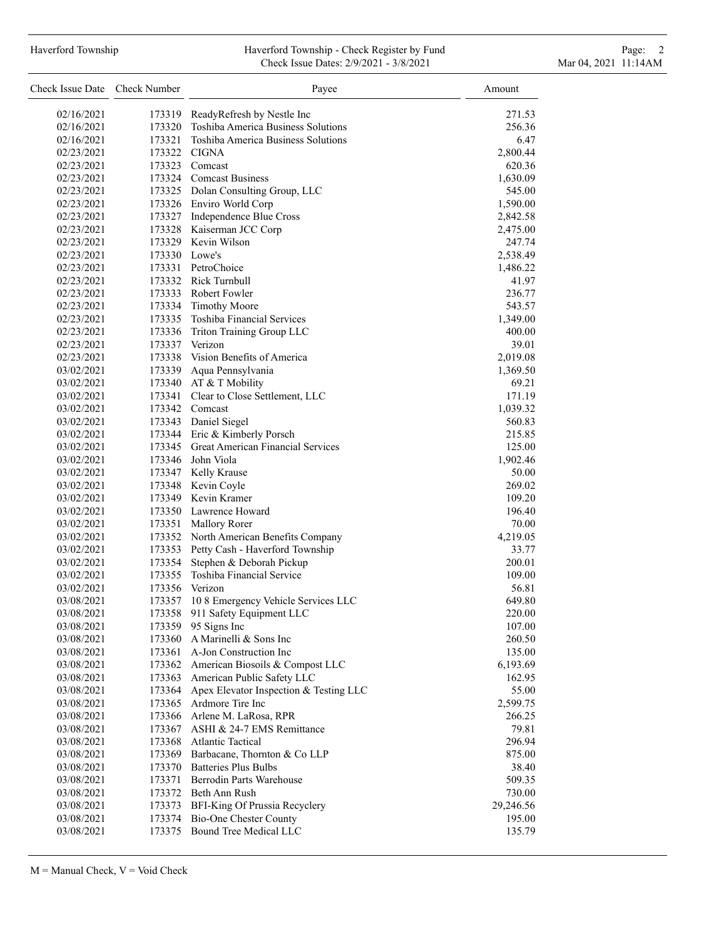# Haverford Township **Haverford Township - Check Register by Fund** Page: 2 Check Issue Dates: 2/9/2021 - 3/8/2021 Mar 04, 2021 11:14AM

| Check Issue Date Check Number |        | Payee                                                              | Amount             |
|-------------------------------|--------|--------------------------------------------------------------------|--------------------|
| 02/16/2021                    | 173319 | ReadyRefresh by Nestle Inc                                         | 271.53             |
| 02/16/2021                    | 173320 | Toshiba America Business Solutions                                 | 256.36             |
| 02/16/2021                    | 173321 | Toshiba America Business Solutions                                 | 6.47               |
| 02/23/2021                    |        | 173322 CIGNA                                                       | 2,800.44           |
| 02/23/2021                    |        | 173323 Comcast                                                     | 620.36             |
| 02/23/2021                    |        | 173324 Comcast Business                                            | 1,630.09           |
| 02/23/2021                    |        | 173325 Dolan Consulting Group, LLC                                 | 545.00             |
| 02/23/2021                    |        | 173326 Enviro World Corp                                           | 1,590.00           |
| 02/23/2021                    |        | 173327 Independence Blue Cross                                     | 2,842.58           |
| 02/23/2021                    |        | 173328 Kaiserman JCC Corp                                          | 2,475.00           |
| 02/23/2021                    |        | 173329 Kevin Wilson                                                | 247.74             |
| 02/23/2021                    |        | 173330 Lowe's                                                      | 2,538.49           |
| 02/23/2021                    |        | 173331 PetroChoice                                                 | 1,486.22           |
| 02/23/2021                    |        | 173332 Rick Turnbull                                               | 41.97              |
| 02/23/2021                    |        | 173333 Robert Fowler                                               | 236.77             |
| 02/23/2021                    |        | 173334 Timothy Moore                                               | 543.57             |
| 02/23/2021                    |        | 173335 Toshiba Financial Services                                  | 1,349.00           |
| 02/23/2021                    |        | 173336 Triton Training Group LLC                                   | 400.00             |
| 02/23/2021                    |        | 173337 Verizon                                                     | 39.01              |
| 02/23/2021                    |        | 173338 Vision Benefits of America                                  | 2,019.08           |
| 03/02/2021                    |        | 173339 Aqua Pennsylvania                                           | 1,369.50           |
| 03/02/2021                    |        | 173340 AT & T Mobility                                             | 69.21              |
| 03/02/2021                    |        | 173341 Clear to Close Settlement, LLC                              | 171.19             |
| 03/02/2021                    |        | 173342 Comcast                                                     | 1,039.32           |
| 03/02/2021                    |        | 173343 Daniel Siegel                                               | 560.83             |
| 03/02/2021                    |        | 173344 Eric & Kimberly Porsch                                      | 215.85             |
| 03/02/2021                    |        | 173345 Great American Financial Services                           | 125.00             |
| 03/02/2021                    |        | 173346 John Viola                                                  | 1,902.46           |
| 03/02/2021                    |        | 173347 Kelly Krause                                                | 50.00              |
| 03/02/2021                    |        | 173348 Kevin Coyle                                                 | 269.02             |
| 03/02/2021                    |        | 173349 Kevin Kramer                                                | 109.20             |
| 03/02/2021                    |        | 173350 Lawrence Howard                                             | 196.40             |
| 03/02/2021                    |        | 173351 Mallory Rorer                                               | 70.00              |
| 03/02/2021                    |        | 173352 North American Benefits Company                             | 4,219.05           |
| 03/02/2021                    |        | 173353 Petty Cash - Haverford Township                             | 33.77              |
| 03/02/2021                    | 173354 | Stephen & Deborah Pickup                                           | 200.01             |
| 03/02/2021                    | 173355 | Toshiba Financial Service                                          | 109.00             |
| 03/02/2021                    | 173356 | Verizon                                                            | 56.81              |
| 03/08/2021                    | 173357 | 10 8 Emergency Vehicle Services LLC                                | 649.80             |
| 03/08/2021                    | 173358 | 911 Safety Equipment LLC                                           | 220.00             |
| 03/08/2021                    | 173359 | 95 Signs Inc                                                       | 107.00             |
| 03/08/2021                    | 173360 | A Marinelli & Sons Inc                                             | 260.50             |
| 03/08/2021                    |        | 173361 A-Jon Construction Inc                                      | 135.00             |
| 03/08/2021                    |        | 173362 American Biosoils & Compost LLC                             | 6,193.69           |
| 03/08/2021                    |        | 173363 American Public Safety LLC                                  | 162.95             |
| 03/08/2021                    | 173364 | Apex Elevator Inspection & Testing LLC                             | 55.00              |
| 03/08/2021                    |        | 173365 Ardmore Tire Inc                                            |                    |
| 03/08/2021                    |        | 173366 Arlene M. LaRosa, RPR                                       | 2,599.75<br>266.25 |
| 03/08/2021                    |        | 173367 ASHI & 24-7 EMS Remittance                                  | 79.81              |
| 03/08/2021                    |        | 173368 Atlantic Tactical                                           | 296.94             |
|                               |        |                                                                    |                    |
| 03/08/2021                    |        | 173369 Barbacane, Thornton & Co LLP<br>173370 Batteries Plus Bulbs | 875.00             |
| 03/08/2021                    |        |                                                                    | 38.40              |
| 03/08/2021                    |        | 173371 Berrodin Parts Warehouse                                    | 509.35             |
| 03/08/2021                    |        | 173372 Beth Ann Rush                                               | 730.00             |
| 03/08/2021                    |        | 173373 BFI-King Of Prussia Recyclery                               | 29,246.56          |
| 03/08/2021                    |        | 173374 Bio-One Chester County                                      | 195.00             |
| 03/08/2021                    |        | 173375 Bound Tree Medical LLC                                      | 135.79             |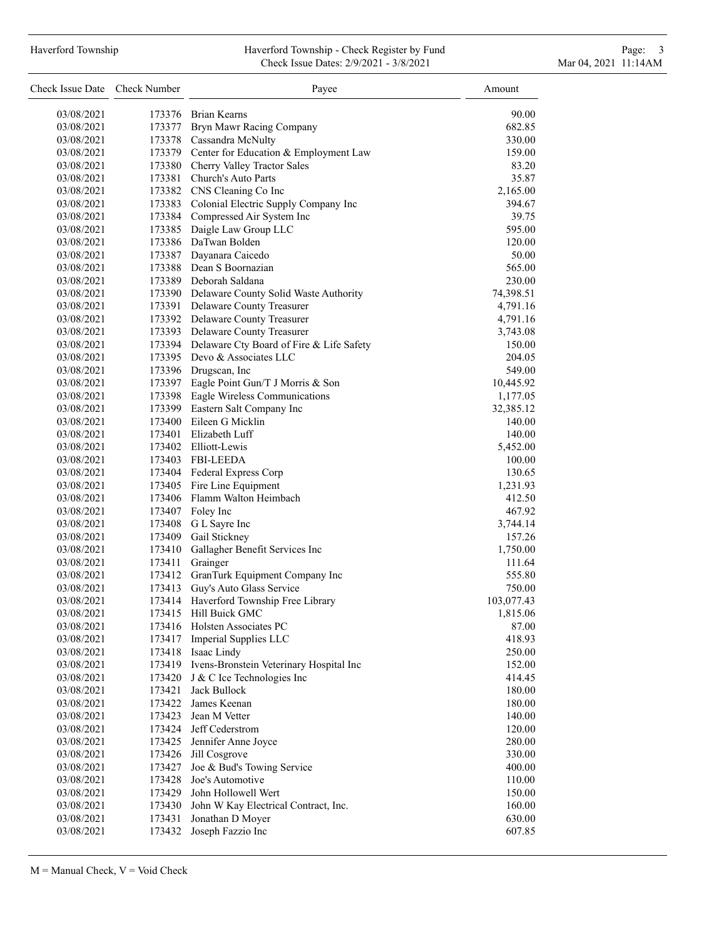# Haverford Township **Haverford Township - Check Register by Fund** Page: 3 and Page: 3 Check Issue Dates: 2/9/2021 - 3/8/2021 Mar 04, 2021 11:14AM

| 173376 Brian Kearns<br>03/08/2021<br>90.00<br>173377 Bryn Mawr Racing Company<br>682.85<br>03/08/2021<br>173378 Cassandra McNulty<br>03/08/2021<br>330.00<br>173379 Center for Education & Employment Law<br>159.00<br>03/08/2021<br>173380 Cherry Valley Tractor Sales<br>83.20<br>03/08/2021<br>173381 Church's Auto Parts<br>35.87<br>03/08/2021<br>173382 CNS Cleaning Co Inc<br>03/08/2021<br>2,165.00<br>173383 Colonial Electric Supply Company Inc<br>03/08/2021<br>394.67<br>173384 Compressed Air System Inc<br>39.75<br>03/08/2021<br>173385 Daigle Law Group LLC<br>595.00<br>03/08/2021<br>173386 DaTwan Bolden<br>120.00<br>03/08/2021<br>173387 Dayanara Caicedo<br>50.00<br>03/08/2021<br>173388 Dean S Boornazian<br>03/08/2021<br>565.00<br>173389 Deborah Saldana<br>230.00<br>03/08/2021<br>173390 Delaware County Solid Waste Authority<br>03/08/2021<br>74,398.51<br>173391 Delaware County Treasurer<br>4,791.16<br>03/08/2021<br>173392 Delaware County Treasurer<br>03/08/2021<br>4,791.16<br>173393 Delaware County Treasurer<br>03/08/2021<br>3,743.08<br>173394 Delaware Cty Board of Fire & Life Safety<br>150.00<br>03/08/2021<br>173395 Devo & Associates LLC<br>03/08/2021<br>204.05<br>173396 Drugscan, Inc<br>549.00<br>03/08/2021<br>173397 Eagle Point Gun/T J Morris & Son<br>03/08/2021<br>10,445.92<br>173398 Eagle Wireless Communications<br>03/08/2021<br>1,177.05<br>173399 Eastern Salt Company Inc<br>03/08/2021<br>32,385.12<br>173400 Eileen G Micklin<br>03/08/2021<br>140.00<br>173401 Elizabeth Luff<br>140.00<br>03/08/2021<br>173402 Elliott-Lewis<br>5,452.00<br>03/08/2021<br>173403 FBI-LEEDA<br>03/08/2021<br>100.00<br>173404 Federal Express Corp<br>130.65<br>03/08/2021<br>173405 Fire Line Equipment<br>1,231.93<br>03/08/2021<br>173406 Flamm Walton Heimbach<br>412.50<br>03/08/2021<br>173407 Foley Inc<br>467.92<br>03/08/2021<br>173408 G L Sayre Inc<br>03/08/2021<br>3,744.14<br>173409 Gail Stickney<br>157.26<br>03/08/2021<br>03/08/2021<br>173410 Gallagher Benefit Services Inc<br>1,750.00<br>173411 Grainger<br>03/08/2021<br>111.64<br>173412 GranTurk Equipment Company Inc<br>555.80<br>03/08/2021<br>173413 Guy's Auto Glass Service<br>03/08/2021<br>750.00<br>173414 Haverford Township Free Library<br>103,077.43<br>03/08/2021<br>173415 Hill Buick GMC<br>03/08/2021<br>1,815.06<br>173416 Holsten Associates PC<br>87.00<br>03/08/2021<br>173417 Imperial Supplies LLC<br>03/08/2021<br>418.93<br>173418 Isaac Lindy<br>03/08/2021<br>250.00<br>173419 Ivens-Bronstein Veterinary Hospital Inc<br>152.00<br>03/08/2021<br>03/08/2021<br>173420 J & C Ice Technologies Inc<br>414.45<br>173421<br>Jack Bullock<br>180.00<br>03/08/2021<br>James Keenan<br>03/08/2021<br>173422<br>180.00<br>173423<br>Jean M Vetter<br>03/08/2021<br>140.00<br>173424 Jeff Cederstrom<br>120.00<br>03/08/2021<br>173425 Jennifer Anne Joyce<br>280.00<br>03/08/2021<br>Jill Cosgrove<br>330.00<br>03/08/2021<br>173426<br>Joe & Bud's Towing Service<br>03/08/2021<br>173427<br>400.00<br>Joe's Automotive<br>03/08/2021<br>173428<br>110.00<br>John Hollowell Wert<br>03/08/2021<br>173429<br>150.00<br>173430 John W Kay Electrical Contract, Inc.<br>03/08/2021<br>160.00<br>Jonathan D Moyer<br>630.00<br>03/08/2021<br>173431 | Check Issue Date Check Number |        | Payee             | Amount |
|--------------------------------------------------------------------------------------------------------------------------------------------------------------------------------------------------------------------------------------------------------------------------------------------------------------------------------------------------------------------------------------------------------------------------------------------------------------------------------------------------------------------------------------------------------------------------------------------------------------------------------------------------------------------------------------------------------------------------------------------------------------------------------------------------------------------------------------------------------------------------------------------------------------------------------------------------------------------------------------------------------------------------------------------------------------------------------------------------------------------------------------------------------------------------------------------------------------------------------------------------------------------------------------------------------------------------------------------------------------------------------------------------------------------------------------------------------------------------------------------------------------------------------------------------------------------------------------------------------------------------------------------------------------------------------------------------------------------------------------------------------------------------------------------------------------------------------------------------------------------------------------------------------------------------------------------------------------------------------------------------------------------------------------------------------------------------------------------------------------------------------------------------------------------------------------------------------------------------------------------------------------------------------------------------------------------------------------------------------------------------------------------------------------------------------------------------------------------------------------------------------------------------------------------------------------------------------------------------------------------------------------------------------------------------------------------------------------------------------------------------------------------------------------------------------------------------------------------------------------------------------------------------------------------------------------------------------------------------------------------------------------------------------------------------------------------------------------------------------------------------------------------------------------------------------------------------------------------------------------------------------------------------------------------------------|-------------------------------|--------|-------------------|--------|
|                                                                                                                                                                                                                                                                                                                                                                                                                                                                                                                                                                                                                                                                                                                                                                                                                                                                                                                                                                                                                                                                                                                                                                                                                                                                                                                                                                                                                                                                                                                                                                                                                                                                                                                                                                                                                                                                                                                                                                                                                                                                                                                                                                                                                                                                                                                                                                                                                                                                                                                                                                                                                                                                                                                                                                                                                                                                                                                                                                                                                                                                                                                                                                                                                                                                                                        |                               |        |                   |        |
|                                                                                                                                                                                                                                                                                                                                                                                                                                                                                                                                                                                                                                                                                                                                                                                                                                                                                                                                                                                                                                                                                                                                                                                                                                                                                                                                                                                                                                                                                                                                                                                                                                                                                                                                                                                                                                                                                                                                                                                                                                                                                                                                                                                                                                                                                                                                                                                                                                                                                                                                                                                                                                                                                                                                                                                                                                                                                                                                                                                                                                                                                                                                                                                                                                                                                                        |                               |        |                   |        |
|                                                                                                                                                                                                                                                                                                                                                                                                                                                                                                                                                                                                                                                                                                                                                                                                                                                                                                                                                                                                                                                                                                                                                                                                                                                                                                                                                                                                                                                                                                                                                                                                                                                                                                                                                                                                                                                                                                                                                                                                                                                                                                                                                                                                                                                                                                                                                                                                                                                                                                                                                                                                                                                                                                                                                                                                                                                                                                                                                                                                                                                                                                                                                                                                                                                                                                        |                               |        |                   |        |
|                                                                                                                                                                                                                                                                                                                                                                                                                                                                                                                                                                                                                                                                                                                                                                                                                                                                                                                                                                                                                                                                                                                                                                                                                                                                                                                                                                                                                                                                                                                                                                                                                                                                                                                                                                                                                                                                                                                                                                                                                                                                                                                                                                                                                                                                                                                                                                                                                                                                                                                                                                                                                                                                                                                                                                                                                                                                                                                                                                                                                                                                                                                                                                                                                                                                                                        |                               |        |                   |        |
|                                                                                                                                                                                                                                                                                                                                                                                                                                                                                                                                                                                                                                                                                                                                                                                                                                                                                                                                                                                                                                                                                                                                                                                                                                                                                                                                                                                                                                                                                                                                                                                                                                                                                                                                                                                                                                                                                                                                                                                                                                                                                                                                                                                                                                                                                                                                                                                                                                                                                                                                                                                                                                                                                                                                                                                                                                                                                                                                                                                                                                                                                                                                                                                                                                                                                                        |                               |        |                   |        |
|                                                                                                                                                                                                                                                                                                                                                                                                                                                                                                                                                                                                                                                                                                                                                                                                                                                                                                                                                                                                                                                                                                                                                                                                                                                                                                                                                                                                                                                                                                                                                                                                                                                                                                                                                                                                                                                                                                                                                                                                                                                                                                                                                                                                                                                                                                                                                                                                                                                                                                                                                                                                                                                                                                                                                                                                                                                                                                                                                                                                                                                                                                                                                                                                                                                                                                        |                               |        |                   |        |
|                                                                                                                                                                                                                                                                                                                                                                                                                                                                                                                                                                                                                                                                                                                                                                                                                                                                                                                                                                                                                                                                                                                                                                                                                                                                                                                                                                                                                                                                                                                                                                                                                                                                                                                                                                                                                                                                                                                                                                                                                                                                                                                                                                                                                                                                                                                                                                                                                                                                                                                                                                                                                                                                                                                                                                                                                                                                                                                                                                                                                                                                                                                                                                                                                                                                                                        |                               |        |                   |        |
|                                                                                                                                                                                                                                                                                                                                                                                                                                                                                                                                                                                                                                                                                                                                                                                                                                                                                                                                                                                                                                                                                                                                                                                                                                                                                                                                                                                                                                                                                                                                                                                                                                                                                                                                                                                                                                                                                                                                                                                                                                                                                                                                                                                                                                                                                                                                                                                                                                                                                                                                                                                                                                                                                                                                                                                                                                                                                                                                                                                                                                                                                                                                                                                                                                                                                                        |                               |        |                   |        |
|                                                                                                                                                                                                                                                                                                                                                                                                                                                                                                                                                                                                                                                                                                                                                                                                                                                                                                                                                                                                                                                                                                                                                                                                                                                                                                                                                                                                                                                                                                                                                                                                                                                                                                                                                                                                                                                                                                                                                                                                                                                                                                                                                                                                                                                                                                                                                                                                                                                                                                                                                                                                                                                                                                                                                                                                                                                                                                                                                                                                                                                                                                                                                                                                                                                                                                        |                               |        |                   |        |
|                                                                                                                                                                                                                                                                                                                                                                                                                                                                                                                                                                                                                                                                                                                                                                                                                                                                                                                                                                                                                                                                                                                                                                                                                                                                                                                                                                                                                                                                                                                                                                                                                                                                                                                                                                                                                                                                                                                                                                                                                                                                                                                                                                                                                                                                                                                                                                                                                                                                                                                                                                                                                                                                                                                                                                                                                                                                                                                                                                                                                                                                                                                                                                                                                                                                                                        |                               |        |                   |        |
|                                                                                                                                                                                                                                                                                                                                                                                                                                                                                                                                                                                                                                                                                                                                                                                                                                                                                                                                                                                                                                                                                                                                                                                                                                                                                                                                                                                                                                                                                                                                                                                                                                                                                                                                                                                                                                                                                                                                                                                                                                                                                                                                                                                                                                                                                                                                                                                                                                                                                                                                                                                                                                                                                                                                                                                                                                                                                                                                                                                                                                                                                                                                                                                                                                                                                                        |                               |        |                   |        |
|                                                                                                                                                                                                                                                                                                                                                                                                                                                                                                                                                                                                                                                                                                                                                                                                                                                                                                                                                                                                                                                                                                                                                                                                                                                                                                                                                                                                                                                                                                                                                                                                                                                                                                                                                                                                                                                                                                                                                                                                                                                                                                                                                                                                                                                                                                                                                                                                                                                                                                                                                                                                                                                                                                                                                                                                                                                                                                                                                                                                                                                                                                                                                                                                                                                                                                        |                               |        |                   |        |
|                                                                                                                                                                                                                                                                                                                                                                                                                                                                                                                                                                                                                                                                                                                                                                                                                                                                                                                                                                                                                                                                                                                                                                                                                                                                                                                                                                                                                                                                                                                                                                                                                                                                                                                                                                                                                                                                                                                                                                                                                                                                                                                                                                                                                                                                                                                                                                                                                                                                                                                                                                                                                                                                                                                                                                                                                                                                                                                                                                                                                                                                                                                                                                                                                                                                                                        |                               |        |                   |        |
|                                                                                                                                                                                                                                                                                                                                                                                                                                                                                                                                                                                                                                                                                                                                                                                                                                                                                                                                                                                                                                                                                                                                                                                                                                                                                                                                                                                                                                                                                                                                                                                                                                                                                                                                                                                                                                                                                                                                                                                                                                                                                                                                                                                                                                                                                                                                                                                                                                                                                                                                                                                                                                                                                                                                                                                                                                                                                                                                                                                                                                                                                                                                                                                                                                                                                                        |                               |        |                   |        |
|                                                                                                                                                                                                                                                                                                                                                                                                                                                                                                                                                                                                                                                                                                                                                                                                                                                                                                                                                                                                                                                                                                                                                                                                                                                                                                                                                                                                                                                                                                                                                                                                                                                                                                                                                                                                                                                                                                                                                                                                                                                                                                                                                                                                                                                                                                                                                                                                                                                                                                                                                                                                                                                                                                                                                                                                                                                                                                                                                                                                                                                                                                                                                                                                                                                                                                        |                               |        |                   |        |
|                                                                                                                                                                                                                                                                                                                                                                                                                                                                                                                                                                                                                                                                                                                                                                                                                                                                                                                                                                                                                                                                                                                                                                                                                                                                                                                                                                                                                                                                                                                                                                                                                                                                                                                                                                                                                                                                                                                                                                                                                                                                                                                                                                                                                                                                                                                                                                                                                                                                                                                                                                                                                                                                                                                                                                                                                                                                                                                                                                                                                                                                                                                                                                                                                                                                                                        |                               |        |                   |        |
|                                                                                                                                                                                                                                                                                                                                                                                                                                                                                                                                                                                                                                                                                                                                                                                                                                                                                                                                                                                                                                                                                                                                                                                                                                                                                                                                                                                                                                                                                                                                                                                                                                                                                                                                                                                                                                                                                                                                                                                                                                                                                                                                                                                                                                                                                                                                                                                                                                                                                                                                                                                                                                                                                                                                                                                                                                                                                                                                                                                                                                                                                                                                                                                                                                                                                                        |                               |        |                   |        |
|                                                                                                                                                                                                                                                                                                                                                                                                                                                                                                                                                                                                                                                                                                                                                                                                                                                                                                                                                                                                                                                                                                                                                                                                                                                                                                                                                                                                                                                                                                                                                                                                                                                                                                                                                                                                                                                                                                                                                                                                                                                                                                                                                                                                                                                                                                                                                                                                                                                                                                                                                                                                                                                                                                                                                                                                                                                                                                                                                                                                                                                                                                                                                                                                                                                                                                        |                               |        |                   |        |
|                                                                                                                                                                                                                                                                                                                                                                                                                                                                                                                                                                                                                                                                                                                                                                                                                                                                                                                                                                                                                                                                                                                                                                                                                                                                                                                                                                                                                                                                                                                                                                                                                                                                                                                                                                                                                                                                                                                                                                                                                                                                                                                                                                                                                                                                                                                                                                                                                                                                                                                                                                                                                                                                                                                                                                                                                                                                                                                                                                                                                                                                                                                                                                                                                                                                                                        |                               |        |                   |        |
|                                                                                                                                                                                                                                                                                                                                                                                                                                                                                                                                                                                                                                                                                                                                                                                                                                                                                                                                                                                                                                                                                                                                                                                                                                                                                                                                                                                                                                                                                                                                                                                                                                                                                                                                                                                                                                                                                                                                                                                                                                                                                                                                                                                                                                                                                                                                                                                                                                                                                                                                                                                                                                                                                                                                                                                                                                                                                                                                                                                                                                                                                                                                                                                                                                                                                                        |                               |        |                   |        |
|                                                                                                                                                                                                                                                                                                                                                                                                                                                                                                                                                                                                                                                                                                                                                                                                                                                                                                                                                                                                                                                                                                                                                                                                                                                                                                                                                                                                                                                                                                                                                                                                                                                                                                                                                                                                                                                                                                                                                                                                                                                                                                                                                                                                                                                                                                                                                                                                                                                                                                                                                                                                                                                                                                                                                                                                                                                                                                                                                                                                                                                                                                                                                                                                                                                                                                        |                               |        |                   |        |
|                                                                                                                                                                                                                                                                                                                                                                                                                                                                                                                                                                                                                                                                                                                                                                                                                                                                                                                                                                                                                                                                                                                                                                                                                                                                                                                                                                                                                                                                                                                                                                                                                                                                                                                                                                                                                                                                                                                                                                                                                                                                                                                                                                                                                                                                                                                                                                                                                                                                                                                                                                                                                                                                                                                                                                                                                                                                                                                                                                                                                                                                                                                                                                                                                                                                                                        |                               |        |                   |        |
|                                                                                                                                                                                                                                                                                                                                                                                                                                                                                                                                                                                                                                                                                                                                                                                                                                                                                                                                                                                                                                                                                                                                                                                                                                                                                                                                                                                                                                                                                                                                                                                                                                                                                                                                                                                                                                                                                                                                                                                                                                                                                                                                                                                                                                                                                                                                                                                                                                                                                                                                                                                                                                                                                                                                                                                                                                                                                                                                                                                                                                                                                                                                                                                                                                                                                                        |                               |        |                   |        |
|                                                                                                                                                                                                                                                                                                                                                                                                                                                                                                                                                                                                                                                                                                                                                                                                                                                                                                                                                                                                                                                                                                                                                                                                                                                                                                                                                                                                                                                                                                                                                                                                                                                                                                                                                                                                                                                                                                                                                                                                                                                                                                                                                                                                                                                                                                                                                                                                                                                                                                                                                                                                                                                                                                                                                                                                                                                                                                                                                                                                                                                                                                                                                                                                                                                                                                        |                               |        |                   |        |
|                                                                                                                                                                                                                                                                                                                                                                                                                                                                                                                                                                                                                                                                                                                                                                                                                                                                                                                                                                                                                                                                                                                                                                                                                                                                                                                                                                                                                                                                                                                                                                                                                                                                                                                                                                                                                                                                                                                                                                                                                                                                                                                                                                                                                                                                                                                                                                                                                                                                                                                                                                                                                                                                                                                                                                                                                                                                                                                                                                                                                                                                                                                                                                                                                                                                                                        |                               |        |                   |        |
|                                                                                                                                                                                                                                                                                                                                                                                                                                                                                                                                                                                                                                                                                                                                                                                                                                                                                                                                                                                                                                                                                                                                                                                                                                                                                                                                                                                                                                                                                                                                                                                                                                                                                                                                                                                                                                                                                                                                                                                                                                                                                                                                                                                                                                                                                                                                                                                                                                                                                                                                                                                                                                                                                                                                                                                                                                                                                                                                                                                                                                                                                                                                                                                                                                                                                                        |                               |        |                   |        |
|                                                                                                                                                                                                                                                                                                                                                                                                                                                                                                                                                                                                                                                                                                                                                                                                                                                                                                                                                                                                                                                                                                                                                                                                                                                                                                                                                                                                                                                                                                                                                                                                                                                                                                                                                                                                                                                                                                                                                                                                                                                                                                                                                                                                                                                                                                                                                                                                                                                                                                                                                                                                                                                                                                                                                                                                                                                                                                                                                                                                                                                                                                                                                                                                                                                                                                        |                               |        |                   |        |
|                                                                                                                                                                                                                                                                                                                                                                                                                                                                                                                                                                                                                                                                                                                                                                                                                                                                                                                                                                                                                                                                                                                                                                                                                                                                                                                                                                                                                                                                                                                                                                                                                                                                                                                                                                                                                                                                                                                                                                                                                                                                                                                                                                                                                                                                                                                                                                                                                                                                                                                                                                                                                                                                                                                                                                                                                                                                                                                                                                                                                                                                                                                                                                                                                                                                                                        |                               |        |                   |        |
|                                                                                                                                                                                                                                                                                                                                                                                                                                                                                                                                                                                                                                                                                                                                                                                                                                                                                                                                                                                                                                                                                                                                                                                                                                                                                                                                                                                                                                                                                                                                                                                                                                                                                                                                                                                                                                                                                                                                                                                                                                                                                                                                                                                                                                                                                                                                                                                                                                                                                                                                                                                                                                                                                                                                                                                                                                                                                                                                                                                                                                                                                                                                                                                                                                                                                                        |                               |        |                   |        |
|                                                                                                                                                                                                                                                                                                                                                                                                                                                                                                                                                                                                                                                                                                                                                                                                                                                                                                                                                                                                                                                                                                                                                                                                                                                                                                                                                                                                                                                                                                                                                                                                                                                                                                                                                                                                                                                                                                                                                                                                                                                                                                                                                                                                                                                                                                                                                                                                                                                                                                                                                                                                                                                                                                                                                                                                                                                                                                                                                                                                                                                                                                                                                                                                                                                                                                        |                               |        |                   |        |
|                                                                                                                                                                                                                                                                                                                                                                                                                                                                                                                                                                                                                                                                                                                                                                                                                                                                                                                                                                                                                                                                                                                                                                                                                                                                                                                                                                                                                                                                                                                                                                                                                                                                                                                                                                                                                                                                                                                                                                                                                                                                                                                                                                                                                                                                                                                                                                                                                                                                                                                                                                                                                                                                                                                                                                                                                                                                                                                                                                                                                                                                                                                                                                                                                                                                                                        |                               |        |                   |        |
|                                                                                                                                                                                                                                                                                                                                                                                                                                                                                                                                                                                                                                                                                                                                                                                                                                                                                                                                                                                                                                                                                                                                                                                                                                                                                                                                                                                                                                                                                                                                                                                                                                                                                                                                                                                                                                                                                                                                                                                                                                                                                                                                                                                                                                                                                                                                                                                                                                                                                                                                                                                                                                                                                                                                                                                                                                                                                                                                                                                                                                                                                                                                                                                                                                                                                                        |                               |        |                   |        |
|                                                                                                                                                                                                                                                                                                                                                                                                                                                                                                                                                                                                                                                                                                                                                                                                                                                                                                                                                                                                                                                                                                                                                                                                                                                                                                                                                                                                                                                                                                                                                                                                                                                                                                                                                                                                                                                                                                                                                                                                                                                                                                                                                                                                                                                                                                                                                                                                                                                                                                                                                                                                                                                                                                                                                                                                                                                                                                                                                                                                                                                                                                                                                                                                                                                                                                        |                               |        |                   |        |
|                                                                                                                                                                                                                                                                                                                                                                                                                                                                                                                                                                                                                                                                                                                                                                                                                                                                                                                                                                                                                                                                                                                                                                                                                                                                                                                                                                                                                                                                                                                                                                                                                                                                                                                                                                                                                                                                                                                                                                                                                                                                                                                                                                                                                                                                                                                                                                                                                                                                                                                                                                                                                                                                                                                                                                                                                                                                                                                                                                                                                                                                                                                                                                                                                                                                                                        |                               |        |                   |        |
|                                                                                                                                                                                                                                                                                                                                                                                                                                                                                                                                                                                                                                                                                                                                                                                                                                                                                                                                                                                                                                                                                                                                                                                                                                                                                                                                                                                                                                                                                                                                                                                                                                                                                                                                                                                                                                                                                                                                                                                                                                                                                                                                                                                                                                                                                                                                                                                                                                                                                                                                                                                                                                                                                                                                                                                                                                                                                                                                                                                                                                                                                                                                                                                                                                                                                                        |                               |        |                   |        |
|                                                                                                                                                                                                                                                                                                                                                                                                                                                                                                                                                                                                                                                                                                                                                                                                                                                                                                                                                                                                                                                                                                                                                                                                                                                                                                                                                                                                                                                                                                                                                                                                                                                                                                                                                                                                                                                                                                                                                                                                                                                                                                                                                                                                                                                                                                                                                                                                                                                                                                                                                                                                                                                                                                                                                                                                                                                                                                                                                                                                                                                                                                                                                                                                                                                                                                        |                               |        |                   |        |
|                                                                                                                                                                                                                                                                                                                                                                                                                                                                                                                                                                                                                                                                                                                                                                                                                                                                                                                                                                                                                                                                                                                                                                                                                                                                                                                                                                                                                                                                                                                                                                                                                                                                                                                                                                                                                                                                                                                                                                                                                                                                                                                                                                                                                                                                                                                                                                                                                                                                                                                                                                                                                                                                                                                                                                                                                                                                                                                                                                                                                                                                                                                                                                                                                                                                                                        |                               |        |                   |        |
|                                                                                                                                                                                                                                                                                                                                                                                                                                                                                                                                                                                                                                                                                                                                                                                                                                                                                                                                                                                                                                                                                                                                                                                                                                                                                                                                                                                                                                                                                                                                                                                                                                                                                                                                                                                                                                                                                                                                                                                                                                                                                                                                                                                                                                                                                                                                                                                                                                                                                                                                                                                                                                                                                                                                                                                                                                                                                                                                                                                                                                                                                                                                                                                                                                                                                                        |                               |        |                   |        |
|                                                                                                                                                                                                                                                                                                                                                                                                                                                                                                                                                                                                                                                                                                                                                                                                                                                                                                                                                                                                                                                                                                                                                                                                                                                                                                                                                                                                                                                                                                                                                                                                                                                                                                                                                                                                                                                                                                                                                                                                                                                                                                                                                                                                                                                                                                                                                                                                                                                                                                                                                                                                                                                                                                                                                                                                                                                                                                                                                                                                                                                                                                                                                                                                                                                                                                        |                               |        |                   |        |
|                                                                                                                                                                                                                                                                                                                                                                                                                                                                                                                                                                                                                                                                                                                                                                                                                                                                                                                                                                                                                                                                                                                                                                                                                                                                                                                                                                                                                                                                                                                                                                                                                                                                                                                                                                                                                                                                                                                                                                                                                                                                                                                                                                                                                                                                                                                                                                                                                                                                                                                                                                                                                                                                                                                                                                                                                                                                                                                                                                                                                                                                                                                                                                                                                                                                                                        |                               |        |                   |        |
|                                                                                                                                                                                                                                                                                                                                                                                                                                                                                                                                                                                                                                                                                                                                                                                                                                                                                                                                                                                                                                                                                                                                                                                                                                                                                                                                                                                                                                                                                                                                                                                                                                                                                                                                                                                                                                                                                                                                                                                                                                                                                                                                                                                                                                                                                                                                                                                                                                                                                                                                                                                                                                                                                                                                                                                                                                                                                                                                                                                                                                                                                                                                                                                                                                                                                                        |                               |        |                   |        |
|                                                                                                                                                                                                                                                                                                                                                                                                                                                                                                                                                                                                                                                                                                                                                                                                                                                                                                                                                                                                                                                                                                                                                                                                                                                                                                                                                                                                                                                                                                                                                                                                                                                                                                                                                                                                                                                                                                                                                                                                                                                                                                                                                                                                                                                                                                                                                                                                                                                                                                                                                                                                                                                                                                                                                                                                                                                                                                                                                                                                                                                                                                                                                                                                                                                                                                        |                               |        |                   |        |
|                                                                                                                                                                                                                                                                                                                                                                                                                                                                                                                                                                                                                                                                                                                                                                                                                                                                                                                                                                                                                                                                                                                                                                                                                                                                                                                                                                                                                                                                                                                                                                                                                                                                                                                                                                                                                                                                                                                                                                                                                                                                                                                                                                                                                                                                                                                                                                                                                                                                                                                                                                                                                                                                                                                                                                                                                                                                                                                                                                                                                                                                                                                                                                                                                                                                                                        |                               |        |                   |        |
|                                                                                                                                                                                                                                                                                                                                                                                                                                                                                                                                                                                                                                                                                                                                                                                                                                                                                                                                                                                                                                                                                                                                                                                                                                                                                                                                                                                                                                                                                                                                                                                                                                                                                                                                                                                                                                                                                                                                                                                                                                                                                                                                                                                                                                                                                                                                                                                                                                                                                                                                                                                                                                                                                                                                                                                                                                                                                                                                                                                                                                                                                                                                                                                                                                                                                                        |                               |        |                   |        |
|                                                                                                                                                                                                                                                                                                                                                                                                                                                                                                                                                                                                                                                                                                                                                                                                                                                                                                                                                                                                                                                                                                                                                                                                                                                                                                                                                                                                                                                                                                                                                                                                                                                                                                                                                                                                                                                                                                                                                                                                                                                                                                                                                                                                                                                                                                                                                                                                                                                                                                                                                                                                                                                                                                                                                                                                                                                                                                                                                                                                                                                                                                                                                                                                                                                                                                        |                               |        |                   |        |
|                                                                                                                                                                                                                                                                                                                                                                                                                                                                                                                                                                                                                                                                                                                                                                                                                                                                                                                                                                                                                                                                                                                                                                                                                                                                                                                                                                                                                                                                                                                                                                                                                                                                                                                                                                                                                                                                                                                                                                                                                                                                                                                                                                                                                                                                                                                                                                                                                                                                                                                                                                                                                                                                                                                                                                                                                                                                                                                                                                                                                                                                                                                                                                                                                                                                                                        |                               |        |                   |        |
|                                                                                                                                                                                                                                                                                                                                                                                                                                                                                                                                                                                                                                                                                                                                                                                                                                                                                                                                                                                                                                                                                                                                                                                                                                                                                                                                                                                                                                                                                                                                                                                                                                                                                                                                                                                                                                                                                                                                                                                                                                                                                                                                                                                                                                                                                                                                                                                                                                                                                                                                                                                                                                                                                                                                                                                                                                                                                                                                                                                                                                                                                                                                                                                                                                                                                                        |                               |        |                   |        |
|                                                                                                                                                                                                                                                                                                                                                                                                                                                                                                                                                                                                                                                                                                                                                                                                                                                                                                                                                                                                                                                                                                                                                                                                                                                                                                                                                                                                                                                                                                                                                                                                                                                                                                                                                                                                                                                                                                                                                                                                                                                                                                                                                                                                                                                                                                                                                                                                                                                                                                                                                                                                                                                                                                                                                                                                                                                                                                                                                                                                                                                                                                                                                                                                                                                                                                        |                               |        |                   |        |
|                                                                                                                                                                                                                                                                                                                                                                                                                                                                                                                                                                                                                                                                                                                                                                                                                                                                                                                                                                                                                                                                                                                                                                                                                                                                                                                                                                                                                                                                                                                                                                                                                                                                                                                                                                                                                                                                                                                                                                                                                                                                                                                                                                                                                                                                                                                                                                                                                                                                                                                                                                                                                                                                                                                                                                                                                                                                                                                                                                                                                                                                                                                                                                                                                                                                                                        |                               |        |                   |        |
|                                                                                                                                                                                                                                                                                                                                                                                                                                                                                                                                                                                                                                                                                                                                                                                                                                                                                                                                                                                                                                                                                                                                                                                                                                                                                                                                                                                                                                                                                                                                                                                                                                                                                                                                                                                                                                                                                                                                                                                                                                                                                                                                                                                                                                                                                                                                                                                                                                                                                                                                                                                                                                                                                                                                                                                                                                                                                                                                                                                                                                                                                                                                                                                                                                                                                                        |                               |        |                   |        |
|                                                                                                                                                                                                                                                                                                                                                                                                                                                                                                                                                                                                                                                                                                                                                                                                                                                                                                                                                                                                                                                                                                                                                                                                                                                                                                                                                                                                                                                                                                                                                                                                                                                                                                                                                                                                                                                                                                                                                                                                                                                                                                                                                                                                                                                                                                                                                                                                                                                                                                                                                                                                                                                                                                                                                                                                                                                                                                                                                                                                                                                                                                                                                                                                                                                                                                        |                               |        |                   |        |
|                                                                                                                                                                                                                                                                                                                                                                                                                                                                                                                                                                                                                                                                                                                                                                                                                                                                                                                                                                                                                                                                                                                                                                                                                                                                                                                                                                                                                                                                                                                                                                                                                                                                                                                                                                                                                                                                                                                                                                                                                                                                                                                                                                                                                                                                                                                                                                                                                                                                                                                                                                                                                                                                                                                                                                                                                                                                                                                                                                                                                                                                                                                                                                                                                                                                                                        |                               |        |                   |        |
|                                                                                                                                                                                                                                                                                                                                                                                                                                                                                                                                                                                                                                                                                                                                                                                                                                                                                                                                                                                                                                                                                                                                                                                                                                                                                                                                                                                                                                                                                                                                                                                                                                                                                                                                                                                                                                                                                                                                                                                                                                                                                                                                                                                                                                                                                                                                                                                                                                                                                                                                                                                                                                                                                                                                                                                                                                                                                                                                                                                                                                                                                                                                                                                                                                                                                                        |                               |        |                   |        |
|                                                                                                                                                                                                                                                                                                                                                                                                                                                                                                                                                                                                                                                                                                                                                                                                                                                                                                                                                                                                                                                                                                                                                                                                                                                                                                                                                                                                                                                                                                                                                                                                                                                                                                                                                                                                                                                                                                                                                                                                                                                                                                                                                                                                                                                                                                                                                                                                                                                                                                                                                                                                                                                                                                                                                                                                                                                                                                                                                                                                                                                                                                                                                                                                                                                                                                        |                               |        |                   |        |
|                                                                                                                                                                                                                                                                                                                                                                                                                                                                                                                                                                                                                                                                                                                                                                                                                                                                                                                                                                                                                                                                                                                                                                                                                                                                                                                                                                                                                                                                                                                                                                                                                                                                                                                                                                                                                                                                                                                                                                                                                                                                                                                                                                                                                                                                                                                                                                                                                                                                                                                                                                                                                                                                                                                                                                                                                                                                                                                                                                                                                                                                                                                                                                                                                                                                                                        |                               |        |                   |        |
|                                                                                                                                                                                                                                                                                                                                                                                                                                                                                                                                                                                                                                                                                                                                                                                                                                                                                                                                                                                                                                                                                                                                                                                                                                                                                                                                                                                                                                                                                                                                                                                                                                                                                                                                                                                                                                                                                                                                                                                                                                                                                                                                                                                                                                                                                                                                                                                                                                                                                                                                                                                                                                                                                                                                                                                                                                                                                                                                                                                                                                                                                                                                                                                                                                                                                                        |                               |        |                   |        |
|                                                                                                                                                                                                                                                                                                                                                                                                                                                                                                                                                                                                                                                                                                                                                                                                                                                                                                                                                                                                                                                                                                                                                                                                                                                                                                                                                                                                                                                                                                                                                                                                                                                                                                                                                                                                                                                                                                                                                                                                                                                                                                                                                                                                                                                                                                                                                                                                                                                                                                                                                                                                                                                                                                                                                                                                                                                                                                                                                                                                                                                                                                                                                                                                                                                                                                        |                               |        |                   |        |
|                                                                                                                                                                                                                                                                                                                                                                                                                                                                                                                                                                                                                                                                                                                                                                                                                                                                                                                                                                                                                                                                                                                                                                                                                                                                                                                                                                                                                                                                                                                                                                                                                                                                                                                                                                                                                                                                                                                                                                                                                                                                                                                                                                                                                                                                                                                                                                                                                                                                                                                                                                                                                                                                                                                                                                                                                                                                                                                                                                                                                                                                                                                                                                                                                                                                                                        | 03/08/2021                    | 173432 | Joseph Fazzio Inc | 607.85 |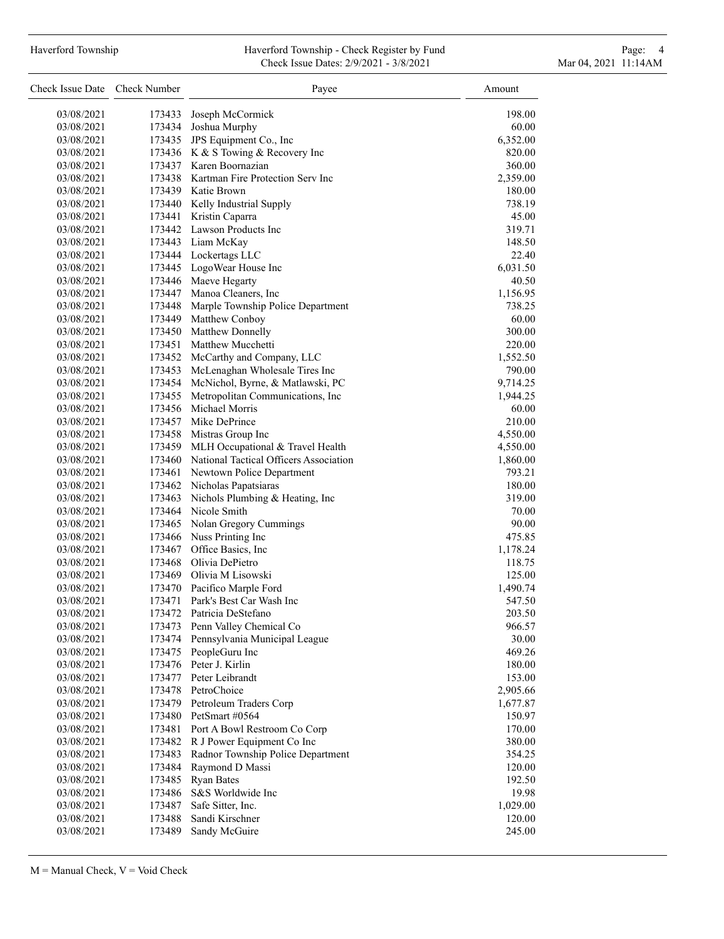### Haverford Township **Haverford Township - Check Register by Fund** Page: 4 Page: 4 Check Issue Dates: 2/9/2021 - 3/8/2021 Mar 04, 2021 11:14AM

| Check Issue Date Check Number |                  | Payee                                                    | Amount             |
|-------------------------------|------------------|----------------------------------------------------------|--------------------|
| 03/08/2021                    | 173433           | Joseph McCormick                                         | 198.00             |
| 03/08/2021                    | 173434           | Joshua Murphy                                            | 60.00              |
| 03/08/2021                    |                  | 173435 JPS Equipment Co., Inc                            | 6,352.00           |
| 03/08/2021                    |                  | 173436 K & S Towing & Recovery Inc                       | 820.00             |
| 03/08/2021                    |                  | 173437 Karen Boornazian                                  | 360.00             |
| 03/08/2021                    |                  | 173438 Kartman Fire Protection Serv Inc                  | 2,359.00           |
| 03/08/2021                    |                  | 173439 Katie Brown                                       | 180.00             |
| 03/08/2021                    |                  | 173440 Kelly Industrial Supply                           | 738.19             |
| 03/08/2021                    |                  | 173441 Kristin Caparra                                   | 45.00              |
| 03/08/2021                    |                  | 173442 Lawson Products Inc                               | 319.71             |
| 03/08/2021                    |                  | 173443 Liam McKay                                        | 148.50             |
| 03/08/2021                    |                  | 173444 Lockertags LLC                                    | 22.40              |
| 03/08/2021                    |                  | 173445 LogoWear House Inc                                | 6,031.50           |
| 03/08/2021                    |                  | 173446 Maeve Hegarty                                     | 40.50              |
| 03/08/2021                    |                  | 173447 Manoa Cleaners, Inc                               | 1,156.95           |
| 03/08/2021                    |                  | 173448 Marple Township Police Department                 | 738.25             |
| 03/08/2021                    |                  | 173449 Matthew Conboy                                    | 60.00              |
| 03/08/2021                    |                  | 173450 Matthew Donnelly                                  | 300.00             |
| 03/08/2021                    |                  | 173451 Matthew Mucchetti                                 | 220.00             |
| 03/08/2021                    |                  | 173452 McCarthy and Company, LLC                         | 1,552.50           |
| 03/08/2021                    | 173453           | McLenaghan Wholesale Tires Inc                           | 790.00             |
| 03/08/2021                    | 173454           | McNichol, Byrne, & Matlawski, PC                         | 9,714.25           |
| 03/08/2021                    | 173455           | Metropolitan Communications, Inc                         | 1,944.25           |
| 03/08/2021                    |                  | 173456 Michael Morris                                    | 60.00              |
| 03/08/2021                    |                  | 173457 Mike DePrince                                     | 210.00             |
| 03/08/2021                    |                  | 173458 Mistras Group Inc                                 | 4,550.00           |
| 03/08/2021                    |                  | 173459 MLH Occupational & Travel Health                  | 4,550.00           |
| 03/08/2021                    |                  | 173460 National Tactical Officers Association            | 1,860.00           |
| 03/08/2021                    |                  | 173461 Newtown Police Department                         | 793.21             |
| 03/08/2021                    |                  | 173462 Nicholas Papatsiaras                              | 180.00             |
| 03/08/2021                    | 173463           | Nichols Plumbing & Heating, Inc                          | 319.00             |
| 03/08/2021                    |                  | 173464 Nicole Smith                                      | 70.00              |
| 03/08/2021                    |                  | 173465 Nolan Gregory Cummings                            | 90.00              |
| 03/08/2021                    |                  | 173466 Nuss Printing Inc                                 | 475.85             |
| 03/08/2021                    |                  | 173467 Office Basics, Inc.                               | 1,178.24           |
| 03/08/2021                    |                  | 173468 Olivia DePietro                                   | 118.75             |
| 03/08/2021                    |                  | 173469 Olivia M Lisowski                                 | 125.00             |
| 03/08/2021                    |                  | 173470 Pacifico Marple Ford                              |                    |
| 03/08/2021                    | 173471           | Park's Best Car Wash Inc                                 | 1,490.74<br>547.50 |
|                               |                  | Patricia DeStefano                                       |                    |
| 03/08/2021                    | 173472<br>173473 |                                                          | 203.50             |
| 03/08/2021                    | 173474           | Penn Valley Chemical Co<br>Pennsylvania Municipal League | 966.57             |
| 03/08/2021                    |                  | PeopleGuru Inc                                           | 30.00              |
| 03/08/2021<br>03/08/2021      | 173475           | 173476 Peter J. Kirlin                                   | 469.26<br>180.00   |
|                               |                  | 173477 Peter Leibrandt                                   |                    |
| 03/08/2021                    |                  | PetroChoice                                              | 153.00             |
| 03/08/2021                    | 173478           |                                                          | 2,905.66           |
| 03/08/2021                    | 173479           | Petroleum Traders Corp<br>PetSmart #0564                 | 1,677.87           |
| 03/08/2021                    | 173480           |                                                          | 150.97             |
| 03/08/2021                    |                  | 173481 Port A Bowl Restroom Co Corp                      | 170.00<br>380.00   |
| 03/08/2021                    |                  | 173482 R J Power Equipment Co Inc                        |                    |
| 03/08/2021                    | 173483           | Radnor Township Police Department                        | 354.25             |
| 03/08/2021                    | 173484           | Raymond D Massi                                          | 120.00             |
| 03/08/2021                    | 173485           | <b>Ryan Bates</b>                                        | 192.50             |
| 03/08/2021                    | 173486           | S&S Worldwide Inc                                        | 19.98              |
| 03/08/2021                    | 173487           | Safe Sitter, Inc.                                        | 1,029.00           |
| 03/08/2021                    | 173488           | Sandi Kirschner                                          | 120.00             |
| 03/08/2021                    | 173489           | Sandy McGuire                                            | 245.00             |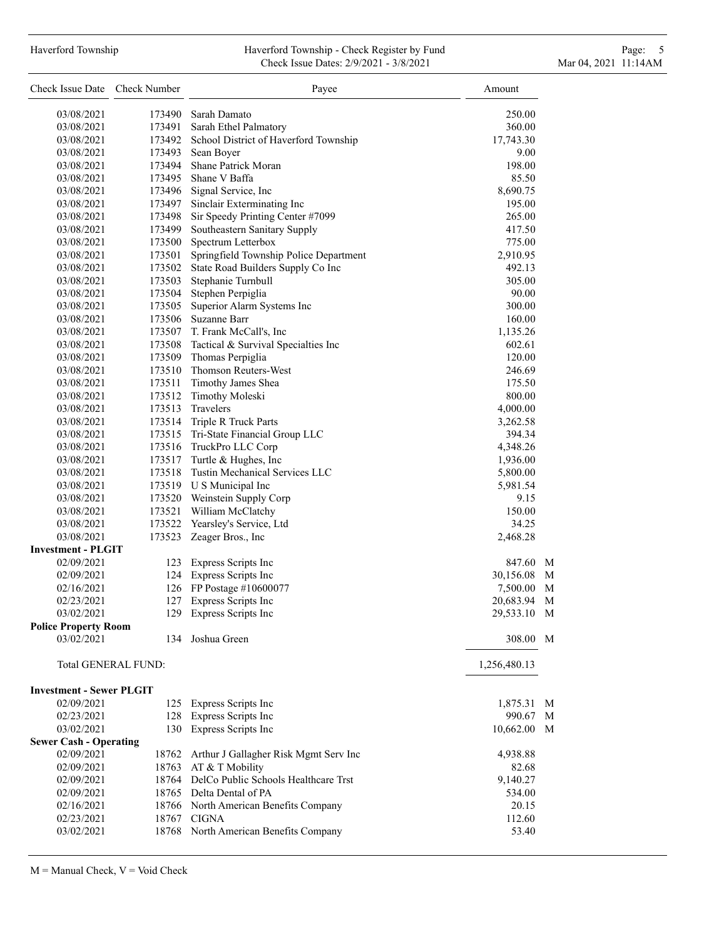# Haverford Township **Haverford Township - Check Register by Fund** Page: 5 - 5 - 7 Page: 5 - 7 Page: 5 - 7 Page: 5 Check Issue Dates: 2/9/2021 - 3/8/2021 Mar 04, 2021 11:14AM

| Check Issue Date Check Number   |        | Payee                                                            | Amount       |   |
|---------------------------------|--------|------------------------------------------------------------------|--------------|---|
| 03/08/2021                      |        | 173490 Sarah Damato                                              | 250.00       |   |
| 03/08/2021                      |        | 173491 Sarah Ethel Palmatory                                     | 360.00       |   |
| 03/08/2021                      |        | 173492 School District of Haverford Township                     | 17,743.30    |   |
| 03/08/2021                      | 173493 | Sean Boyer                                                       | 9.00         |   |
| 03/08/2021                      |        | 173494 Shane Patrick Moran                                       | 198.00       |   |
| 03/08/2021                      |        | 173495 Shane V Baffa                                             | 85.50        |   |
| 03/08/2021                      |        | 173496 Signal Service, Inc                                       | 8,690.75     |   |
| 03/08/2021                      |        | 173497 Sinclair Exterminating Inc                                | 195.00       |   |
|                                 |        |                                                                  | 265.00       |   |
| 03/08/2021                      | 173498 | Sir Speedy Printing Center #7099<br>Southeastern Sanitary Supply | 417.50       |   |
| 03/08/2021                      | 173499 |                                                                  |              |   |
| 03/08/2021                      |        | 173500 Spectrum Letterbox                                        | 775.00       |   |
| 03/08/2021                      | 173501 | Springfield Township Police Department                           | 2,910.95     |   |
| 03/08/2021                      |        | 173502 State Road Builders Supply Co Inc                         | 492.13       |   |
| 03/08/2021                      | 173503 | Stephanie Turnbull                                               | 305.00       |   |
| 03/08/2021                      |        | 173504 Stephen Perpiglia                                         | 90.00        |   |
| 03/08/2021                      | 173505 | Superior Alarm Systems Inc                                       | 300.00       |   |
| 03/08/2021                      |        | 173506 Suzanne Barr                                              | 160.00       |   |
| 03/08/2021                      |        | 173507 T. Frank McCall's, Inc                                    | 1,135.26     |   |
| 03/08/2021                      |        | 173508 Tactical & Survival Specialties Inc                       | 602.61       |   |
| 03/08/2021                      |        | 173509 Thomas Perpiglia                                          | 120.00       |   |
| 03/08/2021                      |        | 173510 Thomson Reuters-West                                      | 246.69       |   |
| 03/08/2021                      |        | 173511 Timothy James Shea                                        | 175.50       |   |
| 03/08/2021                      |        | 173512 Timothy Moleski                                           | 800.00       |   |
| 03/08/2021                      |        | 173513 Travelers                                                 | 4,000.00     |   |
| 03/08/2021                      |        | 173514 Triple R Truck Parts                                      | 3,262.58     |   |
| 03/08/2021                      |        | 173515 Tri-State Financial Group LLC                             | 394.34       |   |
| 03/08/2021                      |        | 173516 TruckPro LLC Corp                                         | 4,348.26     |   |
| 03/08/2021                      |        | 173517 Turtle & Hughes, Inc                                      | 1,936.00     |   |
| 03/08/2021                      |        | 173518 Tustin Mechanical Services LLC                            | 5,800.00     |   |
| 03/08/2021                      |        | 173519 U S Municipal Inc                                         | 5,981.54     |   |
| 03/08/2021                      |        | 173520 Weinstein Supply Corp                                     | 9.15         |   |
| 03/08/2021                      |        | 173521 William McClatchy                                         | 150.00       |   |
| 03/08/2021                      |        | 173522 Yearsley's Service, Ltd                                   | 34.25        |   |
| 03/08/2021                      | 173523 | Zeager Bros., Inc                                                | 2,468.28     |   |
| <b>Investment - PLGIT</b>       |        |                                                                  |              |   |
| 02/09/2021                      | 123    | Express Scripts Inc                                              | 847.60       | M |
| 02/09/2021                      |        | 124 Express Scripts Inc                                          | 30,156.08    | M |
| 02/16/2021                      |        | 126 FP Postage #10600077                                         | 7,500.00     | M |
| 02/23/2021                      | 127    | Express Scripts Inc                                              | 20,683.94    | M |
| 03/02/2021                      | 129    | Express Scripts Inc                                              | 29,533.10 M  |   |
| <b>Police Property Room</b>     |        |                                                                  |              |   |
| 03/02/2021                      | 134    | Joshua Green                                                     | 308.00 M     |   |
| <b>Total GENERAL FUND:</b>      |        |                                                                  | 1,256,480.13 |   |
| <b>Investment - Sewer PLGIT</b> |        |                                                                  |              |   |
| 02/09/2021                      |        | 125 Express Scripts Inc                                          | 1,875.31 M   |   |
| 02/23/2021                      |        | 128 Express Scripts Inc                                          | 990.67 M     |   |
| 03/02/2021                      |        | 130 Express Scripts Inc                                          | 10,662.00 M  |   |
| <b>Sewer Cash - Operating</b>   |        |                                                                  |              |   |
| 02/09/2021                      |        | 18762 Arthur J Gallagher Risk Mgmt Serv Inc                      | 4,938.88     |   |
| 02/09/2021                      |        | 18763 AT & T Mobility                                            | 82.68        |   |
| 02/09/2021                      |        | 18764 DelCo Public Schools Healthcare Trst                       | 9,140.27     |   |
| 02/09/2021                      |        | 18765 Delta Dental of PA                                         | 534.00       |   |
| 02/16/2021                      |        | 18766 North American Benefits Company                            | 20.15        |   |
| 02/23/2021                      |        | 18767 CIGNA                                                      | 112.60       |   |
| 03/02/2021                      |        | 18768 North American Benefits Company                            | 53.40        |   |

 $M =$  Manual Check,  $V =$  Void Check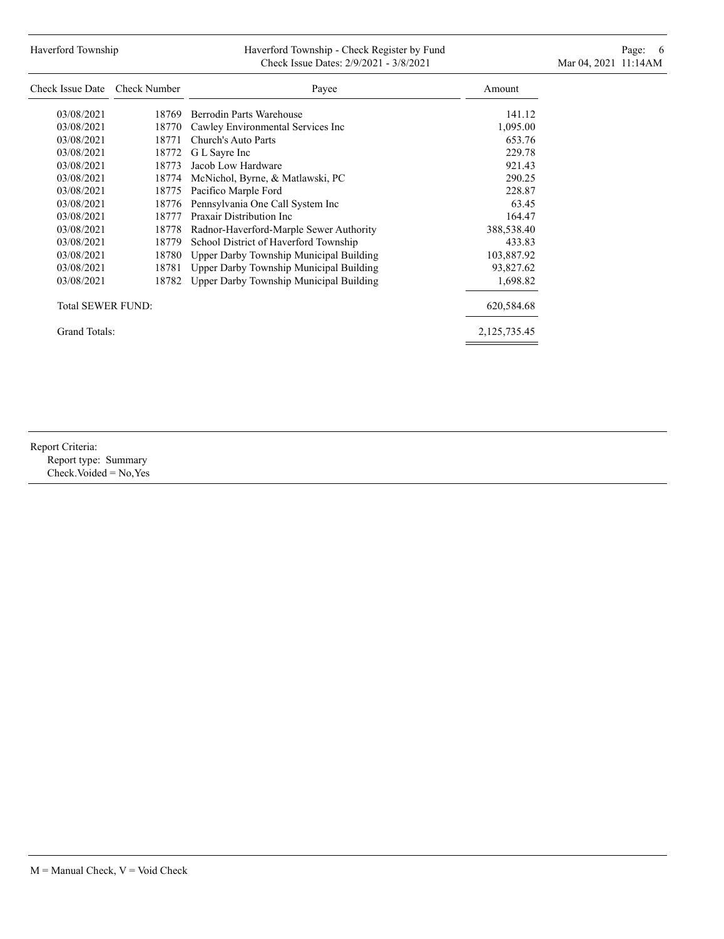# Haverford Township **Haverford Township - Check Register by Fund** Page: 6 Australian Page: 6 Australian Page: 6 Au Check Issue Dates: 2/9/2021 - 3/8/2021 Mar 04, 2021 11:14AM

| Check Issue Date  | Check Number | Payee                                   | Amount       |
|-------------------|--------------|-----------------------------------------|--------------|
| 03/08/2021        | 18769        | Berrodin Parts Warehouse                | 141.12       |
| 03/08/2021        | 18770        | Cawley Environmental Services Inc       | 1,095.00     |
| 03/08/2021        | 18771        | Church's Auto Parts                     | 653.76       |
| 03/08/2021        | 18772        | G L Sayre Inc                           | 229.78       |
| 03/08/2021        | 18773        | Jacob Low Hardware                      | 921.43       |
| 03/08/2021        | 18774        | McNichol, Byrne, & Matlawski, PC        | 290.25       |
| 03/08/2021        | 18775        | Pacifico Marple Ford                    | 228.87       |
| 03/08/2021        | 18776        | Pennsylvania One Call System Inc        | 63.45        |
| 03/08/2021        | 18777        | Praxair Distribution Inc.               | 164.47       |
| 03/08/2021        | 18778        | Radnor-Haverford-Marple Sewer Authority | 388,538.40   |
| 03/08/2021        | 18779        | School District of Haverford Township   | 433.83       |
| 03/08/2021        | 18780        | Upper Darby Township Municipal Building | 103,887.92   |
| 03/08/2021        | 18781        | Upper Darby Township Municipal Building | 93,827.62    |
| 03/08/2021        | 18782        | Upper Darby Township Municipal Building | 1,698.82     |
| Total SEWER FUND: |              |                                         | 620,584.68   |
| Grand Totals:     |              |                                         | 2,125,735.45 |

Report Criteria: Report type: Summary Check.Voided = No,Yes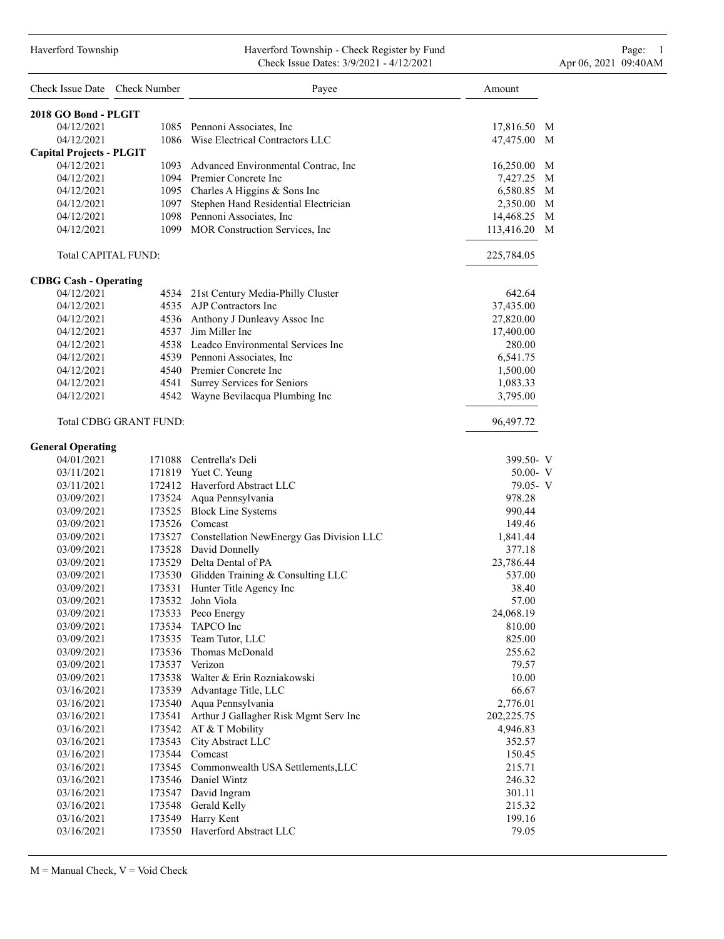#### Haverford Township Haverford Township - Check Register by Fund Page: 1 Check Issue Dates: 3/9/2021 - 4/12/2021 Apr 06, 2021 09:40AM

| Check Issue Date Check Number   |                               | Payee                                           | Amount          |
|---------------------------------|-------------------------------|-------------------------------------------------|-----------------|
| 2018 GO Bond - PLGIT            |                               |                                                 |                 |
| 04/12/2021                      |                               | 1085 Pennoni Associates, Inc.                   | 17,816.50 M     |
| 04/12/2021                      |                               | 1086 Wise Electrical Contractors LLC            | 47,475.00 M     |
| <b>Capital Projects - PLGIT</b> |                               |                                                 |                 |
| 04/12/2021                      |                               | 1093 Advanced Environmental Contrac, Inc        | 16,250.00 M     |
| 04/12/2021                      |                               | 1094 Premier Concrete Inc                       | 7,427.25<br>M   |
| 04/12/2021                      |                               | 1095 Charles A Higgins & Sons Inc               | 6,580.85 M      |
| 04/12/2021                      |                               | 1097 Stephen Hand Residential Electrician       | 2,350.00<br>M   |
| 04/12/2021                      |                               | 1098 Pennoni Associates, Inc.                   | M<br>14,468.25  |
| 04/12/2021                      |                               | 1099 MOR Construction Services, Inc             | M<br>113,416.20 |
| <b>Total CAPITAL FUND:</b>      |                               |                                                 | 225,784.05      |
| <b>CDBG Cash - Operating</b>    |                               |                                                 |                 |
| 04/12/2021                      |                               | 4534 21st Century Media-Philly Cluster          | 642.64          |
| 04/12/2021                      |                               | 4535 AJP Contractors Inc                        | 37,435.00       |
| 04/12/2021                      |                               | 4536 Anthony J Dunleavy Assoc Inc               | 27,820.00       |
| 04/12/2021                      |                               | 4537 Jim Miller Inc                             | 17,400.00       |
| 04/12/2021                      |                               | 4538 Leadco Environmental Services Inc          | 280.00          |
| 04/12/2021                      |                               | 4539 Pennoni Associates, Inc.                   | 6,541.75        |
| 04/12/2021                      |                               | 4540 Premier Concrete Inc                       | 1,500.00        |
| 04/12/2021                      |                               | 4541 Surrey Services for Seniors                | 1,083.33        |
| 04/12/2021                      |                               | 4542 Wayne Bevilacqua Plumbing Inc              | 3,795.00        |
|                                 | <b>Total CDBG GRANT FUND:</b> |                                                 | 96,497.72       |
| <b>General Operating</b>        |                               |                                                 |                 |
| 04/01/2021                      |                               | 171088 Centrella's Deli                         | 399.50- V       |
| 03/11/2021                      |                               | 171819 Yuet C. Yeung                            | $50.00 - V$     |
| 03/11/2021                      |                               | 172412 Haverford Abstract LLC                   | 79.05- V        |
| 03/09/2021                      |                               | 173524 Aqua Pennsylvania                        | 978.28          |
| 03/09/2021                      |                               | 173525 Block Line Systems                       | 990.44          |
| 03/09/2021                      |                               | 173526 Comcast                                  | 149.46          |
| 03/09/2021                      |                               | 173527 Constellation NewEnergy Gas Division LLC | 1,841.44        |
| 03/09/2021                      |                               | 173528 David Donnelly                           | 377.18          |
| 03/09/2021                      |                               | 173529 Delta Dental of PA                       | 23,786.44       |
| 03/09/2021                      |                               | 173530 Glidden Training & Consulting LLC        | 537.00          |
| 03/09/2021                      |                               | 173531 Hunter Title Agency Inc                  | 38.40           |
| 03/09/2021                      |                               | 173532 John Viola                               | 57.00           |
| 03/09/2021                      |                               | 173533 Peco Energy                              | 24,068.19       |
| 03/09/2021                      |                               | 173534 TAPCO Inc                                | 810.00          |
| 03/09/2021                      |                               | 173535 Team Tutor, LLC                          | 825.00          |
| 03/09/2021                      |                               | 173536 Thomas McDonald                          | 255.62          |
| 03/09/2021                      |                               | 173537 Verizon                                  | 79.57           |
| 03/09/2021                      |                               | 173538 Walter & Erin Rozniakowski               | 10.00           |
| 03/16/2021                      |                               | 173539 Advantage Title, LLC                     | 66.67           |
| 03/16/2021                      |                               | 173540 Aqua Pennsylvania                        | 2,776.01        |
| 03/16/2021                      |                               | 173541 Arthur J Gallagher Risk Mgmt Serv Inc    | 202,225.75      |
| 03/16/2021                      |                               | 173542 AT & T Mobility                          | 4,946.83        |
| 03/16/2021                      |                               | 173543 City Abstract LLC                        | 352.57          |
| 03/16/2021                      |                               | 173544 Comcast                                  | 150.45          |
| 03/16/2021                      |                               | 173545 Commonwealth USA Settlements, LLC        | 215.71          |
| 03/16/2021                      |                               | 173546 Daniel Wintz                             | 246.32          |
| 03/16/2021                      |                               | 173547 David Ingram                             | 301.11          |
| 03/16/2021                      |                               | 173548 Gerald Kelly                             | 215.32          |
| 03/16/2021                      |                               | 173549 Harry Kent                               | 199.16          |
| 03/16/2021                      |                               | 173550 Haverford Abstract LLC                   | 79.05           |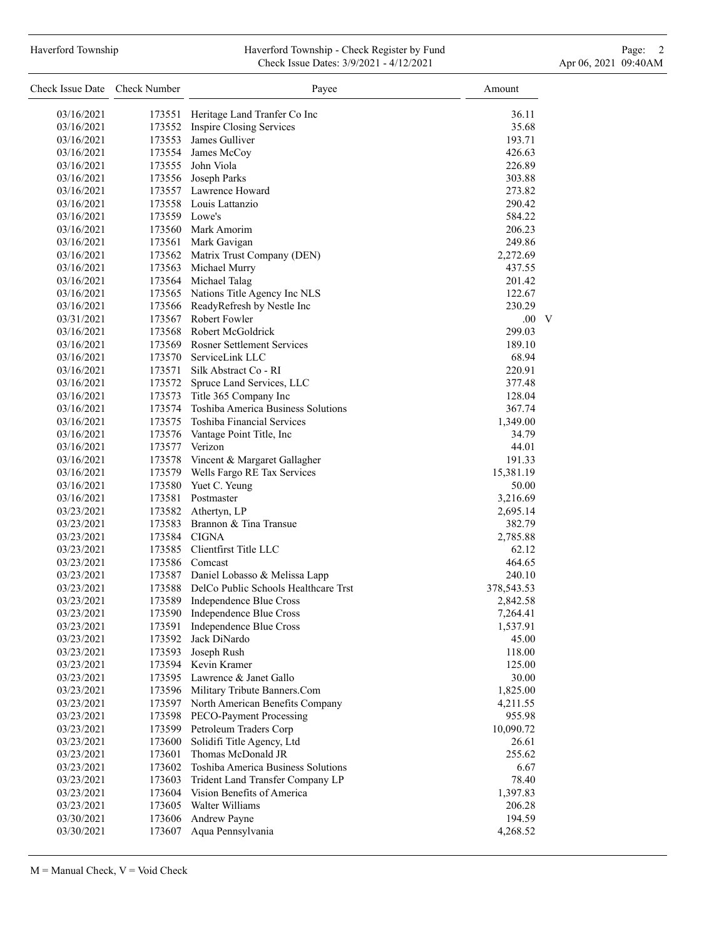### Haverford Township **Haverford Township - Check Register by Fund** Page: 2 Check Issue Dates: 3/9/2021 - 4/12/2021 Apr 06, 2021 09:40AM

| Check Issue Date Check Number |               | Payee                                                                               | Amount               |
|-------------------------------|---------------|-------------------------------------------------------------------------------------|----------------------|
| 03/16/2021                    | 173551        | Heritage Land Tranfer Co Inc                                                        | 36.11                |
| 03/16/2021                    |               | 173552 Inspire Closing Services                                                     | 35.68                |
| 03/16/2021                    |               | 173553 James Gulliver                                                               | 193.71               |
| 03/16/2021                    |               | 173554 James McCoy                                                                  | 426.63               |
| 03/16/2021                    |               | 173555 John Viola                                                                   | 226.89               |
| 03/16/2021                    |               | 173556 Joseph Parks                                                                 | 303.88               |
| 03/16/2021                    |               | 173557 Lawrence Howard                                                              | 273.82               |
| 03/16/2021                    |               | 173558 Louis Lattanzio                                                              | 290.42               |
| 03/16/2021                    | 173559 Lowe's |                                                                                     | 584.22               |
| 03/16/2021                    |               | 173560 Mark Amorim                                                                  | 206.23               |
| 03/16/2021                    |               | 173561 Mark Gavigan                                                                 | 249.86               |
| 03/16/2021                    |               | 173562 Matrix Trust Company (DEN)                                                   | 2,272.69             |
| 03/16/2021                    |               | 173563 Michael Murry                                                                | 437.55               |
| 03/16/2021                    |               | 173564 Michael Talag                                                                | 201.42               |
| 03/16/2021                    |               | 173565 Nations Title Agency Inc NLS                                                 | 122.67               |
| 03/16/2021                    |               | 173566 ReadyRefresh by Nestle Inc                                                   | 230.29               |
| 03/31/2021                    |               | 173567 Robert Fowler                                                                | $.00\quad V$         |
| 03/16/2021                    |               | 173568 Robert McGoldrick                                                            | 299.03               |
| 03/16/2021                    |               | 173569 Rosner Settlement Services                                                   | 189.10               |
| 03/16/2021                    |               | 173570 ServiceLink LLC                                                              | 68.94                |
| 03/16/2021                    |               | 173571 Silk Abstract Co - RI                                                        | 220.91               |
| 03/16/2021                    |               | 173572 Spruce Land Services, LLC                                                    | 377.48               |
| 03/16/2021                    |               | 173573 Title 365 Company Inc                                                        | 128.04               |
| 03/16/2021                    |               | 173574 Toshiba America Business Solutions                                           | 367.74               |
| 03/16/2021                    |               | 173575 Toshiba Financial Services                                                   | 1,349.00             |
| 03/16/2021                    | 173576        | Vantage Point Title, Inc                                                            | 34.79                |
| 03/16/2021                    |               | 173577 Verizon                                                                      | 44.01                |
| 03/16/2021                    |               | 173578 Vincent & Margaret Gallagher                                                 | 191.33               |
| 03/16/2021                    |               | 173579 Wells Fargo RE Tax Services                                                  | 15,381.19            |
| 03/16/2021                    | 173580        | Yuet C. Yeung                                                                       | 50.00                |
| 03/16/2021                    |               | 173581 Postmaster                                                                   | 3,216.69             |
| 03/23/2021                    |               | 173582 Athertyn, LP                                                                 | 2,695.14             |
| 03/23/2021                    |               | 173583 Brannon & Tina Transue                                                       | 382.79               |
| 03/23/2021                    |               | 173584 CIGNA                                                                        | 2,785.88             |
| 03/23/2021                    |               | 173585 Clientfirst Title LLC                                                        | 62.12                |
| 03/23/2021                    |               | 173586 Comcast                                                                      | 464.65               |
| 03/23/2021<br>03/23/2021      |               | 173587 Daniel Lobasso & Melissa Lapp<br>173588 DelCo Public Schools Healthcare Trst | 240.10               |
| 03/23/2021                    | 173589        |                                                                                     | 378,543.53           |
| 03/23/2021                    | 173590        | Independence Blue Cross<br>Independence Blue Cross                                  | 2,842.58<br>7,264.41 |
| 03/23/2021                    | 173591        | Independence Blue Cross                                                             | 1,537.91             |
| 03/23/2021                    | 173592        | Jack DiNardo                                                                        | 45.00                |
| 03/23/2021                    | 173593        | Joseph Rush                                                                         | 118.00               |
| 03/23/2021                    | 173594        | Kevin Kramer                                                                        | 125.00               |
| 03/23/2021                    | 173595        | Lawrence & Janet Gallo                                                              | 30.00                |
| 03/23/2021                    | 173596        | Military Tribute Banners.Com                                                        | 1,825.00             |
| 03/23/2021                    | 173597        | North American Benefits Company                                                     | 4,211.55             |
| 03/23/2021                    | 173598        | PECO-Payment Processing                                                             | 955.98               |
| 03/23/2021                    | 173599        | Petroleum Traders Corp                                                              | 10,090.72            |
| 03/23/2021                    | 173600        | Solidifi Title Agency, Ltd                                                          | 26.61                |
| 03/23/2021                    | 173601        | Thomas McDonald JR                                                                  | 255.62               |
| 03/23/2021                    | 173602        | Toshiba America Business Solutions                                                  | 6.67                 |
| 03/23/2021                    | 173603        | Trident Land Transfer Company LP                                                    | 78.40                |
| 03/23/2021                    | 173604        | Vision Benefits of America                                                          | 1,397.83             |
| 03/23/2021                    | 173605        | Walter Williams                                                                     | 206.28               |
| 03/30/2021                    | 173606        | Andrew Payne                                                                        | 194.59               |
| 03/30/2021                    | 173607        | Aqua Pennsylvania                                                                   | 4,268.52             |
|                               |               |                                                                                     |                      |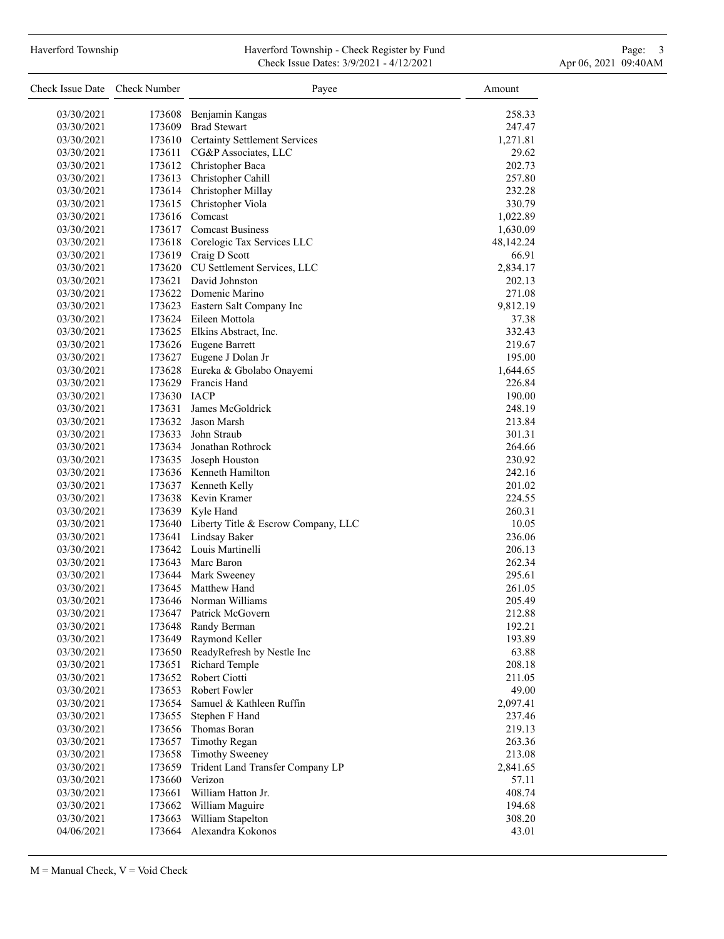# Haverford Township **Haverford Township - Check Register by Fund** Page: 3 and Page: 3 Check Issue Dates: 3/9/2021 - 4/12/2021 Apr 06, 2021 09:40AM

| Check Issue Date Check Number |             | Payee                                        | Amount      |
|-------------------------------|-------------|----------------------------------------------|-------------|
| 03/30/2021                    |             | 173608 Benjamin Kangas                       | 258.33      |
| 03/30/2021                    |             | 173609 Brad Stewart                          | 247.47      |
| 03/30/2021                    |             | 173610 Certainty Settlement Services         | 1,271.81    |
| 03/30/2021                    |             | 173611 CG&P Associates, LLC                  | 29.62       |
| 03/30/2021                    |             | 173612 Christopher Baca                      | 202.73      |
| 03/30/2021                    |             | 173613 Christopher Cahill                    | 257.80      |
|                               |             |                                              |             |
| 03/30/2021                    |             | 173614 Christopher Millay                    | 232.28      |
| 03/30/2021                    |             | 173615 Christopher Viola                     | 330.79      |
| 03/30/2021                    |             | 173616 Comcast                               | 1,022.89    |
| 03/30/2021                    |             | 173617 Comcast Business                      | 1,630.09    |
| 03/30/2021                    |             | 173618 Corelogic Tax Services LLC            | 48, 142. 24 |
| 03/30/2021                    |             | 173619 Craig D Scott                         | 66.91       |
| 03/30/2021                    |             | 173620 CU Settlement Services, LLC           | 2,834.17    |
| 03/30/2021                    |             | 173621 David Johnston                        | 202.13      |
| 03/30/2021                    |             | 173622 Domenic Marino                        | 271.08      |
| 03/30/2021                    |             | 173623 Eastern Salt Company Inc              | 9,812.19    |
| 03/30/2021                    |             | 173624 Eileen Mottola                        | 37.38       |
| 03/30/2021                    |             | 173625 Elkins Abstract, Inc.                 | 332.43      |
| 03/30/2021                    |             | 173626 Eugene Barrett                        | 219.67      |
| 03/30/2021                    |             | 173627 Eugene J Dolan Jr                     | 195.00      |
| 03/30/2021                    |             | 173628 Eureka & Gbolabo Onayemi              | 1,644.65    |
| 03/30/2021                    |             | 173629 Francis Hand                          | 226.84      |
| 03/30/2021                    | 173630 IACP |                                              | 190.00      |
| 03/30/2021                    |             | 173631 James McGoldrick                      | 248.19      |
| 03/30/2021                    |             | 173632 Jason Marsh                           | 213.84      |
| 03/30/2021                    |             | 173633 John Straub                           | 301.31      |
| 03/30/2021                    |             | 173634 Jonathan Rothrock                     | 264.66      |
| 03/30/2021                    |             | 173635 Joseph Houston                        | 230.92      |
| 03/30/2021                    |             | 173636 Kenneth Hamilton                      | 242.16      |
| 03/30/2021                    |             | 173637 Kenneth Kelly                         | 201.02      |
| 03/30/2021                    |             | 173638 Kevin Kramer                          | 224.55      |
| 03/30/2021                    |             | 173639 Kyle Hand                             | 260.31      |
| 03/30/2021                    |             | 173640 Liberty Title & Escrow Company, LLC   | 10.05       |
| 03/30/2021                    |             | 173641 Lindsay Baker                         | 236.06      |
| 03/30/2021                    |             | 173642 Louis Martinelli                      | 206.13      |
| 03/30/2021                    |             | 173643 Marc Baron                            | 262.34      |
| 03/30/2021                    |             | 173644 Mark Sweeney                          | 295.61      |
| 03/30/2021                    |             | 173645 Matthew Hand                          | 261.05      |
| 03/30/2021                    |             | 173646 Norman Williams                       | 205.49      |
| 03/30/2021                    | 173647      | Patrick McGovern                             | 212.88      |
|                               |             |                                              |             |
| 03/30/2021                    | 173648      | Randy Berman                                 | 192.21      |
| 03/30/2021                    | 173649      | Raymond Keller<br>ReadyRefresh by Nestle Inc | 193.89      |
| 03/30/2021                    | 173650      |                                              | 63.88       |
| 03/30/2021                    | 173651      | Richard Temple                               | 208.18      |
| 03/30/2021                    | 173652      | Robert Ciotti                                | 211.05      |
| 03/30/2021                    | 173653      | Robert Fowler                                | 49.00       |
| 03/30/2021                    | 173654      | Samuel & Kathleen Ruffin                     | 2,097.41    |
| 03/30/2021                    | 173655      | Stephen F Hand                               | 237.46      |
| 03/30/2021                    | 173656      | Thomas Boran                                 | 219.13      |
| 03/30/2021                    | 173657      | <b>Timothy Regan</b>                         | 263.36      |
| 03/30/2021                    | 173658      | <b>Timothy Sweeney</b>                       | 213.08      |
| 03/30/2021                    | 173659      | Trident Land Transfer Company LP             | 2,841.65    |
| 03/30/2021                    | 173660      | Verizon                                      | 57.11       |
| 03/30/2021                    | 173661      | William Hatton Jr.                           | 408.74      |
| 03/30/2021                    | 173662      | William Maguire                              | 194.68      |
| 03/30/2021                    | 173663      | William Stapelton                            | 308.20      |
| 04/06/2021                    | 173664      | Alexandra Kokonos                            | 43.01       |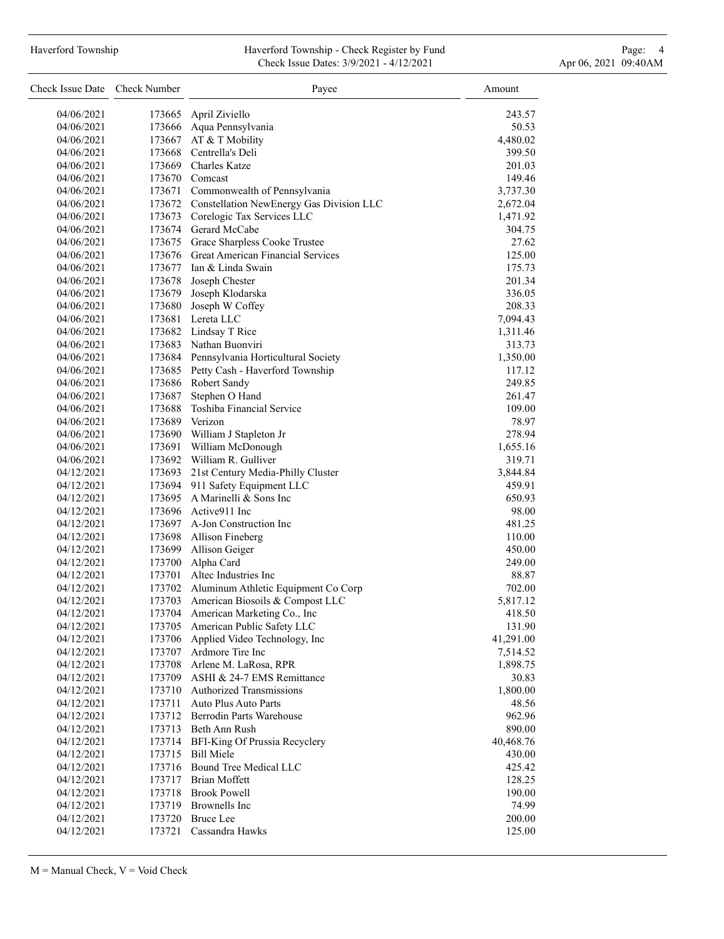# Haverford Township **Haverford Township - Check Register by Fund** Page: 4 Page: 4 Check Issue Dates: 3/9/2021 - 4/12/2021 Apr 06, 2021 09:40AM

| Check Issue Date Check Number |        | Payee                                           | Amount    |  |
|-------------------------------|--------|-------------------------------------------------|-----------|--|
| 04/06/2021                    | 173665 | April Ziviello                                  | 243.57    |  |
| 04/06/2021                    | 173666 | Aqua Pennsylvania                               | 50.53     |  |
| 04/06/2021                    | 173667 | AT & T Mobility                                 | 4,480.02  |  |
| 04/06/2021                    |        | 173668 Centrella's Deli                         | 399.50    |  |
| 04/06/2021                    |        | 173669 Charles Katze                            | 201.03    |  |
| 04/06/2021                    |        | 173670 Comcast                                  | 149.46    |  |
| 04/06/2021                    |        | 173671 Commonwealth of Pennsylvania             | 3,737.30  |  |
| 04/06/2021                    |        | 173672 Constellation NewEnergy Gas Division LLC | 2,672.04  |  |
| 04/06/2021                    |        | 173673 Corelogic Tax Services LLC               | 1,471.92  |  |
| 04/06/2021                    |        | 173674 Gerard McCabe                            | 304.75    |  |
| 04/06/2021                    |        | 173675 Grace Sharpless Cooke Trustee            | 27.62     |  |
| 04/06/2021                    |        | 173676 Great American Financial Services        | 125.00    |  |
| 04/06/2021                    |        | 173677 Ian & Linda Swain                        | 175.73    |  |
| 04/06/2021                    |        | 173678 Joseph Chester                           | 201.34    |  |
| 04/06/2021                    |        | 173679 Joseph Klodarska                         | 336.05    |  |
| 04/06/2021                    | 173680 | Joseph W Coffey                                 | 208.33    |  |
| 04/06/2021                    |        | 173681 Lereta LLC                               | 7,094.43  |  |
| 04/06/2021                    |        | 173682 Lindsay T Rice                           | 1,311.46  |  |
| 04/06/2021                    |        | 173683 Nathan Buonviri                          | 313.73    |  |
| 04/06/2021                    |        | 173684 Pennsylvania Horticultural Society       | 1,350.00  |  |
| 04/06/2021                    |        | 173685 Petty Cash - Haverford Township          | 117.12    |  |
| 04/06/2021                    |        | 173686 Robert Sandy                             | 249.85    |  |
| 04/06/2021                    | 173687 | Stephen O Hand                                  | 261.47    |  |
| 04/06/2021                    | 173688 | Toshiba Financial Service                       | 109.00    |  |
| 04/06/2021                    |        | 173689 Verizon                                  | 78.97     |  |
| 04/06/2021                    |        | 173690 William J Stapleton Jr                   | 278.94    |  |
| 04/06/2021                    |        | 173691 William McDonough                        | 1,655.16  |  |
| 04/06/2021                    |        | 173692 William R. Gulliver                      | 319.71    |  |
| 04/12/2021                    |        | 173693 21st Century Media-Philly Cluster        | 3,844.84  |  |
| 04/12/2021                    |        | 173694 911 Safety Equipment LLC                 | 459.91    |  |
| 04/12/2021                    |        | 173695 A Marinelli & Sons Inc                   | 650.93    |  |
| 04/12/2021                    |        | 173696 Active911 Inc                            | 98.00     |  |
| 04/12/2021                    |        | 173697 A-Jon Construction Inc                   | 481.25    |  |
| 04/12/2021                    |        | 173698 Allison Fineberg                         | 110.00    |  |
| 04/12/2021                    |        | 173699 Allison Geiger                           | 450.00    |  |
| 04/12/2021                    |        | 173700 Alpha Card                               | 249.00    |  |
| 04/12/2021                    | 173701 | Altec Industries Inc                            | 88.87     |  |
| 04/12/2021                    | 173702 | Aluminum Athletic Equipment Co Corp             | 702.00    |  |
| 04/12/2021                    | 173703 | American Biosoils & Compost LLC                 | 5,817.12  |  |
| 04/12/2021                    |        | 173704 American Marketing Co., Inc              | 418.50    |  |
| 04/12/2021                    | 173705 | American Public Safety LLC                      | 131.90    |  |
| 04/12/2021                    | 173706 | Applied Video Technology, Inc                   | 41,291.00 |  |
| 04/12/2021                    |        | 173707 Ardmore Tire Inc                         | 7,514.52  |  |
| 04/12/2021                    |        | 173708 Arlene M. LaRosa, RPR                    | 1,898.75  |  |
| 04/12/2021                    |        | 173709 ASHI & 24-7 EMS Remittance               | 30.83     |  |
| 04/12/2021                    |        | 173710 Authorized Transmissions                 | 1,800.00  |  |
| 04/12/2021                    | 173711 | Auto Plus Auto Parts                            | 48.56     |  |
| 04/12/2021                    |        | 173712 Berrodin Parts Warehouse                 | 962.96    |  |
| 04/12/2021                    |        | 173713 Beth Ann Rush                            | 890.00    |  |
| 04/12/2021                    |        | 173714 BFI-King Of Prussia Recyclery            | 40,468.76 |  |
| 04/12/2021                    | 173715 | <b>Bill Miele</b>                               | 430.00    |  |
| 04/12/2021                    |        | 173716 Bound Tree Medical LLC                   | 425.42    |  |
| 04/12/2021                    |        | 173717 Brian Moffett                            | 128.25    |  |
| 04/12/2021                    |        | 173718 Brook Powell                             | 190.00    |  |
| 04/12/2021                    |        | 173719 Brownells Inc                            | 74.99     |  |
| 04/12/2021                    |        | 173720 Bruce Lee                                | 200.00    |  |
| 04/12/2021                    | 173721 | Cassandra Hawks                                 | 125.00    |  |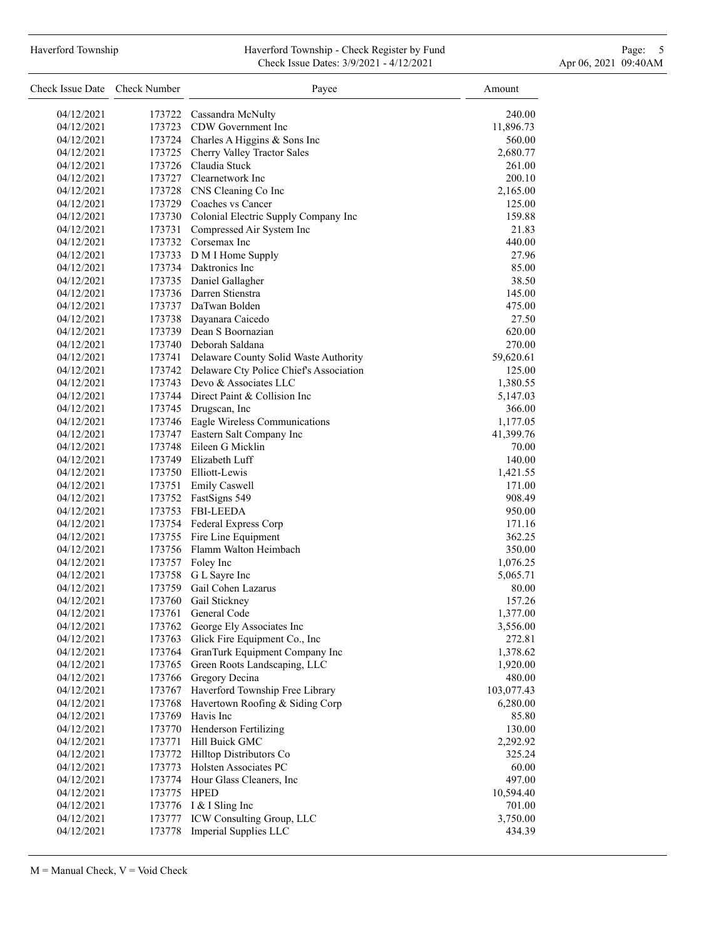# Haverford Township **Haverford Township - Check Register by Fund** Page: 5 - 5 - 7 Page: 5 - 7 Page: 5 - 7 Page: 5 Check Issue Dates: 3/9/2021 - 4/12/2021 Apr 06, 2021 09:40AM

| Check Issue Date Check Number |             | Payee                                          | Amount     |  |
|-------------------------------|-------------|------------------------------------------------|------------|--|
| 04/12/2021                    |             | 173722 Cassandra McNulty                       | 240.00     |  |
| 04/12/2021                    |             | 173723 CDW Government Inc                      | 11,896.73  |  |
| 04/12/2021                    |             | 173724 Charles A Higgins & Sons Inc            | 560.00     |  |
| 04/12/2021                    |             | 173725 Cherry Valley Tractor Sales             | 2,680.77   |  |
| 04/12/2021                    |             | 173726 Claudia Stuck                           | 261.00     |  |
| 04/12/2021                    |             | 173727 Clearnetwork Inc                        | 200.10     |  |
| 04/12/2021                    |             | 173728 CNS Cleaning Co Inc                     | 2,165.00   |  |
| 04/12/2021                    |             | 173729 Coaches vs Cancer                       | 125.00     |  |
| 04/12/2021                    |             | 173730 Colonial Electric Supply Company Inc    | 159.88     |  |
| 04/12/2021                    | 173731      | Compressed Air System Inc                      | 21.83      |  |
| 04/12/2021                    |             | 173732 Corsemax Inc                            | 440.00     |  |
| 04/12/2021                    |             | 173733 D M I Home Supply                       | 27.96      |  |
| 04/12/2021                    |             | 173734 Daktronics Inc                          | 85.00      |  |
| 04/12/2021                    |             | 173735 Daniel Gallagher                        | 38.50      |  |
| 04/12/2021                    |             | 173736 Darren Stienstra                        | 145.00     |  |
| 04/12/2021                    |             | 173737 DaTwan Bolden                           | 475.00     |  |
| 04/12/2021                    |             | 173738 Dayanara Caicedo                        | 27.50      |  |
| 04/12/2021                    |             | 173739 Dean S Boornazian                       | 620.00     |  |
| 04/12/2021                    |             | 173740 Deborah Saldana                         | 270.00     |  |
| 04/12/2021                    |             | 173741 Delaware County Solid Waste Authority   | 59,620.61  |  |
| 04/12/2021                    |             | 173742 Delaware Cty Police Chief's Association | 125.00     |  |
| 04/12/2021                    |             | 173743 Devo & Associates LLC                   |            |  |
| 04/12/2021                    |             | 173744 Direct Paint & Collision Inc            | 1,380.55   |  |
| 04/12/2021                    |             | 173745 Drugscan, Inc                           | 5,147.03   |  |
| 04/12/2021                    |             | 173746 Eagle Wireless Communications           | 366.00     |  |
| 04/12/2021                    |             | 173747 Eastern Salt Company Inc                | 1,177.05   |  |
| 04/12/2021                    |             | 173748 Eileen G Micklin                        | 41,399.76  |  |
|                               |             | 173749 Elizabeth Luff                          | 70.00      |  |
| 04/12/2021                    |             | 173750 Elliott-Lewis                           | 140.00     |  |
| 04/12/2021                    |             |                                                | 1,421.55   |  |
| 04/12/2021                    |             | 173751 Emily Caswell                           | 171.00     |  |
| 04/12/2021                    |             | 173752 FastSigns 549                           | 908.49     |  |
| 04/12/2021                    |             | 173753 FBI-LEEDA                               | 950.00     |  |
| 04/12/2021                    |             | 173754 Federal Express Corp                    | 171.16     |  |
| 04/12/2021                    |             | 173755 Fire Line Equipment                     | 362.25     |  |
| 04/12/2021                    |             | 173756 Flamm Walton Heimbach                   | 350.00     |  |
| 04/12/2021                    |             | 173757 Foley Inc                               | 1,076.25   |  |
| 04/12/2021                    |             | 173758 G L Sayre Inc                           | 5,065.71   |  |
| 04/12/2021                    | 173759      | Gail Cohen Lazarus                             | 80.00      |  |
| 04/12/2021                    | 173760      | Gail Stickney                                  | 157.26     |  |
| 04/12/2021                    | 173761      | General Code                                   | 1,377.00   |  |
| 04/12/2021                    | 173762      | George Ely Associates Inc                      | 3,556.00   |  |
| 04/12/2021                    | 173763      | Glick Fire Equipment Co., Inc                  | 272.81     |  |
| 04/12/2021                    | 173764      | GranTurk Equipment Company Inc                 | 1,378.62   |  |
| 04/12/2021                    | 173765      | Green Roots Landscaping, LLC                   | 1,920.00   |  |
| 04/12/2021                    | 173766      | Gregory Decina                                 | 480.00     |  |
| 04/12/2021                    | 173767      | Haverford Township Free Library                | 103,077.43 |  |
| 04/12/2021                    | 173768      | Havertown Roofing & Siding Corp                | 6,280.00   |  |
| 04/12/2021                    | 173769      | Havis Inc                                      | 85.80      |  |
| 04/12/2021                    |             | 173770 Henderson Fertilizing                   | 130.00     |  |
| 04/12/2021                    | 173771      | Hill Buick GMC                                 | 2,292.92   |  |
| 04/12/2021                    |             | 173772 Hilltop Distributors Co                 | 325.24     |  |
| 04/12/2021                    | 173773      | Holsten Associates PC                          | 60.00      |  |
| 04/12/2021                    |             | 173774 Hour Glass Cleaners, Inc                | 497.00     |  |
| 04/12/2021                    | 173775 HPED |                                                | 10,594.40  |  |
| 04/12/2021                    |             | 173776 I & I Sling Inc                         | 701.00     |  |
| 04/12/2021                    | 173777      | ICW Consulting Group, LLC                      | 3,750.00   |  |
| 04/12/2021                    | 173778      | Imperial Supplies LLC                          | 434.39     |  |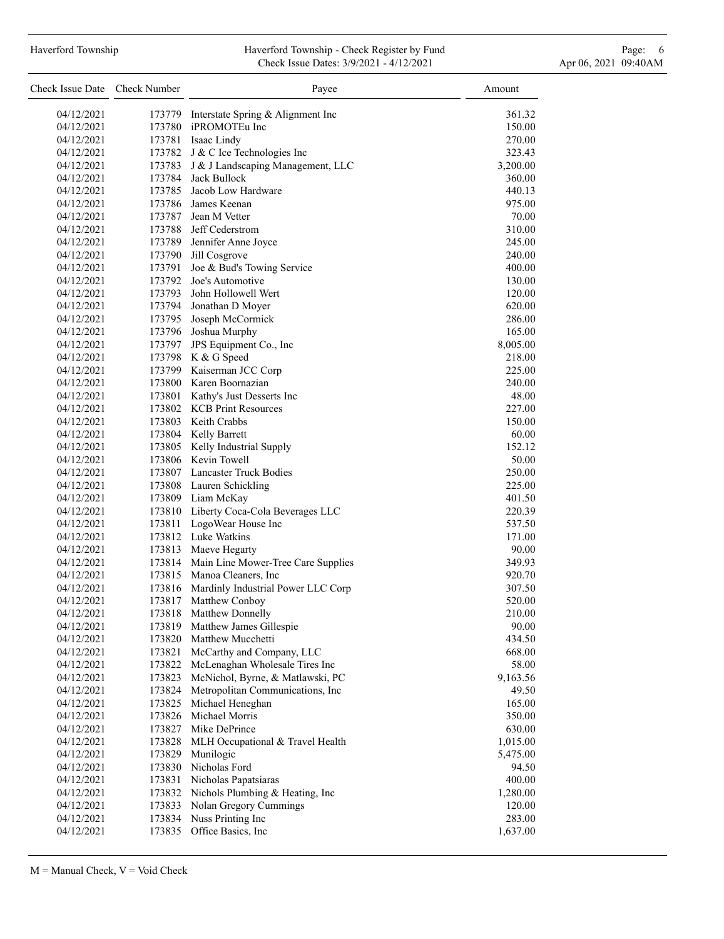### Haverford Township **Haverford Township - Check Register by Fund** Page: 6 Australian Page: 6 Australian Page: 6 Au Check Issue Dates: 3/9/2021 - 4/12/2021 Apr 06, 2021 09:40AM

| Check Issue Date Check Number |        | Payee                                     | Amount   |
|-------------------------------|--------|-------------------------------------------|----------|
| 04/12/2021                    | 173779 | Interstate Spring & Alignment Inc         | 361.32   |
| 04/12/2021                    |        | 173780 iPROMOTEu Inc                      | 150.00   |
| 04/12/2021                    |        | 173781 Isaac Lindy                        | 270.00   |
| 04/12/2021                    |        | 173782 J & C Ice Technologies Inc         | 323.43   |
| 04/12/2021                    |        | 173783 J & J Landscaping Management, LLC  | 3,200.00 |
| 04/12/2021                    |        | 173784 Jack Bullock                       | 360.00   |
| 04/12/2021                    |        | 173785 Jacob Low Hardware                 | 440.13   |
| 04/12/2021                    |        | 173786 James Keenan                       | 975.00   |
| 04/12/2021                    |        | 173787 Jean M Vetter                      | 70.00    |
| 04/12/2021                    |        | 173788 Jeff Cederstrom                    | 310.00   |
| 04/12/2021                    |        | 173789 Jennifer Anne Joyce                | 245.00   |
| 04/12/2021                    |        | 173790 Jill Cosgrove                      | 240.00   |
| 04/12/2021                    |        | 173791 Joe & Bud's Towing Service         | 400.00   |
| 04/12/2021                    |        | 173792 Joe's Automotive                   | 130.00   |
| 04/12/2021                    |        | 173793 John Hollowell Wert                | 120.00   |
| 04/12/2021                    |        | 173794 Jonathan D Moyer                   | 620.00   |
| 04/12/2021                    |        | 173795 Joseph McCormick                   | 286.00   |
| 04/12/2021                    |        | 173796 Joshua Murphy                      | 165.00   |
| 04/12/2021                    |        | 173797 JPS Equipment Co., Inc             | 8,005.00 |
| 04/12/2021                    |        | 173798 K & G Speed                        | 218.00   |
| 04/12/2021                    |        | 173799 Kaiserman JCC Corp                 | 225.00   |
| 04/12/2021                    |        | 173800 Karen Boornazian                   | 240.00   |
| 04/12/2021                    |        | 173801 Kathy's Just Desserts Inc          | 48.00    |
| 04/12/2021                    |        | 173802 KCB Print Resources                | 227.00   |
| 04/12/2021                    |        | 173803 Keith Crabbs                       | 150.00   |
| 04/12/2021                    |        | 173804 Kelly Barrett                      | 60.00    |
| 04/12/2021                    |        | 173805 Kelly Industrial Supply            | 152.12   |
| 04/12/2021                    |        | 173806 Kevin Towell                       | 50.00    |
| 04/12/2021                    |        | 173807 Lancaster Truck Bodies             | 250.00   |
| 04/12/2021                    |        | 173808 Lauren Schickling                  | 225.00   |
| 04/12/2021                    |        | 173809 Liam McKay                         | 401.50   |
| 04/12/2021                    |        | 173810 Liberty Coca-Cola Beverages LLC    | 220.39   |
| 04/12/2021                    |        | 173811 LogoWear House Inc                 | 537.50   |
| 04/12/2021                    |        | 173812 Luke Watkins                       | 171.00   |
| 04/12/2021                    |        | 173813 Maeve Hegarty                      | 90.00    |
| 04/12/2021                    |        | 173814 Main Line Mower-Tree Care Supplies | 349.93   |
| 04/12/2021                    |        | 173815 Manoa Cleaners, Inc                | 920.70   |
| 04/12/2021                    |        | 173816 Mardinly Industrial Power LLC Corp | 307.50   |
| 04/12/2021                    | 173817 | Matthew Conboy                            | 520.00   |
| 04/12/2021                    | 173818 | Matthew Donnelly                          | 210.00   |
| 04/12/2021                    | 173819 | Matthew James Gillespie                   | 90.00    |
| 04/12/2021                    | 173820 | Matthew Mucchetti                         | 434.50   |
| 04/12/2021                    | 173821 | McCarthy and Company, LLC                 | 668.00   |
| 04/12/2021                    | 173822 | McLenaghan Wholesale Tires Inc            | 58.00    |
| 04/12/2021                    | 173823 | McNichol, Byrne, & Matlawski, PC          | 9,163.56 |
| 04/12/2021                    | 173824 | Metropolitan Communications, Inc          | 49.50    |
| 04/12/2021                    | 173825 | Michael Heneghan                          | 165.00   |
| 04/12/2021                    | 173826 | Michael Morris                            | 350.00   |
| 04/12/2021                    | 173827 | Mike DePrince                             | 630.00   |
| 04/12/2021                    | 173828 | MLH Occupational & Travel Health          | 1,015.00 |
| 04/12/2021                    | 173829 | Munilogic                                 | 5,475.00 |
| 04/12/2021                    | 173830 | Nicholas Ford                             | 94.50    |
| 04/12/2021                    | 173831 | Nicholas Papatsiaras                      | 400.00   |
| 04/12/2021                    | 173832 | Nichols Plumbing & Heating, Inc           | 1,280.00 |
| 04/12/2021                    | 173833 | Nolan Gregory Cummings                    | 120.00   |
| 04/12/2021                    | 173834 | Nuss Printing Inc                         | 283.00   |
| 04/12/2021                    | 173835 | Office Basics, Inc                        | 1,637.00 |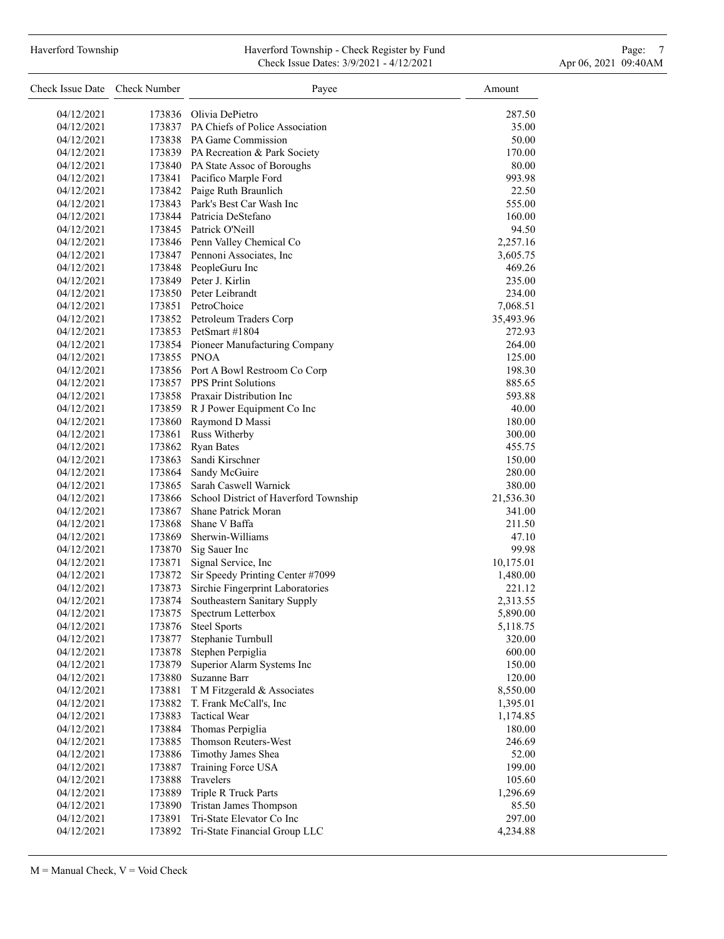#### Haverford Township **Haverford Township - Check Register by Fund** Page: 7 **Page: 7** Check Issue Dates: 3/9/2021 - 4/12/2021 Apr 06, 2021 09:40AM

| Check Issue Date Check Number |                  | Payee                                                 | Amount             |
|-------------------------------|------------------|-------------------------------------------------------|--------------------|
| 04/12/2021                    |                  | 173836 Olivia DePietro                                | 287.50             |
| 04/12/2021                    |                  | 173837 PA Chiefs of Police Association                | 35.00              |
| 04/12/2021                    |                  | 173838 PA Game Commission                             | 50.00              |
| 04/12/2021                    |                  | 173839 PA Recreation & Park Society                   | 170.00             |
| 04/12/2021                    |                  | 173840 PA State Assoc of Boroughs                     | 80.00              |
| 04/12/2021                    |                  | 173841 Pacifico Marple Ford                           | 993.98             |
| 04/12/2021                    |                  | 173842 Paige Ruth Braunlich                           | 22.50              |
| 04/12/2021                    |                  | 173843 Park's Best Car Wash Inc                       | 555.00             |
| 04/12/2021                    |                  | 173844 Patricia DeStefano                             | 160.00             |
| 04/12/2021                    |                  | 173845 Patrick O'Neill                                | 94.50              |
| 04/12/2021                    |                  | 173846 Penn Valley Chemical Co                        | 2,257.16           |
| 04/12/2021                    |                  | 173847 Pennoni Associates, Inc                        | 3,605.75           |
| 04/12/2021                    |                  | 173848 PeopleGuru Inc                                 | 469.26             |
| 04/12/2021                    |                  | 173849 Peter J. Kirlin                                | 235.00             |
| 04/12/2021                    |                  | 173850 Peter Leibrandt                                | 234.00             |
| 04/12/2021                    |                  | 173851 PetroChoice                                    | 7,068.51           |
| 04/12/2021                    |                  | 173852 Petroleum Traders Corp                         | 35,493.96          |
| 04/12/2021                    |                  | 173853 PetSmart #1804                                 | 272.93             |
| 04/12/2021                    |                  | 173854 Pioneer Manufacturing Company                  | 264.00             |
| 04/12/2021                    | 173855 PNOA      |                                                       | 125.00             |
| 04/12/2021                    |                  | 173856 Port A Bowl Restroom Co Corp                   | 198.30             |
| 04/12/2021                    |                  | 173857 PPS Print Solutions                            | 885.65             |
| 04/12/2021                    |                  | 173858 Praxair Distribution Inc                       | 593.88             |
| 04/12/2021                    |                  | 173859 R J Power Equipment Co Inc                     | 40.00              |
| 04/12/2021                    |                  | 173860 Raymond D Massi                                | 180.00             |
| 04/12/2021                    |                  | 173861 Russ Witherby                                  | 300.00             |
| 04/12/2021                    |                  | 173862 Ryan Bates                                     | 455.75             |
| 04/12/2021                    | 173863           | Sandi Kirschner                                       | 150.00             |
| 04/12/2021                    |                  | 173864 Sandy McGuire                                  | 280.00             |
| 04/12/2021                    |                  | 173865 Sarah Caswell Warnick                          | 380.00             |
| 04/12/2021                    |                  | 173866 School District of Haverford Township          | 21,536.30          |
| 04/12/2021                    |                  | 173867 Shane Patrick Moran                            | 341.00             |
| 04/12/2021                    | 173868           | Shane V Baffa                                         | 211.50             |
| 04/12/2021                    |                  | 173869 Sherwin-Williams                               | 47.10              |
|                               |                  |                                                       |                    |
| 04/12/2021<br>04/12/2021      |                  | 173870 Sig Sauer Inc                                  | 99.98              |
|                               |                  | 173871 Signal Service, Inc                            | 10,175.01          |
| 04/12/2021                    | 173873           | 173872 Sir Speedy Printing Center #7099               | 1,480.00           |
| 04/12/2021                    |                  | Sirchie Fingerprint Laboratories                      | 221.12             |
| 04/12/2021<br>04/12/2021      | 173874           | Southeastern Sanitary Supply                          | 2,313.55           |
|                               | 173875           | Spectrum Letterbox<br><b>Steel Sports</b>             | 5,890.00           |
| 04/12/2021                    | 173876<br>173877 | Stephanie Turnbull                                    | 5,118.75           |
| 04/12/2021<br>04/12/2021      |                  | Stephen Perpiglia                                     | 320.00             |
| 04/12/2021                    | 173878<br>173879 | Superior Alarm Systems Inc                            | 600.00             |
|                               |                  | Suzanne Barr                                          | 150.00             |
| 04/12/2021                    | 173880<br>173881 |                                                       | 120.00             |
| 04/12/2021                    |                  | T M Fitzgerald & Associates<br>T. Frank McCall's, Inc | 8,550.00           |
| 04/12/2021<br>04/12/2021      | 173882<br>173883 | <b>Tactical Wear</b>                                  | 1,395.01           |
|                               | 173884           | Thomas Perpiglia                                      | 1,174.85<br>180.00 |
| 04/12/2021                    | 173885           | Thomson Reuters-West                                  |                    |
| 04/12/2021                    | 173886           |                                                       | 246.69             |
| 04/12/2021                    |                  | Timothy James Shea                                    | 52.00              |
| 04/12/2021                    | 173887           | Training Force USA<br>Travelers                       | 199.00             |
| 04/12/2021                    | 173888           |                                                       | 105.60             |
| 04/12/2021                    | 173889           | Triple R Truck Parts                                  | 1,296.69           |
| 04/12/2021                    | 173890           | Tristan James Thompson<br>Tri-State Elevator Co Inc   | 85.50              |
| 04/12/2021                    | 173891           |                                                       | 297.00             |
| 04/12/2021                    | 173892           | Tri-State Financial Group LLC                         | 4,234.88           |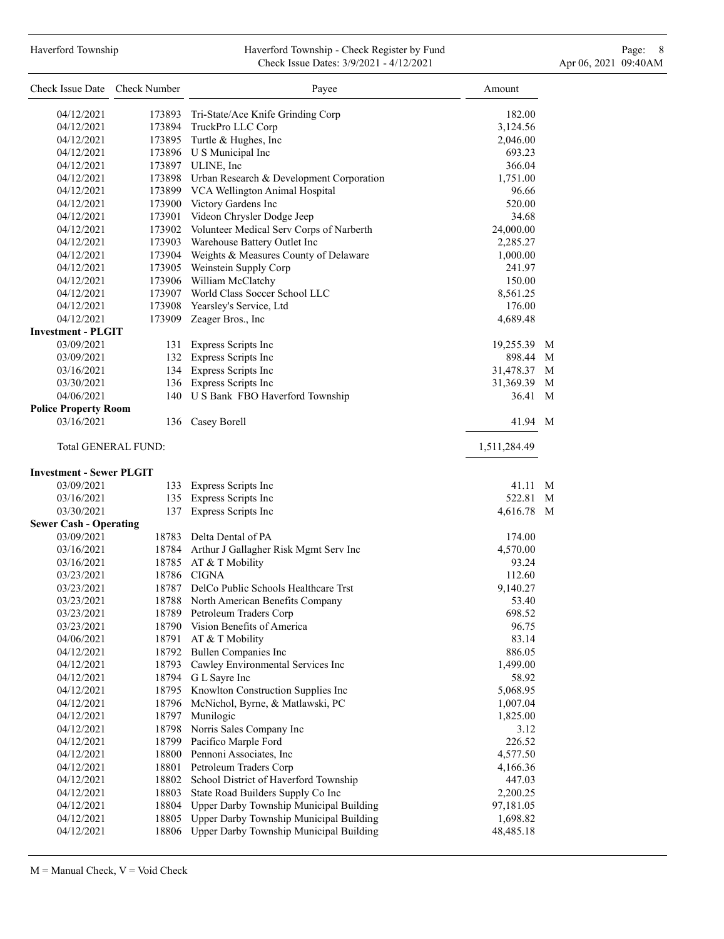### Haverford Township **Haverford Township - Check Register by Fund** Page: 8 Page: 8 Check Issue Dates: 3/9/2021 - 4/12/2021 Apr 06, 2021 09:40AM

| Check Issue Date Check Number             |                | Payee                                           | Amount           |
|-------------------------------------------|----------------|-------------------------------------------------|------------------|
| 04/12/2021                                |                | 173893 Tri-State/Ace Knife Grinding Corp        | 182.00           |
| 04/12/2021                                |                | 173894 TruckPro LLC Corp                        | 3,124.56         |
| 04/12/2021                                |                | 173895 Turtle & Hughes, Inc                     | 2,046.00         |
| 04/12/2021                                |                | 173896 U S Municipal Inc                        | 693.23           |
| 04/12/2021                                |                | 173897 ULINE, Inc                               | 366.04           |
| 04/12/2021                                |                | 173898 Urban Research & Development Corporation | 1,751.00         |
| 04/12/2021                                |                | 173899 VCA Wellington Animal Hospital           | 96.66            |
| 04/12/2021                                |                | 173900 Victory Gardens Inc                      | 520.00           |
| 04/12/2021                                |                | 173901 Videon Chrysler Dodge Jeep               | 34.68            |
| 04/12/2021                                |                | 173902 Volunteer Medical Serv Corps of Narberth | 24,000.00        |
| 04/12/2021                                |                | 173903 Warehouse Battery Outlet Inc             | 2,285.27         |
| 04/12/2021                                |                | 173904 Weights & Measures County of Delaware    | 1,000.00         |
| 04/12/2021                                |                | 173905 Weinstein Supply Corp                    | 241.97           |
| 04/12/2021                                |                | 173906 William McClatchy                        | 150.00           |
| 04/12/2021                                |                | 173907 World Class Soccer School LLC            | 8,561.25         |
| 04/12/2021                                |                | 173908 Yearsley's Service, Ltd                  | 176.00           |
| 04/12/2021                                |                | 173909 Zeager Bros., Inc                        | 4,689.48         |
| <b>Investment - PLGIT</b>                 |                |                                                 |                  |
| 03/09/2021                                |                | 131 Express Scripts Inc                         | 19,255.39<br>M   |
| 03/09/2021                                |                | 132 Express Scripts Inc                         | 898.44 M         |
|                                           |                | 134 Express Scripts Inc                         |                  |
| 03/16/2021                                |                |                                                 | 31,478.37 M      |
| 03/30/2021                                |                | 136 Express Scripts Inc                         | 31,369.39 M      |
| 04/06/2021                                |                | 140 U S Bank FBO Haverford Township             | 36.41<br>M       |
| <b>Police Property Room</b><br>03/16/2021 |                | 136 Casey Borell                                | 41.94 M          |
| <b>Total GENERAL FUND:</b>                |                |                                                 | 1,511,284.49     |
| <b>Investment - Sewer PLGIT</b>           |                |                                                 |                  |
| 03/09/2021                                |                | 133 Express Scripts Inc                         | 41.11<br>M       |
| 03/16/2021                                |                | 135 Express Scripts Inc                         | 522.81<br>M      |
| 03/30/2021                                | 137            | Express Scripts Inc                             | 4,616.78 M       |
| <b>Sewer Cash - Operating</b>             |                |                                                 |                  |
| 03/09/2021                                |                | 18783 Delta Dental of PA                        | 174.00           |
| 03/16/2021                                |                | 18784 Arthur J Gallagher Risk Mgmt Serv Inc     | 4,570.00         |
| 03/16/2021                                |                | 18785 AT & T Mobility                           | 93.24            |
| 03/23/2021                                |                | 18786 CIGNA                                     | 112.60           |
| 03/23/2021                                |                | 18787 DelCo Public Schools Healthcare Trst      | 9,140.27         |
| 03/23/2021                                |                | 18788 North American Benefits Company           | 53.40            |
| 03/23/2021                                |                | 18789 Petroleum Traders Corp                    | 698.52           |
| 03/23/2021                                |                | 18790 Vision Benefits of America                | 96.75            |
| 04/06/2021                                |                | 18791 AT & T Mobility                           | 83.14            |
| 04/12/2021                                |                | 18792 Bullen Companies Inc                      | 886.05           |
| 04/12/2021                                | 18793          | Cawley Environmental Services Inc               | 1,499.00         |
| 04/12/2021                                |                | 18794 G L Sayre Inc                             | 58.92            |
| 04/12/2021                                | 18795          | Knowlton Construction Supplies Inc              | 5,068.95         |
| 04/12/2021                                |                | 18796 McNichol, Byrne, & Matlawski, PC          | 1,007.04         |
|                                           |                | Munilogic                                       |                  |
| 04/12/2021<br>04/12/2021                  | 18797<br>18798 | Norris Sales Company Inc                        | 1,825.00<br>3.12 |
| 04/12/2021                                |                | 18799 Pacifico Marple Ford                      | 226.52           |
|                                           |                |                                                 |                  |
| 04/12/2021                                |                | 18800 Pennoni Associates, Inc                   | 4,577.50         |
| 04/12/2021                                | 18801          | Petroleum Traders Corp                          | 4,166.36         |
| 04/12/2021                                | 18802          | School District of Haverford Township           | 447.03           |
| 04/12/2021                                | 18803          | State Road Builders Supply Co Inc               | 2,200.25         |
| 04/12/2021                                |                | 18804 Upper Darby Township Municipal Building   | 97,181.05        |
| 04/12/2021                                | 18805          | Upper Darby Township Municipal Building         | 1,698.82         |
| 04/12/2021                                | 18806          | Upper Darby Township Municipal Building         | 48,485.18        |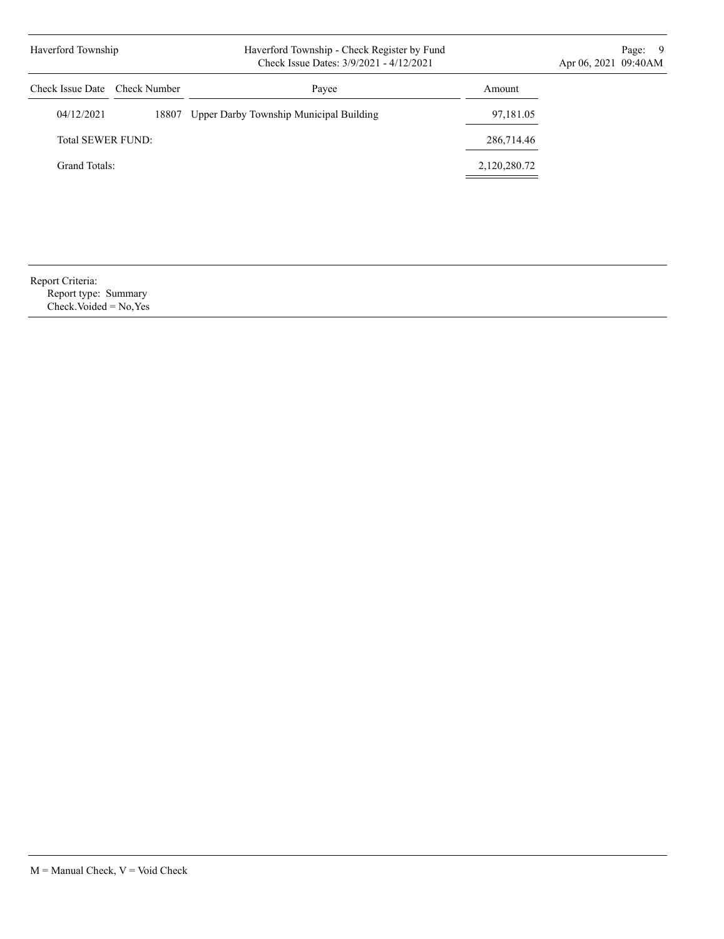| Haverford Township            |       | Haverford Township - Check Register by Fund<br>Check Issue Dates: 3/9/2021 - 4/12/2021 |              | Page: 9<br>Apr 06, 2021 09:40AM |
|-------------------------------|-------|----------------------------------------------------------------------------------------|--------------|---------------------------------|
| Check Issue Date Check Number |       | Payee                                                                                  | Amount       |                                 |
| 04/12/2021                    | 18807 | Upper Darby Township Municipal Building                                                | 97,181.05    |                                 |
| <b>Total SEWER FUND:</b>      |       |                                                                                        | 286,714.46   |                                 |
| Grand Totals:                 |       |                                                                                        | 2,120,280.72 |                                 |
|                               |       |                                                                                        |              |                                 |

| Report Criteria:     |  |
|----------------------|--|
| Report type: Summary |  |

Check.Voided = No,Yes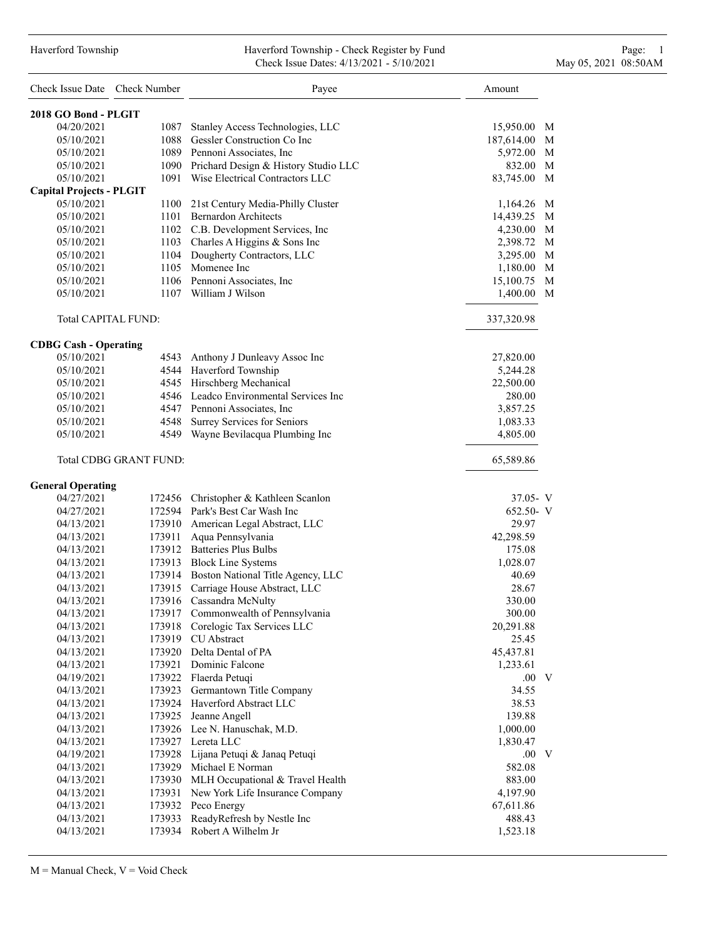#### Haverford Township Haverford Township - Check Register by Fund Page: 1 Check Issue Dates: 4/13/2021 - 5/10/2021 May 05, 2021 08:50AM

| Check Issue Date Check Number   |                        | Payee                                     | Amount       |
|---------------------------------|------------------------|-------------------------------------------|--------------|
| 2018 GO Bond - PLGIT            |                        |                                           |              |
| 04/20/2021                      | 1087                   | Stanley Access Technologies, LLC          | 15,950.00 M  |
| 05/10/2021                      |                        | 1088 Gessler Construction Co Inc          | 187,614.00 M |
| 05/10/2021                      |                        | 1089 Pennoni Associates, Inc.             | 5,972.00 M   |
| 05/10/2021                      |                        | 1090 Prichard Design & History Studio LLC | 832.00 M     |
| 05/10/2021                      |                        | 1091 Wise Electrical Contractors LLC      | 83,745.00 M  |
| <b>Capital Projects - PLGIT</b> |                        |                                           |              |
| 05/10/2021                      |                        | 1100 21st Century Media-Philly Cluster    | 1,164.26 M   |
| 05/10/2021                      |                        | 1101 Bernardon Architects                 | 14,439.25 M  |
| 05/10/2021                      |                        | 1102 C.B. Development Services, Inc       | 4,230.00 M   |
| 05/10/2021                      |                        | 1103 Charles A Higgins & Sons Inc         | 2,398.72 M   |
| 05/10/2021                      |                        | 1104 Dougherty Contractors, LLC           | 3,295.00 M   |
| 05/10/2021                      |                        | 1105 Momenee Inc                          | 1,180.00 M   |
| 05/10/2021                      |                        | 1106 Pennoni Associates, Inc.             | 15,100.75 M  |
| 05/10/2021                      |                        | 1107 William J Wilson                     | 1,400.00 M   |
| Total CAPITAL FUND:             |                        |                                           | 337,320.98   |
| <b>CDBG Cash - Operating</b>    |                        |                                           |              |
| 05/10/2021                      |                        | 4543 Anthony J Dunleavy Assoc Inc         | 27,820.00    |
| 05/10/2021                      |                        | 4544 Haverford Township                   | 5,244.28     |
| 05/10/2021                      |                        | 4545 Hirschberg Mechanical                | 22,500.00    |
| 05/10/2021                      |                        | 4546 Leadco Environmental Services Inc    | 280.00       |
| 05/10/2021                      |                        | 4547 Pennoni Associates, Inc.             | 3,857.25     |
| 05/10/2021                      |                        | 4548 Surrey Services for Seniors          | 1,083.33     |
| 05/10/2021                      |                        | 4549 Wayne Bevilacqua Plumbing Inc        | 4,805.00     |
|                                 | Total CDBG GRANT FUND: |                                           | 65,589.86    |
| <b>General Operating</b>        |                        |                                           |              |
| 04/27/2021                      |                        | 172456 Christopher & Kathleen Scanlon     | $37.05 - V$  |
| 04/27/2021                      |                        | 172594 Park's Best Car Wash Inc           | $652.50 - V$ |
| 04/13/2021                      |                        | 173910 American Legal Abstract, LLC       | 29.97        |
| 04/13/2021                      |                        | 173911 Aqua Pennsylvania                  | 42,298.59    |
| 04/13/2021                      |                        | 173912 Batteries Plus Bulbs               | 175.08       |
| 04/13/2021                      |                        | 173913 Block Line Systems                 | 1,028.07     |
| 04/13/2021                      |                        | 173914 Boston National Title Agency, LLC  | 40.69        |
| 04/13/2021                      |                        | 173915 Carriage House Abstract, LLC       | 28.67        |
| 04/13/2021                      | 173916                 | Cassandra McNulty                         | 330.00       |
| 04/13/2021                      | 173917                 | Commonwealth of Pennsylvania              | 300.00       |
| 04/13/2021                      | 173918                 | Corelogic Tax Services LLC                | 20,291.88    |
| 04/13/2021                      | 173919                 | <b>CU</b> Abstract                        | 25.45        |
| 04/13/2021                      |                        | 173920 Delta Dental of PA                 | 45,437.81    |
| 04/13/2021                      |                        | 173921 Dominic Falcone                    | 1,233.61     |
| 04/19/2021                      |                        | 173922 Flaerda Petuqi                     | $.00\quad$ V |
| 04/13/2021                      | 173923                 | Germantown Title Company                  | 34.55        |
| 04/13/2021                      |                        | 173924 Haverford Abstract LLC             | 38.53        |
| 04/13/2021                      | 173925                 | Jeanne Angell                             | 139.88       |
| 04/13/2021                      |                        | 173926 Lee N. Hanuschak, M.D.             | 1,000.00     |
| 04/13/2021                      |                        | 173927 Lereta LLC                         | 1,830.47     |
| 04/19/2021                      |                        | 173928 Lijana Petuqi & Janaq Petuqi       | .00 V        |
| 04/13/2021                      | 173929                 | Michael E Norman                          | 582.08       |
| 04/13/2021                      | 173930                 | MLH Occupational & Travel Health          | 883.00       |
| 04/13/2021                      | 173931                 | New York Life Insurance Company           | 4,197.90     |
| 04/13/2021                      |                        | 173932 Peco Energy                        | 67,611.86    |
| 04/13/2021                      | 173933                 | ReadyRefresh by Nestle Inc                | 488.43       |
| 04/13/2021                      |                        | 173934 Robert A Wilhelm Jr                | 1,523.18     |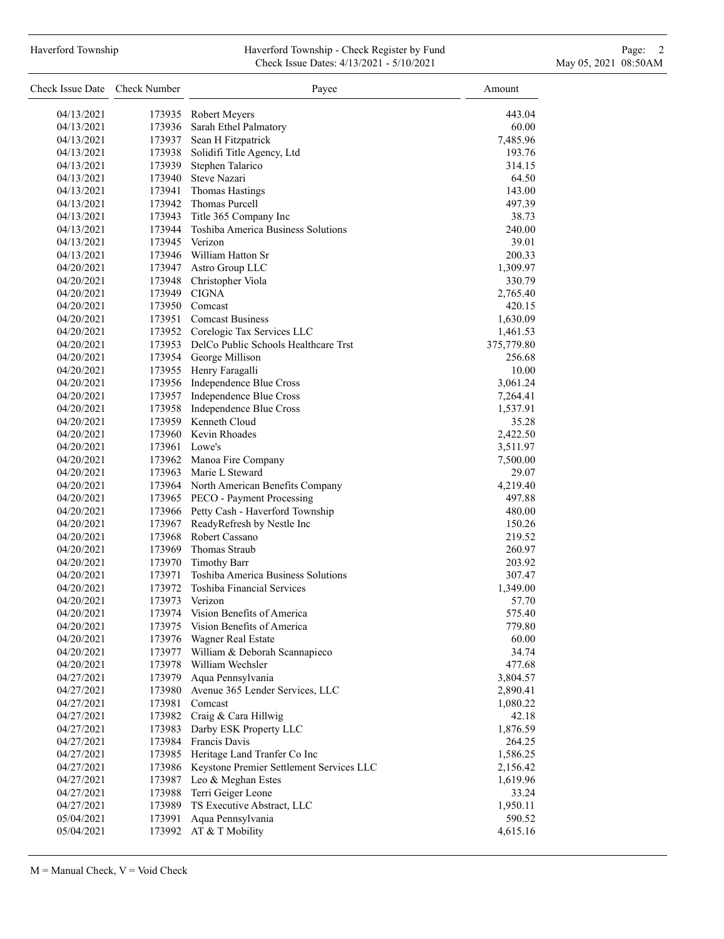### Haverford Township **Haverford Township - Check Register by Fund** Page: 2 Check Issue Dates: 4/13/2021 - 5/10/2021 May 05, 2021 08:50AM

| Check Issue Date Check Number |                  | Payee                                            | Amount             |
|-------------------------------|------------------|--------------------------------------------------|--------------------|
| 04/13/2021                    |                  | 173935 Robert Meyers                             | 443.04             |
| 04/13/2021                    | 173936           | Sarah Ethel Palmatory                            | 60.00              |
| 04/13/2021                    |                  | 173937 Sean H Fitzpatrick                        | 7,485.96           |
| 04/13/2021                    | 173938           | Solidifi Title Agency, Ltd                       | 193.76             |
| 04/13/2021                    | 173939           | Stephen Talarico                                 | 314.15             |
| 04/13/2021                    |                  | 173940 Steve Nazari                              | 64.50              |
| 04/13/2021                    | 173941           | <b>Thomas Hastings</b>                           | 143.00             |
| 04/13/2021                    |                  | 173942 Thomas Purcell                            | 497.39             |
| 04/13/2021                    | 173943           | Title 365 Company Inc                            | 38.73              |
| 04/13/2021                    | 173944           | Toshiba America Business Solutions               | 240.00             |
| 04/13/2021                    |                  | 173945 Verizon                                   | 39.01              |
| 04/13/2021                    |                  | 173946 William Hatton Sr                         | 200.33             |
| 04/20/2021                    | 173947           | Astro Group LLC                                  | 1,309.97           |
| 04/20/2021                    |                  | 173948 Christopher Viola                         | 330.79             |
| 04/20/2021                    |                  | 173949 CIGNA                                     | 2,765.40           |
| 04/20/2021                    |                  | 173950 Comcast                                   | 420.15             |
| 04/20/2021                    |                  | 173951 Comcast Business                          | 1,630.09           |
| 04/20/2021                    |                  | 173952 Corelogic Tax Services LLC                | 1,461.53           |
| 04/20/2021                    |                  | 173953 DelCo Public Schools Healthcare Trst      | 375,779.80         |
| 04/20/2021                    |                  | 173954 George Millison                           | 256.68             |
| 04/20/2021                    |                  | 173955 Henry Faragalli                           | 10.00              |
| 04/20/2021                    |                  | 173956 Independence Blue Cross                   | 3,061.24           |
| 04/20/2021                    |                  | 173957 Independence Blue Cross                   | 7,264.41           |
| 04/20/2021                    |                  | 173958 Independence Blue Cross                   | 1,537.91           |
| 04/20/2021                    |                  | 173959 Kenneth Cloud                             | 35.28              |
| 04/20/2021                    |                  | 173960 Kevin Rhoades                             | 2,422.50           |
| 04/20/2021                    |                  | 173961 Lowe's                                    | 3,511.97           |
| 04/20/2021                    |                  | 173962 Manoa Fire Company                        | 7,500.00           |
| 04/20/2021                    |                  | 173963 Marie L Steward                           | 29.07              |
| 04/20/2021                    |                  | 173964 North American Benefits Company           | 4,219.40           |
| 04/20/2021                    |                  | 173965 PECO - Payment Processing                 | 497.88             |
| 04/20/2021                    |                  | 173966 Petty Cash - Haverford Township           | 480.00             |
| 04/20/2021                    |                  | 173967 ReadyRefresh by Nestle Inc                | 150.26             |
| 04/20/2021                    |                  | 173968 Robert Cassano                            | 219.52             |
| 04/20/2021                    |                  | 173969 Thomas Straub                             | 260.97             |
| 04/20/2021                    |                  | 173970 Timothy Barr                              | 203.92             |
| 04/20/2021                    | 173971           | Toshiba America Business Solutions               | 307.47             |
| 04/20/2021                    | 173972           | <b>Toshiba Financial Services</b>                | 1,349.00           |
| 04/20/2021                    | 173973           | Verizon                                          | 57.70              |
| 04/20/2021                    | 173974           | Vision Benefits of America                       | 575.40             |
| 04/20/2021                    | 173975           | Vision Benefits of America                       | 779.80             |
| 04/20/2021                    | 173976           | Wagner Real Estate                               | 60.00              |
| 04/20/2021                    | 173977           | William & Deborah Scannapieco                    | 34.74              |
| 04/20/2021                    | 173978           | William Wechsler                                 | 477.68             |
| 04/27/2021                    | 173979           | Aqua Pennsylvania                                | 3,804.57           |
| 04/27/2021                    | 173980           | Avenue 365 Lender Services, LLC                  | 2,890.41           |
| 04/27/2021                    | 173981           | Comcast                                          | 1,080.22           |
| 04/27/2021                    |                  | 173982 Craig & Cara Hillwig                      | 42.18              |
| 04/27/2021                    | 173983           | Darby ESK Property LLC                           | 1,876.59           |
| 04/27/2021                    |                  | 173984 Francis Davis                             | 264.25             |
| 04/27/2021                    | 173985           | Heritage Land Tranfer Co Inc                     | 1,586.25           |
| 04/27/2021                    | 173986           | Keystone Premier Settlement Services LLC         | 2,156.42           |
| 04/27/2021                    |                  | 173987 Leo & Meghan Estes                        | 1,619.96           |
| 04/27/2021                    | 173988           | Terri Geiger Leone<br>TS Executive Abstract, LLC | 33.24              |
| 04/27/2021<br>05/04/2021      | 173989<br>173991 | Aqua Pennsylvania                                | 1,950.11<br>590.52 |
| 05/04/2021                    | 173992           | AT & T Mobility                                  | 4,615.16           |
|                               |                  |                                                  |                    |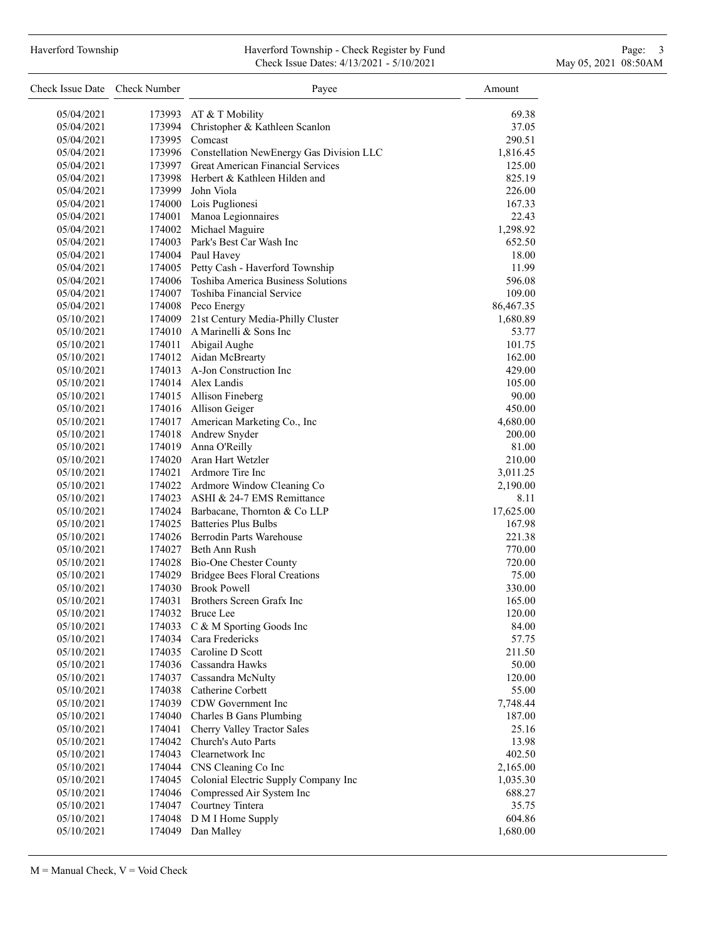# Haverford Township **Haverford Township - Check Register by Fund** Page: 3 and Page: 3 Check Issue Dates: 4/13/2021 - 5/10/2021 May 05, 2021 08:50AM

| Check Issue Date Check Number |        | Payee                                           | Amount                |
|-------------------------------|--------|-------------------------------------------------|-----------------------|
| 05/04/2021                    | 173993 | AT & T Mobility                                 | 69.38                 |
| 05/04/2021                    |        | 173994 Christopher & Kathleen Scanlon           | 37.05                 |
| 05/04/2021                    |        | 173995 Comcast                                  | 290.51                |
| 05/04/2021                    |        | 173996 Constellation NewEnergy Gas Division LLC | 1,816.45              |
| 05/04/2021                    |        | 173997 Great American Financial Services        | 125.00                |
| 05/04/2021                    |        | 173998 Herbert & Kathleen Hilden and            | 825.19                |
| 05/04/2021                    |        | 173999 John Viola                               | 226.00                |
| 05/04/2021                    |        | 174000 Lois Puglionesi                          | 167.33                |
| 05/04/2021                    |        | 174001 Manoa Legionnaires                       | 22.43                 |
| 05/04/2021                    |        | 174002 Michael Maguire                          | 1,298.92              |
| 05/04/2021                    |        | 174003 Park's Best Car Wash Inc                 | 652.50                |
| 05/04/2021                    |        | 174004 Paul Havey                               | 18.00                 |
| 05/04/2021                    |        | 174005 Petty Cash - Haverford Township          | 11.99                 |
| 05/04/2021                    |        | 174006 Toshiba America Business Solutions       | 596.08                |
| 05/04/2021                    |        | 174007 Toshiba Financial Service                | 109.00                |
| 05/04/2021                    |        | 174008 Peco Energy                              |                       |
| 05/10/2021                    |        | 174009 21st Century Media-Philly Cluster        | 86,467.35<br>1,680.89 |
|                               |        |                                                 |                       |
| 05/10/2021                    |        | 174010 A Marinelli & Sons Inc                   | 53.77                 |
| 05/10/2021                    |        | 174011 Abigail Aughe                            | 101.75                |
| 05/10/2021                    |        | 174012 Aidan McBrearty                          | 162.00                |
| 05/10/2021                    |        | 174013 A-Jon Construction Inc                   | 429.00                |
| 05/10/2021                    |        | 174014 Alex Landis                              | 105.00                |
| 05/10/2021                    |        | 174015 Allison Fineberg                         | 90.00                 |
| 05/10/2021                    |        | 174016 Allison Geiger                           | 450.00                |
| 05/10/2021                    |        | 174017 American Marketing Co., Inc              | 4,680.00              |
| 05/10/2021                    |        | 174018 Andrew Snyder                            | 200.00                |
| 05/10/2021                    |        | 174019 Anna O'Reilly                            | 81.00                 |
| 05/10/2021                    |        | 174020 Aran Hart Wetzler                        | 210.00                |
| 05/10/2021                    |        | 174021 Ardmore Tire Inc                         | 3,011.25              |
| 05/10/2021                    |        | 174022 Ardmore Window Cleaning Co               | 2,190.00              |
| 05/10/2021                    |        | 174023 ASHI & 24-7 EMS Remittance               | 8.11                  |
| 05/10/2021                    |        | 174024 Barbacane, Thornton & Co LLP             | 17,625.00             |
| 05/10/2021                    |        | 174025 Batteries Plus Bulbs                     | 167.98                |
| 05/10/2021                    |        | 174026 Berrodin Parts Warehouse                 | 221.38                |
| 05/10/2021                    |        | 174027 Beth Ann Rush                            | 770.00                |
| 05/10/2021                    |        | 174028 Bio-One Chester County                   | 720.00                |
| 05/10/2021                    |        | 174029 Bridgee Bees Floral Creations            | 75.00                 |
| 05/10/2021                    |        | 174030 Brook Powell                             | 330.00                |
| 05/10/2021                    |        | 174031 Brothers Screen Grafx Inc                | 165.00                |
| 05/10/2021                    |        | 174032 Bruce Lee                                | 120.00                |
| 05/10/2021                    |        | 174033 C & M Sporting Goods Inc                 | 84.00                 |
| 05/10/2021                    |        | 174034 Cara Fredericks                          | 57.75                 |
| 05/10/2021                    | 174035 | Caroline D Scott                                | 211.50                |
| 05/10/2021                    |        | 174036 Cassandra Hawks                          | 50.00                 |
| 05/10/2021                    |        | 174037 Cassandra McNulty                        | 120.00                |
| 05/10/2021                    |        | 174038 Catherine Corbett                        | 55.00                 |
| 05/10/2021                    |        | 174039 CDW Government Inc                       | 7,748.44              |
| 05/10/2021                    |        | 174040 Charles B Gans Plumbing                  | 187.00                |
| 05/10/2021                    | 174041 | Cherry Valley Tractor Sales                     | 25.16                 |
| 05/10/2021                    | 174042 | Church's Auto Parts                             | 13.98                 |
| 05/10/2021                    | 174043 | Clearnetwork Inc                                | 402.50                |
| 05/10/2021                    | 174044 | CNS Cleaning Co Inc                             | 2,165.00              |
| 05/10/2021                    | 174045 | Colonial Electric Supply Company Inc            | 1,035.30              |
| 05/10/2021                    | 174046 | Compressed Air System Inc                       | 688.27                |
| 05/10/2021                    | 174047 | Courtney Tintera                                | 35.75                 |
| 05/10/2021                    | 174048 | D M I Home Supply                               | 604.86                |
| 05/10/2021                    | 174049 | Dan Malley                                      | 1,680.00              |
|                               |        |                                                 |                       |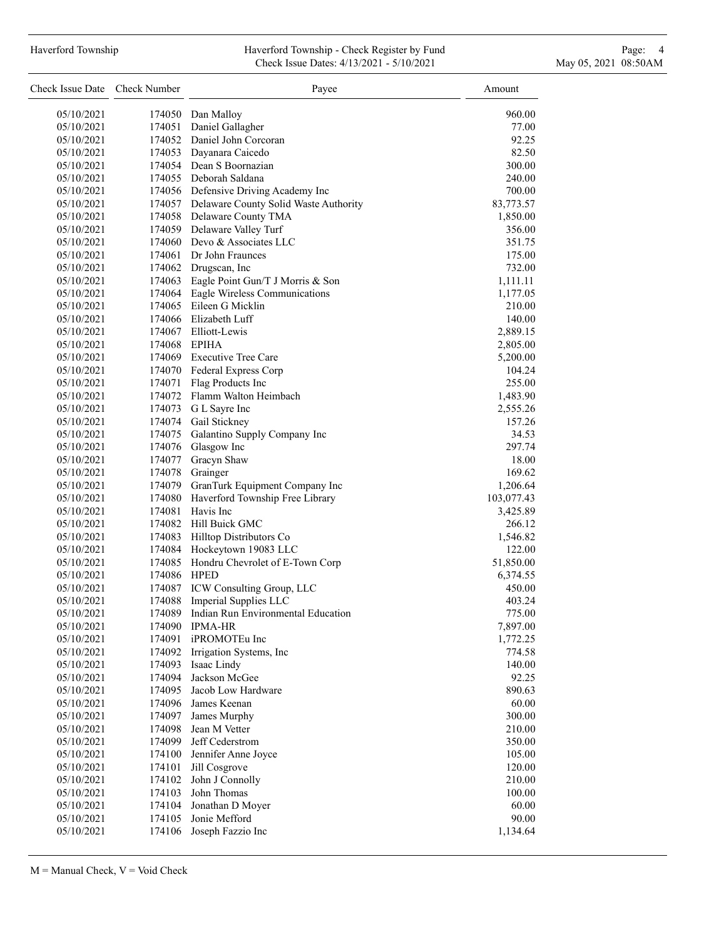# Haverford Township **Haverford Township - Check Register by Fund** Page: 4 Page: 4 Check Issue Dates: 4/13/2021 - 5/10/2021 May 05, 2021 08:50AM

| Check Issue Date Check Number |              | Payee                                        | Amount     |
|-------------------------------|--------------|----------------------------------------------|------------|
| 05/10/2021                    |              | 174050 Dan Malloy                            | 960.00     |
| 05/10/2021                    | 174051       | Daniel Gallagher                             | 77.00      |
| 05/10/2021                    |              | 174052 Daniel John Corcoran                  | 92.25      |
| 05/10/2021                    |              | 174053 Dayanara Caicedo                      | 82.50      |
| 05/10/2021                    |              | 174054 Dean S Boornazian                     | 300.00     |
| 05/10/2021                    |              | 174055 Deborah Saldana                       | 240.00     |
| 05/10/2021                    |              | 174056 Defensive Driving Academy Inc         | 700.00     |
| 05/10/2021                    |              | 174057 Delaware County Solid Waste Authority | 83,773.57  |
| 05/10/2021                    |              | 174058 Delaware County TMA                   | 1,850.00   |
| 05/10/2021                    |              | 174059 Delaware Valley Turf                  | 356.00     |
| 05/10/2021                    |              | 174060 Devo & Associates LLC                 | 351.75     |
| 05/10/2021                    |              | 174061 Dr John Fraunces                      | 175.00     |
| 05/10/2021                    |              | 174062 Drugscan, Inc                         | 732.00     |
| 05/10/2021                    |              | 174063 Eagle Point Gun/T J Morris & Son      | 1,111.11   |
| 05/10/2021                    |              | 174064 Eagle Wireless Communications         | 1,177.05   |
| 05/10/2021                    |              | 174065 Eileen G Micklin                      | 210.00     |
| 05/10/2021                    |              | 174066 Elizabeth Luff                        | 140.00     |
| 05/10/2021                    |              | 174067 Elliott-Lewis                         | 2,889.15   |
| 05/10/2021                    | 174068 EPIHA |                                              | 2,805.00   |
| 05/10/2021                    |              | 174069 Executive Tree Care                   | 5,200.00   |
| 05/10/2021                    |              | 174070 Federal Express Corp                  | 104.24     |
| 05/10/2021                    |              | 174071 Flag Products Inc                     | 255.00     |
| 05/10/2021                    |              | 174072 Flamm Walton Heimbach                 | 1,483.90   |
| 05/10/2021                    |              | 174073 G L Sayre Inc                         | 2,555.26   |
| 05/10/2021                    |              | 174074 Gail Stickney                         | 157.26     |
| 05/10/2021                    |              | 174075 Galantino Supply Company Inc          | 34.53      |
| 05/10/2021                    |              | 174076 Glasgow Inc                           | 297.74     |
| 05/10/2021                    |              | 174077 Gracyn Shaw                           | 18.00      |
| 05/10/2021                    |              | 174078 Grainger                              | 169.62     |
| 05/10/2021                    | 174079       | GranTurk Equipment Company Inc               | 1,206.64   |
| 05/10/2021                    | 174080       | Haverford Township Free Library              | 103,077.43 |
| 05/10/2021                    | 174081       | Havis Inc                                    | 3,425.89   |
| 05/10/2021                    |              | 174082 Hill Buick GMC                        | 266.12     |
| 05/10/2021                    |              | 174083 Hilltop Distributors Co               | 1,546.82   |
| 05/10/2021                    |              | 174084 Hockeytown 19083 LLC                  | 122.00     |
| 05/10/2021                    |              | 174085 Hondru Chevrolet of E-Town Corp       | 51,850.00  |
| 05/10/2021                    | 174086 HPED  |                                              | 6,374.55   |
| 05/10/2021                    | 174087       | ICW Consulting Group, LLC                    | 450.00     |
| 05/10/2021                    | 174088       | Imperial Supplies LLC                        | 403.24     |
| 05/10/2021                    | 174089       | Indian Run Environmental Education           | 775.00     |
| 05/10/2021                    | 174090       | <b>IPMA-HR</b>                               | 7,897.00   |
| 05/10/2021                    | 174091       | iPROMOTEu Inc                                | 1,772.25   |
| 05/10/2021                    | 174092       | Irrigation Systems, Inc                      | 774.58     |
| 05/10/2021                    | 174093       | Isaac Lindy                                  | 140.00     |
| 05/10/2021                    | 174094       | Jackson McGee                                | 92.25      |
| 05/10/2021                    | 174095       | Jacob Low Hardware                           | 890.63     |
| 05/10/2021                    | 174096       | James Keenan                                 | 60.00      |
| 05/10/2021                    | 174097       | James Murphy                                 | 300.00     |
| 05/10/2021                    | 174098       | Jean M Vetter                                | 210.00     |
| 05/10/2021                    | 174099       | Jeff Cederstrom                              | 350.00     |
| 05/10/2021                    | 174100       | Jennifer Anne Joyce                          | 105.00     |
| 05/10/2021                    | 174101       | Jill Cosgrove                                | 120.00     |
| 05/10/2021                    | 174102       | John J Connolly                              | 210.00     |
| 05/10/2021                    | 174103       | John Thomas                                  | 100.00     |
| 05/10/2021                    | 174104       | Jonathan D Moyer                             | 60.00      |
| 05/10/2021                    | 174105       | Jonie Mefford                                | 90.00      |
| 05/10/2021                    | 174106       | Joseph Fazzio Inc                            | 1,134.64   |
|                               |              |                                              |            |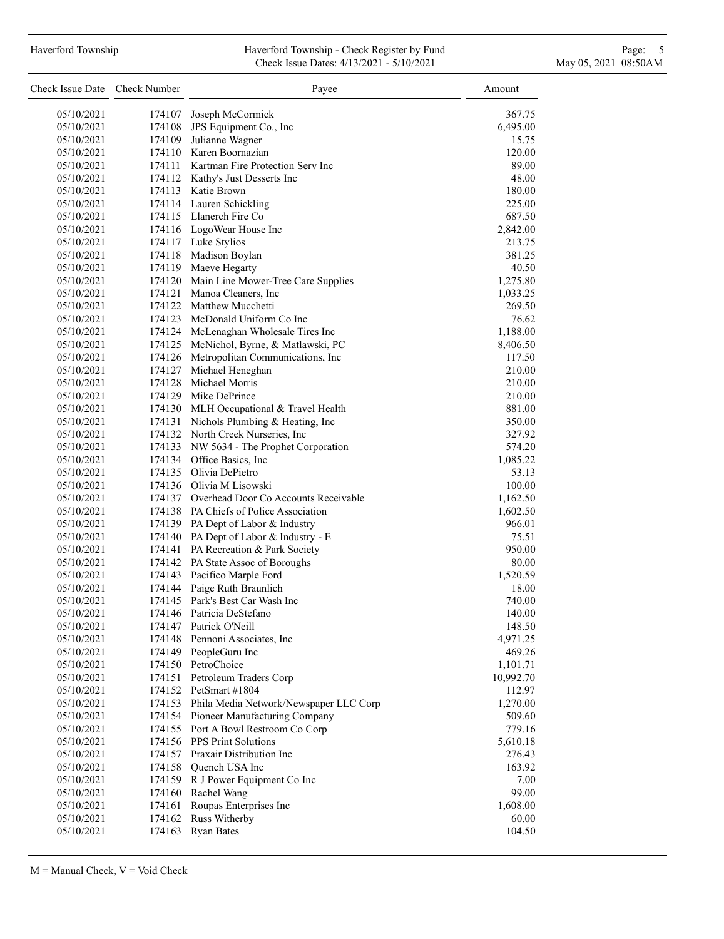# Haverford Township **Haverford Township - Check Register by Fund** Page: 5 - 5 - 7 Page: 5 - 7 Page: 5 - 7 Page: 5 Check Issue Dates: 4/13/2021 - 5/10/2021 May 05, 2021 08:50AM

| Check Issue Date Check Number |        | Payee                                                      | Amount          |
|-------------------------------|--------|------------------------------------------------------------|-----------------|
| 05/10/2021                    |        | 174107 Joseph McCormick                                    | 367.75          |
| 05/10/2021                    | 174108 | JPS Equipment Co., Inc                                     | 6,495.00        |
| 05/10/2021                    | 174109 | Julianne Wagner                                            | 15.75           |
| 05/10/2021                    |        | 174110 Karen Boornazian                                    | 120.00          |
| 05/10/2021                    |        | 174111 Kartman Fire Protection Serv Inc                    | 89.00           |
| 05/10/2021                    |        | 174112 Kathy's Just Desserts Inc                           | 48.00           |
| 05/10/2021                    |        | 174113 Katie Brown                                         | 180.00          |
| 05/10/2021                    |        | 174114 Lauren Schickling                                   | 225.00          |
| 05/10/2021                    |        | 174115 Llanerch Fire Co                                    | 687.50          |
| 05/10/2021                    |        | 174116 LogoWear House Inc                                  | 2,842.00        |
| 05/10/2021                    |        | 174117 Luke Stylios                                        | 213.75          |
| 05/10/2021                    |        | 174118 Madison Boylan                                      | 381.25          |
| 05/10/2021                    |        | 174119 Maeve Hegarty                                       | 40.50           |
| 05/10/2021                    |        | 174120 Main Line Mower-Tree Care Supplies                  | 1,275.80        |
| 05/10/2021                    |        | 174121 Manoa Cleaners, Inc                                 | 1,033.25        |
| 05/10/2021                    |        | 174122 Matthew Mucchetti                                   | 269.50          |
| 05/10/2021                    |        | 174123 McDonald Uniform Co Inc                             | 76.62           |
| 05/10/2021                    |        | 174124 McLenaghan Wholesale Tires Inc                      | 1,188.00        |
| 05/10/2021                    |        | 174125 McNichol, Byrne, & Matlawski, PC                    | 8,406.50        |
| 05/10/2021                    |        | 174126 Metropolitan Communications, Inc                    | 117.50          |
| 05/10/2021                    |        | 174127 Michael Heneghan                                    | 210.00          |
| 05/10/2021                    |        | 174128 Michael Morris                                      | 210.00          |
| 05/10/2021                    |        | 174129 Mike DePrince                                       | 210.00          |
| 05/10/2021                    |        | 174130 MLH Occupational & Travel Health                    | 881.00          |
| 05/10/2021                    |        | 174131 Nichols Plumbing & Heating, Inc                     | 350.00          |
| 05/10/2021                    |        | 174132 North Creek Nurseries, Inc                          | 327.92          |
| 05/10/2021                    |        | 174133 NW 5634 - The Prophet Corporation                   | 574.20          |
| 05/10/2021                    |        | 174134 Office Basics, Inc                                  | 1,085.22        |
| 05/10/2021                    |        | 174135 Olivia DePietro                                     | 53.13           |
| 05/10/2021                    |        | 174136 Olivia M Lisowski                                   | 100.00          |
| 05/10/2021                    |        | 174137 Overhead Door Co Accounts Receivable                | 1,162.50        |
| 05/10/2021                    |        | 174138 PA Chiefs of Police Association                     | 1,602.50        |
| 05/10/2021                    |        | 174139 PA Dept of Labor & Industry                         | 966.01          |
| 05/10/2021                    |        | 174140 PA Dept of Labor & Industry - E                     | 75.51<br>950.00 |
| 05/10/2021                    |        | 174141 PA Recreation & Park Society                        |                 |
| 05/10/2021                    |        | 174142 PA State Assoc of Boroughs                          | 80.00           |
| 05/10/2021                    |        | 174143 Pacifico Marple Ford<br>174144 Paige Ruth Braunlich | 1,520.59        |
| 05/10/2021<br>05/10/2021      |        | 174145 Park's Best Car Wash Inc                            | 18.00<br>740.00 |
| 05/10/2021                    | 174146 | Patricia DeStefano                                         | 140.00          |
| 05/10/2021                    | 174147 | Patrick O'Neill                                            | 148.50          |
| 05/10/2021                    |        | 174148 Pennoni Associates, Inc                             | 4,971.25        |
| 05/10/2021                    |        | 174149 PeopleGuru Inc                                      | 469.26          |
| 05/10/2021                    |        | 174150 PetroChoice                                         | 1,101.71        |
| 05/10/2021                    |        | 174151 Petroleum Traders Corp                              | 10,992.70       |
| 05/10/2021                    |        | 174152 PetSmart #1804                                      | 112.97          |
| 05/10/2021                    |        | 174153 Phila Media Network/Newspaper LLC Corp              | 1,270.00        |
| 05/10/2021                    |        | 174154 Pioneer Manufacturing Company                       | 509.60          |
| 05/10/2021                    |        | 174155 Port A Bowl Restroom Co Corp                        | 779.16          |
| 05/10/2021                    |        | 174156 PPS Print Solutions                                 | 5,610.18        |
| 05/10/2021                    |        | 174157 Praxair Distribution Inc                            | 276.43          |
| 05/10/2021                    |        | 174158 Quench USA Inc                                      | 163.92          |
| 05/10/2021                    |        | 174159 R J Power Equipment Co Inc                          | 7.00            |
| 05/10/2021                    | 174160 | Rachel Wang                                                | 99.00           |
| 05/10/2021                    | 174161 | Roupas Enterprises Inc                                     | 1,608.00        |
| 05/10/2021                    | 174162 | Russ Witherby                                              | 60.00           |
| 05/10/2021                    | 174163 | <b>Ryan Bates</b>                                          | 104.50          |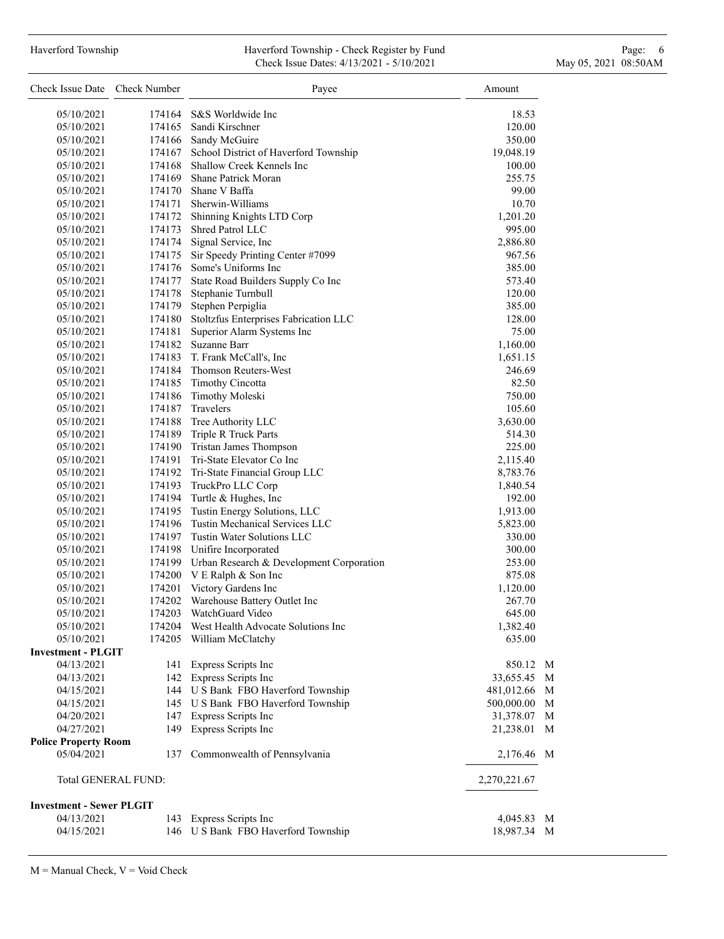### Haverford Township **Haverford Township - Check Register by Fund** Page: 6 Australian Page: 6 Australian Page: 6 Au Check Issue Dates: 4/13/2021 - 5/10/2021 May 05, 2021 08:50AM

| Check Issue Date Check Number   |        | Payee                                           | Amount       |
|---------------------------------|--------|-------------------------------------------------|--------------|
| 05/10/2021                      |        | 174164 S&S Worldwide Inc                        | 18.53        |
| 05/10/2021                      |        | 174165 Sandi Kirschner                          | 120.00       |
| 05/10/2021                      |        | 174166 Sandy McGuire                            | 350.00       |
| 05/10/2021                      |        | 174167 School District of Haverford Township    | 19,048.19    |
| 05/10/2021                      |        | 174168 Shallow Creek Kennels Inc                | 100.00       |
| 05/10/2021                      |        | 174169 Shane Patrick Moran                      | 255.75       |
| 05/10/2021                      |        | 174170 Shane V Baffa                            | 99.00        |
| 05/10/2021                      |        | 174171 Sherwin-Williams                         | 10.70        |
| 05/10/2021                      |        | 174172 Shinning Knights LTD Corp                | 1,201.20     |
| 05/10/2021                      |        | 174173 Shred Patrol LLC                         | 995.00       |
| 05/10/2021                      |        | 174174 Signal Service, Inc                      | 2,886.80     |
| 05/10/2021                      |        | 174175 Sir Speedy Printing Center #7099         | 967.56       |
| 05/10/2021                      |        | 174176 Some's Uniforms Inc                      | 385.00       |
| 05/10/2021                      | 174177 | State Road Builders Supply Co Inc               | 573.40       |
| 05/10/2021                      |        | 174178 Stephanie Turnbull                       | 120.00       |
| 05/10/2021                      | 174179 | Stephen Perpiglia                               | 385.00       |
| 05/10/2021                      | 174180 | Stoltzfus Enterprises Fabrication LLC           | 128.00       |
| 05/10/2021                      | 174181 | Superior Alarm Systems Inc                      | 75.00        |
| 05/10/2021                      |        | 174182 Suzanne Barr                             | 1,160.00     |
| 05/10/2021                      |        | 174183 T. Frank McCall's, Inc                   | 1,651.15     |
| 05/10/2021                      |        | 174184 Thomson Reuters-West                     | 246.69       |
| 05/10/2021                      |        | 174185 Timothy Cincotta                         | 82.50        |
| 05/10/2021                      | 174186 | Timothy Moleski                                 | 750.00       |
| 05/10/2021                      | 174187 | <b>Travelers</b>                                | 105.60       |
| 05/10/2021                      |        | 174188 Tree Authority LLC                       | 3,630.00     |
| 05/10/2021                      |        | 174189 Triple R Truck Parts                     | 514.30       |
| 05/10/2021                      |        | 174190 Tristan James Thompson                   | 225.00       |
| 05/10/2021                      |        | 174191 Tri-State Elevator Co Inc                | 2,115.40     |
| 05/10/2021                      |        | 174192 Tri-State Financial Group LLC            | 8,783.76     |
| 05/10/2021                      |        | 174193 TruckPro LLC Corp                        | 1,840.54     |
| 05/10/2021                      |        | 174194 Turtle & Hughes, Inc                     | 192.00       |
| 05/10/2021                      |        | 174195 Tustin Energy Solutions, LLC             | 1,913.00     |
| 05/10/2021                      |        | 174196 Tustin Mechanical Services LLC           | 5,823.00     |
| 05/10/2021                      |        | 174197 Tustin Water Solutions LLC               | 330.00       |
| 05/10/2021                      |        | 174198 Unifire Incorporated                     | 300.00       |
| 05/10/2021                      |        | 174199 Urban Research & Development Corporation | 253.00       |
| 05/10/2021                      |        | 174200 V E Ralph & Son Inc                      | 875.08       |
| 05/10/2021                      | 174201 | Victory Gardens Inc                             | 1,120.00     |
| 05/10/2021                      | 174202 | Warehouse Battery Outlet Inc                    | 267.70       |
| 05/10/2021                      |        | 174203 WatchGuard Video                         | 645.00       |
| 05/10/2021                      |        | 174204 West Health Advocate Solutions Inc       | 1,382.40     |
| 05/10/2021                      | 174205 | William McClatchy                               | 635.00       |
| <b>Investment - PLGIT</b>       |        |                                                 |              |
| 04/13/2021                      |        | 141 Express Scripts Inc                         | 850.12 M     |
| 04/13/2021                      |        | 142 Express Scripts Inc                         | 33,655.45 M  |
| 04/15/2021                      |        | 144 U S Bank FBO Haverford Township             | 481,012.66 M |
| 04/15/2021                      |        | 145 U S Bank FBO Haverford Township             | 500,000.00 M |
| 04/20/2021                      |        | 147 Express Scripts Inc                         | 31,378.07 M  |
| 04/27/2021                      |        | 149 Express Scripts Inc                         | 21,238.01 M  |
| <b>Police Property Room</b>     |        |                                                 |              |
| 05/04/2021                      | 137    | Commonwealth of Pennsylvania                    | 2,176.46 M   |
| Total GENERAL FUND:             |        |                                                 | 2,270,221.67 |
| <b>Investment - Sewer PLGIT</b> |        |                                                 |              |
| 04/13/2021                      |        | 143 Express Scripts Inc                         | 4,045.83 M   |
| 04/15/2021                      |        | 146 U S Bank FBO Haverford Township             | 18,987.34 M  |
|                                 |        |                                                 |              |

 $M =$  Manual Check,  $V =$  Void Check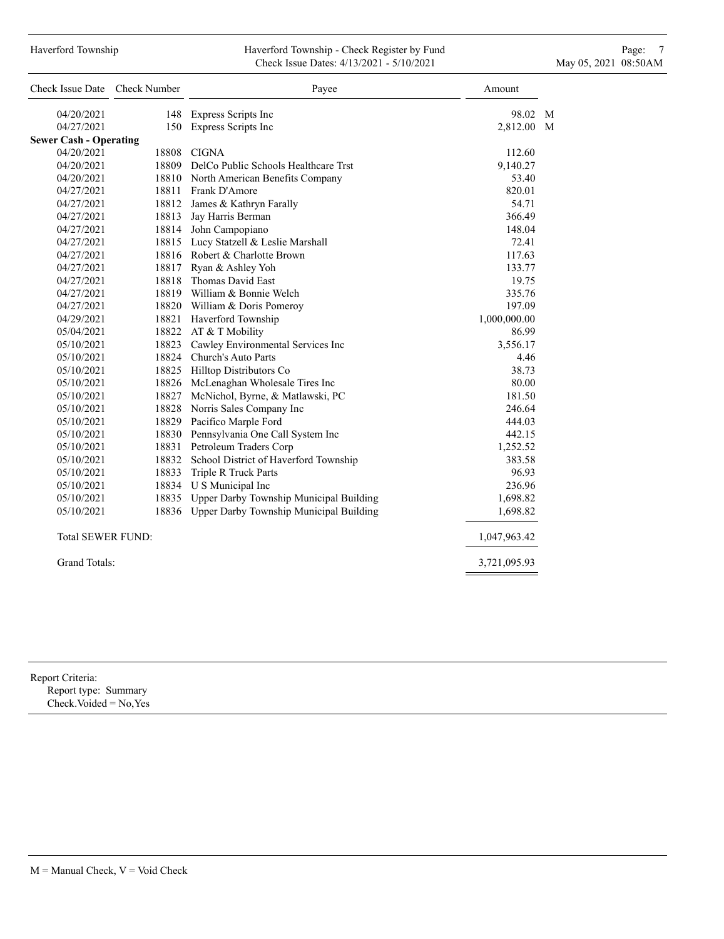# Haverford Township **Haverford Township - Check Register by Fund** Page: 7 **Page: 7** Check Issue Dates: 4/13/2021 - 5/10/2021 May 05, 2021 08:50AM

| Check Issue Date Check Number |       | Payee                                         | Amount       |
|-------------------------------|-------|-----------------------------------------------|--------------|
| 04/20/2021                    |       | 148 Express Scripts Inc                       | 98.02 M      |
| 04/27/2021                    |       | 150 Express Scripts Inc                       | 2,812.00 M   |
| <b>Sewer Cash - Operating</b> |       |                                               |              |
| 04/20/2021                    |       | 18808 CIGNA                                   | 112.60       |
| 04/20/2021                    |       | 18809 DelCo Public Schools Healthcare Trst    | 9,140.27     |
| 04/20/2021                    |       | 18810 North American Benefits Company         | 53.40        |
| 04/27/2021                    |       | 18811 Frank D'Amore                           | 820.01       |
| 04/27/2021                    |       | 18812 James & Kathryn Farally                 | 54.71        |
| 04/27/2021                    |       | 18813 Jay Harris Berman                       | 366.49       |
| 04/27/2021                    |       | 18814 John Campopiano                         | 148.04       |
| 04/27/2021                    |       | 18815 Lucy Statzell & Leslie Marshall         | 72.41        |
| 04/27/2021                    |       | 18816 Robert & Charlotte Brown                | 117.63       |
| 04/27/2021                    |       | 18817 Ryan & Ashley Yoh                       | 133.77       |
| 04/27/2021                    |       | 18818 Thomas David East                       | 19.75        |
| 04/27/2021                    |       | 18819 William & Bonnie Welch                  | 335.76       |
| 04/27/2021                    |       | 18820 William & Doris Pomeroy                 | 197.09       |
| 04/29/2021                    |       | 18821 Haverford Township                      | 1,000,000.00 |
| 05/04/2021                    |       | 18822 AT & T Mobility                         | 86.99        |
| 05/10/2021                    |       | 18823 Cawley Environmental Services Inc       | 3,556.17     |
| 05/10/2021                    |       | 18824 Church's Auto Parts                     | 4.46         |
| 05/10/2021                    |       | 18825 Hilltop Distributors Co                 | 38.73        |
| 05/10/2021                    |       | 18826 McLenaghan Wholesale Tires Inc          | 80.00        |
| 05/10/2021                    | 18827 | McNichol, Byrne, & Matlawski, PC              | 181.50       |
| 05/10/2021                    |       | 18828 Norris Sales Company Inc                | 246.64       |
| 05/10/2021                    |       | 18829 Pacifico Marple Ford                    | 444.03       |
| 05/10/2021                    |       | 18830 Pennsylvania One Call System Inc        | 442.15       |
| 05/10/2021                    |       | 18831 Petroleum Traders Corp                  | 1,252.52     |
| 05/10/2021                    |       | 18832 School District of Haverford Township   | 383.58       |
| 05/10/2021                    |       | 18833 Triple R Truck Parts                    | 96.93        |
| 05/10/2021                    |       | 18834 U S Municipal Inc                       | 236.96       |
| 05/10/2021                    |       | 18835 Upper Darby Township Municipal Building | 1,698.82     |
| 05/10/2021                    |       | 18836 Upper Darby Township Municipal Building | 1,698.82     |
| <b>Total SEWER FUND:</b>      |       |                                               | 1,047,963.42 |
| <b>Grand Totals:</b>          |       |                                               | 3,721,095.93 |

Report Criteria:

Report type: Summary Check.Voided = No,Yes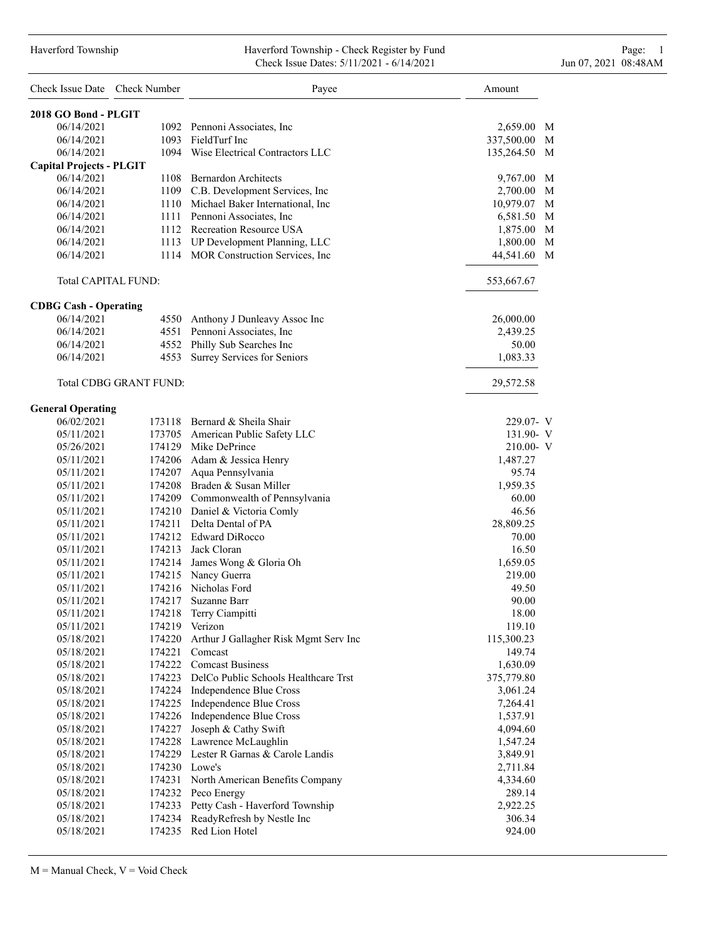#### Haverford Township Haverford Township - Check Register by Fund Page: 1 Check Issue Dates: 5/11/2021 - 6/14/2021 Jun 07, 2021 08:48AM

| Check Issue Date Check Number   |                               | Payee                                        | Amount          |
|---------------------------------|-------------------------------|----------------------------------------------|-----------------|
| 2018 GO Bond - PLGIT            |                               |                                              |                 |
| 06/14/2021                      |                               | 1092 Pennoni Associates, Inc.                | 2,659.00 M      |
| 06/14/2021                      |                               | 1093 FieldTurf Inc                           | M<br>337,500.00 |
| 06/14/2021                      |                               | 1094 Wise Electrical Contractors LLC         | 135,264.50<br>M |
| <b>Capital Projects - PLGIT</b> |                               |                                              |                 |
| 06/14/2021                      |                               | 1108 Bernardon Architects                    | 9,767.00 M      |
| 06/14/2021                      |                               | 1109 C.B. Development Services, Inc.         | 2,700.00 M      |
| 06/14/2021                      |                               | 1110 Michael Baker International, Inc        | 10,979.07<br>M  |
| 06/14/2021                      |                               | 1111 Pennoni Associates, Inc                 | M<br>6,581.50   |
| 06/14/2021                      |                               | 1112 Recreation Resource USA                 | 1,875.00 M      |
| 06/14/2021                      |                               | 1113 UP Development Planning, LLC            | M<br>1,800.00   |
| 06/14/2021                      |                               | 1114 MOR Construction Services, Inc.         | 44,541.60 M     |
| Total CAPITAL FUND:             |                               |                                              | 553,667.67      |
| <b>CDBG Cash - Operating</b>    |                               |                                              |                 |
| 06/14/2021                      |                               | 4550 Anthony J Dunleavy Assoc Inc            | 26,000.00       |
| 06/14/2021                      |                               | 4551 Pennoni Associates, Inc.                | 2,439.25        |
| 06/14/2021                      |                               | 4552 Philly Sub Searches Inc                 | 50.00           |
| 06/14/2021                      |                               | 4553 Surrey Services for Seniors             | 1,083.33        |
|                                 | <b>Total CDBG GRANT FUND:</b> |                                              | 29,572.58       |
| <b>General Operating</b>        |                               |                                              |                 |
| 06/02/2021                      |                               | 173118 Bernard & Sheila Shair                | 229.07- V       |
| 05/11/2021                      |                               | 173705 American Public Safety LLC            | 131.90- V       |
| 05/26/2021                      |                               | 174129 Mike DePrince                         | 210.00- V       |
| 05/11/2021                      |                               | 174206 Adam & Jessica Henry                  | 1,487.27        |
| 05/11/2021                      |                               | 174207 Aqua Pennsylvania                     | 95.74           |
| 05/11/2021                      |                               | 174208 Braden & Susan Miller                 | 1,959.35        |
| 05/11/2021                      |                               | 174209 Commonwealth of Pennsylvania          | 60.00           |
| 05/11/2021                      |                               | 174210 Daniel & Victoria Comly               | 46.56           |
| 05/11/2021                      |                               | 174211 Delta Dental of PA                    | 28,809.25       |
| 05/11/2021                      |                               | 174212 Edward DiRocco                        | 70.00           |
| 05/11/2021                      |                               | 174213 Jack Cloran                           | 16.50           |
| 05/11/2021                      |                               | 174214 James Wong & Gloria Oh                | 1,659.05        |
| 05/11/2021                      |                               | 174215 Nancy Guerra                          | 219.00          |
| 05/11/2021                      |                               | 174216 Nicholas Ford                         | 49.50           |
| 05/11/2021                      | 174217                        | Suzanne Barr                                 | 90.00           |
| 05/11/2021                      |                               | 174218 Terry Ciampitti                       | 18.00           |
| 05/11/2021                      |                               | 174219 Verizon                               | 119.10          |
| 05/18/2021                      |                               | 174220 Arthur J Gallagher Risk Mgmt Serv Inc | 115,300.23      |
| 05/18/2021                      | 174221                        | Comcast                                      | 149.74          |
| 05/18/2021                      |                               | 174222 Comcast Business                      | 1,630.09        |
| 05/18/2021                      |                               | 174223 DelCo Public Schools Healthcare Trst  | 375,779.80      |
| 05/18/2021                      |                               | 174224 Independence Blue Cross               | 3,061.24        |
| 05/18/2021                      |                               | 174225 Independence Blue Cross               | 7,264.41        |
| 05/18/2021                      |                               | 174226 Independence Blue Cross               | 1,537.91        |
| 05/18/2021                      | 174227                        | Joseph & Cathy Swift                         | 4,094.60        |
| 05/18/2021                      |                               | 174228 Lawrence McLaughlin                   | 1,547.24        |
| 05/18/2021                      |                               | 174229 Lester R Garnas & Carole Landis       | 3,849.91        |
| 05/18/2021                      | 174230 Lowe's                 |                                              | 2,711.84        |
| 05/18/2021                      |                               | 174231 North American Benefits Company       | 4,334.60        |
| 05/18/2021                      |                               | 174232 Peco Energy                           | 289.14          |
| 05/18/2021                      |                               | 174233 Petty Cash - Haverford Township       | 2,922.25        |
| 05/18/2021                      |                               | 174234 ReadyRefresh by Nestle Inc            | 306.34          |
| 05/18/2021                      |                               | 174235 Red Lion Hotel                        | 924.00          |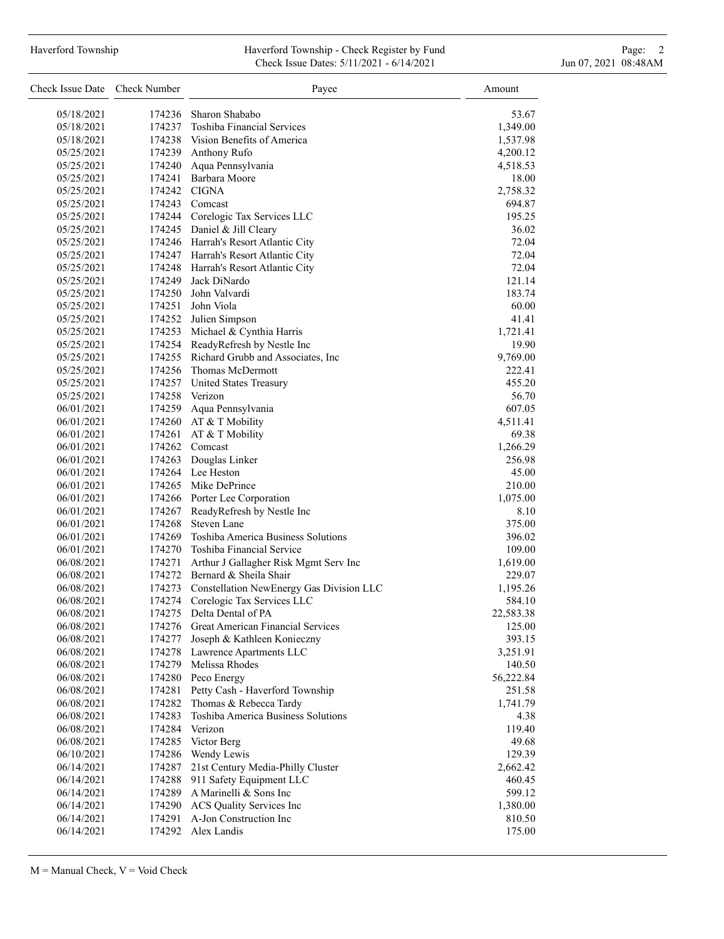### Haverford Township **Haverford Township - Check Register by Fund** Page: 2 Check Issue Dates: 5/11/2021 - 6/14/2021 Jun 07, 2021 08:48AM

| Check Issue Date Check Number |        | Payee                                     | Amount    |
|-------------------------------|--------|-------------------------------------------|-----------|
| 05/18/2021                    | 174236 | Sharon Shababo                            | 53.67     |
| 05/18/2021                    |        | 174237 Toshiba Financial Services         | 1,349.00  |
| 05/18/2021                    |        | 174238 Vision Benefits of America         | 1,537.98  |
| 05/25/2021                    |        | 174239 Anthony Rufo                       | 4,200.12  |
| 05/25/2021                    | 174240 | Aqua Pennsylvania                         | 4,518.53  |
| 05/25/2021                    |        | 174241 Barbara Moore                      | 18.00     |
| 05/25/2021                    |        | 174242 CIGNA                              | 2,758.32  |
| 05/25/2021                    |        | 174243 Comcast                            | 694.87    |
| 05/25/2021                    |        | 174244 Corelogic Tax Services LLC         | 195.25    |
| 05/25/2021                    |        | 174245 Daniel & Jill Cleary               | 36.02     |
| 05/25/2021                    |        |                                           | 72.04     |
|                               |        | 174246 Harrah's Resort Atlantic City      |           |
| 05/25/2021                    |        | 174247 Harrah's Resort Atlantic City      | 72.04     |
| 05/25/2021                    |        | 174248 Harrah's Resort Atlantic City      | 72.04     |
| 05/25/2021                    |        | 174249 Jack DiNardo                       | 121.14    |
| 05/25/2021                    |        | 174250 John Valvardi                      | 183.74    |
| 05/25/2021                    |        | 174251 John Viola                         | 60.00     |
| 05/25/2021                    |        | 174252 Julien Simpson                     | 41.41     |
| 05/25/2021                    |        | 174253 Michael & Cynthia Harris           | 1,721.41  |
| 05/25/2021                    |        | 174254 ReadyRefresh by Nestle Inc         | 19.90     |
| 05/25/2021                    |        | 174255 Richard Grubb and Associates, Inc. | 9,769.00  |
| 05/25/2021                    |        | 174256 Thomas McDermott                   | 222.41    |
| 05/25/2021                    |        | 174257 United States Treasury             | 455.20    |
| 05/25/2021                    |        | 174258 Verizon                            | 56.70     |
| 06/01/2021                    |        | 174259 Aqua Pennsylvania                  | 607.05    |
| 06/01/2021                    |        | 174260 AT & T Mobility                    | 4,511.41  |
| 06/01/2021                    |        | 174261 AT & T Mobility                    | 69.38     |
| 06/01/2021                    |        | 174262 Comcast                            | 1,266.29  |
| 06/01/2021                    |        | 174263 Douglas Linker                     | 256.98    |
| 06/01/2021                    |        | 174264 Lee Heston                         | 45.00     |
| 06/01/2021                    |        | 174265 Mike DePrince                      | 210.00    |
| 06/01/2021                    |        | 174266 Porter Lee Corporation             | 1,075.00  |
| 06/01/2021                    |        | 174267 ReadyRefresh by Nestle Inc         | 8.10      |
| 06/01/2021                    |        | 174268 Steven Lane                        | 375.00    |
| 06/01/2021                    |        | 174269 Toshiba America Business Solutions | 396.02    |
| 06/01/2021                    |        | 174270 Toshiba Financial Service          | 109.00    |
| 06/08/2021                    | 174271 | Arthur J Gallagher Risk Mgmt Serv Inc     | 1,619.00  |
| 06/08/2021                    |        | 174272 Bernard & Sheila Shair             | 229.07    |
| 06/08/2021                    | 174273 | Constellation NewEnergy Gas Division LLC  | 1,195.26  |
| 06/08/2021                    | 174274 | Corelogic Tax Services LLC                | 584.10    |
| 06/08/2021                    | 174275 | Delta Dental of PA                        | 22,583.38 |
| 06/08/2021                    | 174276 | <b>Great American Financial Services</b>  | 125.00    |
| 06/08/2021                    | 174277 | Joseph & Kathleen Konieczny               | 393.15    |
| 06/08/2021                    | 174278 | Lawrence Apartments LLC                   | 3,251.91  |
| 06/08/2021                    | 174279 | Melissa Rhodes                            | 140.50    |
| 06/08/2021                    | 174280 | Peco Energy                               | 56,222.84 |
| 06/08/2021                    | 174281 | Petty Cash - Haverford Township           | 251.58    |
| 06/08/2021                    | 174282 | Thomas & Rebecca Tardy                    | 1,741.79  |
| 06/08/2021                    | 174283 | Toshiba America Business Solutions        | 4.38      |
| 06/08/2021                    | 174284 | Verizon                                   | 119.40    |
| 06/08/2021                    |        | 174285 Victor Berg                        | 49.68     |
| 06/10/2021                    | 174286 | Wendy Lewis                               | 129.39    |
| 06/14/2021                    | 174287 | 21st Century Media-Philly Cluster         | 2,662.42  |
| 06/14/2021                    | 174288 | 911 Safety Equipment LLC                  | 460.45    |
| 06/14/2021                    | 174289 | A Marinelli & Sons Inc                    | 599.12    |
| 06/14/2021                    | 174290 | ACS Quality Services Inc                  | 1,380.00  |
| 06/14/2021                    | 174291 | A-Jon Construction Inc                    | 810.50    |
| 06/14/2021                    |        | 174292 Alex Landis                        | 175.00    |
|                               |        |                                           |           |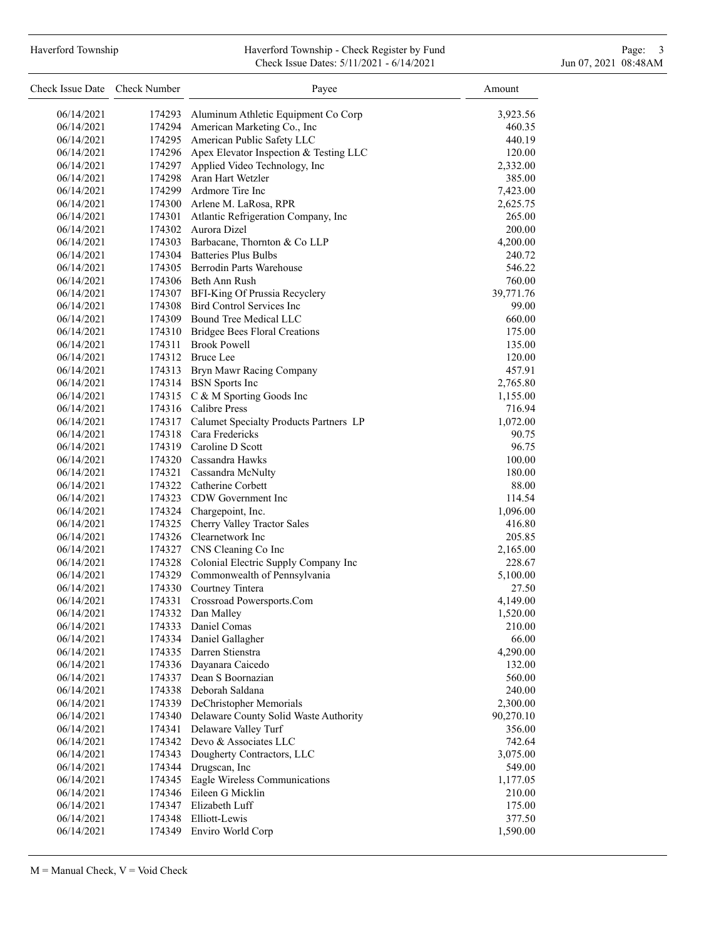# Haverford Township **Haverford Township - Check Register by Fund** Page: 3 and Page: 3 Check Issue Dates: 5/11/2021 - 6/14/2021 Jun 07, 2021 08:48AM

| Check Issue Date Check Number |        | Payee                                              | Amount           |
|-------------------------------|--------|----------------------------------------------------|------------------|
| 06/14/2021                    | 174293 | Aluminum Athletic Equipment Co Corp                | 3,923.56         |
| 06/14/2021                    |        | 174294 American Marketing Co., Inc                 | 460.35           |
| 06/14/2021                    |        | 174295 American Public Safety LLC                  | 440.19           |
| 06/14/2021                    |        | 174296 Apex Elevator Inspection & Testing LLC      | 120.00           |
| 06/14/2021                    | 174297 | Applied Video Technology, Inc                      | 2,332.00         |
| 06/14/2021                    |        | 174298 Aran Hart Wetzler                           | 385.00           |
| 06/14/2021                    |        | 174299 Ardmore Tire Inc                            | 7,423.00         |
| 06/14/2021                    |        | 174300 Arlene M. LaRosa, RPR                       | 2,625.75         |
| 06/14/2021                    |        | 174301 Atlantic Refrigeration Company, Inc         | 265.00           |
| 06/14/2021                    |        | 174302 Aurora Dizel                                | 200.00           |
| 06/14/2021                    |        | 174303 Barbacane, Thornton & Co LLP                | 4,200.00         |
| 06/14/2021                    |        | 174304 Batteries Plus Bulbs                        | 240.72           |
| 06/14/2021                    |        | 174305 Berrodin Parts Warehouse                    | 546.22           |
| 06/14/2021                    |        | 174306 Beth Ann Rush                               | 760.00           |
| 06/14/2021                    |        | 174307 BFI-King Of Prussia Recyclery               | 39,771.76        |
| 06/14/2021                    |        | 174308 Bird Control Services Inc                   | 99.00            |
| 06/14/2021                    |        | 174309 Bound Tree Medical LLC                      | 660.00           |
| 06/14/2021                    |        | 174310 Bridgee Bees Floral Creations               | 175.00           |
| 06/14/2021                    |        | 174311 Brook Powell                                | 135.00           |
| 06/14/2021                    |        | 174312 Bruce Lee                                   | 120.00           |
| 06/14/2021                    |        | 174313 Bryn Mawr Racing Company                    | 457.91           |
| 06/14/2021                    |        | 174314 BSN Sports Inc                              | 2,765.80         |
| 06/14/2021                    |        | 174315 C & M Sporting Goods Inc                    | 1,155.00         |
| 06/14/2021                    |        | 174316 Calibre Press                               | 716.94           |
| 06/14/2021                    |        | 174317 Calumet Specialty Products Partners LP      | 1,072.00         |
| 06/14/2021                    |        | 174318 Cara Fredericks                             | 90.75            |
| 06/14/2021                    |        | 174319 Caroline D Scott                            | 96.75            |
| 06/14/2021                    |        | 174320 Cassandra Hawks                             | 100.00           |
| 06/14/2021                    |        | 174321 Cassandra McNulty                           | 180.00           |
| 06/14/2021                    |        | 174322 Catherine Corbett                           | 88.00            |
| 06/14/2021                    |        | 174323 CDW Government Inc                          | 114.54           |
| 06/14/2021                    |        | 174324 Chargepoint, Inc.                           | 1,096.00         |
| 06/14/2021                    |        | 174325 Cherry Valley Tractor Sales                 | 416.80           |
| 06/14/2021                    |        | 174326 Clearnetwork Inc                            | 205.85           |
| 06/14/2021                    |        | 174327 CNS Cleaning Co Inc                         | 2,165.00         |
| 06/14/2021                    |        | 174328 Colonial Electric Supply Company Inc        | 228.67           |
| 06/14/2021                    |        | 174329 Commonwealth of Pennsylvania                | 5,100.00         |
| 06/14/2021                    |        | 174330 Courtney Tintera                            | 27.50            |
| 06/14/2021                    | 174331 | Crossroad Powersports.Com                          | 4,149.00         |
| 06/14/2021                    | 174332 | Dan Malley                                         | 1,520.00         |
| 06/14/2021                    | 174333 | Daniel Comas                                       | 210.00           |
| 06/14/2021                    |        | 174334 Daniel Gallagher                            | 66.00            |
| 06/14/2021                    |        | 174335 Darren Stienstra<br>174336 Dayanara Caicedo | 4,290.00         |
| 06/14/2021                    | 174337 | Dean S Boornazian                                  | 132.00           |
| 06/14/2021<br>06/14/2021      | 174338 | Deborah Saldana                                    | 560.00<br>240.00 |
| 06/14/2021                    |        | 174339 DeChristopher Memorials                     | 2,300.00         |
| 06/14/2021                    |        | 174340 Delaware County Solid Waste Authority       | 90,270.10        |
| 06/14/2021                    | 174341 | Delaware Valley Turf                               | 356.00           |
| 06/14/2021                    |        | 174342 Devo & Associates LLC                       | 742.64           |
| 06/14/2021                    | 174343 | Dougherty Contractors, LLC                         | 3,075.00         |
| 06/14/2021                    |        | 174344 Drugscan, Inc                               | 549.00           |
| 06/14/2021                    | 174345 | Eagle Wireless Communications                      | 1,177.05         |
| 06/14/2021                    | 174346 | Eileen G Micklin                                   | 210.00           |
| 06/14/2021                    |        | 174347 Elizabeth Luff                              | 175.00           |
| 06/14/2021                    | 174348 | Elliott-Lewis                                      | 377.50           |
| 06/14/2021                    |        | 174349 Enviro World Corp                           | 1,590.00         |
|                               |        |                                                    |                  |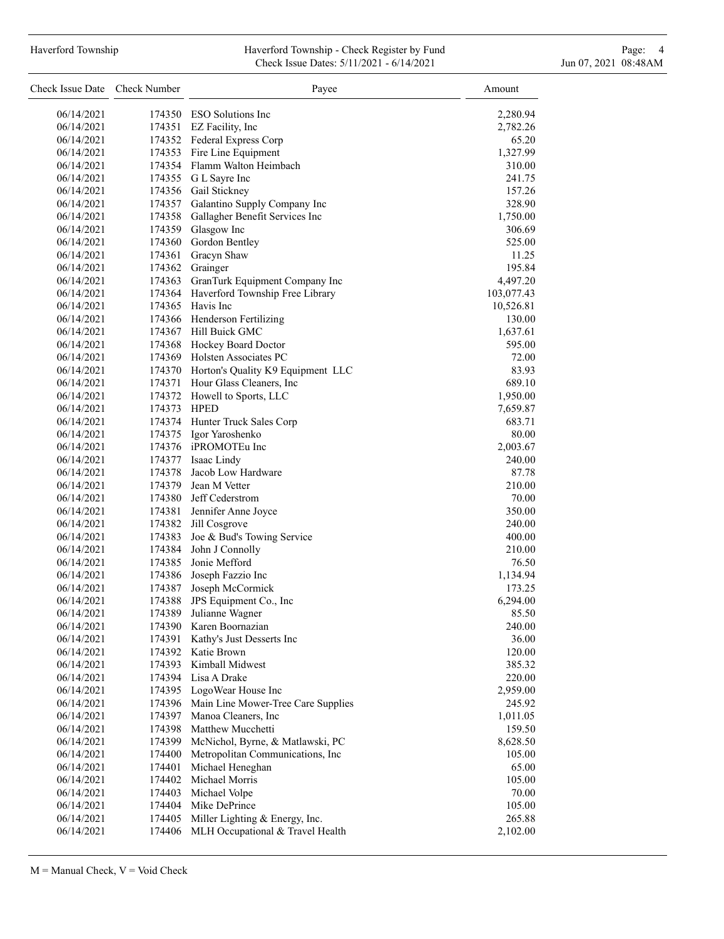# Haverford Township **Haverford Township - Check Register by Fund** Page: 4 Page: 4 Check Issue Dates: 5/11/2021 - 6/14/2021 Jun 07, 2021 08:48AM

| Check Issue Date Check Number |             | Payee                                    | Amount     |
|-------------------------------|-------------|------------------------------------------|------------|
| 06/14/2021                    |             | 174350 ESO Solutions Inc                 | 2,280.94   |
| 06/14/2021                    |             | 174351 EZ Facility, Inc                  | 2,782.26   |
| 06/14/2021                    |             | 174352 Federal Express Corp              | 65.20      |
| 06/14/2021                    |             | 174353 Fire Line Equipment               | 1,327.99   |
| 06/14/2021                    |             | 174354 Flamm Walton Heimbach             | 310.00     |
| 06/14/2021                    |             | 174355 G L Sayre Inc                     | 241.75     |
| 06/14/2021                    |             | 174356 Gail Stickney                     | 157.26     |
| 06/14/2021                    |             | 174357 Galantino Supply Company Inc      | 328.90     |
| 06/14/2021                    |             | 174358 Gallagher Benefit Services Inc    | 1,750.00   |
| 06/14/2021                    |             | 174359 Glasgow Inc                       | 306.69     |
| 06/14/2021                    |             | 174360 Gordon Bentley                    | 525.00     |
| 06/14/2021                    |             | 174361 Gracyn Shaw                       | 11.25      |
| 06/14/2021                    |             | 174362 Grainger                          | 195.84     |
| 06/14/2021                    | 174363      | GranTurk Equipment Company Inc           | 4,497.20   |
| 06/14/2021                    |             | 174364 Haverford Township Free Library   |            |
|                               |             | 174365 Havis Inc                         | 103,077.43 |
| 06/14/2021                    |             |                                          | 10,526.81  |
| 06/14/2021                    |             | 174366 Henderson Fertilizing             | 130.00     |
| 06/14/2021                    |             | 174367 Hill Buick GMC                    | 1,637.61   |
| 06/14/2021                    |             | 174368 Hockey Board Doctor               | 595.00     |
| 06/14/2021                    |             | 174369 Holsten Associates PC             | 72.00      |
| 06/14/2021                    |             | 174370 Horton's Quality K9 Equipment LLC | 83.93      |
| 06/14/2021                    |             | 174371 Hour Glass Cleaners, Inc          | 689.10     |
| 06/14/2021                    |             | 174372 Howell to Sports, LLC             | 1,950.00   |
| 06/14/2021                    | 174373 HPED |                                          | 7,659.87   |
| 06/14/2021                    |             | 174374 Hunter Truck Sales Corp           | 683.71     |
| 06/14/2021                    |             | 174375 Igor Yaroshenko                   | 80.00      |
| 06/14/2021                    |             | 174376 iPROMOTEu Inc                     | 2,003.67   |
| 06/14/2021                    |             | 174377 Isaac Lindy                       | 240.00     |
| 06/14/2021                    |             | 174378 Jacob Low Hardware                | 87.78      |
| 06/14/2021                    |             | 174379 Jean M Vetter                     | 210.00     |
| 06/14/2021                    |             | 174380 Jeff Cederstrom                   | 70.00      |
| 06/14/2021                    |             | 174381 Jennifer Anne Joyce               | 350.00     |
| 06/14/2021                    |             | 174382 Jill Cosgrove                     | 240.00     |
| 06/14/2021                    |             | 174383 Joe & Bud's Towing Service        | 400.00     |
| 06/14/2021                    |             | 174384 John J Connolly                   | 210.00     |
| 06/14/2021                    |             | 174385 Jonie Mefford                     | 76.50      |
| 06/14/2021                    |             | 174386 Joseph Fazzio Inc                 | 1,134.94   |
| 06/14/2021                    |             | 174387 Joseph McCormick                  | 173.25     |
| 06/14/2021                    | 174388      | JPS Equipment Co., Inc                   | 6,294.00   |
| 06/14/2021                    | 174389      | Julianne Wagner                          | 85.50      |
| 06/14/2021                    | 174390      | Karen Boornazian                         | 240.00     |
| 06/14/2021                    | 174391      | Kathy's Just Desserts Inc                | 36.00      |
| 06/14/2021                    |             | 174392 Katie Brown                       | 120.00     |
| 06/14/2021                    | 174393      | Kimball Midwest                          | 385.32     |
| 06/14/2021                    |             | 174394 Lisa A Drake                      | 220.00     |
| 06/14/2021                    |             | 174395 LogoWear House Inc                | 2,959.00   |
| 06/14/2021                    | 174396      | Main Line Mower-Tree Care Supplies       | 245.92     |
| 06/14/2021                    | 174397      | Manoa Cleaners, Inc                      | 1,011.05   |
| 06/14/2021                    | 174398      | Matthew Mucchetti                        | 159.50     |
| 06/14/2021                    | 174399      | McNichol, Byrne, & Matlawski, PC         | 8,628.50   |
| 06/14/2021                    | 174400      | Metropolitan Communications, Inc         | 105.00     |
| 06/14/2021                    | 174401      | Michael Heneghan                         | 65.00      |
| 06/14/2021                    | 174402      | Michael Morris                           | 105.00     |
| 06/14/2021                    | 174403      | Michael Volpe                            | 70.00      |
| 06/14/2021                    | 174404      | Mike DePrince                            | 105.00     |
| 06/14/2021                    | 174405      | Miller Lighting & Energy, Inc.           | 265.88     |
| 06/14/2021                    | 174406      | MLH Occupational & Travel Health         | 2,102.00   |
|                               |             |                                          |            |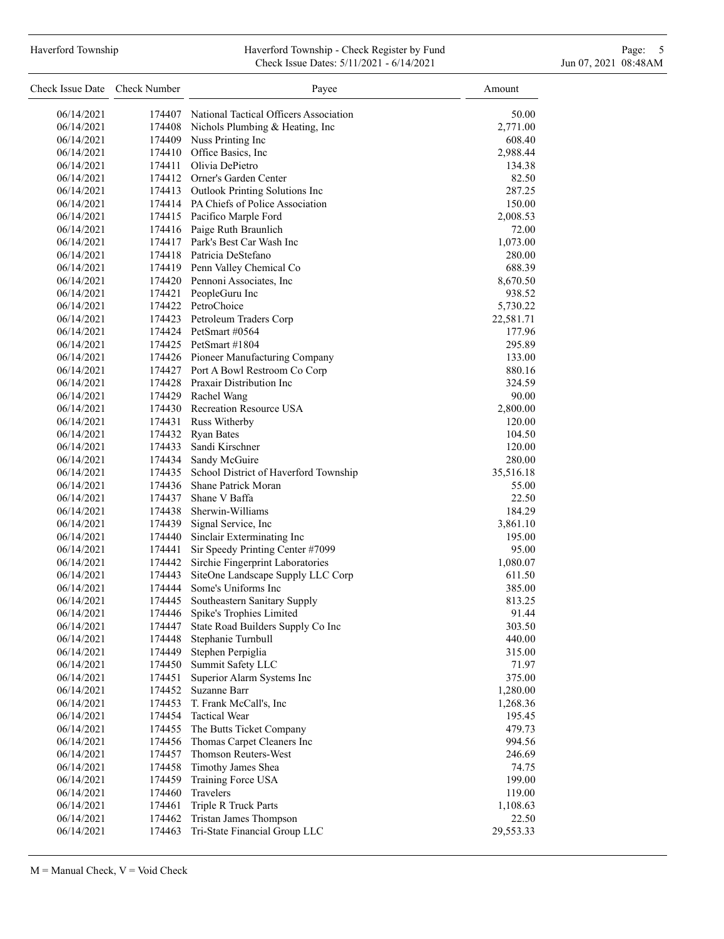## Haverford Township **Haverford Township - Check Register by Fund** Page: 5 - 5 - 7 Page: 5 - 7 Page: 5 - 7 Page: 5 Check Issue Dates: 5/11/2021 - 6/14/2021 Jun 07, 2021 08:48AM

| Check Issue Date Check Number |        | Payee                                         | Amount    |
|-------------------------------|--------|-----------------------------------------------|-----------|
| 06/14/2021                    |        | 174407 National Tactical Officers Association | 50.00     |
| 06/14/2021                    |        | 174408 Nichols Plumbing & Heating, Inc        | 2,771.00  |
| 06/14/2021                    |        | 174409 Nuss Printing Inc                      | 608.40    |
| 06/14/2021                    |        | 174410 Office Basics, Inc.                    | 2,988.44  |
| 06/14/2021                    |        | 174411 Olivia DePietro                        | 134.38    |
| 06/14/2021                    |        | 174412 Orner's Garden Center                  | 82.50     |
| 06/14/2021                    |        | 174413 Outlook Printing Solutions Inc         | 287.25    |
| 06/14/2021                    |        | 174414 PA Chiefs of Police Association        | 150.00    |
| 06/14/2021                    |        | 174415 Pacifico Marple Ford                   | 2,008.53  |
| 06/14/2021                    |        | 174416 Paige Ruth Braunlich                   | 72.00     |
| 06/14/2021                    |        | 174417 Park's Best Car Wash Inc               | 1,073.00  |
| 06/14/2021                    |        | 174418 Patricia DeStefano                     | 280.00    |
| 06/14/2021                    |        | 174419 Penn Valley Chemical Co                | 688.39    |
| 06/14/2021                    |        | 174420 Pennoni Associates, Inc.               | 8,670.50  |
| 06/14/2021                    |        | 174421 PeopleGuru Inc                         | 938.52    |
| 06/14/2021                    |        | 174422 PetroChoice                            | 5,730.22  |
| 06/14/2021                    |        | 174423 Petroleum Traders Corp                 | 22,581.71 |
| 06/14/2021                    |        | 174424 PetSmart #0564                         | 177.96    |
| 06/14/2021                    |        | 174425 PetSmart #1804                         | 295.89    |
| 06/14/2021                    |        | 174426 Pioneer Manufacturing Company          | 133.00    |
| 06/14/2021                    |        | 174427 Port A Bowl Restroom Co Corp           | 880.16    |
| 06/14/2021                    |        | 174428 Praxair Distribution Inc               | 324.59    |
| 06/14/2021                    |        | 174429 Rachel Wang                            | 90.00     |
| 06/14/2021                    |        | 174430 Recreation Resource USA                | 2,800.00  |
| 06/14/2021                    |        | 174431 Russ Witherby                          | 120.00    |
| 06/14/2021                    |        | 174432 Ryan Bates                             | 104.50    |
| 06/14/2021                    |        | 174433 Sandi Kirschner                        | 120.00    |
| 06/14/2021                    |        | 174434 Sandy McGuire                          | 280.00    |
| 06/14/2021                    |        | 174435 School District of Haverford Township  | 35,516.18 |
| 06/14/2021                    |        | 174436 Shane Patrick Moran                    | 55.00     |
| 06/14/2021                    |        | 174437 Shane V Baffa                          | 22.50     |
| 06/14/2021                    |        | 174438 Sherwin-Williams                       | 184.29    |
| 06/14/2021                    |        | 174439 Signal Service, Inc                    | 3,861.10  |
| 06/14/2021                    |        | 174440 Sinclair Exterminating Inc             | 195.00    |
| 06/14/2021                    | 174441 | Sir Speedy Printing Center #7099              | 95.00     |
| 06/14/2021                    |        | 174442 Sirchie Fingerprint Laboratories       | 1,080.07  |
| 06/14/2021                    | 174443 | SiteOne Landscape Supply LLC Corp             | 611.50    |
| 06/14/2021                    | 174444 | Some's Uniforms Inc                           | 385.00    |
| 06/14/2021                    | 174445 | Southeastern Sanitary Supply                  | 813.25    |
| 06/14/2021                    | 174446 | Spike's Trophies Limited                      | 91.44     |
| 06/14/2021                    | 174447 | State Road Builders Supply Co Inc             | 303.50    |
| 06/14/2021                    | 174448 | Stephanie Turnbull                            | 440.00    |
| 06/14/2021                    | 174449 | Stephen Perpiglia                             | 315.00    |
| 06/14/2021                    | 174450 | Summit Safety LLC                             | 71.97     |
| 06/14/2021                    | 174451 | Superior Alarm Systems Inc                    | 375.00    |
| 06/14/2021                    | 174452 | Suzanne Barr                                  | 1,280.00  |
| 06/14/2021                    | 174453 | T. Frank McCall's, Inc                        | 1,268.36  |
| 06/14/2021                    | 174454 | <b>Tactical Wear</b>                          | 195.45    |
| 06/14/2021                    | 174455 | The Butts Ticket Company                      | 479.73    |
| 06/14/2021                    | 174456 | Thomas Carpet Cleaners Inc                    | 994.56    |
| 06/14/2021                    | 174457 | Thomson Reuters-West                          | 246.69    |
| 06/14/2021                    | 174458 | Timothy James Shea                            | 74.75     |
| 06/14/2021                    | 174459 | Training Force USA                            | 199.00    |
| 06/14/2021                    | 174460 | Travelers                                     | 119.00    |
| 06/14/2021                    | 174461 | Triple R Truck Parts                          | 1,108.63  |
| 06/14/2021                    | 174462 | Tristan James Thompson                        | 22.50     |
| 06/14/2021                    | 174463 | Tri-State Financial Group LLC                 | 29,553.33 |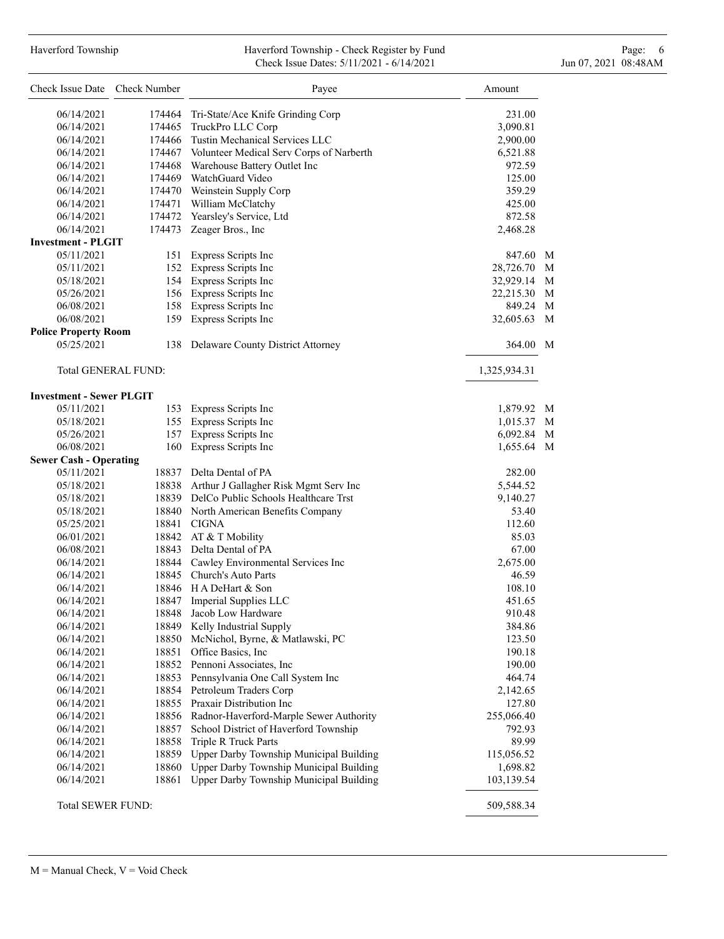# Haverford Township **Haverford Township - Check Register by Fund** Page: 6 Australian Page: 6 Australian Page: 6 Au Check Issue Dates: 5/11/2021 - 6/14/2021 Jun 07, 2021 08:48AM

| Check Issue Date Check Number   |                     | Payee                                           | Amount         |
|---------------------------------|---------------------|-------------------------------------------------|----------------|
| 06/14/2021                      |                     | 174464 Tri-State/Ace Knife Grinding Corp        | 231.00         |
| 06/14/2021                      |                     | 174465 TruckPro LLC Corp                        | 3,090.81       |
| 06/14/2021                      |                     | 174466 Tustin Mechanical Services LLC           | 2,900.00       |
| 06/14/2021                      |                     | 174467 Volunteer Medical Serv Corps of Narberth | 6,521.88       |
| 06/14/2021                      |                     | 174468 Warehouse Battery Outlet Inc             | 972.59         |
| 06/14/2021                      |                     | 174469 WatchGuard Video                         | 125.00         |
| 06/14/2021                      |                     | 174470 Weinstein Supply Corp                    | 359.29         |
| 06/14/2021                      |                     | 174471 William McClatchy                        | 425.00         |
| 06/14/2021                      |                     | 174472 Yearsley's Service, Ltd                  | 872.58         |
| 06/14/2021                      | 174473              | Zeager Bros., Inc                               | 2,468.28       |
| <b>Investment - PLGIT</b>       |                     |                                                 |                |
| 05/11/2021                      |                     | 151 Express Scripts Inc                         | 847.60 M       |
| 05/11/2021                      |                     | 152 Express Scripts Inc                         | 28,726.70 M    |
| 05/18/2021                      |                     | 154 Express Scripts Inc                         | 32,929.14<br>M |
| 05/26/2021                      |                     | 156 Express Scripts Inc                         | 22,215.30<br>M |
| 06/08/2021                      |                     | 158 Express Scripts Inc                         | 849.24 M       |
| 06/08/2021                      |                     | 159 Express Scripts Inc                         | 32,605.63 M    |
| <b>Police Property Room</b>     |                     |                                                 |                |
| 05/25/2021                      |                     | 138 Delaware County District Attorney           | 364.00 M       |
|                                 | Total GENERAL FUND: |                                                 | 1,325,934.31   |
| <b>Investment - Sewer PLGIT</b> |                     |                                                 |                |
| 05/11/2021                      |                     | 153 Express Scripts Inc                         | 1,879.92 M     |
| 05/18/2021                      |                     | 155 Express Scripts Inc                         | 1,015.37<br>M  |
| 05/26/2021                      | 157                 | Express Scripts Inc                             | 6,092.84 M     |
| 06/08/2021                      | 160                 | Express Scripts Inc                             | 1,655.64 M     |
| <b>Sewer Cash - Operating</b>   |                     |                                                 |                |
| 05/11/2021                      |                     | 18837 Delta Dental of PA                        | 282.00         |
| 05/18/2021                      |                     | 18838 Arthur J Gallagher Risk Mgmt Serv Inc     | 5,544.52       |
| 05/18/2021                      |                     | 18839 DelCo Public Schools Healthcare Trst      | 9,140.27       |
| 05/18/2021                      |                     | 18840 North American Benefits Company           | 53.40          |
| 05/25/2021                      |                     | 18841 CIGNA                                     | 112.60         |
| 06/01/2021                      |                     | 18842 AT & T Mobility                           | 85.03          |
| 06/08/2021                      |                     | 18843 Delta Dental of PA                        | 67.00          |
| 06/14/2021                      |                     | 18844 Cawley Environmental Services Inc         | 2,675.00       |
| 06/14/2021                      |                     | 18845 Church's Auto Parts                       | 46.59          |
| 06/14/2021                      |                     | 18846 H A DeHart & Son                          | 108.10         |
| 06/14/2021                      |                     | 18847 Imperial Supplies LLC                     | 451.65         |
| 06/14/2021                      |                     | 18848 Jacob Low Hardware                        | 910.48         |
| 06/14/2021                      |                     | 18849 Kelly Industrial Supply                   | 384.86         |
| 06/14/2021                      |                     | 18850 McNichol, Byrne, & Matlawski, PC          | 123.50         |
| 06/14/2021                      |                     | 18851 Office Basics, Inc                        | 190.18         |
| 06/14/2021                      |                     | 18852 Pennoni Associates, Inc                   | 190.00         |
| 06/14/2021                      |                     | 18853 Pennsylvania One Call System Inc          | 464.74         |
| 06/14/2021                      |                     | 18854 Petroleum Traders Corp                    | 2,142.65       |
| 06/14/2021                      |                     | 18855 Praxair Distribution Inc                  | 127.80         |
| 06/14/2021                      |                     | 18856 Radnor-Haverford-Marple Sewer Authority   | 255,066.40     |
| 06/14/2021                      |                     | 18857 School District of Haverford Township     | 792.93         |
| 06/14/2021                      |                     | 18858 Triple R Truck Parts                      | 89.99          |
| 06/14/2021                      |                     | 18859 Upper Darby Township Municipal Building   | 115,056.52     |
| 06/14/2021                      | 18860               | Upper Darby Township Municipal Building         | 1,698.82       |
| 06/14/2021                      | 18861               | Upper Darby Township Municipal Building         | 103,139.54     |
| Total SEWER FUND:               |                     |                                                 | 509,588.34     |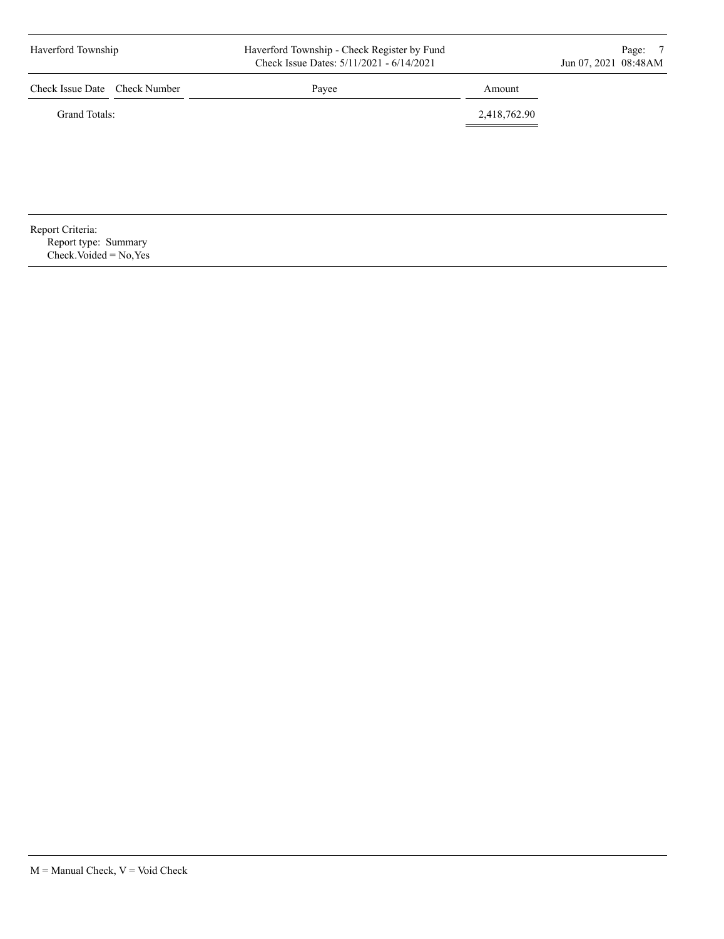| Haverford Township                       |  | Haverford Township - Check Register by Fund<br>Check Issue Dates: 5/11/2021 - 6/14/2021 |              |  |
|------------------------------------------|--|-----------------------------------------------------------------------------------------|--------------|--|
| Check Issue Date Check Number            |  | Payee                                                                                   | Amount       |  |
| Grand Totals:                            |  |                                                                                         | 2,418,762.90 |  |
|                                          |  |                                                                                         |              |  |
|                                          |  |                                                                                         |              |  |
|                                          |  |                                                                                         |              |  |
|                                          |  |                                                                                         |              |  |
| Report Criteria:<br>Report type: Summary |  |                                                                                         |              |  |

 $Check. Voded = No, Yes$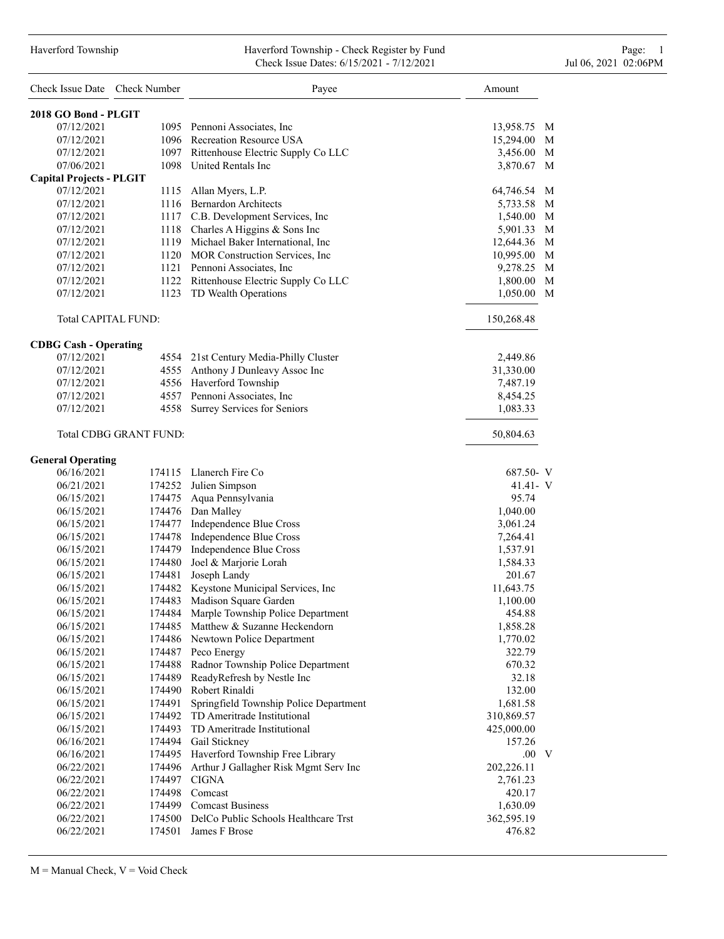#### Haverford Township Haverford Township - Check Register by Fund Page: 1 Check Issue Dates: 6/15/2021 - 7/12/2021 Jul 06, 2021 02:06PM

| Check Issue Date Check Number   |                        | Payee                                                            | Amount               |
|---------------------------------|------------------------|------------------------------------------------------------------|----------------------|
| 2018 GO Bond - PLGIT            |                        |                                                                  |                      |
| 07/12/2021                      |                        | 1095 Pennoni Associates, Inc                                     | 13,958.75<br>M       |
| 07/12/2021                      |                        | 1096 Recreation Resource USA                                     | M<br>15,294.00       |
| 07/12/2021                      |                        | 1097 Rittenhouse Electric Supply Co LLC                          | 3,456.00<br>M        |
| 07/06/2021                      |                        | 1098 United Rentals Inc                                          | 3,870.67 M           |
| <b>Capital Projects - PLGIT</b> |                        |                                                                  |                      |
| 07/12/2021                      |                        | 1115 Allan Myers, L.P.                                           | 64,746.54<br>M       |
| 07/12/2021                      |                        | 1116 Bernardon Architects                                        | 5,733.58 M           |
| 07/12/2021                      |                        | 1117 C.B. Development Services, Inc.                             | 1,540.00 M           |
| 07/12/2021                      |                        | 1118 Charles A Higgins & Sons Inc                                | 5,901.33 M           |
| 07/12/2021                      |                        | 1119 Michael Baker International, Inc                            | 12,644.36 M          |
| 07/12/2021                      |                        | 1120 MOR Construction Services, Inc.                             | 10,995.00 M          |
| 07/12/2021                      |                        | 1121 Pennoni Associates, Inc.                                    | M<br>9,278.25        |
| 07/12/2021                      |                        | 1122 Rittenhouse Electric Supply Co LLC                          | 1,800.00<br>M        |
| 07/12/2021                      | 1123                   | TD Wealth Operations                                             | 1,050.00<br>M        |
| Total CAPITAL FUND:             |                        |                                                                  | 150,268.48           |
| <b>CDBG Cash - Operating</b>    |                        |                                                                  |                      |
| 07/12/2021                      |                        | 4554 21st Century Media-Philly Cluster                           | 2,449.86             |
| 07/12/2021                      |                        | 4555 Anthony J Dunleavy Assoc Inc                                | 31,330.00            |
| 07/12/2021                      |                        | 4556 Haverford Township                                          | 7,487.19             |
| 07/12/2021                      |                        | 4557 Pennoni Associates, Inc                                     | 8,454.25             |
| 07/12/2021                      |                        | 4558 Surrey Services for Seniors                                 | 1,083.33             |
|                                 | Total CDBG GRANT FUND: |                                                                  | 50,804.63            |
| <b>General Operating</b>        |                        |                                                                  |                      |
| 06/16/2021                      |                        | 174115 Llanerch Fire Co                                          | 687.50- V            |
| 06/21/2021                      |                        | 174252 Julien Simpson                                            | $41.41 - V$          |
| 06/15/2021                      |                        | 174475 Aqua Pennsylvania                                         | 95.74                |
| 06/15/2021                      |                        | 174476 Dan Malley                                                | 1,040.00             |
| 06/15/2021                      |                        | 174477 Independence Blue Cross                                   | 3,061.24             |
| 06/15/2021<br>06/15/2021        |                        | 174478 Independence Blue Cross<br>174479 Independence Blue Cross | 7,264.41             |
| 06/15/2021                      |                        | 174480 Joel & Marjorie Lorah                                     | 1,537.91<br>1,584.33 |
| 06/15/2021                      |                        | 174481 Joseph Landy                                              | 201.67               |
| 06/15/2021                      | 174482                 | Keystone Municipal Services, Inc                                 | 11,643.75            |
| 06/15/2021                      | 174483                 | Madison Square Garden                                            | 1,100.00             |
| 06/15/2021                      | 174484                 | Marple Township Police Department                                | 454.88               |
| 06/15/2021                      |                        | 174485 Matthew & Suzanne Heckendorn                              | 1,858.28             |
| 06/15/2021                      |                        | 174486 Newtown Police Department                                 | 1,770.02             |
| 06/15/2021                      |                        | 174487 Peco Energy                                               | 322.79               |
| 06/15/2021                      |                        | 174488 Radnor Township Police Department                         | 670.32               |
| 06/15/2021                      | 174489                 | ReadyRefresh by Nestle Inc                                       | 32.18                |
| 06/15/2021                      |                        | 174490 Robert Rinaldi                                            | 132.00               |
| 06/15/2021                      | 174491                 | Springfield Township Police Department                           | 1,681.58             |
| 06/15/2021                      | 174492                 | TD Ameritrade Institutional                                      | 310,869.57           |
| 06/15/2021                      | 174493                 | TD Ameritrade Institutional                                      | 425,000.00           |
| 06/16/2021                      |                        | 174494 Gail Stickney                                             | 157.26               |
| 06/16/2021                      |                        | 174495 Haverford Township Free Library                           | $.00\quad V$         |
| 06/22/2021                      |                        | 174496 Arthur J Gallagher Risk Mgmt Serv Inc                     | 202,226.11           |
| 06/22/2021                      | 174497                 | <b>CIGNA</b>                                                     | 2,761.23             |
| 06/22/2021                      |                        | 174498 Comcast                                                   | 420.17               |
| 06/22/2021                      |                        | 174499 Comcast Business                                          | 1,630.09             |
| 06/22/2021                      |                        | 174500 DelCo Public Schools Healthcare Trst                      | 362,595.19           |
| 06/22/2021                      |                        | 174501 James F Brose                                             | 476.82               |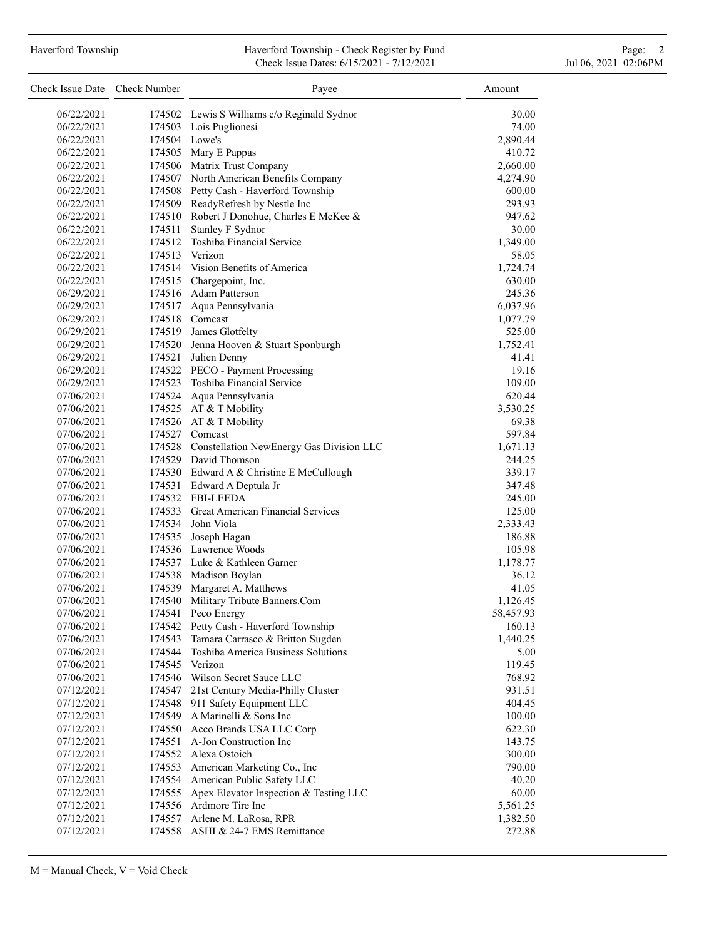## Haverford Township **Haverford Township - Check Register by Fund** Page: 2 Check Issue Dates: 6/15/2021 - 7/12/2021 Jul 06, 2021 02:06PM

| Check Issue Date Check Number |        | Payee                                                                   | Amount    |
|-------------------------------|--------|-------------------------------------------------------------------------|-----------|
| 06/22/2021                    |        | 174502 Lewis S Williams c/o Reginald Sydnor                             | 30.00     |
| 06/22/2021                    |        | 174503 Lois Puglionesi                                                  | 74.00     |
| 06/22/2021                    |        | 174504 Lowe's                                                           | 2,890.44  |
| 06/22/2021                    |        | 174505 Mary E Pappas                                                    | 410.72    |
| 06/22/2021                    |        | 174506 Matrix Trust Company                                             | 2,660.00  |
| 06/22/2021                    |        | 174507 North American Benefits Company                                  | 4,274.90  |
| 06/22/2021                    |        | 174508 Petty Cash - Haverford Township                                  | 600.00    |
| 06/22/2021                    |        | 174509 ReadyRefresh by Nestle Inc                                       | 293.93    |
| 06/22/2021                    |        | 174510 Robert J Donohue, Charles E McKee &                              | 947.62    |
| 06/22/2021                    |        | 174511 Stanley F Sydnor                                                 | 30.00     |
| 06/22/2021                    |        | 174512 Toshiba Financial Service                                        | 1,349.00  |
| 06/22/2021                    | 174513 | Verizon                                                                 | 58.05     |
| 06/22/2021                    |        | 174514 Vision Benefits of America                                       | 1,724.74  |
| 06/22/2021                    |        | 174515 Chargepoint, Inc.                                                | 630.00    |
| 06/29/2021                    |        | 174516 Adam Patterson                                                   | 245.36    |
| 06/29/2021                    |        | 174517 Aqua Pennsylvania                                                | 6,037.96  |
| 06/29/2021                    |        | 174518 Comcast                                                          | 1,077.79  |
| 06/29/2021                    |        | 174519 James Glotfelty                                                  | 525.00    |
| 06/29/2021                    |        | 174520 Jenna Hooven & Stuart Sponburgh                                  | 1,752.41  |
| 06/29/2021                    |        | 174521 Julien Denny                                                     | 41.41     |
| 06/29/2021                    |        | 174522 PECO - Payment Processing                                        | 19.16     |
|                               |        | 174523 Toshiba Financial Service                                        | 109.00    |
| 06/29/2021<br>07/06/2021      |        |                                                                         | 620.44    |
|                               |        | 174524 Aqua Pennsylvania<br>174525 AT & T Mobility                      |           |
| 07/06/2021<br>07/06/2021      |        |                                                                         | 3,530.25  |
|                               |        | 174526 AT & T Mobility                                                  | 69.38     |
| 07/06/2021                    |        | 174527 Comcast                                                          | 597.84    |
| 07/06/2021                    |        | 174528 Constellation NewEnergy Gas Division LLC<br>174529 David Thomson | 1,671.13  |
| 07/06/2021                    |        |                                                                         | 244.25    |
| 07/06/2021                    |        | 174530 Edward A & Christine E McCullough                                | 339.17    |
| 07/06/2021                    |        | 174531 Edward A Deptula Jr<br>174532 FBI-LEEDA                          | 347.48    |
| 07/06/2021                    |        | 174533 Great American Financial Services                                | 245.00    |
| 07/06/2021                    |        |                                                                         | 125.00    |
| 07/06/2021                    |        | 174534 John Viola                                                       | 2,333.43  |
| 07/06/2021                    |        | 174535 Joseph Hagan                                                     | 186.88    |
| 07/06/2021                    |        | 174536 Lawrence Woods                                                   | 105.98    |
| 07/06/2021                    |        | 174537 Luke & Kathleen Garner                                           | 1,178.77  |
| 07/06/2021                    |        | 174538 Madison Boylan                                                   | 36.12     |
| 07/06/2021                    |        | 174539 Margaret A. Matthews                                             | 41.05     |
| 07/06/2021                    | 174540 | Military Tribute Banners.Com                                            | 1,126.45  |
| 07/06/2021                    | 174541 | Peco Energy                                                             | 58,457.93 |
| 07/06/2021                    |        | 174542 Petty Cash - Haverford Township                                  | 160.13    |
| 07/06/2021                    | 174543 | Tamara Carrasco & Britton Sugden                                        | 1,440.25  |
| 07/06/2021                    | 174544 | Toshiba America Business Solutions                                      | 5.00      |
| 07/06/2021                    | 174545 | Verizon                                                                 | 119.45    |
| 07/06/2021                    | 174546 | Wilson Secret Sauce LLC                                                 | 768.92    |
| 07/12/2021                    | 174547 | 21st Century Media-Philly Cluster                                       | 931.51    |
| 07/12/2021                    | 174548 | 911 Safety Equipment LLC                                                | 404.45    |
| 07/12/2021                    | 174549 | A Marinelli & Sons Inc                                                  | 100.00    |
| 07/12/2021                    | 174550 | Acco Brands USA LLC Corp                                                | 622.30    |
| 07/12/2021                    | 174551 | A-Jon Construction Inc                                                  | 143.75    |
| 07/12/2021                    |        | 174552 Alexa Ostoich                                                    | 300.00    |
| 07/12/2021                    | 174553 | American Marketing Co., Inc                                             | 790.00    |
| 07/12/2021                    | 174554 | American Public Safety LLC                                              | 40.20     |
| 07/12/2021                    | 174555 | Apex Elevator Inspection & Testing LLC                                  | 60.00     |
| 07/12/2021                    | 174556 | Ardmore Tire Inc                                                        | 5,561.25  |
| 07/12/2021                    | 174557 | Arlene M. LaRosa, RPR                                                   | 1,382.50  |
| 07/12/2021                    | 174558 | ASHI & 24-7 EMS Remittance                                              | 272.88    |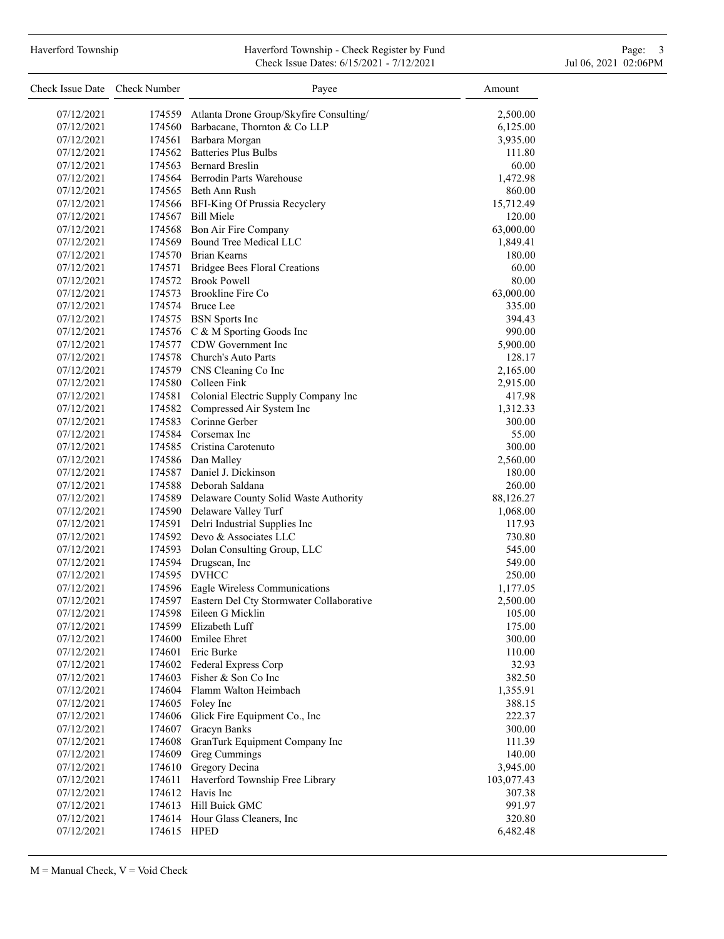# Haverford Township **Haverford Township - Check Register by Fund** Page: 3 and Page: 3 Check Issue Dates: 6/15/2021 - 7/12/2021 Jul 06, 2021 02:06PM

| Check Issue Date Check Number |             | Payee                                           | Amount     |
|-------------------------------|-------------|-------------------------------------------------|------------|
| 07/12/2021                    |             | 174559 Atlanta Drone Group/Skyfire Consulting/  | 2,500.00   |
| 07/12/2021                    |             | 174560 Barbacane, Thornton & Co LLP             | 6,125.00   |
| 07/12/2021                    |             | 174561 Barbara Morgan                           | 3,935.00   |
| 07/12/2021                    |             | 174562 Batteries Plus Bulbs                     | 111.80     |
| 07/12/2021                    |             | 174563 Bernard Breslin                          | 60.00      |
| 07/12/2021                    |             | 174564 Berrodin Parts Warehouse                 | 1,472.98   |
| 07/12/2021                    |             | 174565 Beth Ann Rush                            | 860.00     |
| 07/12/2021                    |             | 174566 BFI-King Of Prussia Recyclery            | 15,712.49  |
| 07/12/2021                    |             | 174567 Bill Miele                               | 120.00     |
| 07/12/2021                    |             | 174568 Bon Air Fire Company                     | 63,000.00  |
| 07/12/2021                    |             | 174569 Bound Tree Medical LLC                   | 1,849.41   |
| 07/12/2021                    |             | 174570 Brian Kearns                             | 180.00     |
| 07/12/2021                    |             | 174571 Bridgee Bees Floral Creations            | 60.00      |
| 07/12/2021                    |             | 174572 Brook Powell                             | 80.00      |
| 07/12/2021                    |             | 174573 Brookline Fire Co                        | 63,000.00  |
| 07/12/2021                    |             | 174574 Bruce Lee                                | 335.00     |
| 07/12/2021                    |             | 174575 BSN Sports Inc                           | 394.43     |
| 07/12/2021                    |             | 174576 C & M Sporting Goods Inc                 | 990.00     |
| 07/12/2021                    |             | 174577 CDW Government Inc                       | 5,900.00   |
| 07/12/2021                    |             | 174578 Church's Auto Parts                      | 128.17     |
| 07/12/2021                    |             | 174579 CNS Cleaning Co Inc                      | 2,165.00   |
| 07/12/2021                    |             | 174580 Colleen Fink                             | 2,915.00   |
| 07/12/2021                    |             | 174581 Colonial Electric Supply Company Inc     | 417.98     |
| 07/12/2021                    |             | 174582 Compressed Air System Inc                | 1,312.33   |
| 07/12/2021                    |             | 174583 Corinne Gerber                           | 300.00     |
| 07/12/2021                    |             | 174584 Corsemax Inc                             | 55.00      |
| 07/12/2021                    |             | 174585 Cristina Carotenuto                      | 300.00     |
| 07/12/2021                    |             | 174586 Dan Malley                               | 2,560.00   |
| 07/12/2021                    |             | 174587 Daniel J. Dickinson                      | 180.00     |
| 07/12/2021                    |             | 174588 Deborah Saldana                          | 260.00     |
| 07/12/2021                    |             | 174589 Delaware County Solid Waste Authority    | 88,126.27  |
| 07/12/2021                    |             | 174590 Delaware Valley Turf                     | 1,068.00   |
| 07/12/2021                    |             | 174591 Delri Industrial Supplies Inc            | 117.93     |
| 07/12/2021                    |             | 174592 Devo & Associates LLC                    | 730.80     |
| 07/12/2021                    |             | 174593 Dolan Consulting Group, LLC              | 545.00     |
| 07/12/2021                    |             | 174594 Drugscan, Inc                            | 549.00     |
| 07/12/2021                    |             | 174595 DVHCC                                    | 250.00     |
| 07/12/2021                    |             | 174596 Eagle Wireless Communications            | 1,177.05   |
| 07/12/2021                    |             | 174597 Eastern Del Cty Stormwater Collaborative | 2,500.00   |
| 07/12/2021                    |             | 174598 Eileen G Micklin                         | 105.00     |
| 07/12/2021                    |             | 174599 Elizabeth Luff                           | 175.00     |
| 07/12/2021                    |             | 174600 Emilee Ehret                             | 300.00     |
| 07/12/2021                    |             | 174601 Eric Burke                               | 110.00     |
| 07/12/2021                    |             | 174602 Federal Express Corp                     | 32.93      |
| 07/12/2021                    |             | 174603 Fisher & Son Co Inc                      | 382.50     |
| 07/12/2021                    |             | 174604 Flamm Walton Heimbach                    | 1,355.91   |
| 07/12/2021                    |             | 174605 Foley Inc                                | 388.15     |
| 07/12/2021                    | 174606      | Glick Fire Equipment Co., Inc                   | 222.37     |
| 07/12/2021                    | 174607      | Gracyn Banks                                    | 300.00     |
| 07/12/2021                    | 174608      | GranTurk Equipment Company Inc                  | 111.39     |
| 07/12/2021                    | 174609      | Greg Cummings                                   | 140.00     |
| 07/12/2021                    | 174610      | Gregory Decina                                  | 3,945.00   |
| 07/12/2021                    | 174611      | Haverford Township Free Library                 | 103,077.43 |
| 07/12/2021                    | 174612      | Havis Inc                                       | 307.38     |
| 07/12/2021                    | 174613      | Hill Buick GMC                                  | 991.97     |
| 07/12/2021                    |             | 174614 Hour Glass Cleaners, Inc                 | 320.80     |
| 07/12/2021                    | 174615 HPED |                                                 | 6,482.48   |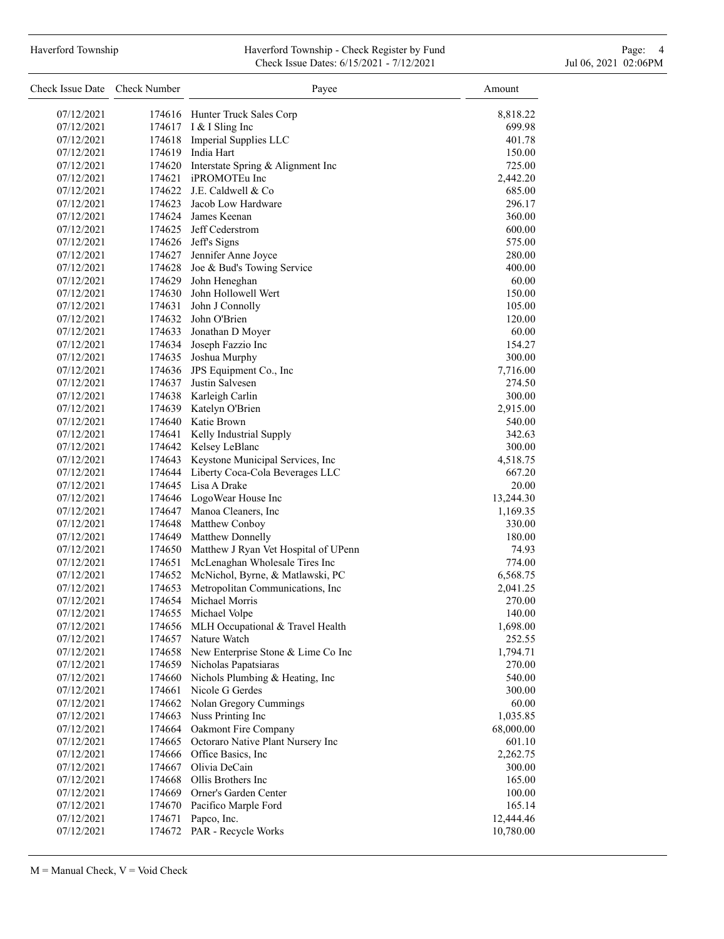## Haverford Township **Haverford Township - Check Register by Fund** Page: 4 Page: 4 Check Issue Dates: 6/15/2021 - 7/12/2021 Jul 06, 2021 02:06PM

| Check Issue Date Check Number |        | Payee<br>Amount                             |           |
|-------------------------------|--------|---------------------------------------------|-----------|
| 07/12/2021                    |        | 174616 Hunter Truck Sales Corp              | 8,818.22  |
| 07/12/2021                    |        | 174617 I & I Sling Inc                      | 699.98    |
| 07/12/2021                    |        | 174618 Imperial Supplies LLC                | 401.78    |
| 07/12/2021                    |        | 174619 India Hart                           | 150.00    |
| 07/12/2021                    |        | 174620 Interstate Spring & Alignment Inc    | 725.00    |
| 07/12/2021                    |        | 174621 iPROMOTEu Inc                        | 2,442.20  |
| 07/12/2021                    |        | 174622 J.E. Caldwell & Co                   | 685.00    |
| 07/12/2021                    |        | 174623 Jacob Low Hardware                   | 296.17    |
| 07/12/2021                    |        | 174624 James Keenan                         | 360.00    |
| 07/12/2021                    |        | 174625 Jeff Cederstrom                      | 600.00    |
| 07/12/2021                    |        | 174626 Jeff's Signs                         | 575.00    |
| 07/12/2021                    |        | 174627 Jennifer Anne Joyce                  | 280.00    |
| 07/12/2021                    |        | 174628 Joe & Bud's Towing Service           | 400.00    |
| 07/12/2021                    |        | 174629 John Heneghan                        | 60.00     |
| 07/12/2021                    |        | 174630 John Hollowell Wert                  | 150.00    |
| 07/12/2021                    |        | 174631 John J Connolly                      | 105.00    |
| 07/12/2021                    |        | 174632 John O'Brien                         | 120.00    |
| 07/12/2021                    |        | 174633 Jonathan D Moyer                     | 60.00     |
| 07/12/2021                    |        | 174634 Joseph Fazzio Inc                    | 154.27    |
| 07/12/2021                    |        | 174635 Joshua Murphy                        | 300.00    |
| 07/12/2021                    |        | 174636 JPS Equipment Co., Inc               | 7,716.00  |
| 07/12/2021                    |        | 174637 Justin Salvesen                      | 274.50    |
| 07/12/2021                    |        | 174638 Karleigh Carlin                      | 300.00    |
| 07/12/2021                    |        | 174639 Katelyn O'Brien                      | 2,915.00  |
| 07/12/2021                    |        | 174640 Katie Brown                          | 540.00    |
| 07/12/2021                    |        | 174641 Kelly Industrial Supply              | 342.63    |
| 07/12/2021                    |        | 174642 Kelsey LeBlanc                       | 300.00    |
| 07/12/2021                    |        | 174643 Keystone Municipal Services, Inc     | 4,518.75  |
| 07/12/2021                    |        | 174644 Liberty Coca-Cola Beverages LLC      | 667.20    |
| 07/12/2021                    |        | 174645 Lisa A Drake                         | 20.00     |
|                               |        |                                             |           |
| 07/12/2021                    |        | 174646 LogoWear House Inc                   | 13,244.30 |
| 07/12/2021                    |        | 174647 Manoa Cleaners, Inc                  | 1,169.35  |
| 07/12/2021                    |        | 174648 Matthew Conboy                       | 330.00    |
| 07/12/2021                    |        | 174649 Matthew Donnelly                     | 180.00    |
| 07/12/2021                    |        | 174650 Matthew J Ryan Vet Hospital of UPenn | 74.93     |
| 07/12/2021                    |        | 174651 McLenaghan Wholesale Tires Inc       | 774.00    |
| 07/12/2021                    |        | 174652 McNichol, Byrne, & Matlawski, PC     | 6,568.75  |
| 07/12/2021                    | 174653 | Metropolitan Communications, Inc            | 2,041.25  |
| 07/12/2021                    | 174654 | Michael Morris                              | 270.00    |
| 07/12/2021                    |        | 174655 Michael Volpe                        | 140.00    |
| 07/12/2021                    | 174656 | MLH Occupational & Travel Health            | 1,698.00  |
| 07/12/2021                    |        | 174657 Nature Watch                         | 252.55    |
| 07/12/2021                    |        | 174658 New Enterprise Stone & Lime Co Inc   | 1,794.71  |
| 07/12/2021                    |        | 174659 Nicholas Papatsiaras                 | 270.00    |
| 07/12/2021                    | 174660 | Nichols Plumbing & Heating, Inc             | 540.00    |
| 07/12/2021                    | 174661 | Nicole G Gerdes                             | 300.00    |
| 07/12/2021                    | 174662 | Nolan Gregory Cummings                      | 60.00     |
| 07/12/2021                    | 174663 | Nuss Printing Inc                           | 1,035.85  |
| 07/12/2021                    |        | 174664 Oakmont Fire Company                 | 68,000.00 |
| 07/12/2021                    |        | 174665 Octoraro Native Plant Nursery Inc    | 601.10    |
| 07/12/2021                    |        | 174666 Office Basics, Inc.                  | 2,262.75  |
| 07/12/2021                    | 174667 | Olivia DeCain                               | 300.00    |
| 07/12/2021                    | 174668 | Ollis Brothers Inc                          | 165.00    |
| 07/12/2021                    | 174669 | Orner's Garden Center                       | 100.00    |
| 07/12/2021                    |        | 174670 Pacifico Marple Ford                 | 165.14    |
| 07/12/2021                    | 174671 | Papco, Inc.                                 | 12,444.46 |
| 07/12/2021                    |        | 174672 PAR - Recycle Works                  | 10,780.00 |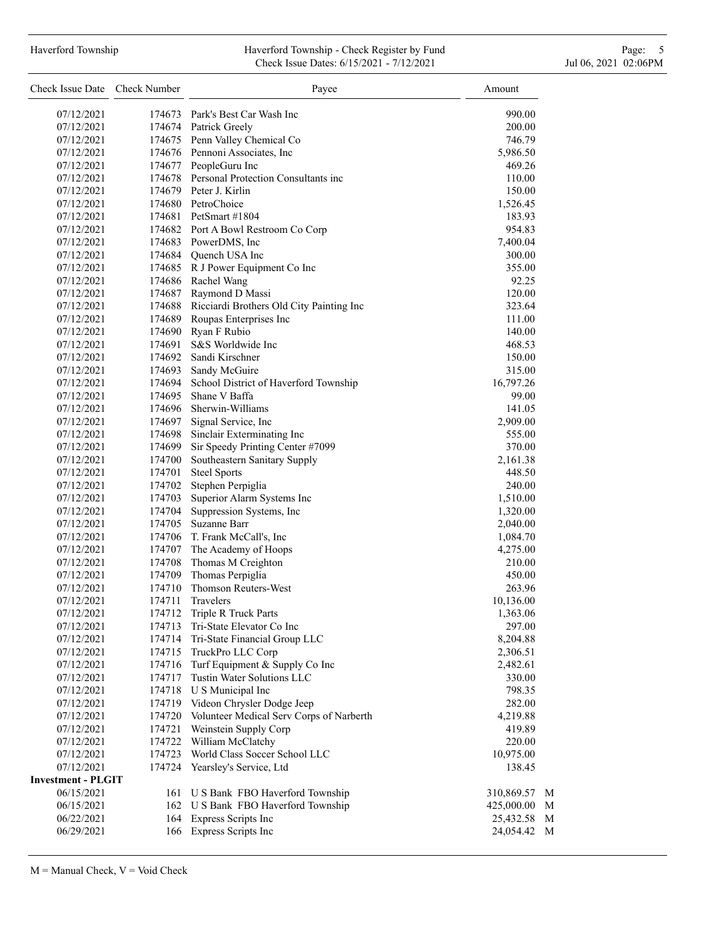#### Haverford Township **Haverford Township - Check Register by Fund** Page: 5 - 5 - 7 Page: 5 - 7 Page: 5 - 7 Page: 5 Check Issue Dates: 6/15/2021 - 7/12/2021 Jul 06, 2021 02:06PM

| Check Issue Date Check Number |        | Payee                                           | Amount      |              |
|-------------------------------|--------|-------------------------------------------------|-------------|--------------|
| 07/12/2021                    |        | 174673 Park's Best Car Wash Inc                 | 990.00      |              |
| 07/12/2021                    |        | 174674 Patrick Greely                           | 200.00      |              |
| 07/12/2021                    |        | 174675 Penn Valley Chemical Co                  | 746.79      |              |
| 07/12/2021                    |        | 174676 Pennoni Associates, Inc                  | 5,986.50    |              |
| 07/12/2021                    |        | 174677 PeopleGuru Inc                           | 469.26      |              |
| 07/12/2021                    |        | 174678 Personal Protection Consultants inc      | 110.00      |              |
| 07/12/2021                    |        | 174679 Peter J. Kirlin                          | 150.00      |              |
| 07/12/2021                    |        | 174680 PetroChoice                              | 1,526.45    |              |
| 07/12/2021                    |        | 174681 PetSmart #1804                           | 183.93      |              |
| 07/12/2021                    |        | 174682 Port A Bowl Restroom Co Corp             | 954.83      |              |
| 07/12/2021                    |        | 174683 PowerDMS, Inc                            | 7,400.04    |              |
| 07/12/2021                    |        | 174684 Quench USA Inc                           | 300.00      |              |
| 07/12/2021                    |        | 174685 R J Power Equipment Co Inc               | 355.00      |              |
| 07/12/2021                    |        | 174686 Rachel Wang                              | 92.25       |              |
| 07/12/2021                    |        | 174687 Raymond D Massi                          | 120.00      |              |
| 07/12/2021                    |        | 174688 Ricciardi Brothers Old City Painting Inc | 323.64      |              |
| 07/12/2021                    | 174689 | Roupas Enterprises Inc                          | 111.00      |              |
| 07/12/2021                    |        | 174690 Ryan F Rubio                             | 140.00      |              |
| 07/12/2021                    |        | 174691 S&S Worldwide Inc                        | 468.53      |              |
| 07/12/2021                    |        | 174692 Sandi Kirschner                          | 150.00      |              |
| 07/12/2021                    |        | 174693 Sandy McGuire                            | 315.00      |              |
| 07/12/2021                    |        | 174694 School District of Haverford Township    | 16,797.26   |              |
| 07/12/2021                    |        | 174695 Shane V Baffa                            | 99.00       |              |
| 07/12/2021                    |        | 174696 Sherwin-Williams                         | 141.05      |              |
| 07/12/2021                    | 174697 | Signal Service, Inc                             | 2,909.00    |              |
| 07/12/2021                    | 174698 | Sinclair Exterminating Inc                      | 555.00      |              |
| 07/12/2021                    | 174699 | Sir Speedy Printing Center #7099                | 370.00      |              |
| 07/12/2021                    | 174700 | Southeastern Sanitary Supply                    | 2,161.38    |              |
| 07/12/2021                    | 174701 | <b>Steel Sports</b>                             | 448.50      |              |
| 07/12/2021                    | 174702 | Stephen Perpiglia                               | 240.00      |              |
| 07/12/2021                    | 174703 | Superior Alarm Systems Inc                      | 1,510.00    |              |
| 07/12/2021                    | 174704 | Suppression Systems, Inc                        | 1,320.00    |              |
| 07/12/2021                    | 174705 | Suzanne Barr                                    | 2,040.00    |              |
| 07/12/2021                    |        | 174706 T. Frank McCall's, Inc                   | 1,084.70    |              |
| 07/12/2021                    | 174707 | The Academy of Hoops                            | 4,275.00    |              |
| 07/12/2021                    | 174708 | Thomas M Creighton                              | 210.00      |              |
| 07/12/2021                    | 174709 | Thomas Perpiglia                                | 450.00      |              |
| 07/12/2021                    | 174710 | Thomson Reuters-West                            | 263.96      |              |
| 07/12/2021                    | 174711 | Travelers                                       | 10,136.00   |              |
| 07/12/2021                    |        | 174712 Triple R Truck Parts                     | 1,363.06    |              |
| 07/12/2021                    |        | 174713 Tri-State Elevator Co Inc                | 297.00      |              |
| 07/12/2021                    | 174714 | Tri-State Financial Group LLC                   | 8,204.88    |              |
| 07/12/2021                    |        | 174715 TruckPro LLC Corp                        | 2,306.51    |              |
| 07/12/2021                    |        | 174716 Turf Equipment & Supply Co Inc           | 2,482.61    |              |
| 07/12/2021                    | 174717 | Tustin Water Solutions LLC                      | 330.00      |              |
| 07/12/2021                    |        | 174718 U S Municipal Inc                        | 798.35      |              |
| 07/12/2021                    | 174719 | Videon Chrysler Dodge Jeep                      | 282.00      |              |
| 07/12/2021                    | 174720 | Volunteer Medical Serv Corps of Narberth        | 4,219.88    |              |
| 07/12/2021                    | 174721 | Weinstein Supply Corp                           | 419.89      |              |
| 07/12/2021                    | 174722 | William McClatchy                               | 220.00      |              |
| 07/12/2021                    | 174723 | World Class Soccer School LLC                   | 10,975.00   |              |
| 07/12/2021                    | 174724 | Yearsley's Service, Ltd                         | 138.45      |              |
| <b>Investment - PLGIT</b>     |        |                                                 |             |              |
| 06/15/2021                    |        | 161 U S Bank FBO Haverford Township             | 310,869.57  | M            |
| 06/15/2021                    |        | 162 U S Bank FBO Haverford Township             | 425,000.00  | $\mathbf{M}$ |
| 06/22/2021                    | 164    | <b>Express Scripts Inc</b>                      | 25,432.58 M |              |
| 06/29/2021                    |        | 166 Express Scripts Inc                         | 24,054.42 M |              |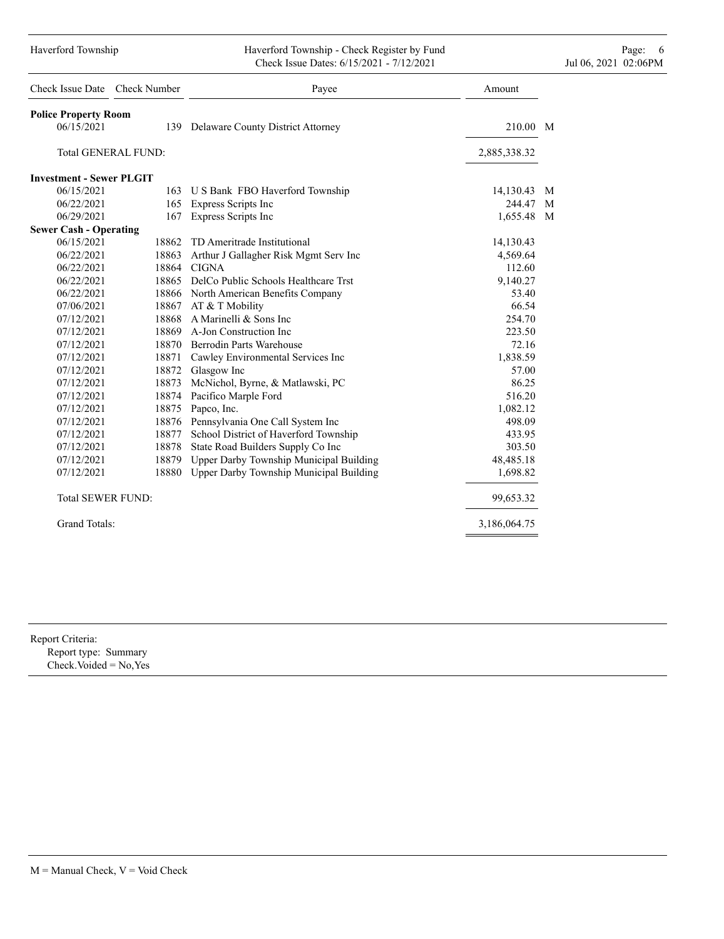### Haverford Township **Haverford Township - Check Register by Fund** Page: 6 Australian Page: 6 Australian Page: 6 Au Check Issue Dates: 6/15/2021 - 7/12/2021 Jul 06, 2021 02:06PM

| Check Issue Date Check Number   |       | Payee                                      | Amount       |   |
|---------------------------------|-------|--------------------------------------------|--------------|---|
| <b>Police Property Room</b>     |       |                                            |              |   |
| 06/15/2021                      |       | 139 Delaware County District Attorney      | 210.00 M     |   |
| <b>Total GENERAL FUND:</b>      |       |                                            | 2,885,338.32 |   |
| <b>Investment - Sewer PLGIT</b> |       |                                            |              |   |
| 06/15/2021                      |       | 163 U S Bank FBO Haverford Township        | 14,130.43    | M |
| 06/22/2021                      |       | 165 Express Scripts Inc                    | 244.47 M     |   |
| 06/29/2021                      | 167   | Express Scripts Inc                        | 1,655.48 M   |   |
| <b>Sewer Cash - Operating</b>   |       |                                            |              |   |
| 06/15/2021                      | 18862 | TD Ameritrade Institutional                | 14,130.43    |   |
| 06/22/2021                      | 18863 | Arthur J Gallagher Risk Mgmt Serv Inc      | 4,569.64     |   |
| 06/22/2021                      | 18864 | <b>CIGNA</b>                               | 112.60       |   |
| 06/22/2021                      |       | 18865 DelCo Public Schools Healthcare Trst | 9,140.27     |   |
| 06/22/2021                      |       | 18866 North American Benefits Company      | 53.40        |   |
| 07/06/2021                      |       | 18867 AT & T Mobility                      | 66.54        |   |
| 07/12/2021                      |       | 18868 A Marinelli & Sons Inc               | 254.70       |   |
| 07/12/2021                      |       | 18869 A-Jon Construction Inc               | 223.50       |   |
| 07/12/2021                      |       | 18870 Berrodin Parts Warehouse             | 72.16        |   |
| 07/12/2021                      | 18871 | Cawley Environmental Services Inc          | 1,838.59     |   |
| 07/12/2021                      | 18872 | Glasgow Inc                                | 57.00        |   |
| 07/12/2021                      | 18873 | McNichol, Byrne, & Matlawski, PC           | 86.25        |   |
| 07/12/2021                      | 18874 | Pacifico Marple Ford                       | 516.20       |   |
| 07/12/2021                      | 18875 | Papco, Inc.                                | 1,082.12     |   |
| 07/12/2021                      | 18876 | Pennsylvania One Call System Inc           | 498.09       |   |
| 07/12/2021                      | 18877 | School District of Haverford Township      | 433.95       |   |
| 07/12/2021                      | 18878 | State Road Builders Supply Co Inc          | 303.50       |   |
| 07/12/2021                      | 18879 | Upper Darby Township Municipal Building    | 48,485.18    |   |
| 07/12/2021                      | 18880 | Upper Darby Township Municipal Building    | 1,698.82     |   |
| <b>Total SEWER FUND:</b>        |       |                                            | 99,653.32    |   |
| <b>Grand Totals:</b>            |       |                                            | 3,186,064.75 |   |

| Report Criteria: |
|------------------|
|                  |

Report type: Summary Check.Voided = No,Yes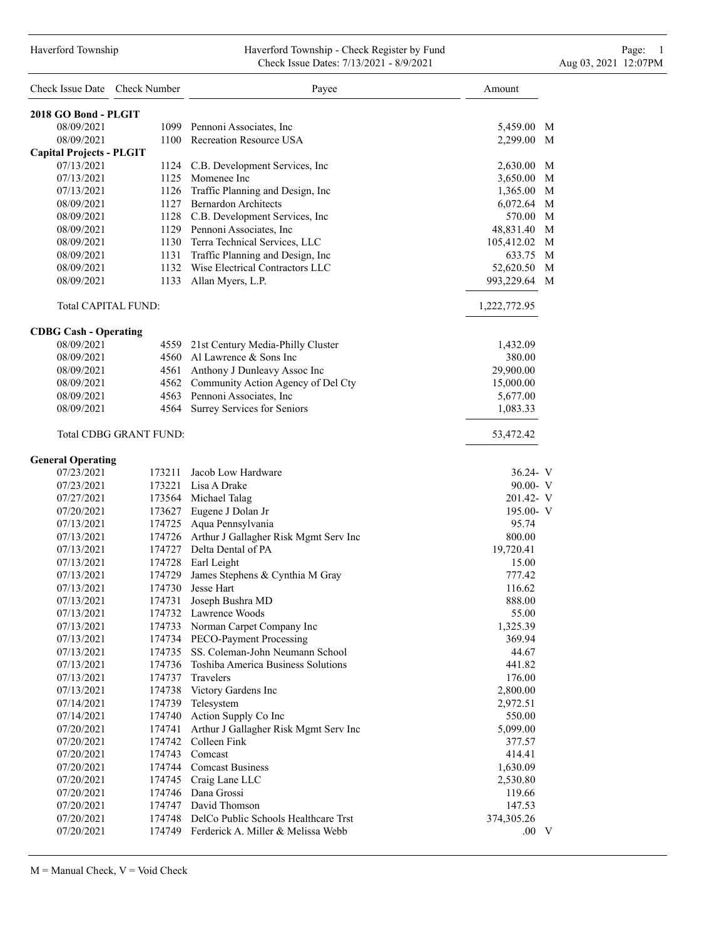#### Haverford Township Haverford Township - Check Register by Fund Page: 1 Check Issue Dates: 7/13/2021 - 8/9/2021 - Aug 03, 2021 12:07PM

| Check Issue Date Check Number   |                        | Payee                                                             | Amount          |
|---------------------------------|------------------------|-------------------------------------------------------------------|-----------------|
| 2018 GO Bond - PLGIT            |                        |                                                                   |                 |
| 08/09/2021                      |                        | 1099 Pennoni Associates, Inc.                                     | 5,459.00 M      |
| 08/09/2021                      |                        | 1100 Recreation Resource USA                                      | 2,299.00 M      |
| <b>Capital Projects - PLGIT</b> |                        |                                                                   |                 |
| 07/13/2021                      |                        | 1124 C.B. Development Services, Inc                               | 2,630.00 M      |
| 07/13/2021                      |                        | 1125 Momenee Inc                                                  | M<br>3,650.00   |
| 07/13/2021                      |                        | 1126 Traffic Planning and Design, Inc                             | 1,365.00 M      |
| 08/09/2021                      |                        | 1127 Bernardon Architects                                         | 6,072.64<br>M   |
| 08/09/2021                      |                        | 1128 C.B. Development Services, Inc                               | 570.00 M        |
| 08/09/2021                      |                        | 1129 Pennoni Associates, Inc.                                     | 48,831.40<br>M  |
| 08/09/2021                      |                        | 1130 Terra Technical Services, LLC                                | M<br>105,412.02 |
| 08/09/2021                      |                        | 1131 Traffic Planning and Design, Inc                             | 633.75 M        |
| 08/09/2021                      |                        | 1132 Wise Electrical Contractors LLC                              | 52,620.50 M     |
| 08/09/2021                      |                        | 1133 Allan Myers, L.P.                                            | 993,229.64<br>M |
| Total CAPITAL FUND:             |                        |                                                                   | 1,222,772.95    |
| <b>CDBG Cash - Operating</b>    |                        |                                                                   |                 |
| 08/09/2021                      |                        | 4559 21st Century Media-Philly Cluster                            | 1,432.09        |
| 08/09/2021                      |                        | 4560 Al Lawrence & Sons Inc                                       | 380.00          |
| 08/09/2021                      |                        | 4561 Anthony J Dunleavy Assoc Inc                                 | 29,900.00       |
| 08/09/2021                      |                        | 4562 Community Action Agency of Del Cty                           | 15,000.00       |
| 08/09/2021                      |                        | 4563 Pennoni Associates, Inc                                      | 5,677.00        |
| 08/09/2021                      |                        | 4564 Surrey Services for Seniors                                  | 1,083.33        |
|                                 | Total CDBG GRANT FUND: |                                                                   | 53,472.42       |
| <b>General Operating</b>        |                        |                                                                   |                 |
| 07/23/2021                      | 173211                 | Jacob Low Hardware                                                | 36.24 V         |
| 07/23/2021                      |                        | 173221 Lisa A Drake                                               | $90.00 - V$     |
| 07/27/2021                      |                        | 173564 Michael Talag                                              | 201.42- V       |
| 07/20/2021                      |                        | 173627 Eugene J Dolan Jr                                          | $195.00 - V$    |
| 07/13/2021                      |                        | 174725 Aqua Pennsylvania                                          | 95.74           |
| 07/13/2021                      |                        | 174726 Arthur J Gallagher Risk Mgmt Serv Inc                      | 800.00          |
| 07/13/2021                      |                        | 174727 Delta Dental of PA                                         | 19,720.41       |
| 07/13/2021                      |                        | 174728 Earl Leight                                                | 15.00           |
| 07/13/2021                      |                        | 174729 James Stephens & Cynthia M Gray                            | 777.42          |
| 07/13/2021                      | 174730                 | Jesse Hart                                                        | 116.62          |
| 07/13/2021                      | 174731                 | Joseph Bushra MD                                                  | 888.00          |
| 07/13/2021                      |                        | 174732 Lawrence Woods                                             | 55.00           |
| 07/13/2021                      |                        | 174733 Norman Carpet Company Inc                                  | 1,325.39        |
| 07/13/2021                      |                        | 174734 PECO-Payment Processing<br>SS. Coleman-John Neumann School | 369.94          |
| 07/13/2021                      | 174735                 | 174736 Toshiba America Business Solutions                         | 44.67           |
| 07/13/2021                      |                        |                                                                   | 441.82          |
| 07/13/2021                      | 174737                 | Travelers                                                         | 176.00          |
| 07/13/2021                      |                        | 174738 Victory Gardens Inc                                        | 2,800.00        |
| 07/14/2021                      | 174739                 | Telesystem                                                        | 2,972.51        |
| 07/14/2021                      |                        | 174740 Action Supply Co Inc                                       | 550.00          |
| 07/20/2021                      | 174741                 | Arthur J Gallagher Risk Mgmt Serv Inc                             | 5,099.00        |
| 07/20/2021                      | 174742                 | Colleen Fink                                                      | 377.57          |
| 07/20/2021                      |                        | 174743 Comcast                                                    | 414.41          |
| 07/20/2021                      |                        | 174744 Comcast Business                                           | 1,630.09        |
| 07/20/2021                      |                        | 174745 Craig Lane LLC                                             | 2,530.80        |
| 07/20/2021                      |                        | 174746 Dana Grossi                                                | 119.66          |
| 07/20/2021                      |                        | 174747 David Thomson                                              | 147.53          |
| 07/20/2021                      |                        | 174748 DelCo Public Schools Healthcare Trst                       | 374,305.26      |
| 07/20/2021                      |                        | 174749 Ferderick A. Miller & Melissa Webb                         | $.00\quad V$    |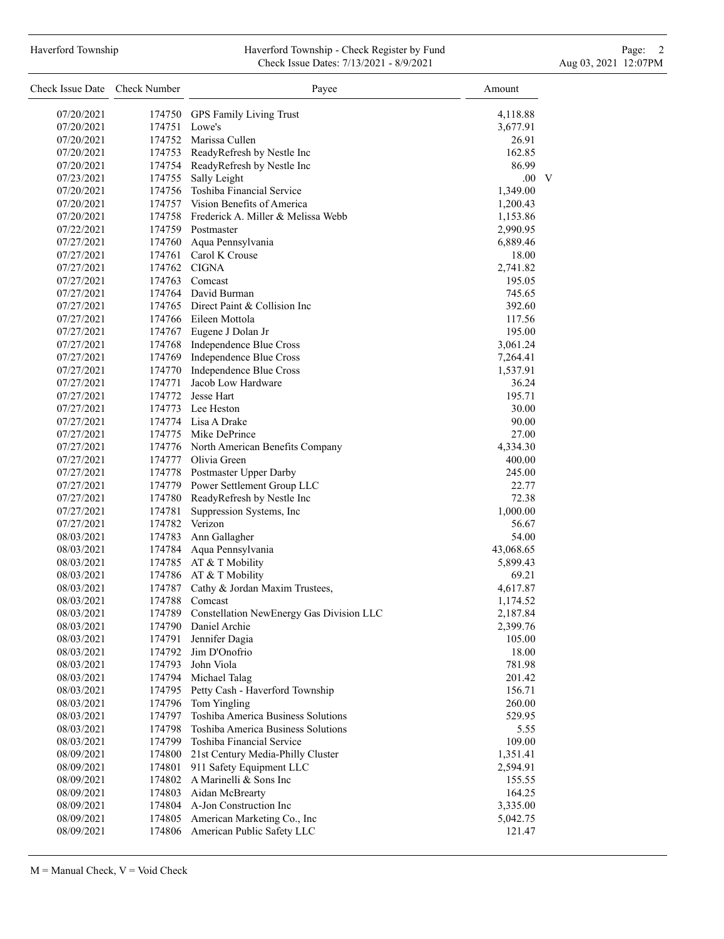# Haverford Township **Haverford Township - Check Register by Fund** Page: 2 Check Issue Dates: 7/13/2021 - 8/9/2021 - Aug 03, 2021 12:07PM

| Check Issue Date Check Number |        | Payee                                     | Amount       |
|-------------------------------|--------|-------------------------------------------|--------------|
| 07/20/2021                    | 174750 | GPS Family Living Trust                   | 4,118.88     |
| 07/20/2021                    | 174751 | Lowe's                                    | 3,677.91     |
| 07/20/2021                    |        | 174752 Marissa Cullen                     | 26.91        |
| 07/20/2021                    |        | 174753 ReadyRefresh by Nestle Inc         | 162.85       |
| 07/20/2021                    |        | 174754 ReadyRefresh by Nestle Inc         | 86.99        |
| 07/23/2021                    |        | 174755 Sally Leight                       | $.00\quad V$ |
| 07/20/2021                    |        | 174756 Toshiba Financial Service          | 1,349.00     |
|                               |        | 174757 Vision Benefits of America         |              |
| 07/20/2021                    |        | 174758 Frederick A. Miller & Melissa Webb | 1,200.43     |
| 07/20/2021                    |        |                                           | 1,153.86     |
| 07/22/2021                    |        | 174759 Postmaster                         | 2,990.95     |
| 07/27/2021                    | 174760 | Aqua Pennsylvania                         | 6,889.46     |
| 07/27/2021                    |        | 174761 Carol K Crouse                     | 18.00        |
| 07/27/2021                    |        | 174762 CIGNA                              | 2,741.82     |
| 07/27/2021                    |        | 174763 Comcast                            | 195.05       |
| 07/27/2021                    |        | 174764 David Burman                       | 745.65       |
| 07/27/2021                    |        | 174765 Direct Paint & Collision Inc       | 392.60       |
| 07/27/2021                    |        | 174766 Eileen Mottola                     | 117.56       |
| 07/27/2021                    |        | 174767 Eugene J Dolan Jr                  | 195.00       |
| 07/27/2021                    |        | 174768 Independence Blue Cross            | 3,061.24     |
| 07/27/2021                    |        | 174769 Independence Blue Cross            | 7,264.41     |
| 07/27/2021                    | 174770 | Independence Blue Cross                   | 1,537.91     |
| 07/27/2021                    | 174771 | Jacob Low Hardware                        | 36.24        |
| 07/27/2021                    |        | 174772 Jesse Hart                         | 195.71       |
| 07/27/2021                    |        | 174773 Lee Heston                         | 30.00        |
| 07/27/2021                    |        | 174774 Lisa A Drake                       | 90.00        |
| 07/27/2021                    |        | 174775 Mike DePrince                      | 27.00        |
| 07/27/2021                    |        | 174776 North American Benefits Company    | 4,334.30     |
| 07/27/2021                    |        | 174777 Olivia Green                       | 400.00       |
| 07/27/2021                    |        | 174778 Postmaster Upper Darby             | 245.00       |
| 07/27/2021                    |        | 174779 Power Settlement Group LLC         | 22.77        |
| 07/27/2021                    | 174780 | ReadyRefresh by Nestle Inc                | 72.38        |
| 07/27/2021                    | 174781 | Suppression Systems, Inc                  | 1,000.00     |
| 07/27/2021                    |        | 174782 Verizon                            | 56.67        |
| 08/03/2021                    | 174783 | Ann Gallagher                             | 54.00        |
| 08/03/2021                    |        | 174784 Aqua Pennsylvania                  | 43,068.65    |
| 08/03/2021                    |        | 174785 AT & T Mobility                    | 5,899.43     |
| 08/03/2021                    | 174786 | AT & T Mobility                           | 69.21        |
| 08/03/2021                    | 174787 | Cathy & Jordan Maxim Trustees,            | 4,617.87     |
| 08/03/2021                    | 174788 | Comcast                                   | 1,174.52     |
| 08/03/2021                    | 174789 | Constellation NewEnergy Gas Division LLC  | 2,187.84     |
| 08/03/2021                    | 174790 | Daniel Archie                             | 2,399.76     |
| 08/03/2021                    | 174791 | Jennifer Dagia                            | 105.00       |
| 08/03/2021                    | 174792 | Jim D'Onofrio                             | 18.00        |
| 08/03/2021                    | 174793 | John Viola                                | 781.98       |
| 08/03/2021                    | 174794 | Michael Talag                             | 201.42       |
| 08/03/2021                    | 174795 | Petty Cash - Haverford Township           | 156.71       |
| 08/03/2021                    | 174796 | Tom Yingling                              | 260.00       |
| 08/03/2021                    | 174797 | Toshiba America Business Solutions        | 529.95       |
| 08/03/2021                    | 174798 | Toshiba America Business Solutions        | 5.55         |
| 08/03/2021                    | 174799 | Toshiba Financial Service                 | 109.00       |
| 08/09/2021                    | 174800 | 21st Century Media-Philly Cluster         | 1,351.41     |
| 08/09/2021                    | 174801 | 911 Safety Equipment LLC                  | 2,594.91     |
| 08/09/2021                    | 174802 | A Marinelli & Sons Inc                    | 155.55       |
| 08/09/2021                    | 174803 | Aidan McBrearty                           | 164.25       |
| 08/09/2021                    | 174804 | A-Jon Construction Inc                    | 3,335.00     |
| 08/09/2021                    | 174805 | American Marketing Co., Inc               | 5,042.75     |
| 08/09/2021                    | 174806 | American Public Safety LLC                | 121.47       |
|                               |        |                                           |              |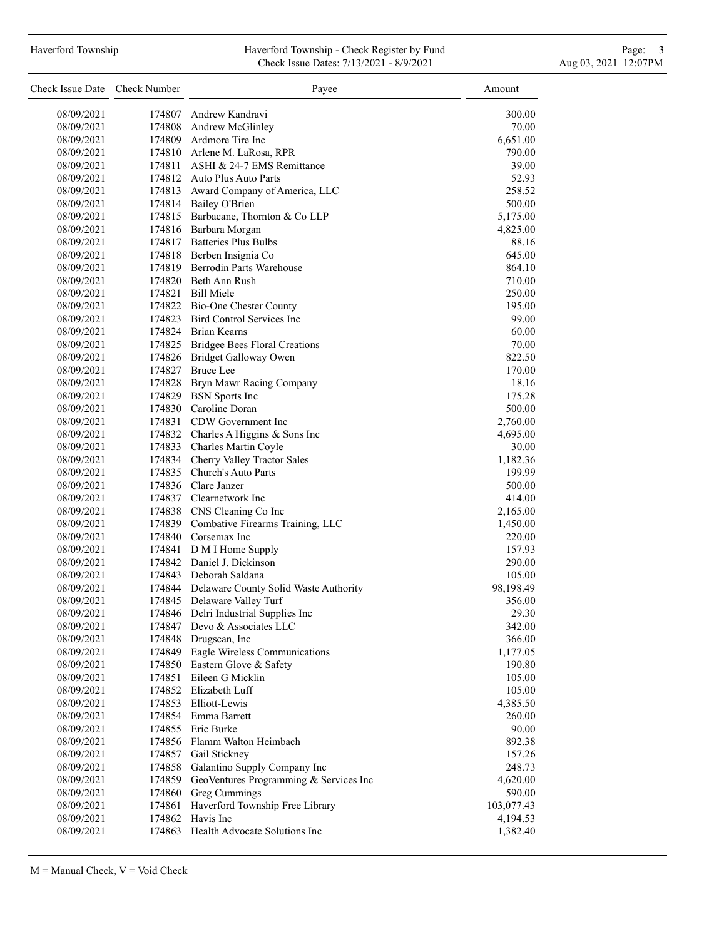## Haverford Township **Haverford Township - Check Register by Fund** Page: 3 and Page: 3 Check Issue Dates: 7/13/2021 - 8/9/2021 - Aug 03, 2021 12:07PM

| Check Issue Date Check Number |        | Payee                                        | Amount     |
|-------------------------------|--------|----------------------------------------------|------------|
| 08/09/2021                    |        | 174807 Andrew Kandravi                       | 300.00     |
| 08/09/2021                    |        | 174808 Andrew McGlinley                      | 70.00      |
| 08/09/2021                    |        | 174809 Ardmore Tire Inc                      | 6,651.00   |
| 08/09/2021                    |        | 174810 Arlene M. LaRosa, RPR                 | 790.00     |
| 08/09/2021                    |        | 174811 ASHI & 24-7 EMS Remittance            | 39.00      |
| 08/09/2021                    |        | 174812 Auto Plus Auto Parts                  | 52.93      |
| 08/09/2021                    |        | 174813 Award Company of America, LLC         | 258.52     |
| 08/09/2021                    |        | 174814 Bailey O'Brien                        | 500.00     |
| 08/09/2021                    |        | 174815 Barbacane, Thornton & Co LLP          | 5,175.00   |
| 08/09/2021                    |        | 174816 Barbara Morgan                        | 4,825.00   |
| 08/09/2021                    |        | 174817 Batteries Plus Bulbs                  | 88.16      |
| 08/09/2021                    |        | 174818 Berben Insignia Co                    | 645.00     |
| 08/09/2021                    |        | 174819 Berrodin Parts Warehouse              | 864.10     |
| 08/09/2021                    |        | 174820 Beth Ann Rush                         | 710.00     |
| 08/09/2021                    |        | 174821 Bill Miele                            | 250.00     |
| 08/09/2021                    |        | 174822 Bio-One Chester County                | 195.00     |
| 08/09/2021                    |        | 174823 Bird Control Services Inc             | 99.00      |
| 08/09/2021                    |        | 174824 Brian Kearns                          | 60.00      |
| 08/09/2021                    |        | 174825 Bridgee Bees Floral Creations         | 70.00      |
| 08/09/2021                    |        | 174826 Bridget Galloway Owen                 | 822.50     |
| 08/09/2021                    |        | 174827 Bruce Lee                             | 170.00     |
| 08/09/2021                    |        | 174828 Bryn Mawr Racing Company              | 18.16      |
| 08/09/2021                    |        | 174829 BSN Sports Inc                        | 175.28     |
| 08/09/2021                    |        | 174830 Caroline Doran                        | 500.00     |
| 08/09/2021                    |        | 174831 CDW Government Inc                    | 2,760.00   |
| 08/09/2021                    |        | 174832 Charles A Higgins & Sons Inc          | 4,695.00   |
| 08/09/2021                    |        | 174833 Charles Martin Coyle                  | 30.00      |
| 08/09/2021                    |        | 174834 Cherry Valley Tractor Sales           | 1,182.36   |
| 08/09/2021                    |        | 174835 Church's Auto Parts                   | 199.99     |
| 08/09/2021                    |        | 174836 Clare Janzer                          | 500.00     |
| 08/09/2021                    |        | 174837 Clearnetwork Inc                      | 414.00     |
| 08/09/2021                    |        | 174838 CNS Cleaning Co Inc                   | 2,165.00   |
| 08/09/2021                    |        | 174839 Combative Firearms Training, LLC      | 1,450.00   |
| 08/09/2021                    |        | 174840 Corsemax Inc                          | 220.00     |
| 08/09/2021                    |        | 174841 D M I Home Supply                     | 157.93     |
| 08/09/2021                    |        | 174842 Daniel J. Dickinson                   | 290.00     |
| 08/09/2021                    |        | 174843 Deborah Saldana                       | 105.00     |
| 08/09/2021                    |        | 174844 Delaware County Solid Waste Authority | 98,198.49  |
| 08/09/2021                    |        | 174845 Delaware Valley Turf                  | 356.00     |
| 08/09/2021                    |        | 174846 Delri Industrial Supplies Inc         | 29.30      |
| 08/09/2021                    |        | 174847 Devo & Associates LLC                 | 342.00     |
| 08/09/2021                    |        | 174848 Drugscan, Inc                         | 366.00     |
| 08/09/2021                    |        | 174849 Eagle Wireless Communications         | 1,177.05   |
| 08/09/2021                    |        | 174850 Eastern Glove & Safety                | 190.80     |
| 08/09/2021                    |        | 174851 Eileen G Micklin                      | 105.00     |
| 08/09/2021                    |        | 174852 Elizabeth Luff                        | 105.00     |
| 08/09/2021                    |        | 174853 Elliott-Lewis                         | 4,385.50   |
| 08/09/2021                    |        | 174854 Emma Barrett                          | 260.00     |
| 08/09/2021                    |        | 174855 Eric Burke                            | 90.00      |
| 08/09/2021                    |        | 174856 Flamm Walton Heimbach                 | 892.38     |
| 08/09/2021                    |        | 174857 Gail Stickney                         | 157.26     |
| 08/09/2021                    |        | 174858 Galantino Supply Company Inc          | 248.73     |
| 08/09/2021                    | 174859 | GeoVentures Programming & Services Inc       | 4,620.00   |
| 08/09/2021                    | 174860 | Greg Cummings                                | 590.00     |
| 08/09/2021                    | 174861 | Haverford Township Free Library              | 103,077.43 |
| 08/09/2021                    |        | 174862 Havis Inc                             | 4,194.53   |
| 08/09/2021                    |        | 174863 Health Advocate Solutions Inc         | 1,382.40   |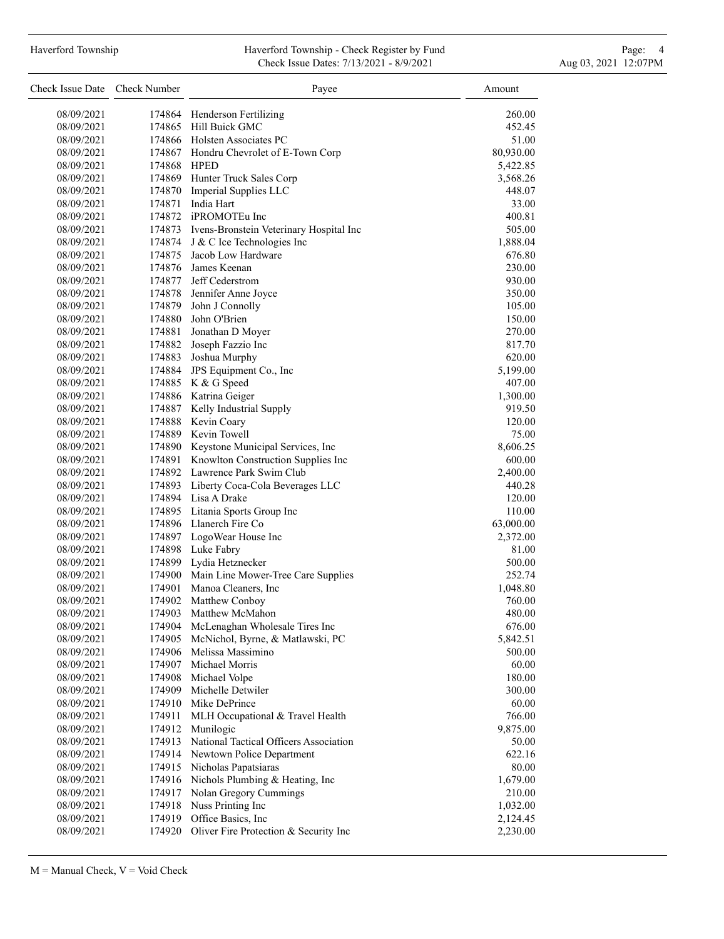#### Haverford Township **Haverford Township - Check Register by Fund** Page: 4 Page: 4 Check Issue Dates: 7/13/2021 - 8/9/2021 - Aug 03, 2021 12:07PM

| 08/09/2021<br>260.00<br>174864 Henderson Fertilizing<br>174865 Hill Buick GMC<br>08/09/2021<br>452.45<br>08/09/2021<br>174866 Holsten Associates PC<br>51.00<br>80,930.00<br>08/09/2021<br>174867 Hondru Chevrolet of E-Town Corp<br>08/09/2021<br>174868 HPED<br>5,422.85<br>174869 Hunter Truck Sales Corp<br>08/09/2021<br>3,568.26<br>174870 Imperial Supplies LLC<br>08/09/2021<br>448.07<br>174871<br>India Hart<br>08/09/2021<br>33.00<br>174872 iPROMOTEu Inc<br>08/09/2021<br>400.81<br>174873 Ivens-Bronstein Veterinary Hospital Inc<br>505.00<br>08/09/2021<br>174874 J & C Ice Technologies Inc<br>08/09/2021<br>1,888.04<br>Jacob Low Hardware<br>174875<br>08/09/2021<br>676.80<br>174876 James Keenan<br>08/09/2021<br>230.00<br>08/09/2021<br>174877 Jeff Cederstrom<br>930.00<br>174878 Jennifer Anne Joyce<br>08/09/2021<br>350.00<br>174879 John J Connolly<br>08/09/2021<br>105.00<br>174880 John O'Brien<br>150.00<br>08/09/2021<br>174881 Jonathan D Moyer<br>270.00<br>08/09/2021<br>174882 Joseph Fazzio Inc<br>08/09/2021<br>817.70<br>174883 Joshua Murphy<br>620.00<br>08/09/2021<br>JPS Equipment Co., Inc<br>174884<br>08/09/2021<br>5,199.00<br>174885 K & G Speed<br>08/09/2021<br>407.00<br>08/09/2021<br>174886 Katrina Geiger<br>1,300.00<br>174887 Kelly Industrial Supply<br>08/09/2021<br>919.50<br>174888 Kevin Coary<br>120.00<br>08/09/2021<br>174889 Kevin Towell<br>08/09/2021<br>75.00<br>174890 Keystone Municipal Services, Inc<br>8,606.25<br>08/09/2021<br>174891 Knowlton Construction Supplies Inc<br>08/09/2021<br>600.00<br>174892 Lawrence Park Swim Club<br>08/09/2021<br>2,400.00<br>174893 Liberty Coca-Cola Beverages LLC<br>08/09/2021<br>440.28<br>174894 Lisa A Drake<br>08/09/2021<br>120.00<br>174895 Litania Sports Group Inc<br>110.00<br>08/09/2021<br>174896 Llanerch Fire Co<br>08/09/2021<br>63,000.00<br>174897 LogoWear House Inc<br>08/09/2021<br>2,372.00<br>174898 Luke Fabry<br>08/09/2021<br>81.00<br>174899 Lydia Hetznecker<br>08/09/2021<br>500.00<br>174900 Main Line Mower-Tree Care Supplies<br>252.74<br>08/09/2021<br>08/09/2021<br>Manoa Cleaners, Inc.<br>1,048.80<br>174901<br>174902<br><b>Matthew Conboy</b><br>08/09/2021<br>760.00<br>08/09/2021<br>Matthew McMahon<br>480.00<br>174903<br>08/09/2021<br>174904<br>McLenaghan Wholesale Tires Inc<br>676.00<br>McNichol, Byrne, & Matlawski, PC<br>174905<br>5,842.51<br>08/09/2021<br>Melissa Massimino<br>174906<br>08/09/2021<br>500.00<br>Michael Morris<br>60.00<br>08/09/2021<br>174907<br>Michael Volpe<br>180.00<br>08/09/2021<br>174908<br>Michelle Detwiler<br>174909<br>08/09/2021<br>300.00<br>Mike DePrince<br>08/09/2021<br>174910<br>60.00<br>08/09/2021<br>174911<br>MLH Occupational & Travel Health<br>766.00<br>174912<br>Munilogic<br>9,875.00<br>08/09/2021<br>National Tactical Officers Association<br>50.00<br>08/09/2021<br>174913<br>Newtown Police Department<br>622.16<br>08/09/2021<br>174914<br>174915 Nicholas Papatsiaras<br>80.00<br>08/09/2021<br>174916 Nichols Plumbing & Heating, Inc<br>1,679.00<br>08/09/2021<br>Nolan Gregory Cummings<br>174917<br>210.00<br>08/09/2021<br>Nuss Printing Inc<br>08/09/2021<br>174918<br>1,032.00<br>Office Basics, Inc.<br>08/09/2021<br>174919<br>2,124.45<br>174920 Oliver Fire Protection & Security Inc<br>08/09/2021<br>2,230.00 | Check Issue Date | <b>Check Number</b> | Payee | Amount |
|----------------------------------------------------------------------------------------------------------------------------------------------------------------------------------------------------------------------------------------------------------------------------------------------------------------------------------------------------------------------------------------------------------------------------------------------------------------------------------------------------------------------------------------------------------------------------------------------------------------------------------------------------------------------------------------------------------------------------------------------------------------------------------------------------------------------------------------------------------------------------------------------------------------------------------------------------------------------------------------------------------------------------------------------------------------------------------------------------------------------------------------------------------------------------------------------------------------------------------------------------------------------------------------------------------------------------------------------------------------------------------------------------------------------------------------------------------------------------------------------------------------------------------------------------------------------------------------------------------------------------------------------------------------------------------------------------------------------------------------------------------------------------------------------------------------------------------------------------------------------------------------------------------------------------------------------------------------------------------------------------------------------------------------------------------------------------------------------------------------------------------------------------------------------------------------------------------------------------------------------------------------------------------------------------------------------------------------------------------------------------------------------------------------------------------------------------------------------------------------------------------------------------------------------------------------------------------------------------------------------------------------------------------------------------------------------------------------------------------------------------------------------------------------------------------------------------------------------------------------------------------------------------------------------------------------------------------------------------------------------------------------------------------------------------------------------------------------------------------------------------------------------------------------------------------------------------------------------------------------------------------------------------------------------------------------------------------------------------------|------------------|---------------------|-------|--------|
|                                                                                                                                                                                                                                                                                                                                                                                                                                                                                                                                                                                                                                                                                                                                                                                                                                                                                                                                                                                                                                                                                                                                                                                                                                                                                                                                                                                                                                                                                                                                                                                                                                                                                                                                                                                                                                                                                                                                                                                                                                                                                                                                                                                                                                                                                                                                                                                                                                                                                                                                                                                                                                                                                                                                                                                                                                                                                                                                                                                                                                                                                                                                                                                                                                                                                                                                                          |                  |                     |       |        |
|                                                                                                                                                                                                                                                                                                                                                                                                                                                                                                                                                                                                                                                                                                                                                                                                                                                                                                                                                                                                                                                                                                                                                                                                                                                                                                                                                                                                                                                                                                                                                                                                                                                                                                                                                                                                                                                                                                                                                                                                                                                                                                                                                                                                                                                                                                                                                                                                                                                                                                                                                                                                                                                                                                                                                                                                                                                                                                                                                                                                                                                                                                                                                                                                                                                                                                                                                          |                  |                     |       |        |
|                                                                                                                                                                                                                                                                                                                                                                                                                                                                                                                                                                                                                                                                                                                                                                                                                                                                                                                                                                                                                                                                                                                                                                                                                                                                                                                                                                                                                                                                                                                                                                                                                                                                                                                                                                                                                                                                                                                                                                                                                                                                                                                                                                                                                                                                                                                                                                                                                                                                                                                                                                                                                                                                                                                                                                                                                                                                                                                                                                                                                                                                                                                                                                                                                                                                                                                                                          |                  |                     |       |        |
|                                                                                                                                                                                                                                                                                                                                                                                                                                                                                                                                                                                                                                                                                                                                                                                                                                                                                                                                                                                                                                                                                                                                                                                                                                                                                                                                                                                                                                                                                                                                                                                                                                                                                                                                                                                                                                                                                                                                                                                                                                                                                                                                                                                                                                                                                                                                                                                                                                                                                                                                                                                                                                                                                                                                                                                                                                                                                                                                                                                                                                                                                                                                                                                                                                                                                                                                                          |                  |                     |       |        |
|                                                                                                                                                                                                                                                                                                                                                                                                                                                                                                                                                                                                                                                                                                                                                                                                                                                                                                                                                                                                                                                                                                                                                                                                                                                                                                                                                                                                                                                                                                                                                                                                                                                                                                                                                                                                                                                                                                                                                                                                                                                                                                                                                                                                                                                                                                                                                                                                                                                                                                                                                                                                                                                                                                                                                                                                                                                                                                                                                                                                                                                                                                                                                                                                                                                                                                                                                          |                  |                     |       |        |
|                                                                                                                                                                                                                                                                                                                                                                                                                                                                                                                                                                                                                                                                                                                                                                                                                                                                                                                                                                                                                                                                                                                                                                                                                                                                                                                                                                                                                                                                                                                                                                                                                                                                                                                                                                                                                                                                                                                                                                                                                                                                                                                                                                                                                                                                                                                                                                                                                                                                                                                                                                                                                                                                                                                                                                                                                                                                                                                                                                                                                                                                                                                                                                                                                                                                                                                                                          |                  |                     |       |        |
|                                                                                                                                                                                                                                                                                                                                                                                                                                                                                                                                                                                                                                                                                                                                                                                                                                                                                                                                                                                                                                                                                                                                                                                                                                                                                                                                                                                                                                                                                                                                                                                                                                                                                                                                                                                                                                                                                                                                                                                                                                                                                                                                                                                                                                                                                                                                                                                                                                                                                                                                                                                                                                                                                                                                                                                                                                                                                                                                                                                                                                                                                                                                                                                                                                                                                                                                                          |                  |                     |       |        |
|                                                                                                                                                                                                                                                                                                                                                                                                                                                                                                                                                                                                                                                                                                                                                                                                                                                                                                                                                                                                                                                                                                                                                                                                                                                                                                                                                                                                                                                                                                                                                                                                                                                                                                                                                                                                                                                                                                                                                                                                                                                                                                                                                                                                                                                                                                                                                                                                                                                                                                                                                                                                                                                                                                                                                                                                                                                                                                                                                                                                                                                                                                                                                                                                                                                                                                                                                          |                  |                     |       |        |
|                                                                                                                                                                                                                                                                                                                                                                                                                                                                                                                                                                                                                                                                                                                                                                                                                                                                                                                                                                                                                                                                                                                                                                                                                                                                                                                                                                                                                                                                                                                                                                                                                                                                                                                                                                                                                                                                                                                                                                                                                                                                                                                                                                                                                                                                                                                                                                                                                                                                                                                                                                                                                                                                                                                                                                                                                                                                                                                                                                                                                                                                                                                                                                                                                                                                                                                                                          |                  |                     |       |        |
|                                                                                                                                                                                                                                                                                                                                                                                                                                                                                                                                                                                                                                                                                                                                                                                                                                                                                                                                                                                                                                                                                                                                                                                                                                                                                                                                                                                                                                                                                                                                                                                                                                                                                                                                                                                                                                                                                                                                                                                                                                                                                                                                                                                                                                                                                                                                                                                                                                                                                                                                                                                                                                                                                                                                                                                                                                                                                                                                                                                                                                                                                                                                                                                                                                                                                                                                                          |                  |                     |       |        |
|                                                                                                                                                                                                                                                                                                                                                                                                                                                                                                                                                                                                                                                                                                                                                                                                                                                                                                                                                                                                                                                                                                                                                                                                                                                                                                                                                                                                                                                                                                                                                                                                                                                                                                                                                                                                                                                                                                                                                                                                                                                                                                                                                                                                                                                                                                                                                                                                                                                                                                                                                                                                                                                                                                                                                                                                                                                                                                                                                                                                                                                                                                                                                                                                                                                                                                                                                          |                  |                     |       |        |
|                                                                                                                                                                                                                                                                                                                                                                                                                                                                                                                                                                                                                                                                                                                                                                                                                                                                                                                                                                                                                                                                                                                                                                                                                                                                                                                                                                                                                                                                                                                                                                                                                                                                                                                                                                                                                                                                                                                                                                                                                                                                                                                                                                                                                                                                                                                                                                                                                                                                                                                                                                                                                                                                                                                                                                                                                                                                                                                                                                                                                                                                                                                                                                                                                                                                                                                                                          |                  |                     |       |        |
|                                                                                                                                                                                                                                                                                                                                                                                                                                                                                                                                                                                                                                                                                                                                                                                                                                                                                                                                                                                                                                                                                                                                                                                                                                                                                                                                                                                                                                                                                                                                                                                                                                                                                                                                                                                                                                                                                                                                                                                                                                                                                                                                                                                                                                                                                                                                                                                                                                                                                                                                                                                                                                                                                                                                                                                                                                                                                                                                                                                                                                                                                                                                                                                                                                                                                                                                                          |                  |                     |       |        |
|                                                                                                                                                                                                                                                                                                                                                                                                                                                                                                                                                                                                                                                                                                                                                                                                                                                                                                                                                                                                                                                                                                                                                                                                                                                                                                                                                                                                                                                                                                                                                                                                                                                                                                                                                                                                                                                                                                                                                                                                                                                                                                                                                                                                                                                                                                                                                                                                                                                                                                                                                                                                                                                                                                                                                                                                                                                                                                                                                                                                                                                                                                                                                                                                                                                                                                                                                          |                  |                     |       |        |
|                                                                                                                                                                                                                                                                                                                                                                                                                                                                                                                                                                                                                                                                                                                                                                                                                                                                                                                                                                                                                                                                                                                                                                                                                                                                                                                                                                                                                                                                                                                                                                                                                                                                                                                                                                                                                                                                                                                                                                                                                                                                                                                                                                                                                                                                                                                                                                                                                                                                                                                                                                                                                                                                                                                                                                                                                                                                                                                                                                                                                                                                                                                                                                                                                                                                                                                                                          |                  |                     |       |        |
|                                                                                                                                                                                                                                                                                                                                                                                                                                                                                                                                                                                                                                                                                                                                                                                                                                                                                                                                                                                                                                                                                                                                                                                                                                                                                                                                                                                                                                                                                                                                                                                                                                                                                                                                                                                                                                                                                                                                                                                                                                                                                                                                                                                                                                                                                                                                                                                                                                                                                                                                                                                                                                                                                                                                                                                                                                                                                                                                                                                                                                                                                                                                                                                                                                                                                                                                                          |                  |                     |       |        |
|                                                                                                                                                                                                                                                                                                                                                                                                                                                                                                                                                                                                                                                                                                                                                                                                                                                                                                                                                                                                                                                                                                                                                                                                                                                                                                                                                                                                                                                                                                                                                                                                                                                                                                                                                                                                                                                                                                                                                                                                                                                                                                                                                                                                                                                                                                                                                                                                                                                                                                                                                                                                                                                                                                                                                                                                                                                                                                                                                                                                                                                                                                                                                                                                                                                                                                                                                          |                  |                     |       |        |
|                                                                                                                                                                                                                                                                                                                                                                                                                                                                                                                                                                                                                                                                                                                                                                                                                                                                                                                                                                                                                                                                                                                                                                                                                                                                                                                                                                                                                                                                                                                                                                                                                                                                                                                                                                                                                                                                                                                                                                                                                                                                                                                                                                                                                                                                                                                                                                                                                                                                                                                                                                                                                                                                                                                                                                                                                                                                                                                                                                                                                                                                                                                                                                                                                                                                                                                                                          |                  |                     |       |        |
|                                                                                                                                                                                                                                                                                                                                                                                                                                                                                                                                                                                                                                                                                                                                                                                                                                                                                                                                                                                                                                                                                                                                                                                                                                                                                                                                                                                                                                                                                                                                                                                                                                                                                                                                                                                                                                                                                                                                                                                                                                                                                                                                                                                                                                                                                                                                                                                                                                                                                                                                                                                                                                                                                                                                                                                                                                                                                                                                                                                                                                                                                                                                                                                                                                                                                                                                                          |                  |                     |       |        |
|                                                                                                                                                                                                                                                                                                                                                                                                                                                                                                                                                                                                                                                                                                                                                                                                                                                                                                                                                                                                                                                                                                                                                                                                                                                                                                                                                                                                                                                                                                                                                                                                                                                                                                                                                                                                                                                                                                                                                                                                                                                                                                                                                                                                                                                                                                                                                                                                                                                                                                                                                                                                                                                                                                                                                                                                                                                                                                                                                                                                                                                                                                                                                                                                                                                                                                                                                          |                  |                     |       |        |
|                                                                                                                                                                                                                                                                                                                                                                                                                                                                                                                                                                                                                                                                                                                                                                                                                                                                                                                                                                                                                                                                                                                                                                                                                                                                                                                                                                                                                                                                                                                                                                                                                                                                                                                                                                                                                                                                                                                                                                                                                                                                                                                                                                                                                                                                                                                                                                                                                                                                                                                                                                                                                                                                                                                                                                                                                                                                                                                                                                                                                                                                                                                                                                                                                                                                                                                                                          |                  |                     |       |        |
|                                                                                                                                                                                                                                                                                                                                                                                                                                                                                                                                                                                                                                                                                                                                                                                                                                                                                                                                                                                                                                                                                                                                                                                                                                                                                                                                                                                                                                                                                                                                                                                                                                                                                                                                                                                                                                                                                                                                                                                                                                                                                                                                                                                                                                                                                                                                                                                                                                                                                                                                                                                                                                                                                                                                                                                                                                                                                                                                                                                                                                                                                                                                                                                                                                                                                                                                                          |                  |                     |       |        |
|                                                                                                                                                                                                                                                                                                                                                                                                                                                                                                                                                                                                                                                                                                                                                                                                                                                                                                                                                                                                                                                                                                                                                                                                                                                                                                                                                                                                                                                                                                                                                                                                                                                                                                                                                                                                                                                                                                                                                                                                                                                                                                                                                                                                                                                                                                                                                                                                                                                                                                                                                                                                                                                                                                                                                                                                                                                                                                                                                                                                                                                                                                                                                                                                                                                                                                                                                          |                  |                     |       |        |
|                                                                                                                                                                                                                                                                                                                                                                                                                                                                                                                                                                                                                                                                                                                                                                                                                                                                                                                                                                                                                                                                                                                                                                                                                                                                                                                                                                                                                                                                                                                                                                                                                                                                                                                                                                                                                                                                                                                                                                                                                                                                                                                                                                                                                                                                                                                                                                                                                                                                                                                                                                                                                                                                                                                                                                                                                                                                                                                                                                                                                                                                                                                                                                                                                                                                                                                                                          |                  |                     |       |        |
|                                                                                                                                                                                                                                                                                                                                                                                                                                                                                                                                                                                                                                                                                                                                                                                                                                                                                                                                                                                                                                                                                                                                                                                                                                                                                                                                                                                                                                                                                                                                                                                                                                                                                                                                                                                                                                                                                                                                                                                                                                                                                                                                                                                                                                                                                                                                                                                                                                                                                                                                                                                                                                                                                                                                                                                                                                                                                                                                                                                                                                                                                                                                                                                                                                                                                                                                                          |                  |                     |       |        |
|                                                                                                                                                                                                                                                                                                                                                                                                                                                                                                                                                                                                                                                                                                                                                                                                                                                                                                                                                                                                                                                                                                                                                                                                                                                                                                                                                                                                                                                                                                                                                                                                                                                                                                                                                                                                                                                                                                                                                                                                                                                                                                                                                                                                                                                                                                                                                                                                                                                                                                                                                                                                                                                                                                                                                                                                                                                                                                                                                                                                                                                                                                                                                                                                                                                                                                                                                          |                  |                     |       |        |
|                                                                                                                                                                                                                                                                                                                                                                                                                                                                                                                                                                                                                                                                                                                                                                                                                                                                                                                                                                                                                                                                                                                                                                                                                                                                                                                                                                                                                                                                                                                                                                                                                                                                                                                                                                                                                                                                                                                                                                                                                                                                                                                                                                                                                                                                                                                                                                                                                                                                                                                                                                                                                                                                                                                                                                                                                                                                                                                                                                                                                                                                                                                                                                                                                                                                                                                                                          |                  |                     |       |        |
|                                                                                                                                                                                                                                                                                                                                                                                                                                                                                                                                                                                                                                                                                                                                                                                                                                                                                                                                                                                                                                                                                                                                                                                                                                                                                                                                                                                                                                                                                                                                                                                                                                                                                                                                                                                                                                                                                                                                                                                                                                                                                                                                                                                                                                                                                                                                                                                                                                                                                                                                                                                                                                                                                                                                                                                                                                                                                                                                                                                                                                                                                                                                                                                                                                                                                                                                                          |                  |                     |       |        |
|                                                                                                                                                                                                                                                                                                                                                                                                                                                                                                                                                                                                                                                                                                                                                                                                                                                                                                                                                                                                                                                                                                                                                                                                                                                                                                                                                                                                                                                                                                                                                                                                                                                                                                                                                                                                                                                                                                                                                                                                                                                                                                                                                                                                                                                                                                                                                                                                                                                                                                                                                                                                                                                                                                                                                                                                                                                                                                                                                                                                                                                                                                                                                                                                                                                                                                                                                          |                  |                     |       |        |
|                                                                                                                                                                                                                                                                                                                                                                                                                                                                                                                                                                                                                                                                                                                                                                                                                                                                                                                                                                                                                                                                                                                                                                                                                                                                                                                                                                                                                                                                                                                                                                                                                                                                                                                                                                                                                                                                                                                                                                                                                                                                                                                                                                                                                                                                                                                                                                                                                                                                                                                                                                                                                                                                                                                                                                                                                                                                                                                                                                                                                                                                                                                                                                                                                                                                                                                                                          |                  |                     |       |        |
|                                                                                                                                                                                                                                                                                                                                                                                                                                                                                                                                                                                                                                                                                                                                                                                                                                                                                                                                                                                                                                                                                                                                                                                                                                                                                                                                                                                                                                                                                                                                                                                                                                                                                                                                                                                                                                                                                                                                                                                                                                                                                                                                                                                                                                                                                                                                                                                                                                                                                                                                                                                                                                                                                                                                                                                                                                                                                                                                                                                                                                                                                                                                                                                                                                                                                                                                                          |                  |                     |       |        |
|                                                                                                                                                                                                                                                                                                                                                                                                                                                                                                                                                                                                                                                                                                                                                                                                                                                                                                                                                                                                                                                                                                                                                                                                                                                                                                                                                                                                                                                                                                                                                                                                                                                                                                                                                                                                                                                                                                                                                                                                                                                                                                                                                                                                                                                                                                                                                                                                                                                                                                                                                                                                                                                                                                                                                                                                                                                                                                                                                                                                                                                                                                                                                                                                                                                                                                                                                          |                  |                     |       |        |
|                                                                                                                                                                                                                                                                                                                                                                                                                                                                                                                                                                                                                                                                                                                                                                                                                                                                                                                                                                                                                                                                                                                                                                                                                                                                                                                                                                                                                                                                                                                                                                                                                                                                                                                                                                                                                                                                                                                                                                                                                                                                                                                                                                                                                                                                                                                                                                                                                                                                                                                                                                                                                                                                                                                                                                                                                                                                                                                                                                                                                                                                                                                                                                                                                                                                                                                                                          |                  |                     |       |        |
|                                                                                                                                                                                                                                                                                                                                                                                                                                                                                                                                                                                                                                                                                                                                                                                                                                                                                                                                                                                                                                                                                                                                                                                                                                                                                                                                                                                                                                                                                                                                                                                                                                                                                                                                                                                                                                                                                                                                                                                                                                                                                                                                                                                                                                                                                                                                                                                                                                                                                                                                                                                                                                                                                                                                                                                                                                                                                                                                                                                                                                                                                                                                                                                                                                                                                                                                                          |                  |                     |       |        |
|                                                                                                                                                                                                                                                                                                                                                                                                                                                                                                                                                                                                                                                                                                                                                                                                                                                                                                                                                                                                                                                                                                                                                                                                                                                                                                                                                                                                                                                                                                                                                                                                                                                                                                                                                                                                                                                                                                                                                                                                                                                                                                                                                                                                                                                                                                                                                                                                                                                                                                                                                                                                                                                                                                                                                                                                                                                                                                                                                                                                                                                                                                                                                                                                                                                                                                                                                          |                  |                     |       |        |
|                                                                                                                                                                                                                                                                                                                                                                                                                                                                                                                                                                                                                                                                                                                                                                                                                                                                                                                                                                                                                                                                                                                                                                                                                                                                                                                                                                                                                                                                                                                                                                                                                                                                                                                                                                                                                                                                                                                                                                                                                                                                                                                                                                                                                                                                                                                                                                                                                                                                                                                                                                                                                                                                                                                                                                                                                                                                                                                                                                                                                                                                                                                                                                                                                                                                                                                                                          |                  |                     |       |        |
|                                                                                                                                                                                                                                                                                                                                                                                                                                                                                                                                                                                                                                                                                                                                                                                                                                                                                                                                                                                                                                                                                                                                                                                                                                                                                                                                                                                                                                                                                                                                                                                                                                                                                                                                                                                                                                                                                                                                                                                                                                                                                                                                                                                                                                                                                                                                                                                                                                                                                                                                                                                                                                                                                                                                                                                                                                                                                                                                                                                                                                                                                                                                                                                                                                                                                                                                                          |                  |                     |       |        |
|                                                                                                                                                                                                                                                                                                                                                                                                                                                                                                                                                                                                                                                                                                                                                                                                                                                                                                                                                                                                                                                                                                                                                                                                                                                                                                                                                                                                                                                                                                                                                                                                                                                                                                                                                                                                                                                                                                                                                                                                                                                                                                                                                                                                                                                                                                                                                                                                                                                                                                                                                                                                                                                                                                                                                                                                                                                                                                                                                                                                                                                                                                                                                                                                                                                                                                                                                          |                  |                     |       |        |
|                                                                                                                                                                                                                                                                                                                                                                                                                                                                                                                                                                                                                                                                                                                                                                                                                                                                                                                                                                                                                                                                                                                                                                                                                                                                                                                                                                                                                                                                                                                                                                                                                                                                                                                                                                                                                                                                                                                                                                                                                                                                                                                                                                                                                                                                                                                                                                                                                                                                                                                                                                                                                                                                                                                                                                                                                                                                                                                                                                                                                                                                                                                                                                                                                                                                                                                                                          |                  |                     |       |        |
|                                                                                                                                                                                                                                                                                                                                                                                                                                                                                                                                                                                                                                                                                                                                                                                                                                                                                                                                                                                                                                                                                                                                                                                                                                                                                                                                                                                                                                                                                                                                                                                                                                                                                                                                                                                                                                                                                                                                                                                                                                                                                                                                                                                                                                                                                                                                                                                                                                                                                                                                                                                                                                                                                                                                                                                                                                                                                                                                                                                                                                                                                                                                                                                                                                                                                                                                                          |                  |                     |       |        |
|                                                                                                                                                                                                                                                                                                                                                                                                                                                                                                                                                                                                                                                                                                                                                                                                                                                                                                                                                                                                                                                                                                                                                                                                                                                                                                                                                                                                                                                                                                                                                                                                                                                                                                                                                                                                                                                                                                                                                                                                                                                                                                                                                                                                                                                                                                                                                                                                                                                                                                                                                                                                                                                                                                                                                                                                                                                                                                                                                                                                                                                                                                                                                                                                                                                                                                                                                          |                  |                     |       |        |
|                                                                                                                                                                                                                                                                                                                                                                                                                                                                                                                                                                                                                                                                                                                                                                                                                                                                                                                                                                                                                                                                                                                                                                                                                                                                                                                                                                                                                                                                                                                                                                                                                                                                                                                                                                                                                                                                                                                                                                                                                                                                                                                                                                                                                                                                                                                                                                                                                                                                                                                                                                                                                                                                                                                                                                                                                                                                                                                                                                                                                                                                                                                                                                                                                                                                                                                                                          |                  |                     |       |        |
|                                                                                                                                                                                                                                                                                                                                                                                                                                                                                                                                                                                                                                                                                                                                                                                                                                                                                                                                                                                                                                                                                                                                                                                                                                                                                                                                                                                                                                                                                                                                                                                                                                                                                                                                                                                                                                                                                                                                                                                                                                                                                                                                                                                                                                                                                                                                                                                                                                                                                                                                                                                                                                                                                                                                                                                                                                                                                                                                                                                                                                                                                                                                                                                                                                                                                                                                                          |                  |                     |       |        |
|                                                                                                                                                                                                                                                                                                                                                                                                                                                                                                                                                                                                                                                                                                                                                                                                                                                                                                                                                                                                                                                                                                                                                                                                                                                                                                                                                                                                                                                                                                                                                                                                                                                                                                                                                                                                                                                                                                                                                                                                                                                                                                                                                                                                                                                                                                                                                                                                                                                                                                                                                                                                                                                                                                                                                                                                                                                                                                                                                                                                                                                                                                                                                                                                                                                                                                                                                          |                  |                     |       |        |
|                                                                                                                                                                                                                                                                                                                                                                                                                                                                                                                                                                                                                                                                                                                                                                                                                                                                                                                                                                                                                                                                                                                                                                                                                                                                                                                                                                                                                                                                                                                                                                                                                                                                                                                                                                                                                                                                                                                                                                                                                                                                                                                                                                                                                                                                                                                                                                                                                                                                                                                                                                                                                                                                                                                                                                                                                                                                                                                                                                                                                                                                                                                                                                                                                                                                                                                                                          |                  |                     |       |        |
|                                                                                                                                                                                                                                                                                                                                                                                                                                                                                                                                                                                                                                                                                                                                                                                                                                                                                                                                                                                                                                                                                                                                                                                                                                                                                                                                                                                                                                                                                                                                                                                                                                                                                                                                                                                                                                                                                                                                                                                                                                                                                                                                                                                                                                                                                                                                                                                                                                                                                                                                                                                                                                                                                                                                                                                                                                                                                                                                                                                                                                                                                                                                                                                                                                                                                                                                                          |                  |                     |       |        |
|                                                                                                                                                                                                                                                                                                                                                                                                                                                                                                                                                                                                                                                                                                                                                                                                                                                                                                                                                                                                                                                                                                                                                                                                                                                                                                                                                                                                                                                                                                                                                                                                                                                                                                                                                                                                                                                                                                                                                                                                                                                                                                                                                                                                                                                                                                                                                                                                                                                                                                                                                                                                                                                                                                                                                                                                                                                                                                                                                                                                                                                                                                                                                                                                                                                                                                                                                          |                  |                     |       |        |
|                                                                                                                                                                                                                                                                                                                                                                                                                                                                                                                                                                                                                                                                                                                                                                                                                                                                                                                                                                                                                                                                                                                                                                                                                                                                                                                                                                                                                                                                                                                                                                                                                                                                                                                                                                                                                                                                                                                                                                                                                                                                                                                                                                                                                                                                                                                                                                                                                                                                                                                                                                                                                                                                                                                                                                                                                                                                                                                                                                                                                                                                                                                                                                                                                                                                                                                                                          |                  |                     |       |        |
|                                                                                                                                                                                                                                                                                                                                                                                                                                                                                                                                                                                                                                                                                                                                                                                                                                                                                                                                                                                                                                                                                                                                                                                                                                                                                                                                                                                                                                                                                                                                                                                                                                                                                                                                                                                                                                                                                                                                                                                                                                                                                                                                                                                                                                                                                                                                                                                                                                                                                                                                                                                                                                                                                                                                                                                                                                                                                                                                                                                                                                                                                                                                                                                                                                                                                                                                                          |                  |                     |       |        |
|                                                                                                                                                                                                                                                                                                                                                                                                                                                                                                                                                                                                                                                                                                                                                                                                                                                                                                                                                                                                                                                                                                                                                                                                                                                                                                                                                                                                                                                                                                                                                                                                                                                                                                                                                                                                                                                                                                                                                                                                                                                                                                                                                                                                                                                                                                                                                                                                                                                                                                                                                                                                                                                                                                                                                                                                                                                                                                                                                                                                                                                                                                                                                                                                                                                                                                                                                          |                  |                     |       |        |
|                                                                                                                                                                                                                                                                                                                                                                                                                                                                                                                                                                                                                                                                                                                                                                                                                                                                                                                                                                                                                                                                                                                                                                                                                                                                                                                                                                                                                                                                                                                                                                                                                                                                                                                                                                                                                                                                                                                                                                                                                                                                                                                                                                                                                                                                                                                                                                                                                                                                                                                                                                                                                                                                                                                                                                                                                                                                                                                                                                                                                                                                                                                                                                                                                                                                                                                                                          |                  |                     |       |        |
|                                                                                                                                                                                                                                                                                                                                                                                                                                                                                                                                                                                                                                                                                                                                                                                                                                                                                                                                                                                                                                                                                                                                                                                                                                                                                                                                                                                                                                                                                                                                                                                                                                                                                                                                                                                                                                                                                                                                                                                                                                                                                                                                                                                                                                                                                                                                                                                                                                                                                                                                                                                                                                                                                                                                                                                                                                                                                                                                                                                                                                                                                                                                                                                                                                                                                                                                                          |                  |                     |       |        |
|                                                                                                                                                                                                                                                                                                                                                                                                                                                                                                                                                                                                                                                                                                                                                                                                                                                                                                                                                                                                                                                                                                                                                                                                                                                                                                                                                                                                                                                                                                                                                                                                                                                                                                                                                                                                                                                                                                                                                                                                                                                                                                                                                                                                                                                                                                                                                                                                                                                                                                                                                                                                                                                                                                                                                                                                                                                                                                                                                                                                                                                                                                                                                                                                                                                                                                                                                          |                  |                     |       |        |
|                                                                                                                                                                                                                                                                                                                                                                                                                                                                                                                                                                                                                                                                                                                                                                                                                                                                                                                                                                                                                                                                                                                                                                                                                                                                                                                                                                                                                                                                                                                                                                                                                                                                                                                                                                                                                                                                                                                                                                                                                                                                                                                                                                                                                                                                                                                                                                                                                                                                                                                                                                                                                                                                                                                                                                                                                                                                                                                                                                                                                                                                                                                                                                                                                                                                                                                                                          |                  |                     |       |        |
|                                                                                                                                                                                                                                                                                                                                                                                                                                                                                                                                                                                                                                                                                                                                                                                                                                                                                                                                                                                                                                                                                                                                                                                                                                                                                                                                                                                                                                                                                                                                                                                                                                                                                                                                                                                                                                                                                                                                                                                                                                                                                                                                                                                                                                                                                                                                                                                                                                                                                                                                                                                                                                                                                                                                                                                                                                                                                                                                                                                                                                                                                                                                                                                                                                                                                                                                                          |                  |                     |       |        |
|                                                                                                                                                                                                                                                                                                                                                                                                                                                                                                                                                                                                                                                                                                                                                                                                                                                                                                                                                                                                                                                                                                                                                                                                                                                                                                                                                                                                                                                                                                                                                                                                                                                                                                                                                                                                                                                                                                                                                                                                                                                                                                                                                                                                                                                                                                                                                                                                                                                                                                                                                                                                                                                                                                                                                                                                                                                                                                                                                                                                                                                                                                                                                                                                                                                                                                                                                          |                  |                     |       |        |
|                                                                                                                                                                                                                                                                                                                                                                                                                                                                                                                                                                                                                                                                                                                                                                                                                                                                                                                                                                                                                                                                                                                                                                                                                                                                                                                                                                                                                                                                                                                                                                                                                                                                                                                                                                                                                                                                                                                                                                                                                                                                                                                                                                                                                                                                                                                                                                                                                                                                                                                                                                                                                                                                                                                                                                                                                                                                                                                                                                                                                                                                                                                                                                                                                                                                                                                                                          |                  |                     |       |        |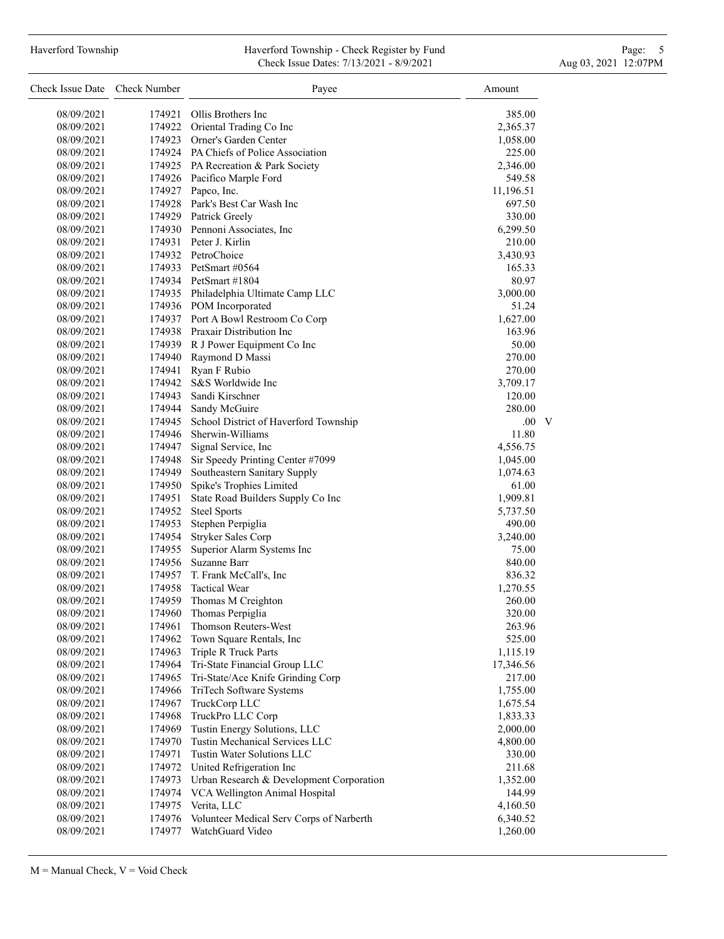#### Haverford Township **Haverford Township - Check Register by Fund** Page: 5 - 5 - 7 Page: 5 - 7 Page: 5 - 7 Page: 5 Check Issue Dates: 7/13/2021 - 8/9/2021 - Aug 03, 2021 12:07PM

| Check Issue Date Check Number |        | Payee                                                     | Amount    |
|-------------------------------|--------|-----------------------------------------------------------|-----------|
| 08/09/2021                    | 174921 | Ollis Brothers Inc                                        | 385.00    |
| 08/09/2021                    |        | 174922 Oriental Trading Co Inc                            | 2,365.37  |
| 08/09/2021                    |        | 174923 Orner's Garden Center                              | 1,058.00  |
| 08/09/2021                    |        | 174924 PA Chiefs of Police Association                    | 225.00    |
| 08/09/2021                    |        | 174925 PA Recreation & Park Society                       | 2,346.00  |
| 08/09/2021                    |        | 174926 Pacifico Marple Ford                               | 549.58    |
| 08/09/2021                    |        | 174927 Papco, Inc.                                        | 11,196.51 |
| 08/09/2021                    |        | 174928 Park's Best Car Wash Inc                           | 697.50    |
| 08/09/2021                    |        | 174929 Patrick Greely                                     | 330.00    |
| 08/09/2021                    |        | 174930 Pennoni Associates, Inc.                           | 6,299.50  |
| 08/09/2021                    |        | 174931 Peter J. Kirlin                                    | 210.00    |
| 08/09/2021                    |        | 174932 PetroChoice                                        | 3,430.93  |
| 08/09/2021                    |        | 174933 PetSmart #0564                                     | 165.33    |
| 08/09/2021                    |        | 174934 PetSmart #1804                                     | 80.97     |
| 08/09/2021                    |        | 174935 Philadelphia Ultimate Camp LLC                     | 3,000.00  |
| 08/09/2021                    |        | 174936 POM Incorporated                                   | 51.24     |
| 08/09/2021                    |        | 174937 Port A Bowl Restroom Co Corp                       | 1,627.00  |
| 08/09/2021                    |        | 174938 Praxair Distribution Inc                           | 163.96    |
| 08/09/2021                    |        | 174939 R J Power Equipment Co Inc                         | 50.00     |
| 08/09/2021                    |        | 174940 Raymond D Massi                                    | 270.00    |
| 08/09/2021                    | 174941 | Ryan F Rubio                                              | 270.00    |
| 08/09/2021                    | 174942 | S&S Worldwide Inc                                         | 3,709.17  |
|                               |        | 174943 Sandi Kirschner                                    | 120.00    |
| 08/09/2021                    |        |                                                           | 280.00    |
| 08/09/2021                    | 174945 | 174944 Sandy McGuire                                      | V<br>.00. |
| 08/09/2021                    |        | School District of Haverford Township<br>Sherwin-Williams |           |
| 08/09/2021                    | 174946 | Signal Service, Inc                                       | 11.80     |
| 08/09/2021                    | 174947 |                                                           | 4,556.75  |
| 08/09/2021                    | 174948 | Sir Speedy Printing Center #7099                          | 1,045.00  |
| 08/09/2021                    | 174949 | Southeastern Sanitary Supply                              | 1,074.63  |
| 08/09/2021                    | 174950 | Spike's Trophies Limited                                  | 61.00     |
| 08/09/2021                    | 174951 | State Road Builders Supply Co Inc                         | 1,909.81  |
| 08/09/2021                    | 174952 | <b>Steel Sports</b>                                       | 5,737.50  |
| 08/09/2021                    | 174953 | Stephen Perpiglia                                         | 490.00    |
| 08/09/2021                    | 174954 | Stryker Sales Corp                                        | 3,240.00  |
| 08/09/2021                    | 174955 | Superior Alarm Systems Inc                                | 75.00     |
| 08/09/2021                    | 174956 | Suzanne Barr                                              | 840.00    |
| 08/09/2021                    |        | 174957 T. Frank McCall's, Inc.                            | 836.32    |
| 08/09/2021                    | 174958 | <b>Tactical Wear</b>                                      | 1,270.55  |
| 08/09/2021                    | 174959 | Thomas M Creighton                                        | 260.00    |
| 08/09/2021                    | 174960 | Thomas Perpiglia                                          | 320.00    |
| 08/09/2021                    | 174961 | Thomson Reuters-West                                      | 263.96    |
| 08/09/2021                    | 174962 | Town Square Rentals, Inc                                  | 525.00    |
| 08/09/2021                    | 174963 | Triple R Truck Parts                                      | 1,115.19  |
| 08/09/2021                    | 174964 | Tri-State Financial Group LLC                             | 17,346.56 |
| 08/09/2021                    | 174965 | Tri-State/Ace Knife Grinding Corp                         | 217.00    |
| 08/09/2021                    | 174966 | TriTech Software Systems                                  | 1,755.00  |
| 08/09/2021                    | 174967 | TruckCorp LLC                                             | 1,675.54  |
| 08/09/2021                    | 174968 | TruckPro LLC Corp                                         | 1,833.33  |
| 08/09/2021                    | 174969 | Tustin Energy Solutions, LLC                              | 2,000.00  |
| 08/09/2021                    | 174970 | Tustin Mechanical Services LLC                            | 4,800.00  |
| 08/09/2021                    | 174971 | Tustin Water Solutions LLC                                | 330.00    |
| 08/09/2021                    | 174972 | United Refrigeration Inc                                  | 211.68    |
| 08/09/2021                    | 174973 | Urban Research & Development Corporation                  | 1,352.00  |
| 08/09/2021                    | 174974 | VCA Wellington Animal Hospital                            | 144.99    |
| 08/09/2021                    | 174975 | Verita, LLC                                               | 4,160.50  |
| 08/09/2021                    | 174976 | Volunteer Medical Serv Corps of Narberth                  | 6,340.52  |
| 08/09/2021                    | 174977 | WatchGuard Video                                          | 1,260.00  |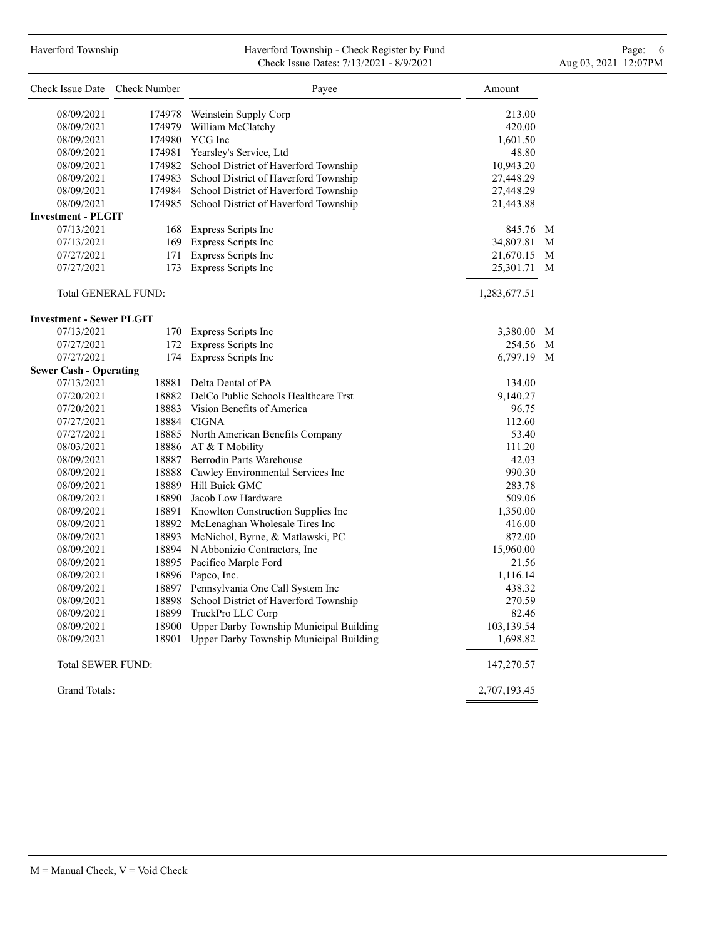# Haverford Township **Haverford Township - Check Register by Fund** Page: 6 Australian Page: 6 Australian Page: 6 Au Check Issue Dates: 7/13/2021 - 8/9/2021 - Aug 03, 2021 12:07PM

| Check Issue Date Check Number   |                            | Payee                                        | Amount       |   |
|---------------------------------|----------------------------|----------------------------------------------|--------------|---|
| 08/09/2021                      | 174978                     | Weinstein Supply Corp                        | 213.00       |   |
| 08/09/2021                      | 174979                     | William McClatchy                            | 420.00       |   |
| 08/09/2021                      |                            | 174980 YCG Inc                               | 1,601.50     |   |
| 08/09/2021                      |                            | 174981 Yearsley's Service, Ltd               | 48.80        |   |
| 08/09/2021                      |                            | 174982 School District of Haverford Township | 10,943.20    |   |
| 08/09/2021                      |                            |                                              |              |   |
|                                 |                            | 174983 School District of Haverford Township | 27,448.29    |   |
| 08/09/2021                      |                            | 174984 School District of Haverford Township | 27,448.29    |   |
| 08/09/2021                      | 174985                     | School District of Haverford Township        | 21,443.88    |   |
| <b>Investment - PLGIT</b>       |                            |                                              |              |   |
| 07/13/2021                      |                            | 168 Express Scripts Inc                      | 845.76 M     |   |
| 07/13/2021                      |                            | 169 Express Scripts Inc                      | 34,807.81 M  |   |
| 07/27/2021                      | 171                        | <b>Express Scripts Inc</b>                   | 21,670.15    | M |
| 07/27/2021                      | 173                        | Express Scripts Inc                          | 25,301.71    | M |
|                                 | <b>Total GENERAL FUND:</b> |                                              | 1,283,677.51 |   |
| <b>Investment - Sewer PLGIT</b> |                            |                                              |              |   |
| 07/13/2021                      |                            | 170 Express Scripts Inc                      | 3,380.00 M   |   |
| 07/27/2021                      | 172                        | Express Scripts Inc                          | 254.56 M     |   |
| 07/27/2021                      |                            | 174 Express Scripts Inc                      | 6,797.19 M   |   |
| <b>Sewer Cash - Operating</b>   |                            |                                              |              |   |
| 07/13/2021                      | 18881                      | Delta Dental of PA                           | 134.00       |   |
| 07/20/2021                      |                            | 18882 DelCo Public Schools Healthcare Trst   | 9,140.27     |   |
| 07/20/2021                      |                            | 18883 Vision Benefits of America             | 96.75        |   |
| 07/27/2021                      |                            | 18884 CIGNA                                  | 112.60       |   |
| 07/27/2021                      |                            | 18885 North American Benefits Company        | 53.40        |   |
| 08/03/2021                      |                            | 18886 AT & T Mobility                        | 111.20       |   |
| 08/09/2021                      |                            | 18887 Berrodin Parts Warehouse               | 42.03        |   |
| 08/09/2021                      |                            | 18888 Cawley Environmental Services Inc      | 990.30       |   |
|                                 |                            | 18889 Hill Buick GMC                         |              |   |
| 08/09/2021                      |                            |                                              | 283.78       |   |
| 08/09/2021                      |                            | 18890 Jacob Low Hardware                     | 509.06       |   |
| 08/09/2021                      |                            | 18891 Knowlton Construction Supplies Inc     | 1,350.00     |   |
| 08/09/2021                      |                            | 18892 McLenaghan Wholesale Tires Inc         | 416.00       |   |
| 08/09/2021                      |                            | 18893 McNichol, Byrne, & Matlawski, PC       | 872.00       |   |
| 08/09/2021                      |                            | 18894 N Abbonizio Contractors, Inc.          | 15,960.00    |   |
| 08/09/2021                      |                            | 18895 Pacifico Marple Ford                   | 21.56        |   |
| 08/09/2021                      | 18896                      | Papco, Inc.                                  | 1,116.14     |   |
| 08/09/2021                      |                            | 18897 Pennsylvania One Call System Inc       | 438.32       |   |
| 08/09/2021                      | 18898                      | School District of Haverford Township        | 270.59       |   |
| 08/09/2021                      | 18899                      | TruckPro LLC Corp                            | 82.46        |   |
| 08/09/2021                      | 18900                      | Upper Darby Township Municipal Building      | 103,139.54   |   |
| 08/09/2021                      | 18901                      | Upper Darby Township Municipal Building      | 1,698.82     |   |
| <b>Total SEWER FUND:</b>        |                            |                                              | 147,270.57   |   |
| Grand Totals:                   |                            |                                              | 2,707,193.45 |   |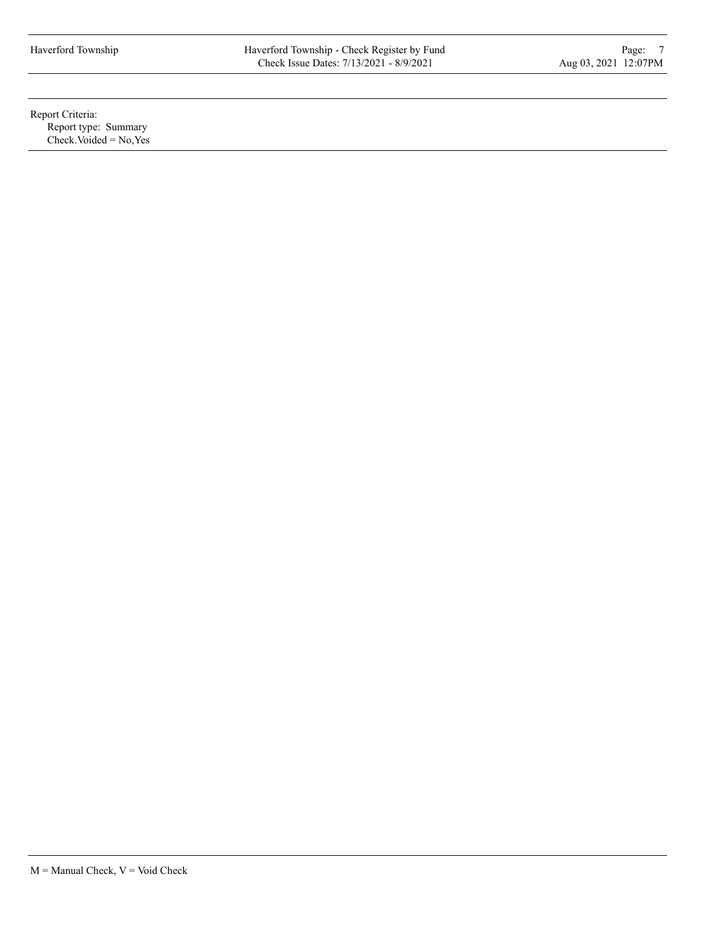Report Criteria: Report type: Summary  $Check. Voded = No, Yes$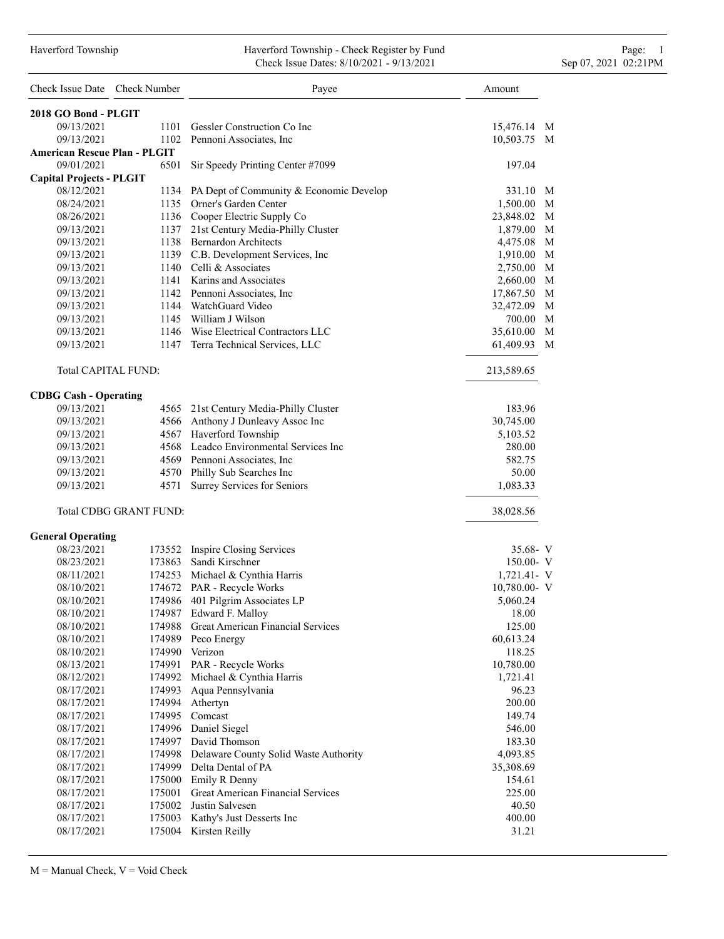### Haverford Township Haverford Township - Check Register by Fund Page: 1 Check Issue Dates: 8/10/2021 - 9/13/2021 Sep 07, 2021 02:21PM

| Check Issue Date Check Number       |                               | Payee                                        | Amount          |
|-------------------------------------|-------------------------------|----------------------------------------------|-----------------|
| 2018 GO Bond - PLGIT                |                               |                                              |                 |
| 09/13/2021                          | 1101                          | Gessler Construction Co Inc                  | 15,476.14 M     |
| 09/13/2021                          |                               | 1102 Pennoni Associates, Inc.                | 10,503.75 M     |
| <b>American Rescue Plan - PLGIT</b> |                               |                                              |                 |
| 09/01/2021                          | 6501                          | Sir Speedy Printing Center #7099             | 197.04          |
| <b>Capital Projects - PLGIT</b>     |                               |                                              |                 |
| 08/12/2021                          |                               | 1134 PA Dept of Community & Economic Develop | 331.10 M        |
| 08/24/2021                          |                               | 1135 Orner's Garden Center                   | 1,500.00 M      |
| 08/26/2021                          |                               | 1136 Cooper Electric Supply Co               | 23,848.02 M     |
| 09/13/2021                          |                               | 1137 21st Century Media-Philly Cluster       | 1,879.00 M      |
| 09/13/2021                          |                               | 1138 Bernardon Architects                    | M<br>4,475.08   |
| 09/13/2021                          |                               | 1139 C.B. Development Services, Inc          | M<br>1,910.00   |
| 09/13/2021                          |                               | 1140 Celli & Associates                      | 2,750.00 M      |
| 09/13/2021                          |                               | 1141 Karins and Associates                   | M<br>2,660.00   |
| 09/13/2021                          |                               | 1142 Pennoni Associates, Inc.                | M<br>17,867.50  |
| 09/13/2021                          |                               | 1144 WatchGuard Video                        | M<br>32,472.09  |
| 09/13/2021                          |                               | 1145 William J Wilson                        | 700.00 M        |
| 09/13/2021                          |                               | 1146 Wise Electrical Contractors LLC         | 35,610.00 M     |
| 09/13/2021                          |                               | 1147 Terra Technical Services, LLC           | 61,409.93<br>M  |
| <b>Total CAPITAL FUND:</b>          |                               |                                              | 213,589.65      |
| <b>CDBG Cash - Operating</b>        |                               |                                              |                 |
| 09/13/2021                          |                               | 4565 21st Century Media-Philly Cluster       | 183.96          |
| 09/13/2021                          |                               | 4566 Anthony J Dunleavy Assoc Inc            | 30,745.00       |
| 09/13/2021                          |                               | 4567 Haverford Township                      | 5,103.52        |
| 09/13/2021                          |                               | 4568 Leadco Environmental Services Inc       | 280.00          |
| 09/13/2021                          |                               | 4569 Pennoni Associates, Inc.                | 582.75          |
| 09/13/2021                          |                               | 4570 Philly Sub Searches Inc                 | 50.00           |
| 09/13/2021                          | 4571                          | Surrey Services for Seniors                  | 1,083.33        |
|                                     | <b>Total CDBG GRANT FUND:</b> |                                              | 38,028.56       |
| <b>General Operating</b>            |                               |                                              |                 |
| 08/23/2021                          | 173552                        | Inspire Closing Services                     | $35.68 - V$     |
| 08/23/2021                          | 173863                        | Sandi Kirschner                              | $150.00 - V$    |
| 08/11/2021                          |                               | 174253 Michael & Cynthia Harris              | 1,721.41- V     |
| 08/10/2021                          |                               | 174672 PAR - Recycle Works                   | $10,780.00 - V$ |
| 08/10/2021                          | 174986                        | 401 Pilgrim Associates LP                    | 5,060.24        |
| 08/10/2021                          |                               | 174987 Edward F. Malloy                      | 18.00           |
| 08/10/2021                          | 174988                        | Great American Financial Services            | 125.00          |
| 08/10/2021                          |                               | 174989 Peco Energy                           | 60,613.24       |
| 08/10/2021                          |                               | 174990 Verizon                               | 118.25          |
| 08/13/2021                          |                               | 174991 PAR - Recycle Works                   | 10,780.00       |
| 08/12/2021                          | 174992                        | Michael & Cynthia Harris                     | 1,721.41        |
| 08/17/2021                          | 174993                        | Aqua Pennsylvania                            | 96.23           |
| 08/17/2021                          | 174994                        | Athertyn                                     | 200.00          |
| 08/17/2021                          |                               | 174995 Comcast                               | 149.74          |
| 08/17/2021                          |                               | 174996 Daniel Siegel                         | 546.00          |
| 08/17/2021                          |                               | 174997 David Thomson                         | 183.30          |
| 08/17/2021                          |                               | 174998 Delaware County Solid Waste Authority | 4,093.85        |
| 08/17/2021                          |                               | 174999 Delta Dental of PA                    | 35,308.69       |
| 08/17/2021                          |                               | 175000 Emily R Denny                         | 154.61          |
| 08/17/2021                          | 175001                        | <b>Great American Financial Services</b>     | 225.00          |
| 08/17/2021                          | 175002                        | Justin Salvesen                              | 40.50           |
| 08/17/2021                          | 175003                        | Kathy's Just Desserts Inc                    | 400.00          |
| 08/17/2021                          |                               | 175004 Kirsten Reilly                        | 31.21           |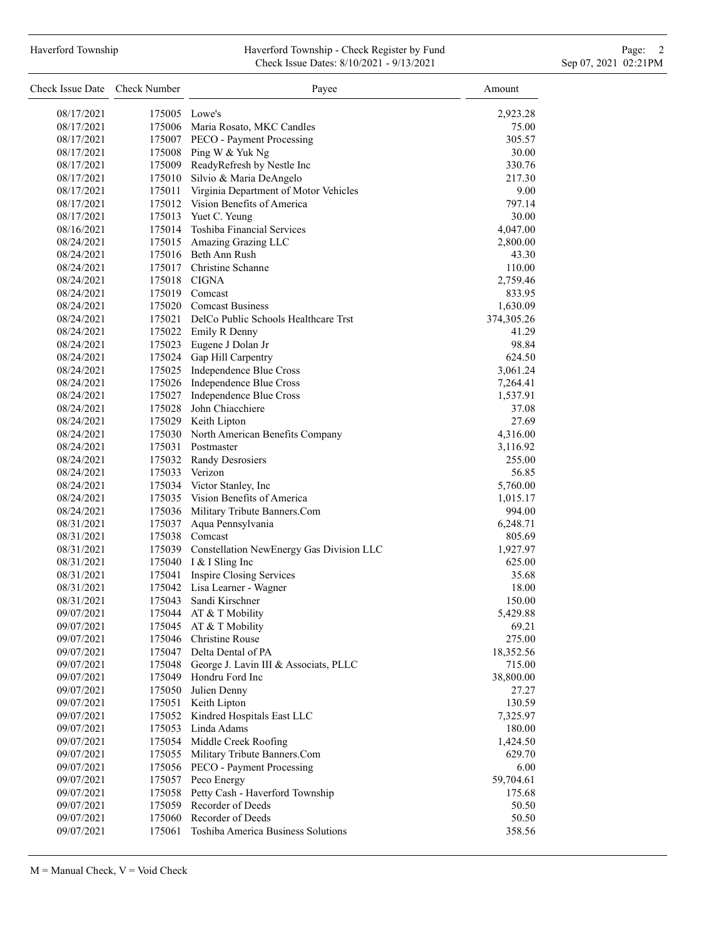# Haverford Township **Haverford Township - Check Register by Fund** Page: 2 Check Issue Dates: 8/10/2021 - 9/13/2021 Sep 07, 2021 02:21PM

| Check Issue Date Check Number |        | Payee                                                       | Amount             |
|-------------------------------|--------|-------------------------------------------------------------|--------------------|
| 08/17/2021                    |        | 175005 Lowe's                                               | 2,923.28           |
| 08/17/2021                    |        | 175006 Maria Rosato, MKC Candles                            | 75.00              |
| 08/17/2021                    |        | 175007 PECO - Payment Processing                            | 305.57             |
| 08/17/2021                    |        | 175008 Ping W & Yuk Ng                                      | 30.00              |
| 08/17/2021                    |        | 175009 ReadyRefresh by Nestle Inc                           | 330.76             |
| 08/17/2021                    |        | 175010 Silvio & Maria DeAngelo                              | 217.30             |
| 08/17/2021                    |        | 175011 Virginia Department of Motor Vehicles                | 9.00               |
| 08/17/2021                    |        | 175012 Vision Benefits of America                           | 797.14             |
| 08/17/2021                    |        | 175013 Yuet C. Yeung                                        | 30.00              |
| 08/16/2021                    |        | 175014 Toshiba Financial Services                           | 4,047.00           |
| 08/24/2021                    |        | 175015 Amazing Grazing LLC                                  | 2,800.00           |
| 08/24/2021                    |        | 175016 Beth Ann Rush                                        | 43.30              |
| 08/24/2021                    |        | 175017 Christine Schanne                                    | 110.00             |
| 08/24/2021                    |        | 175018 CIGNA                                                | 2,759.46           |
| 08/24/2021                    |        | 175019 Comcast                                              | 833.95             |
| 08/24/2021                    |        | 175020 Comcast Business                                     | 1,630.09           |
| 08/24/2021                    |        | 175021 DelCo Public Schools Healthcare Trst                 | 374, 305. 26       |
| 08/24/2021                    |        | 175022 Emily R Denny                                        | 41.29              |
| 08/24/2021                    |        | 175023 Eugene J Dolan Jr                                    | 98.84              |
| 08/24/2021                    |        | 175024 Gap Hill Carpentry                                   | 624.50             |
| 08/24/2021                    |        | 175025 Independence Blue Cross                              | 3,061.24           |
| 08/24/2021                    |        | 175026 Independence Blue Cross                              | 7,264.41           |
| 08/24/2021                    |        | 175027 Independence Blue Cross                              | 1,537.91           |
| 08/24/2021                    |        | 175028 John Chiacchiere                                     |                    |
| 08/24/2021                    |        | 175029 Keith Lipton                                         | 37.08<br>27.69     |
|                               |        |                                                             |                    |
| 08/24/2021                    |        | 175030 North American Benefits Company<br>175031 Postmaster | 4,316.00           |
| 08/24/2021                    |        |                                                             | 3,116.92<br>255.00 |
| 08/24/2021                    |        | 175032 Randy Desrosiers<br>175033 Verizon                   |                    |
| 08/24/2021                    |        |                                                             | 56.85              |
| 08/24/2021                    |        | 175034 Victor Stanley, Inc                                  | 5,760.00           |
| 08/24/2021                    |        | 175035 Vision Benefits of America                           | 1,015.17           |
| 08/24/2021                    |        | 175036 Military Tribute Banners.Com                         | 994.00             |
| 08/31/2021                    |        | 175037 Aqua Pennsylvania                                    | 6,248.71           |
| 08/31/2021                    |        | 175038 Comcast                                              | 805.69             |
| 08/31/2021                    |        | 175039 Constellation NewEnergy Gas Division LLC             | 1,927.97           |
| 08/31/2021                    |        | 175040 I & I Sling Inc                                      | 625.00             |
| 08/31/2021                    |        | 175041 Inspire Closing Services                             | 35.68              |
| 08/31/2021                    |        | 175042 Lisa Learner - Wagner                                | 18.00              |
| 08/31/2021                    |        | 175043 Sandi Kirschner                                      | 150.00             |
| 09/07/2021                    |        | 175044 AT & T Mobility                                      | 5,429.88           |
| 09/07/2021                    |        | 175045 AT & T Mobility                                      | 69.21              |
| 09/07/2021                    |        | 175046 Christine Rouse                                      | 275.00             |
| 09/07/2021                    |        | 175047 Delta Dental of PA                                   | 18,352.56          |
| 09/07/2021                    |        | 175048 George J. Lavin III & Associats, PLLC                | 715.00             |
| 09/07/2021                    | 175049 | Hondru Ford Inc                                             | 38,800.00          |
| 09/07/2021                    | 175050 | Julien Denny                                                | 27.27              |
| 09/07/2021                    | 175051 | Keith Lipton                                                | 130.59             |
| 09/07/2021                    |        | 175052 Kindred Hospitals East LLC                           | 7,325.97           |
| 09/07/2021                    |        | 175053 Linda Adams                                          | 180.00             |
| 09/07/2021                    |        | 175054 Middle Creek Roofing                                 | 1,424.50           |
| 09/07/2021                    |        | 175055 Military Tribute Banners.Com                         | 629.70             |
| 09/07/2021                    |        | 175056 PECO - Payment Processing                            | 6.00               |
| 09/07/2021                    | 175057 | Peco Energy                                                 | 59,704.61          |
| 09/07/2021                    | 175058 | Petty Cash - Haverford Township                             | 175.68             |
| 09/07/2021                    | 175059 | Recorder of Deeds                                           | 50.50              |
| 09/07/2021                    | 175060 | Recorder of Deeds                                           | 50.50              |
| 09/07/2021                    | 175061 | Toshiba America Business Solutions                          | 358.56             |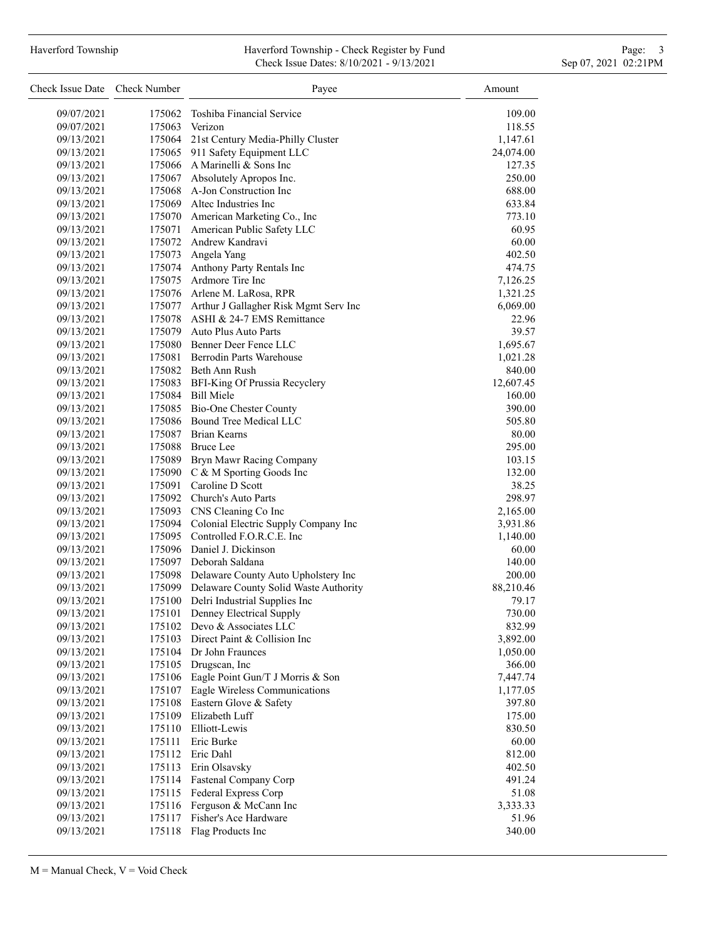# Haverford Township **Haverford Township - Check Register by Fund** Page: 3 and Page: 3 and Page: 3 and Page: 3 and Page: 3 and Page: 3 and Page: 3 and Page: 3 and Page: 3 and Page: 3 and Page: 3 and Page: 3 and Page: 3 and P Check Issue Dates: 8/10/2021 - 9/13/2021 Sep 07, 2021 02:21PM

| Check Issue Date Check Number |        | Payee                                        | Amount            |
|-------------------------------|--------|----------------------------------------------|-------------------|
| 09/07/2021                    |        | 175062 Toshiba Financial Service             | 109.00            |
| 09/07/2021                    | 175063 | Verizon                                      | 118.55            |
| 09/13/2021                    |        | 175064 21st Century Media-Philly Cluster     | 1,147.61          |
| 09/13/2021                    |        | 175065 911 Safety Equipment LLC              | 24,074.00         |
| 09/13/2021                    |        | 175066 A Marinelli & Sons Inc                | 127.35            |
| 09/13/2021                    |        | 175067 Absolutely Apropos Inc.               | 250.00            |
| 09/13/2021                    |        | 175068 A-Jon Construction Inc                | 688.00            |
| 09/13/2021                    |        | 175069 Altec Industries Inc                  | 633.84            |
| 09/13/2021                    |        | 175070 American Marketing Co., Inc           | 773.10            |
| 09/13/2021                    |        | 175071 American Public Safety LLC            | 60.95             |
| 09/13/2021                    |        | 175072 Andrew Kandravi                       | 60.00             |
| 09/13/2021                    |        | 175073 Angela Yang                           | 402.50            |
| 09/13/2021                    |        | 175074 Anthony Party Rentals Inc             | 474.75            |
| 09/13/2021                    |        | 175075 Ardmore Tire Inc                      | 7,126.25          |
| 09/13/2021                    |        | 175076 Arlene M. LaRosa, RPR                 | 1,321.25          |
| 09/13/2021                    |        | 175077 Arthur J Gallagher Risk Mgmt Serv Inc | 6,069.00          |
| 09/13/2021                    |        | 175078 ASHI & 24-7 EMS Remittance            | 22.96             |
| 09/13/2021                    |        | 175079 Auto Plus Auto Parts                  | 39.57             |
| 09/13/2021                    |        | 175080 Benner Deer Fence LLC                 | 1,695.67          |
| 09/13/2021                    |        | 175081 Berrodin Parts Warehouse              | 1,021.28          |
| 09/13/2021                    |        | 175082 Beth Ann Rush                         | 840.00            |
| 09/13/2021                    |        | 175083 BFI-King Of Prussia Recyclery         | 12,607.45         |
| 09/13/2021                    |        | 175084 Bill Miele                            | 160.00            |
| 09/13/2021                    |        | 175085 Bio-One Chester County                | 390.00            |
| 09/13/2021                    |        | 175086 Bound Tree Medical LLC                | 505.80            |
| 09/13/2021                    |        | 175087 Brian Kearns                          | 80.00             |
| 09/13/2021                    |        | 175088 Bruce Lee                             | 295.00            |
| 09/13/2021                    |        | 175089 Bryn Mawr Racing Company              | 103.15            |
| 09/13/2021                    |        | 175090 C & M Sporting Goods Inc              | 132.00            |
| 09/13/2021                    |        | 175091 Caroline D Scott                      | 38.25             |
| 09/13/2021                    |        | 175092 Church's Auto Parts                   | 298.97            |
| 09/13/2021                    |        | 175093 CNS Cleaning Co Inc                   | 2,165.00          |
| 09/13/2021                    |        | 175094 Colonial Electric Supply Company Inc  | 3,931.86          |
| 09/13/2021                    |        | 175095 Controlled F.O.R.C.E. Inc             | 1,140.00          |
| 09/13/2021                    |        | 175096 Daniel J. Dickinson                   | 60.00             |
| 09/13/2021                    |        | 175097 Deborah Saldana                       | 140.00            |
| 09/13/2021                    |        | 175098 Delaware County Auto Upholstery Inc   | 200.00            |
| 09/13/2021                    |        | 175099 Delaware County Solid Waste Authority | 88,210.46         |
| 09/13/2021                    | 175100 | Delri Industrial Supplies Inc                | 79.17             |
| 09/13/2021                    | 175101 | Denney Electrical Supply                     | 730.00            |
| 09/13/2021                    | 175102 | Devo & Associates LLC                        | 832.99            |
| 09/13/2021                    |        | 175103 Direct Paint & Collision Inc          | 3,892.00          |
| 09/13/2021                    |        | 175104 Dr John Fraunces                      | 1,050.00          |
| 09/13/2021                    |        | 175105 Drugscan, Inc                         | 366.00            |
| 09/13/2021                    |        | 175106 Eagle Point Gun/T J Morris & Son      | 7,447.74          |
| 09/13/2021                    | 175107 | Eagle Wireless Communications                | 1,177.05          |
| 09/13/2021                    |        | 175108 Eastern Glove & Safety                | 397.80            |
| 09/13/2021                    | 175109 | Elizabeth Luff                               | 175.00            |
| 09/13/2021                    | 175110 | Elliott-Lewis                                | 830.50            |
| 09/13/2021                    | 175111 | Eric Burke                                   | 60.00             |
| 09/13/2021                    | 175112 | Eric Dahl                                    | 812.00            |
| 09/13/2021                    | 175113 | Erin Olsavsky                                | 402.50            |
| 09/13/2021                    | 175114 | Fastenal Company Corp                        | 491.24            |
| 09/13/2021                    | 175115 | Federal Express Corp                         |                   |
| 09/13/2021                    |        | Ferguson & McCann Inc                        | 51.08<br>3,333.33 |
|                               | 175116 | Fisher's Ace Hardware                        |                   |
| 09/13/2021                    | 175117 |                                              | 51.96             |
| 09/13/2021                    | 175118 | Flag Products Inc                            | 340.00            |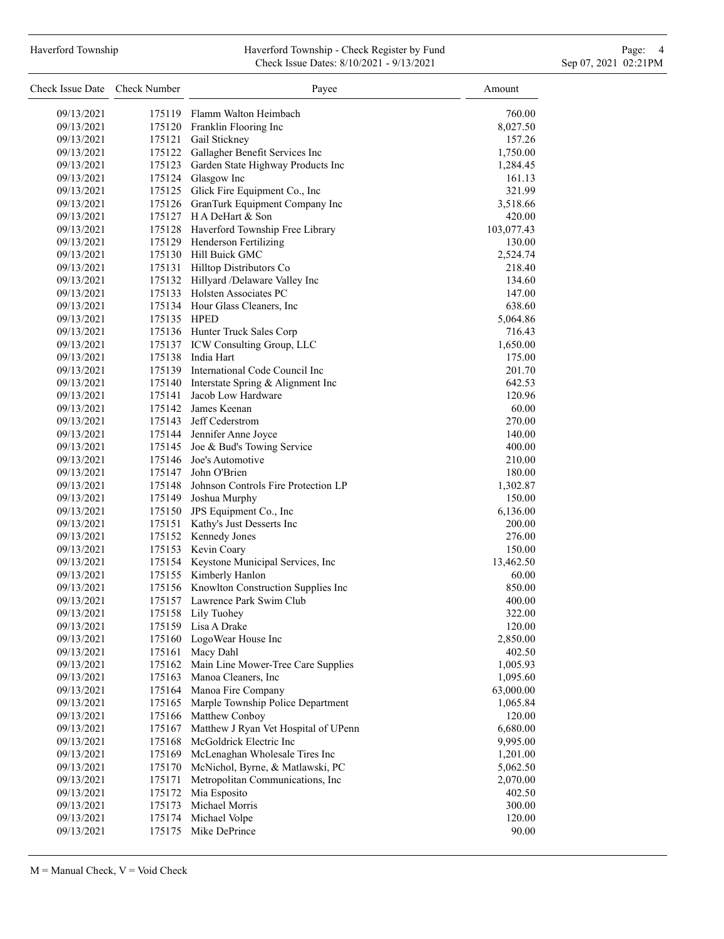# Haverford Township **Haverford Township - Check Register by Fund** Page: 4 and Page: 4 Check Issue Dates: 8/10/2021 - 9/13/2021 Sep 07, 2021 02:21PM

| Check Issue Date Check Number |             | Payee                                     | Amount     |
|-------------------------------|-------------|-------------------------------------------|------------|
| 09/13/2021                    |             | 175119 Flamm Walton Heimbach              | 760.00     |
| 09/13/2021                    |             | 175120 Franklin Flooring Inc              | 8,027.50   |
| 09/13/2021                    |             | 175121 Gail Stickney                      | 157.26     |
| 09/13/2021                    | 175122      | Gallagher Benefit Services Inc            | 1,750.00   |
| 09/13/2021                    | 175123      | Garden State Highway Products Inc         | 1,284.45   |
| 09/13/2021                    |             | 175124 Glasgow Inc                        | 161.13     |
| 09/13/2021                    |             | 175125 Glick Fire Equipment Co., Inc      | 321.99     |
| 09/13/2021                    |             | 175126 GranTurk Equipment Company Inc     | 3,518.66   |
| 09/13/2021                    |             | 175127 H A DeHart & Son                   | 420.00     |
| 09/13/2021                    |             | 175128 Haverford Township Free Library    | 103,077.43 |
| 09/13/2021                    |             | 175129 Henderson Fertilizing              | 130.00     |
| 09/13/2021                    |             | 175130 Hill Buick GMC                     | 2,524.74   |
| 09/13/2021                    |             | 175131 Hilltop Distributors Co            | 218.40     |
| 09/13/2021                    |             | 175132 Hillyard /Delaware Valley Inc      | 134.60     |
| 09/13/2021                    |             | 175133 Holsten Associates PC              | 147.00     |
| 09/13/2021                    |             | 175134 Hour Glass Cleaners, Inc           | 638.60     |
| 09/13/2021                    | 175135 HPED |                                           | 5,064.86   |
| 09/13/2021                    |             | 175136 Hunter Truck Sales Corp            | 716.43     |
| 09/13/2021                    |             | 175137 ICW Consulting Group, LLC          | 1,650.00   |
| 09/13/2021                    |             | 175138 India Hart                         | 175.00     |
| 09/13/2021                    |             | 175139 International Code Council Inc     | 201.70     |
| 09/13/2021                    |             | 175140 Interstate Spring & Alignment Inc  | 642.53     |
| 09/13/2021                    | 175141      | Jacob Low Hardware                        | 120.96     |
| 09/13/2021                    | 175142      | James Keenan                              | 60.00      |
| 09/13/2021                    | 175143      | Jeff Cederstrom                           | 270.00     |
| 09/13/2021                    |             | 175144 Jennifer Anne Joyce                | 140.00     |
| 09/13/2021                    |             | 175145 Joe & Bud's Towing Service         | 400.00     |
| 09/13/2021                    | 175146      | Joe's Automotive                          | 210.00     |
| 09/13/2021                    | 175147      | John O'Brien                              | 180.00     |
| 09/13/2021                    | 175148      | Johnson Controls Fire Protection LP       | 1,302.87   |
| 09/13/2021                    | 175149      | Joshua Murphy                             | 150.00     |
| 09/13/2021                    |             | 175150 JPS Equipment Co., Inc             | 6,136.00   |
| 09/13/2021                    | 175151      | Kathy's Just Desserts Inc                 | 200.00     |
| 09/13/2021                    |             | 175152 Kennedy Jones                      | 276.00     |
| 09/13/2021                    |             | 175153 Kevin Coary                        | 150.00     |
| 09/13/2021                    |             | 175154 Keystone Municipal Services, Inc   | 13,462.50  |
| 09/13/2021                    |             | 175155 Kimberly Hanlon                    | 60.00      |
| 09/13/2021                    |             | 175156 Knowlton Construction Supplies Inc | 850.00     |
| 09/13/2021                    |             | 175157 Lawrence Park Swim Club            | 400.00     |
| 09/13/2021                    | 175158      | Lily Tuohey                               | 322.00     |
| 09/13/2021                    | 175159      | Lisa A Drake                              | 120.00     |
| 09/13/2021                    | 175160      | LogoWear House Inc                        | 2,850.00   |
| 09/13/2021                    | 175161      | Macy Dahl                                 | 402.50     |
| 09/13/2021                    | 175162      | Main Line Mower-Tree Care Supplies        | 1,005.93   |
| 09/13/2021                    | 175163      | Manoa Cleaners, Inc                       | 1,095.60   |
| 09/13/2021                    | 175164      | Manoa Fire Company                        | 63,000.00  |
| 09/13/2021                    | 175165      | Marple Township Police Department         | 1,065.84   |
| 09/13/2021                    | 175166      | Matthew Conboy                            | 120.00     |
| 09/13/2021                    | 175167      | Matthew J Ryan Vet Hospital of UPenn      | 6,680.00   |
| 09/13/2021                    | 175168      | McGoldrick Electric Inc                   | 9,995.00   |
| 09/13/2021                    | 175169      | McLenaghan Wholesale Tires Inc            | 1,201.00   |
| 09/13/2021                    | 175170      | McNichol, Byrne, & Matlawski, PC          | 5,062.50   |
| 09/13/2021                    | 175171      | Metropolitan Communications, Inc.         | 2,070.00   |
| 09/13/2021                    | 175172      | Mia Esposito                              | 402.50     |
| 09/13/2021                    | 175173      | Michael Morris                            | 300.00     |
| 09/13/2021                    | 175174      | Michael Volpe                             | 120.00     |
| 09/13/2021                    | 175175      | Mike DePrince                             | 90.00      |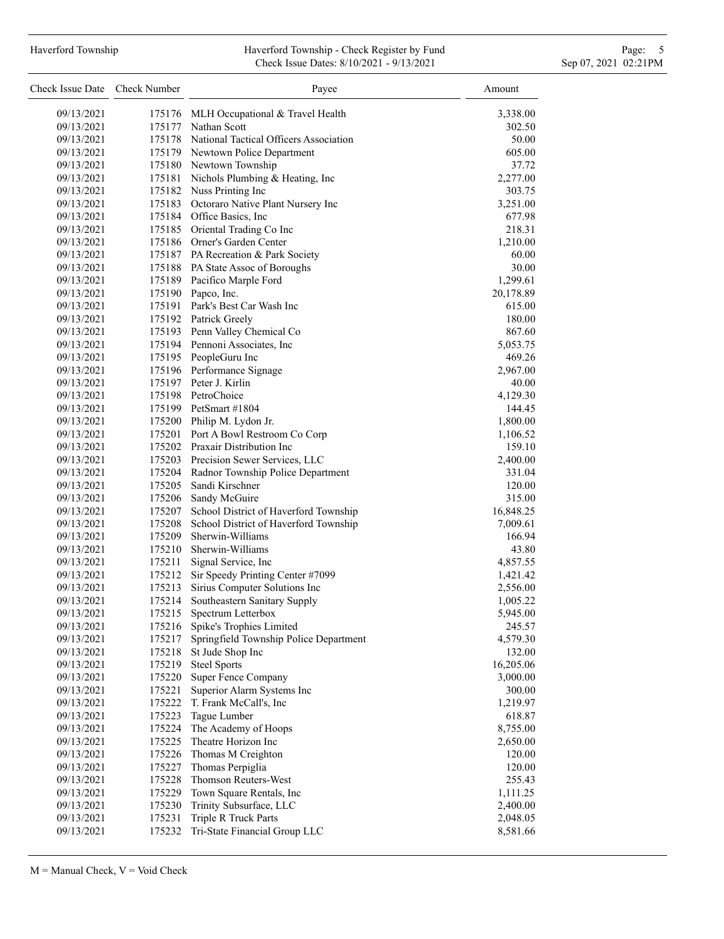# Haverford Township **Haverford Township - Check Register by Fund** Page: 5 and Page: 5 and Page: 5 and Page: 5 and Page: 5 and Page: 5 and Page: 5 and Page: 5 and Page: 5 and Page: 5 and Page: 5 and Page: 5 and Page: 5 and P Check Issue Dates: 8/10/2021 - 9/13/2021 Sep 07, 2021 02:21PM

| Check Issue Date | Check Number | Payee                                         | Amount    |
|------------------|--------------|-----------------------------------------------|-----------|
| 09/13/2021       |              | 175176 MLH Occupational & Travel Health       | 3,338.00  |
| 09/13/2021       |              | 175177 Nathan Scott                           | 302.50    |
| 09/13/2021       |              | 175178 National Tactical Officers Association | 50.00     |
| 09/13/2021       |              | 175179 Newtown Police Department              | 605.00    |
| 09/13/2021       |              | 175180 Newtown Township                       | 37.72     |
| 09/13/2021       |              | 175181 Nichols Plumbing & Heating, Inc        | 2,277.00  |
| 09/13/2021       |              | 175182 Nuss Printing Inc                      | 303.75    |
| 09/13/2021       |              | 175183 Octoraro Native Plant Nursery Inc      | 3,251.00  |
| 09/13/2021       |              | 175184 Office Basics, Inc                     | 677.98    |
| 09/13/2021       |              | 175185 Oriental Trading Co Inc                | 218.31    |
| 09/13/2021       |              | 175186 Orner's Garden Center                  | 1,210.00  |
| 09/13/2021       |              | 175187 PA Recreation & Park Society           | 60.00     |
| 09/13/2021       |              | 175188 PA State Assoc of Boroughs             | 30.00     |
| 09/13/2021       |              | 175189 Pacifico Marple Ford                   | 1,299.61  |
| 09/13/2021       |              | 175190 Papco, Inc.                            | 20,178.89 |
| 09/13/2021       |              | 175191 Park's Best Car Wash Inc               | 615.00    |
| 09/13/2021       |              | 175192 Patrick Greely                         | 180.00    |
| 09/13/2021       |              | 175193 Penn Valley Chemical Co                | 867.60    |
| 09/13/2021       |              | 175194 Pennoni Associates, Inc.               | 5,053.75  |
| 09/13/2021       |              | 175195 PeopleGuru Inc                         | 469.26    |
| 09/13/2021       |              | 175196 Performance Signage                    | 2,967.00  |
| 09/13/2021       |              | 175197 Peter J. Kirlin                        | 40.00     |
| 09/13/2021       |              | 175198 PetroChoice                            | 4,129.30  |
| 09/13/2021       |              | 175199 PetSmart #1804                         | 144.45    |
| 09/13/2021       |              | 175200 Philip M. Lydon Jr.                    | 1,800.00  |
| 09/13/2021       |              | 175201 Port A Bowl Restroom Co Corp           | 1,106.52  |
| 09/13/2021       |              | 175202 Praxair Distribution Inc               | 159.10    |
| 09/13/2021       |              | 175203 Precision Sewer Services, LLC          | 2,400.00  |
| 09/13/2021       | 175204       | Radnor Township Police Department             | 331.04    |
| 09/13/2021       | 175205       | Sandi Kirschner                               | 120.00    |
| 09/13/2021       | 175206       | Sandy McGuire                                 | 315.00    |
| 09/13/2021       | 175207       | School District of Haverford Township         | 16,848.25 |
| 09/13/2021       | 175208       | School District of Haverford Township         | 7,009.61  |
| 09/13/2021       | 175209       | Sherwin-Williams                              | 166.94    |
| 09/13/2021       | 175210       | Sherwin-Williams                              | 43.80     |
| 09/13/2021       | 175211       | Signal Service, Inc                           | 4,857.55  |
| 09/13/2021       | 175212       | Sir Speedy Printing Center #7099              | 1,421.42  |
| 09/13/2021       | 175213       | Sirius Computer Solutions Inc                 | 2,556.00  |
| 09/13/2021       | 175214       | Southeastern Sanitary Supply                  | 1,005.22  |
| 09/13/2021       | 175215       | Spectrum Letterbox                            | 5,945.00  |
| 09/13/2021       | 175216       | Spike's Trophies Limited                      | 245.57    |
| 09/13/2021       | 175217       | Springfield Township Police Department        | 4,579.30  |
| 09/13/2021       | 175218       | St Jude Shop Inc                              | 132.00    |
| 09/13/2021       | 175219       | <b>Steel Sports</b>                           | 16,205.06 |
| 09/13/2021       | 175220       | Super Fence Company                           | 3,000.00  |
| 09/13/2021       | 175221       | Superior Alarm Systems Inc                    | 300.00    |
| 09/13/2021       | 175222       | T. Frank McCall's, Inc                        | 1,219.97  |
| 09/13/2021       | 175223       | Tague Lumber                                  | 618.87    |
| 09/13/2021       | 175224       | The Academy of Hoops                          | 8,755.00  |
| 09/13/2021       | 175225       | Theatre Horizon Inc                           | 2,650.00  |
| 09/13/2021       | 175226       | Thomas M Creighton                            | 120.00    |
| 09/13/2021       | 175227       | Thomas Perpiglia                              | 120.00    |
| 09/13/2021       | 175228       | Thomson Reuters-West                          | 255.43    |
| 09/13/2021       | 175229       | Town Square Rentals, Inc                      | 1,111.25  |
| 09/13/2021       | 175230       | Trinity Subsurface, LLC                       | 2,400.00  |
| 09/13/2021       | 175231       | Triple R Truck Parts                          | 2,048.05  |
| 09/13/2021       | 175232       | Tri-State Financial Group LLC                 | 8,581.66  |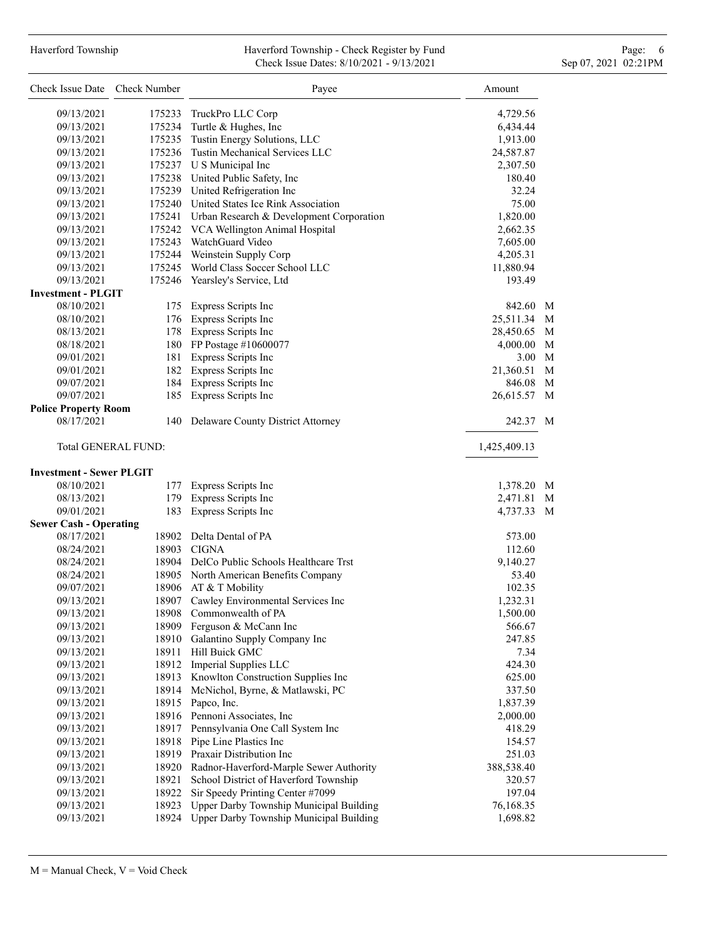# Haverford Township **Haverford Township - Check Register by Fund** Page: 6 Australian Page: 6 Australian Page: 6 Au Check Issue Dates: 8/10/2021 - 9/13/2021 Sep 07, 2021 02:21PM

| Check Issue Date Check Number   |                     | Payee                                           | Amount       |   |
|---------------------------------|---------------------|-------------------------------------------------|--------------|---|
| 09/13/2021                      | 175233              | TruckPro LLC Corp                               | 4,729.56     |   |
| 09/13/2021                      | 175234              | Turtle & Hughes, Inc                            | 6,434.44     |   |
| 09/13/2021                      | 175235              | Tustin Energy Solutions, LLC                    | 1,913.00     |   |
| 09/13/2021                      |                     | 175236 Tustin Mechanical Services LLC           | 24,587.87    |   |
| 09/13/2021                      |                     | 175237 U S Municipal Inc                        | 2,307.50     |   |
| 09/13/2021                      |                     | 175238 United Public Safety, Inc                | 180.40       |   |
| 09/13/2021                      |                     | 175239 United Refrigeration Inc                 | 32.24        |   |
| 09/13/2021                      |                     | 175240 United States Ice Rink Association       | 75.00        |   |
| 09/13/2021                      |                     | 175241 Urban Research & Development Corporation | 1,820.00     |   |
| 09/13/2021                      |                     | 175242 VCA Wellington Animal Hospital           | 2,662.35     |   |
| 09/13/2021                      |                     | 175243 WatchGuard Video                         | 7,605.00     |   |
| 09/13/2021                      |                     | 175244 Weinstein Supply Corp                    | 4,205.31     |   |
| 09/13/2021                      |                     | 175245 World Class Soccer School LLC            | 11,880.94    |   |
| 09/13/2021                      |                     | 175246 Yearsley's Service, Ltd                  | 193.49       |   |
| <b>Investment - PLGIT</b>       |                     |                                                 |              |   |
| 08/10/2021                      |                     | 175 Express Scripts Inc                         | 842.60 M     |   |
| 08/10/2021                      |                     | 176 Express Scripts Inc                         | 25,511.34 M  |   |
| 08/13/2021                      |                     | 178 Express Scripts Inc                         | 28,450.65    | M |
| 08/18/2021                      |                     | 180 FP Postage #10600077                        | 4,000.00     | M |
| 09/01/2021                      |                     | 181 Express Scripts Inc                         | 3.00 M       |   |
| 09/01/2021                      |                     | 182 Express Scripts Inc                         | 21,360.51    | M |
| 09/07/2021                      |                     | 184 Express Scripts Inc                         | 846.08       | M |
| 09/07/2021                      |                     | 185 Express Scripts Inc                         | 26,615.57    | M |
| <b>Police Property Room</b>     |                     |                                                 |              |   |
| 08/17/2021                      |                     | 140 Delaware County District Attorney           | 242.37 M     |   |
|                                 | Total GENERAL FUND: |                                                 | 1,425,409.13 |   |
| <b>Investment - Sewer PLGIT</b> |                     |                                                 |              |   |
| 08/10/2021                      |                     | 177 Express Scripts Inc                         | 1,378.20 M   |   |
| 08/13/2021                      |                     | 179 Express Scripts Inc                         | 2,471.81 M   |   |
| 09/01/2021                      | 183                 | Express Scripts Inc                             | 4,737.33 M   |   |
| <b>Sewer Cash - Operating</b>   |                     |                                                 |              |   |
| 08/17/2021                      |                     | 18902 Delta Dental of PA                        | 573.00       |   |
| 08/24/2021                      |                     | 18903 CIGNA                                     | 112.60       |   |
| 08/24/2021                      |                     | 18904 DelCo Public Schools Healthcare Trst      | 9,140.27     |   |
| 08/24/2021                      |                     | 18905 North American Benefits Company           | 53.40        |   |
| 09/07/2021                      |                     | 18906 AT & T Mobility                           | 102.35       |   |
| 09/13/2021                      |                     | 18907 Cawley Environmental Services Inc         | 1,232.31     |   |
| 09/13/2021                      |                     | 18908 Commonwealth of PA                        | 1,500.00     |   |
| 09/13/2021                      |                     | 18909 Ferguson & McCann Inc                     | 566.67       |   |
| 09/13/2021                      | 18910               | Galantino Supply Company Inc                    | 247.85       |   |
| 09/13/2021                      | 18911               | Hill Buick GMC                                  | 7.34         |   |
| 09/13/2021                      |                     | 18912 Imperial Supplies LLC                     | 424.30       |   |
| 09/13/2021                      |                     | 18913 Knowlton Construction Supplies Inc        | 625.00       |   |
| 09/13/2021                      |                     | 18914 McNichol, Byrne, & Matlawski, PC          | 337.50       |   |
| 09/13/2021                      | 18915               | Papco, Inc.                                     | 1,837.39     |   |
| 09/13/2021                      |                     | 18916 Pennoni Associates, Inc                   | 2,000.00     |   |
| 09/13/2021                      |                     | 18917 Pennsylvania One Call System Inc          | 418.29       |   |
| 09/13/2021                      |                     | 18918 Pipe Line Plastics Inc                    | 154.57       |   |
| 09/13/2021                      |                     | 18919 Praxair Distribution Inc                  | 251.03       |   |
| 09/13/2021                      | 18920               | Radnor-Haverford-Marple Sewer Authority         | 388,538.40   |   |
| 09/13/2021                      | 18921               | School District of Haverford Township           | 320.57       |   |
| 09/13/2021                      | 18922               | Sir Speedy Printing Center #7099                | 197.04       |   |
| 09/13/2021                      | 18923               | Upper Darby Township Municipal Building         | 76,168.35    |   |
| 09/13/2021                      | 18924               | Upper Darby Township Municipal Building         | 1,698.82     |   |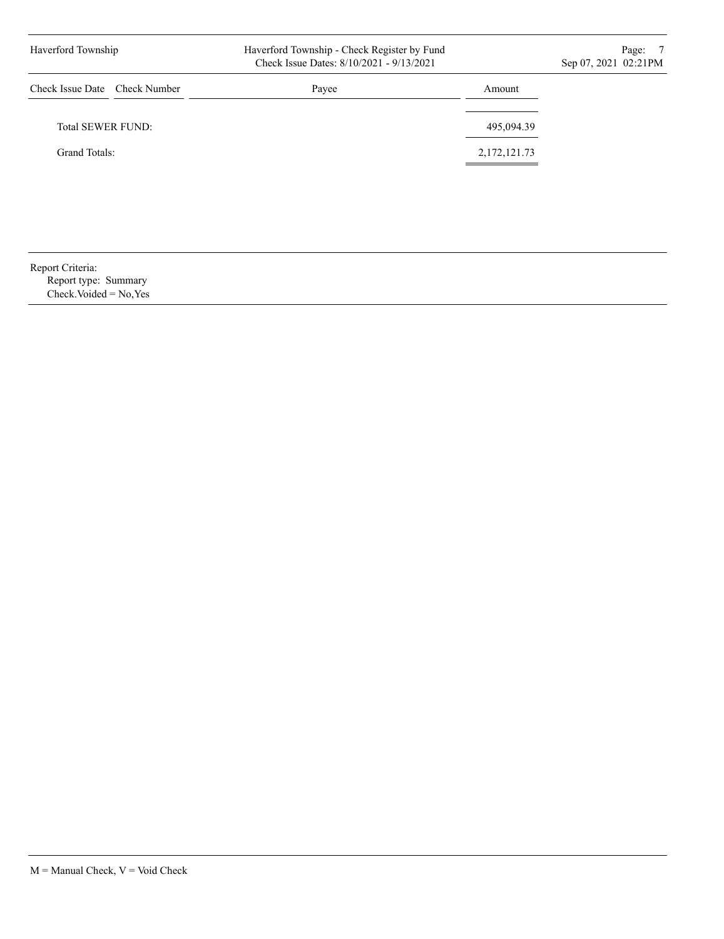| Haverford Township            | Haverford Township - Check Register by Fund<br>Check Issue Dates: 8/10/2021 - 9/13/2021 |              | Page:<br>- 7<br>Sep 07, 2021 02:21PM |
|-------------------------------|-----------------------------------------------------------------------------------------|--------------|--------------------------------------|
| Check Issue Date Check Number | Payee                                                                                   | Amount       |                                      |
| Total SEWER FUND:             |                                                                                         | 495,094.39   |                                      |
| Grand Totals:                 |                                                                                         | 2,172,121.73 |                                      |
|                               |                                                                                         |              |                                      |
|                               |                                                                                         |              |                                      |

Report Criteria: Report type: Summary Check.Voided = No,Yes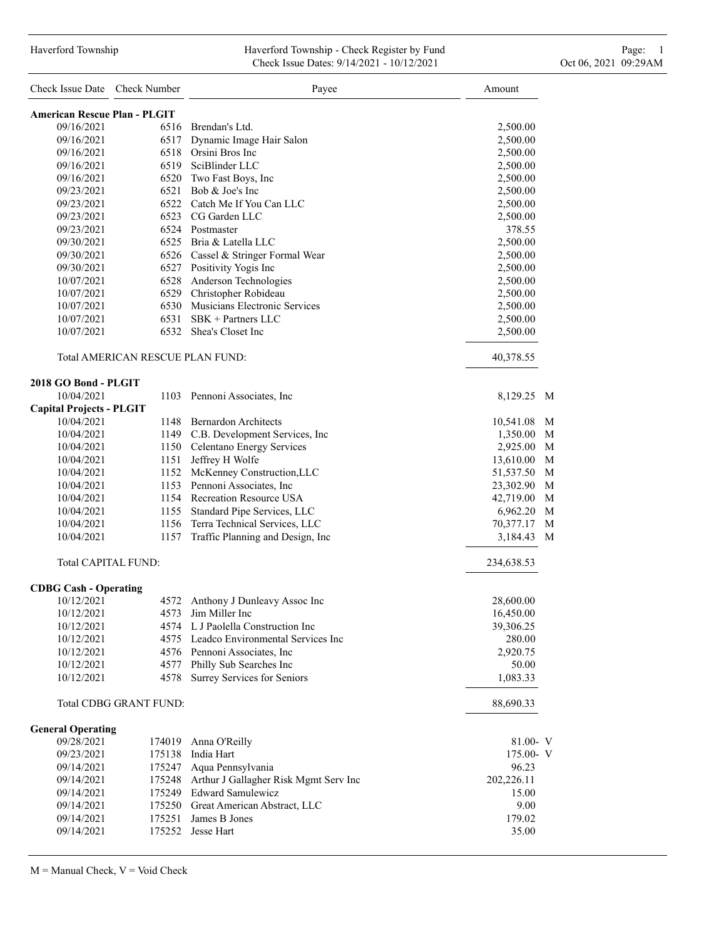| Check Issue Date Check Number       |                                  | Payee                                        | Amount         |
|-------------------------------------|----------------------------------|----------------------------------------------|----------------|
| <b>American Rescue Plan - PLGIT</b> |                                  |                                              |                |
| 09/16/2021                          |                                  | 6516 Brendan's Ltd.                          | 2,500.00       |
| 09/16/2021                          |                                  | 6517 Dynamic Image Hair Salon                | 2,500.00       |
| 09/16/2021                          |                                  | 6518 Orsini Bros Inc                         | 2,500.00       |
| 09/16/2021                          |                                  | 6519 SciBlinder LLC                          | 2,500.00       |
| 09/16/2021                          |                                  | 6520 Two Fast Boys, Inc                      | 2,500.00       |
| 09/23/2021                          |                                  | $6521$ Bob & Joe's Inc                       | 2,500.00       |
| 09/23/2021                          |                                  | 6522 Catch Me If You Can LLC                 | 2,500.00       |
| 09/23/2021                          |                                  | 6523 CG Garden LLC                           | 2,500.00       |
| 09/23/2021                          |                                  | 6524 Postmaster                              | 378.55         |
| 09/30/2021                          |                                  | 6525 Bria & Latella LLC                      | 2,500.00       |
| 09/30/2021                          |                                  | 6526 Cassel & Stringer Formal Wear           | 2,500.00       |
| 09/30/2021                          |                                  | 6527 Positivity Yogis Inc                    | 2,500.00       |
| 10/07/2021                          |                                  | 6528 Anderson Technologies                   | 2,500.00       |
| 10/07/2021                          |                                  | 6529 Christopher Robideau                    | 2,500.00       |
| 10/07/2021                          |                                  | 6530 Musicians Electronic Services           | 2,500.00       |
| 10/07/2021                          |                                  | $6531$ SBK + Partners LLC                    | 2,500.00       |
| 10/07/2021                          |                                  | 6532 Shea's Closet Inc                       | 2,500.00       |
|                                     | Total AMERICAN RESCUE PLAN FUND: |                                              | 40,378.55      |
| 2018 GO Bond - PLGIT                |                                  |                                              |                |
| 10/04/2021                          |                                  | 1103 Pennoni Associates, Inc                 | 8,129.25 M     |
| <b>Capital Projects - PLGIT</b>     |                                  |                                              |                |
| 10/04/2021                          |                                  | 1148 Bernardon Architects                    | 10,541.08 M    |
| 10/04/2021                          |                                  | 1149 C.B. Development Services, Inc          | 1,350.00 M     |
| 10/04/2021                          |                                  | 1150 Celentano Energy Services               | 2,925.00 M     |
| 10/04/2021                          |                                  | 1151 Jeffrey H Wolfe                         | M<br>13,610.00 |
| 10/04/2021                          |                                  | 1152 McKenney Construction, LLC              | M<br>51,537.50 |
| 10/04/2021                          |                                  | 1153 Pennoni Associates, Inc.                | M<br>23,302.90 |
| 10/04/2021                          |                                  | 1154 Recreation Resource USA                 | 42,719.00 M    |
| 10/04/2021                          |                                  | 1155 Standard Pipe Services, LLC             | 6,962.20<br>M  |
| 10/04/2021                          |                                  | 1156 Terra Technical Services, LLC           | 70,377.17<br>M |
| 10/04/2021                          | 1157                             | Traffic Planning and Design, Inc             | 3,184.43<br>M  |
|                                     | Total CAPITAL FUND:              |                                              | 234,638.53     |
| <b>CDBG Cash - Operating</b>        |                                  |                                              |                |
| 10/12/2021                          |                                  | 4572 Anthony J Dunleavy Assoc Inc            | 28,600.00      |
| 10/12/2021                          |                                  | 4573 Jim Miller Inc                          | 16,450.00      |
| 10/12/2021                          |                                  | 4574 L J Paolella Construction Inc           | 39,306.25      |
| 10/12/2021                          |                                  | 4575 Leadco Environmental Services Inc       | 280.00         |
| 10/12/2021                          |                                  | 4576 Pennoni Associates, Inc                 | 2,920.75       |
| 10/12/2021                          |                                  | 4577 Philly Sub Searches Inc                 | 50.00          |
| 10/12/2021                          |                                  | 4578 Surrey Services for Seniors             | 1,083.33       |
|                                     | <b>Total CDBG GRANT FUND:</b>    |                                              | 88,690.33      |
| <b>General Operating</b>            |                                  |                                              |                |
| 09/28/2021                          |                                  | 174019 Anna O'Reilly                         | $81.00 - V$    |
| 09/23/2021                          |                                  | 175138 India Hart                            | 175.00- V      |
| 09/14/2021                          |                                  | 175247 Aqua Pennsylvania                     | 96.23          |
| 09/14/2021                          |                                  | 175248 Arthur J Gallagher Risk Mgmt Serv Inc | 202,226.11     |
| 09/14/2021                          |                                  | 175249 Edward Samulewicz                     | 15.00          |
| 09/14/2021                          |                                  | 175250 Great American Abstract, LLC          | 9.00           |
| 09/14/2021                          |                                  | 175251 James B Jones                         | 179.02         |
| 09/14/2021                          |                                  | 175252 Jesse Hart                            | 35.00          |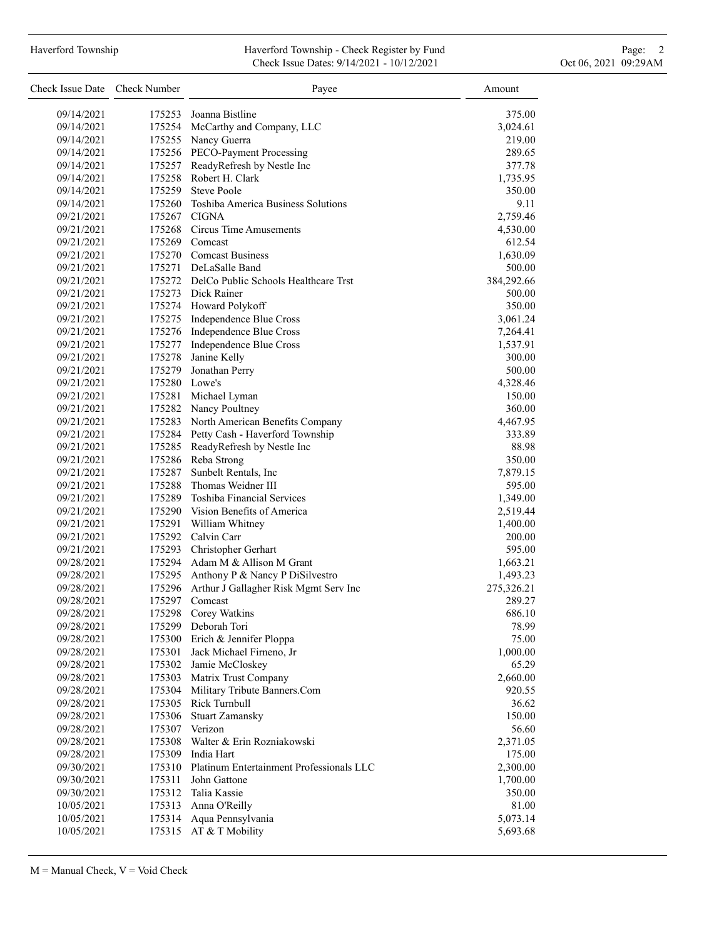#### Haverford Township **Haverford Township - Check Register by Fund** Page: 2 Check Issue Dates: 9/14/2021 - 10/12/2021 Oct 06, 2021 09:29AM

| Check Issue Date Check Number |               | Payee                                        | Amount     |
|-------------------------------|---------------|----------------------------------------------|------------|
| 09/14/2021                    | 175253        | Joanna Bistline                              | 375.00     |
| 09/14/2021                    |               | 175254 McCarthy and Company, LLC             | 3,024.61   |
| 09/14/2021                    |               | 175255 Nancy Guerra                          | 219.00     |
| 09/14/2021                    |               | 175256 PECO-Payment Processing               | 289.65     |
| 09/14/2021                    |               | 175257 ReadyRefresh by Nestle Inc            | 377.78     |
| 09/14/2021                    |               | 175258 Robert H. Clark                       | 1,735.95   |
| 09/14/2021                    |               | 175259 Steve Poole                           | 350.00     |
| 09/14/2021                    |               | 175260 Toshiba America Business Solutions    | 9.11       |
| 09/21/2021                    |               | 175267 CIGNA                                 | 2,759.46   |
| 09/21/2021                    |               | 175268 Circus Time Amusements                | 4,530.00   |
| 09/21/2021                    |               | 175269 Comcast                               | 612.54     |
| 09/21/2021                    |               | 175270 Comcast Business                      | 1,630.09   |
| 09/21/2021                    |               | 175271 DeLaSalle Band                        | 500.00     |
| 09/21/2021                    |               | 175272 DelCo Public Schools Healthcare Trst  | 384,292.66 |
| 09/21/2021                    |               | 175273 Dick Rainer                           | 500.00     |
| 09/21/2021                    |               | 175274 Howard Polykoff                       | 350.00     |
| 09/21/2021                    |               | 175275 Independence Blue Cross               | 3,061.24   |
| 09/21/2021                    |               | 175276 Independence Blue Cross               | 7,264.41   |
| 09/21/2021                    |               | 175277 Independence Blue Cross               | 1,537.91   |
| 09/21/2021                    |               | 175278 Janine Kelly                          | 300.00     |
| 09/21/2021                    | 175279        | Jonathan Perry                               | 500.00     |
| 09/21/2021                    | 175280 Lowe's |                                              | 4,328.46   |
| 09/21/2021                    |               | 175281 Michael Lyman                         | 150.00     |
| 09/21/2021                    |               | 175282 Nancy Poultney                        | 360.00     |
| 09/21/2021                    |               | 175283 North American Benefits Company       | 4,467.95   |
| 09/21/2021                    |               | 175284 Petty Cash - Haverford Township       | 333.89     |
| 09/21/2021                    |               | 175285 ReadyRefresh by Nestle Inc            | 88.98      |
| 09/21/2021                    |               | 175286 Reba Strong                           | 350.00     |
| 09/21/2021                    |               | 175287 Sunbelt Rentals, Inc.                 | 7,879.15   |
| 09/21/2021                    |               | 175288 Thomas Weidner III                    | 595.00     |
| 09/21/2021                    |               | 175289 Toshiba Financial Services            | 1,349.00   |
| 09/21/2021                    |               | 175290 Vision Benefits of America            | 2,519.44   |
| 09/21/2021                    |               | 175291 William Whitney                       | 1,400.00   |
| 09/21/2021                    |               | 175292 Calvin Carr                           | 200.00     |
| 09/21/2021                    |               | 175293 Christopher Gerhart                   | 595.00     |
| 09/28/2021                    |               | 175294 Adam M & Allison M Grant              | 1,663.21   |
| 09/28/2021                    |               | 175295 Anthony P & Nancy P DiSilvestro       | 1,493.23   |
| 09/28/2021                    |               | 175296 Arthur J Gallagher Risk Mgmt Serv Inc | 275,326.21 |
| 09/28/2021                    |               | 175297 Comcast                               | 289.27     |
| 09/28/2021                    |               | 175298 Corey Watkins                         | 686.10     |
| 09/28/2021                    |               | 175299 Deborah Tori                          | 78.99      |
| 09/28/2021                    |               | 175300 Erich & Jennifer Ploppa               | 75.00      |
| 09/28/2021                    |               | 175301 Jack Michael Firneno, Jr              | 1,000.00   |
| 09/28/2021                    |               | 175302 Jamie McCloskey                       | 65.29      |
| 09/28/2021                    |               | 175303 Matrix Trust Company                  | 2,660.00   |
| 09/28/2021                    | 175304        | Military Tribute Banners.Com                 | 920.55     |
| 09/28/2021                    |               | 175305 Rick Turnbull                         | 36.62      |
| 09/28/2021                    | 175306        | <b>Stuart Zamansky</b>                       | 150.00     |
| 09/28/2021                    |               | 175307 Verizon                               | 56.60      |
| 09/28/2021                    | 175308        | Walter & Erin Rozniakowski                   | 2,371.05   |
| 09/28/2021                    | 175309        | India Hart                                   | 175.00     |
| 09/30/2021                    | 175310        | Platinum Entertainment Professionals LLC     | 2,300.00   |
| 09/30/2021                    | 175311        | John Gattone                                 | 1,700.00   |
| 09/30/2021                    | 175312        | Talia Kassie                                 | 350.00     |
| 10/05/2021                    | 175313        | Anna O'Reilly                                | 81.00      |
| 10/05/2021                    | 175314        | Aqua Pennsylvania                            | 5,073.14   |
| 10/05/2021                    | 175315        | AT & T Mobility                              | 5,693.68   |
|                               |               |                                              |            |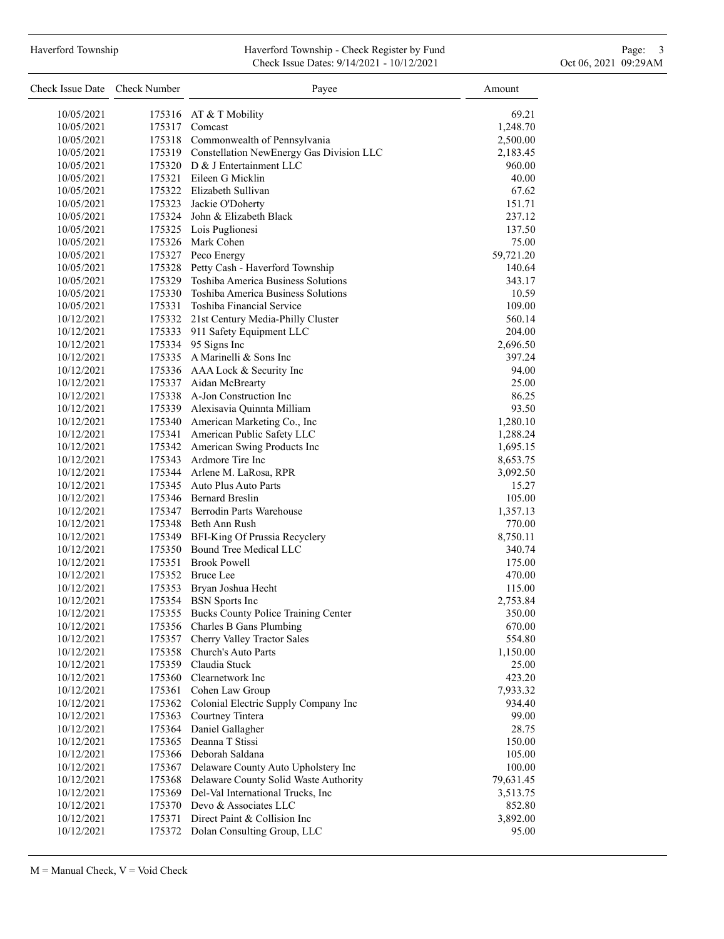### Haverford Township **Haverford Township - Check Register by Fund** Page: 3 and Page: 3 Check Issue Dates: 9/14/2021 - 10/12/2021 Oct 06, 2021 09:29AM

| Check Issue Date Check Number |                  | Payee                                              | Amount    |
|-------------------------------|------------------|----------------------------------------------------|-----------|
| 10/05/2021                    |                  | 175316 AT & T Mobility                             | 69.21     |
| 10/05/2021                    |                  | 175317 Comcast                                     | 1,248.70  |
| 10/05/2021                    |                  | 175318 Commonwealth of Pennsylvania                | 2,500.00  |
| 10/05/2021                    |                  | 175319 Constellation NewEnergy Gas Division LLC    | 2,183.45  |
| 10/05/2021                    |                  | 175320 D & J Entertainment LLC                     | 960.00    |
| 10/05/2021                    |                  | 175321 Eileen G Micklin                            | 40.00     |
| 10/05/2021                    |                  | 175322 Elizabeth Sullivan                          | 67.62     |
| 10/05/2021                    |                  | 175323 Jackie O'Doherty                            | 151.71    |
| 10/05/2021                    |                  | 175324 John & Elizabeth Black                      | 237.12    |
| 10/05/2021                    |                  | 175325 Lois Puglionesi                             | 137.50    |
| 10/05/2021                    |                  | 175326 Mark Cohen                                  | 75.00     |
| 10/05/2021                    |                  | 175327 Peco Energy                                 | 59,721.20 |
| 10/05/2021                    |                  | 175328 Petty Cash - Haverford Township             | 140.64    |
| 10/05/2021                    |                  | 175329 Toshiba America Business Solutions          | 343.17    |
| 10/05/2021                    |                  | 175330 Toshiba America Business Solutions          | 10.59     |
| 10/05/2021                    |                  | 175331 Toshiba Financial Service                   | 109.00    |
| 10/12/2021                    |                  | 175332 21st Century Media-Philly Cluster           | 560.14    |
| 10/12/2021                    |                  | 175333 911 Safety Equipment LLC                    | 204.00    |
| 10/12/2021                    |                  | 175334 95 Signs Inc                                | 2,696.50  |
| 10/12/2021                    |                  | 175335 A Marinelli & Sons Inc                      | 397.24    |
| 10/12/2021                    |                  | 175336 AAA Lock & Security Inc                     | 94.00     |
| 10/12/2021                    |                  | 175337 Aidan McBrearty                             | 25.00     |
| 10/12/2021                    |                  | 175338 A-Jon Construction Inc                      | 86.25     |
| 10/12/2021                    |                  | 175339 Alexisavia Quinnta Milliam                  | 93.50     |
| 10/12/2021                    |                  | 175340 American Marketing Co., Inc                 | 1,280.10  |
| 10/12/2021                    |                  | 175341 American Public Safety LLC                  | 1,288.24  |
| 10/12/2021                    |                  | 175342 American Swing Products Inc                 | 1,695.15  |
| 10/12/2021                    |                  | 175343 Ardmore Tire Inc                            | 8,653.75  |
| 10/12/2021                    |                  | 175344 Arlene M. LaRosa, RPR                       | 3,092.50  |
| 10/12/2021                    |                  | 175345 Auto Plus Auto Parts                        | 15.27     |
| 10/12/2021                    |                  | 175346 Bernard Breslin                             | 105.00    |
| 10/12/2021                    |                  | 175347 Berrodin Parts Warehouse                    | 1,357.13  |
| 10/12/2021                    |                  | 175348 Beth Ann Rush                               | 770.00    |
| 10/12/2021                    |                  | 175349 BFI-King Of Prussia Recyclery               | 8,750.11  |
| 10/12/2021                    |                  | 175350 Bound Tree Medical LLC                      | 340.74    |
| 10/12/2021                    |                  | 175351 Brook Powell                                | 175.00    |
| 10/12/2021                    |                  | 175352 Bruce Lee                                   | 470.00    |
|                               |                  |                                                    |           |
| 10/12/2021<br>10/12/2021      | 175353           | Bryan Joshua Hecht                                 | 115.00    |
|                               |                  | 175354 BSN Sports Inc                              | 2,753.84  |
| 10/12/2021                    | 175355           | Bucks County Police Training Center                | 350.00    |
| 10/12/2021<br>10/12/2021      | 175356<br>175357 | Charles B Gans Plumbing                            | 670.00    |
|                               | 175358           | Cherry Valley Tractor Sales<br>Church's Auto Parts | 554.80    |
| 10/12/2021                    |                  | 175359 Claudia Stuck                               | 1,150.00  |
| 10/12/2021                    | 175360           | Clearnetwork Inc                                   | 25.00     |
| 10/12/2021                    |                  |                                                    | 423.20    |
| 10/12/2021                    | 175361           | Cohen Law Group                                    | 7,933.32  |
| 10/12/2021                    | 175362           | Colonial Electric Supply Company Inc               | 934.40    |
| 10/12/2021                    | 175363           | Courtney Tintera                                   | 99.00     |
| 10/12/2021                    | 175364           | Daniel Gallagher                                   | 28.75     |
| 10/12/2021                    | 175365           | Deanna T Stissi                                    | 150.00    |
| 10/12/2021                    | 175366           | Deborah Saldana                                    | 105.00    |
| 10/12/2021                    |                  | 175367 Delaware County Auto Upholstery Inc         | 100.00    |
| 10/12/2021                    | 175368           | Delaware County Solid Waste Authority              | 79,631.45 |
| 10/12/2021                    | 175369           | Del-Val International Trucks, Inc                  | 3,513.75  |
| 10/12/2021                    |                  | 175370 Devo & Associates LLC                       | 852.80    |
| 10/12/2021                    | 175371           | Direct Paint & Collision Inc                       | 3,892.00  |
| 10/12/2021                    |                  | 175372 Dolan Consulting Group, LLC                 | 95.00     |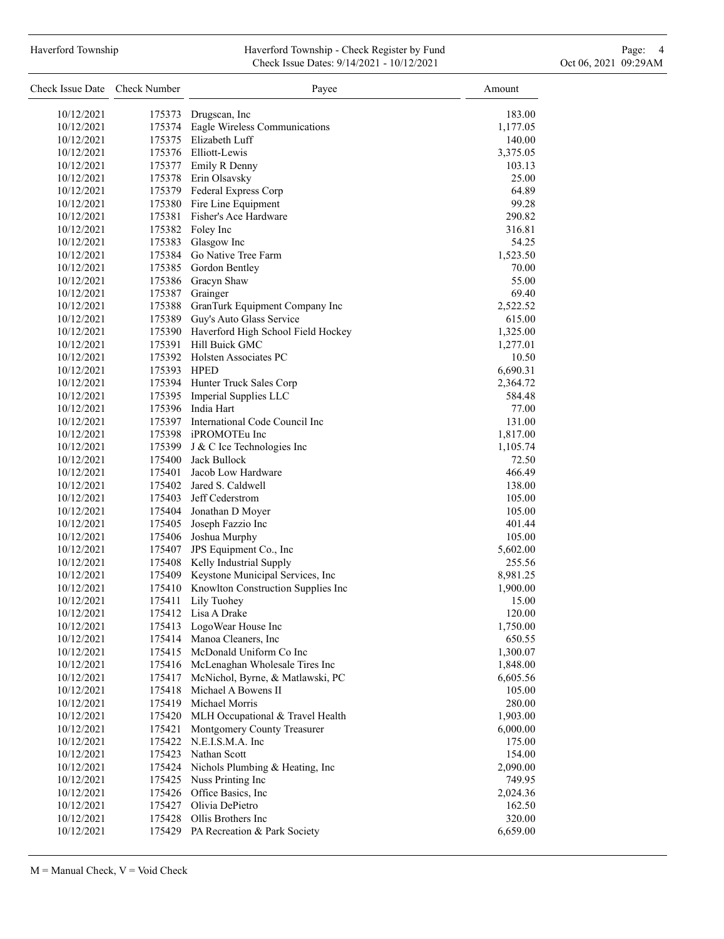# Haverford Township **Haverford Township - Check Register by Fund** Page: 4 Page: 4 Check Issue Dates: 9/14/2021 - 10/12/2021 Oct 06, 2021 09:29AM

| Check Issue Date Check Number |                  | Payee                                     | Amount             |
|-------------------------------|------------------|-------------------------------------------|--------------------|
| 10/12/2021                    | 175373           | Drugscan, Inc.                            | 183.00             |
| 10/12/2021                    | 175374           | Eagle Wireless Communications             | 1,177.05           |
| 10/12/2021                    |                  | 175375 Elizabeth Luff                     | 140.00             |
| 10/12/2021                    |                  | 175376 Elliott-Lewis                      | 3,375.05           |
| 10/12/2021                    |                  | 175377 Emily R Denny                      | 103.13             |
| 10/12/2021                    |                  | 175378 Erin Olsavsky                      | 25.00              |
| 10/12/2021                    |                  | 175379 Federal Express Corp               | 64.89              |
| 10/12/2021                    |                  | 175380 Fire Line Equipment                | 99.28              |
| 10/12/2021                    | 175381           | Fisher's Ace Hardware                     | 290.82             |
| 10/12/2021                    |                  | 175382 Foley Inc                          | 316.81             |
| 10/12/2021                    |                  | 175383 Glasgow Inc                        | 54.25              |
| 10/12/2021                    |                  | 175384 Go Native Tree Farm                | 1,523.50           |
| 10/12/2021                    |                  | 175385 Gordon Bentley                     | 70.00              |
| 10/12/2021                    | 175386           | Gracyn Shaw                               | 55.00              |
| 10/12/2021                    | 175387           | Grainger                                  | 69.40              |
| 10/12/2021                    |                  | 175388 GranTurk Equipment Company Inc     | 2,522.52           |
| 10/12/2021                    |                  | 175389 Guy's Auto Glass Service           | 615.00             |
| 10/12/2021                    |                  | 175390 Haverford High School Field Hockey | 1,325.00           |
| 10/12/2021                    | 175391           | Hill Buick GMC                            | 1,277.01           |
| 10/12/2021                    |                  | 175392 Holsten Associates PC              | 10.50              |
| 10/12/2021                    | 175393 HPED      |                                           | 6,690.31           |
| 10/12/2021                    |                  | 175394 Hunter Truck Sales Corp            | 2,364.72           |
| 10/12/2021                    | 175395           | Imperial Supplies LLC                     | 584.48             |
| 10/12/2021                    |                  | 175396 India Hart                         | 77.00              |
| 10/12/2021                    |                  | 175397 International Code Council Inc     | 131.00             |
| 10/12/2021                    |                  | 175398 iPROMOTEu Inc                      | 1,817.00           |
| 10/12/2021                    | 175399           | J & C Ice Technologies Inc                | 1,105.74           |
| 10/12/2021                    | 175400           | Jack Bullock                              | 72.50              |
| 10/12/2021                    | 175401           | Jacob Low Hardware                        | 466.49             |
| 10/12/2021                    | 175402           | Jared S. Caldwell                         | 138.00             |
| 10/12/2021                    |                  | 175403 Jeff Cederstrom                    | 105.00             |
| 10/12/2021                    |                  | 175404 Jonathan D Moyer                   | 105.00             |
| 10/12/2021<br>10/12/2021      | 175405           | Joseph Fazzio Inc<br>Joshua Murphy        | 401.44             |
| 10/12/2021                    | 175406<br>175407 | JPS Equipment Co., Inc                    | 105.00<br>5,602.00 |
| 10/12/2021                    | 175408           | Kelly Industrial Supply                   | 255.56             |
| 10/12/2021                    | 175409           | Keystone Municipal Services, Inc          | 8,981.25           |
| 10/12/2021                    | 175410           | Knowlton Construction Supplies Inc        | 1,900.00           |
| 10/12/2021                    | 175411           | Lily Tuohey                               | 15.00              |
| 10/12/2021                    | 175412           | Lisa A Drake                              | 120.00             |
| 10/12/2021                    | 175413           | LogoWear House Inc                        | 1,750.00           |
| 10/12/2021                    | 175414           | Manoa Cleaners, Inc                       | 650.55             |
| 10/12/2021                    | 175415           | McDonald Uniform Co Inc                   | 1,300.07           |
| 10/12/2021                    | 175416           | McLenaghan Wholesale Tires Inc            | 1,848.00           |
| 10/12/2021                    | 175417           | McNichol, Byrne, & Matlawski, PC          | 6,605.56           |
| 10/12/2021                    | 175418           | Michael A Bowens II                       | 105.00             |
| 10/12/2021                    | 175419           | Michael Morris                            | 280.00             |
| 10/12/2021                    | 175420           | MLH Occupational & Travel Health          | 1,903.00           |
| 10/12/2021                    | 175421           | Montgomery County Treasurer               | 6,000.00           |
| 10/12/2021                    | 175422           | N.E.I.S.M.A. Inc                          | 175.00             |
| 10/12/2021                    | 175423           | Nathan Scott                              | 154.00             |
| 10/12/2021                    | 175424           | Nichols Plumbing & Heating, Inc           | 2,090.00           |
| 10/12/2021                    | 175425           | Nuss Printing Inc                         | 749.95             |
| 10/12/2021                    | 175426           | Office Basics, Inc.                       | 2,024.36           |
| 10/12/2021                    | 175427           | Olivia DePietro                           | 162.50             |
| 10/12/2021                    | 175428           | Ollis Brothers Inc                        | 320.00             |
| 10/12/2021                    |                  | 175429 PA Recreation & Park Society       | 6,659.00           |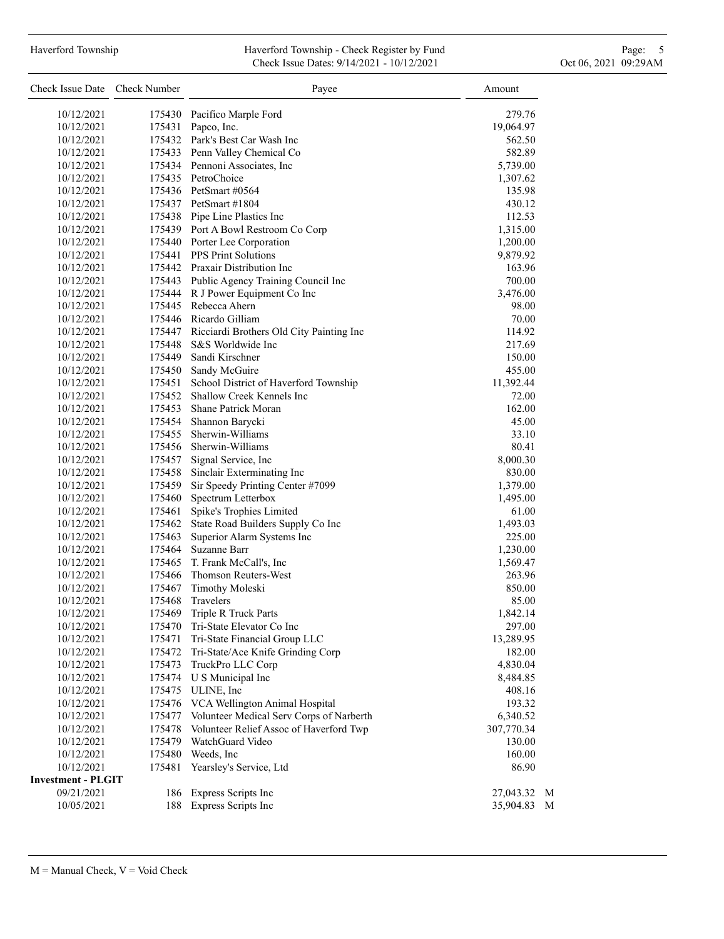# Haverford Township **Haverford Township - Check Register by Fund** Page: 5 - 5 - 7 Page: 5 - 7 Page: 5 - 7 Page: 5 Check Issue Dates: 9/14/2021 - 10/12/2021 Oct 06, 2021 09:29AM

| Check Issue Date Check Number |        | Payee                                           | Amount     |   |
|-------------------------------|--------|-------------------------------------------------|------------|---|
| 10/12/2021                    | 175430 | Pacifico Marple Ford                            | 279.76     |   |
| 10/12/2021                    |        | 175431 Papco, Inc.                              | 19,064.97  |   |
| 10/12/2021                    |        | 175432 Park's Best Car Wash Inc                 | 562.50     |   |
| 10/12/2021                    |        | 175433 Penn Valley Chemical Co                  | 582.89     |   |
| 10/12/2021                    |        | 175434 Pennoni Associates, Inc.                 | 5,739.00   |   |
| 10/12/2021                    |        | 175435 PetroChoice                              | 1,307.62   |   |
| 10/12/2021                    |        | 175436 PetSmart #0564                           | 135.98     |   |
| 10/12/2021                    |        | 175437 PetSmart #1804                           | 430.12     |   |
| 10/12/2021                    |        | 175438 Pipe Line Plastics Inc                   | 112.53     |   |
| 10/12/2021                    |        | 175439 Port A Bowl Restroom Co Corp             | 1,315.00   |   |
| 10/12/2021                    |        | 175440 Porter Lee Corporation                   | 1,200.00   |   |
| 10/12/2021                    |        | 175441 PPS Print Solutions                      | 9,879.92   |   |
| 10/12/2021                    |        | 175442 Praxair Distribution Inc                 | 163.96     |   |
| 10/12/2021                    |        | 175443 Public Agency Training Council Inc       | 700.00     |   |
| 10/12/2021                    |        | 175444 R J Power Equipment Co Inc               | 3,476.00   |   |
| 10/12/2021                    |        | 175445 Rebecca Ahern                            | 98.00      |   |
| 10/12/2021                    |        | 175446 Ricardo Gilliam                          | 70.00      |   |
| 10/12/2021                    |        | 175447 Ricciardi Brothers Old City Painting Inc | 114.92     |   |
| 10/12/2021                    |        | 175448 S&S Worldwide Inc                        | 217.69     |   |
| 10/12/2021                    | 175449 | Sandi Kirschner                                 | 150.00     |   |
| 10/12/2021                    |        | 175450 Sandy McGuire                            | 455.00     |   |
| 10/12/2021                    |        | 175451 School District of Haverford Township    | 11,392.44  |   |
| 10/12/2021                    |        | 175452 Shallow Creek Kennels Inc                | 72.00      |   |
| 10/12/2021                    |        | 175453 Shane Patrick Moran                      | 162.00     |   |
| 10/12/2021                    |        | 175454 Shannon Barycki                          | 45.00      |   |
| 10/12/2021                    |        | 175455 Sherwin-Williams                         | 33.10      |   |
| 10/12/2021                    |        | 175456 Sherwin-Williams                         | 80.41      |   |
| 10/12/2021                    |        | 175457 Signal Service, Inc                      | 8,000.30   |   |
| 10/12/2021                    | 175458 | Sinclair Exterminating Inc                      | 830.00     |   |
| 10/12/2021                    | 175459 | Sir Speedy Printing Center #7099                | 1,379.00   |   |
| 10/12/2021                    | 175460 | Spectrum Letterbox                              | 1,495.00   |   |
| 10/12/2021                    | 175461 | Spike's Trophies Limited                        | 61.00      |   |
| 10/12/2021                    | 175462 | State Road Builders Supply Co Inc               | 1,493.03   |   |
| 10/12/2021                    | 175463 | Superior Alarm Systems Inc                      | 225.00     |   |
| 10/12/2021                    | 175464 | Suzanne Barr                                    | 1,230.00   |   |
| 10/12/2021                    |        | 175465 T. Frank McCall's, Inc.                  | 1,569.47   |   |
| 10/12/2021                    |        | 175466 Thomson Reuters-West                     | 263.96     |   |
| 10/12/2021                    | 175467 | Timothy Moleski                                 | 850.00     |   |
| 10/12/2021                    | 175468 | <b>Travelers</b>                                | 85.00      |   |
| 10/12/2021                    | 175469 | Triple R Truck Parts                            | 1,842.14   |   |
| 10/12/2021                    | 175470 | Tri-State Elevator Co Inc                       | 297.00     |   |
| 10/12/2021                    | 175471 | Tri-State Financial Group LLC                   | 13,289.95  |   |
| 10/12/2021                    | 175472 | Tri-State/Ace Knife Grinding Corp               | 182.00     |   |
| 10/12/2021                    | 175473 | TruckPro LLC Corp                               | 4,830.04   |   |
| 10/12/2021                    | 175474 | U S Municipal Inc                               | 8,484.85   |   |
| 10/12/2021                    | 175475 | ULINE, Inc                                      | 408.16     |   |
| 10/12/2021                    | 175476 | VCA Wellington Animal Hospital                  | 193.32     |   |
| 10/12/2021                    | 175477 | Volunteer Medical Serv Corps of Narberth        | 6,340.52   |   |
| 10/12/2021                    | 175478 | Volunteer Relief Assoc of Haverford Twp         | 307,770.34 |   |
| 10/12/2021                    | 175479 | WatchGuard Video                                | 130.00     |   |
| 10/12/2021                    | 175480 | Weeds, Inc.                                     | 160.00     |   |
| 10/12/2021                    | 175481 | Yearsley's Service, Ltd                         | 86.90      |   |
| <b>Investment - PLGIT</b>     |        |                                                 |            |   |
| 09/21/2021                    | 186    | Express Scripts Inc                             | 27,043.32  | M |
| 10/05/2021                    | 188    | Express Scripts Inc                             | 35,904.83  | M |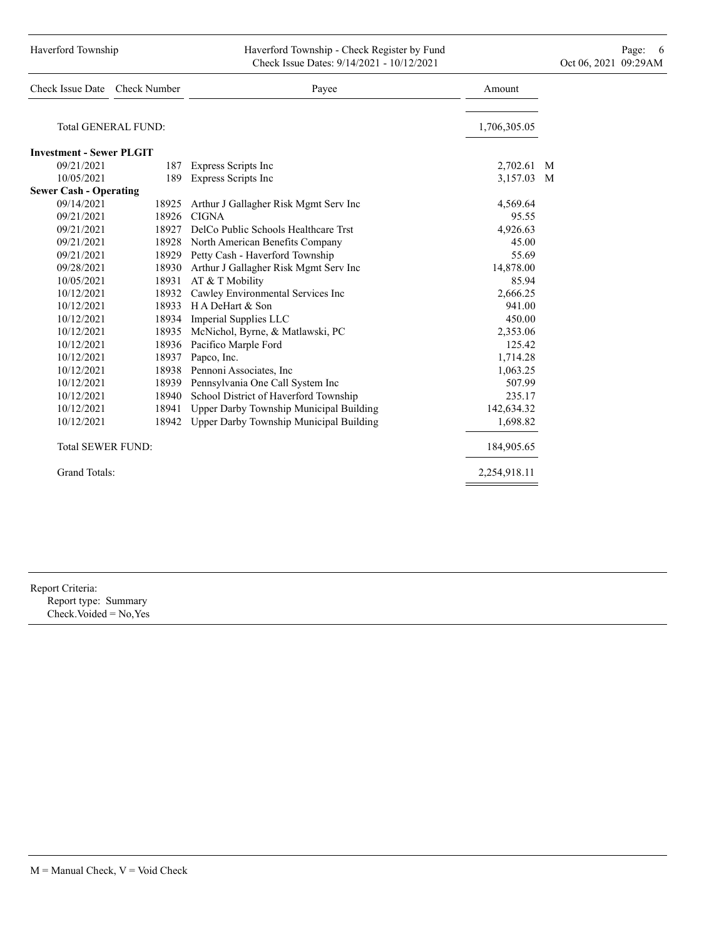| Haverford Township | Haverford Township - Check Register by Fund |                      | Page: |
|--------------------|---------------------------------------------|----------------------|-------|
|                    | Check Issue Dates: 9/14/2021 - 10/12/2021   | Oct 06, 2021 09:29AM |       |

| Check Issue Date Check Number   |                     | Payee                                   | Amount       |   |
|---------------------------------|---------------------|-----------------------------------------|--------------|---|
|                                 | Total GENERAL FUND: |                                         | 1,706,305.05 |   |
| <b>Investment - Sewer PLGIT</b> |                     |                                         |              |   |
| 09/21/2021                      | 187                 | Express Scripts Inc                     | 2,702.61     | M |
| 10/05/2021                      | 189                 | Express Scripts Inc                     | 3,157.03     | M |
| <b>Sewer Cash - Operating</b>   |                     |                                         |              |   |
| 09/14/2021                      | 18925               | Arthur J Gallagher Risk Mgmt Serv Inc   | 4,569.64     |   |
| 09/21/2021                      | 18926               | <b>CIGNA</b>                            | 95.55        |   |
| 09/21/2021                      | 18927               | DelCo Public Schools Healthcare Trst    | 4,926.63     |   |
| 09/21/2021                      | 18928               | North American Benefits Company         | 45.00        |   |
| 09/21/2021                      |                     | 18929 Petty Cash - Haverford Township   | 55.69        |   |
| 09/28/2021                      | 18930               | Arthur J Gallagher Risk Mgmt Serv Inc   | 14,878.00    |   |
| 10/05/2021                      | 18931               | AT & T Mobility                         | 85.94        |   |
| 10/12/2021                      |                     | 18932 Cawley Environmental Services Inc | 2,666.25     |   |
| 10/12/2021                      | 18933               | H A DeHart & Son                        | 941.00       |   |
| 10/12/2021                      |                     | 18934 Imperial Supplies LLC             | 450.00       |   |
| 10/12/2021                      | 18935               | McNichol, Byrne, & Matlawski, PC        | 2,353.06     |   |
| 10/12/2021                      | 18936               | Pacifico Marple Ford                    | 125.42       |   |
| 10/12/2021                      |                     | 18937 Papco, Inc.                       | 1,714.28     |   |
| 10/12/2021                      | 18938               | Pennoni Associates, Inc                 | 1,063.25     |   |
| 10/12/2021                      | 18939               | Pennsylvania One Call System Inc        | 507.99       |   |
| 10/12/2021                      | 18940               | School District of Haverford Township   | 235.17       |   |
| 10/12/2021                      | 18941               | Upper Darby Township Municipal Building | 142,634.32   |   |
| 10/12/2021                      | 18942               | Upper Darby Township Municipal Building | 1,698.82     |   |
| <b>Total SEWER FUND:</b>        |                     |                                         | 184,905.65   |   |
| <b>Grand Totals:</b>            |                     |                                         | 2,254,918.11 |   |
|                                 |                     |                                         |              |   |

Report Criteria: Report type: Summary

Check.Voided = No,Yes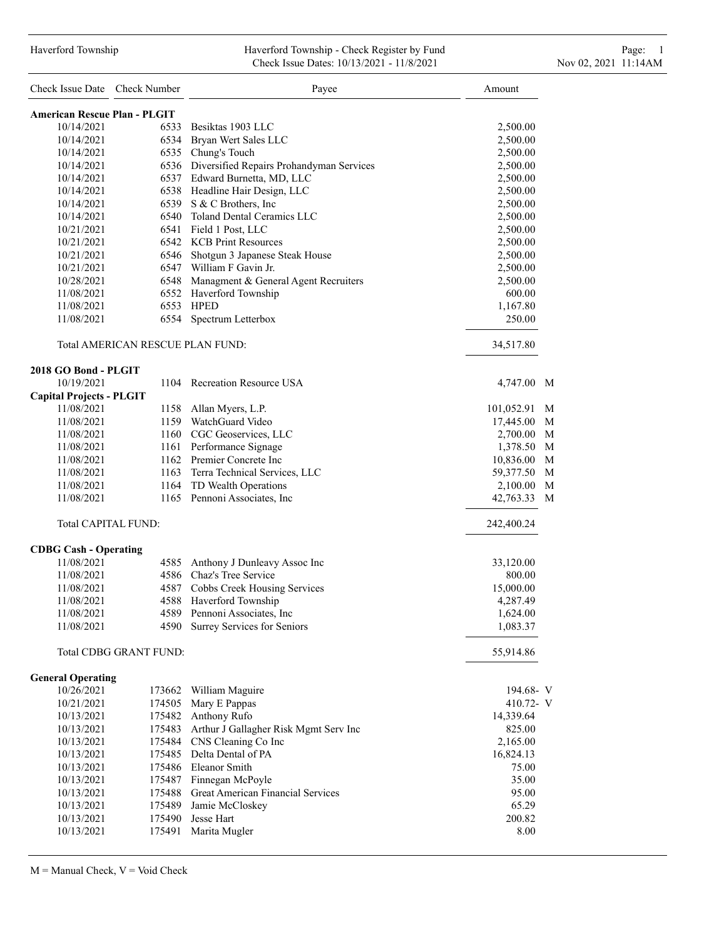## Haverford Township Haverford Township - Check Register by Fund Page: 1 Check Issue Dates: 10/13/2021 - 11/8/2021 11:00 Nov 02, 2021 11:14AM

| Check Issue Date Check Number       |                                  | Payee                                         | Amount         |
|-------------------------------------|----------------------------------|-----------------------------------------------|----------------|
| <b>American Rescue Plan - PLGIT</b> |                                  |                                               |                |
| 10/14/2021                          |                                  | 6533 Besiktas 1903 LLC                        | 2,500.00       |
| 10/14/2021                          |                                  | 6534 Bryan Wert Sales LLC                     | 2,500.00       |
| 10/14/2021                          |                                  | 6535 Chung's Touch                            | 2,500.00       |
| 10/14/2021                          |                                  | 6536 Diversified Repairs Prohandyman Services | 2,500.00       |
| 10/14/2021                          |                                  | 6537 Edward Burnetta, MD, LLC                 | 2,500.00       |
| 10/14/2021                          |                                  | 6538 Headline Hair Design, LLC                | 2,500.00       |
| 10/14/2021                          |                                  | 6539 S & C Brothers, Inc.                     | 2,500.00       |
| 10/14/2021                          |                                  | 6540 Toland Dental Ceramics LLC               | 2,500.00       |
| 10/21/2021                          |                                  | 6541 Field 1 Post, LLC                        | 2,500.00       |
| 10/21/2021                          |                                  | 6542 KCB Print Resources                      | 2,500.00       |
| 10/21/2021                          |                                  | 6546 Shotgun 3 Japanese Steak House           | 2,500.00       |
| 10/21/2021                          |                                  | 6547 William F Gavin Jr.                      | 2,500.00       |
| 10/28/2021                          |                                  | 6548 Managment & General Agent Recruiters     | 2,500.00       |
| 11/08/2021                          |                                  | 6552 Haverford Township                       | 600.00         |
| 11/08/2021                          |                                  | 6553 HPED                                     | 1,167.80       |
| 11/08/2021                          | 6554                             | Spectrum Letterbox                            | 250.00         |
|                                     | Total AMERICAN RESCUE PLAN FUND: |                                               | 34,517.80      |
| 2018 GO Bond - PLGIT                |                                  |                                               |                |
| 10/19/2021                          |                                  | 1104 Recreation Resource USA                  | 4,747.00 M     |
| <b>Capital Projects - PLGIT</b>     |                                  |                                               |                |
| 11/08/2021                          |                                  | 1158 Allan Myers, L.P.                        | 101,052.91 M   |
| 11/08/2021                          |                                  | 1159 WatchGuard Video                         | 17,445.00 M    |
| 11/08/2021                          |                                  | 1160 CGC Geoservices, LLC                     | 2,700.00<br>M  |
| 11/08/2021                          |                                  | 1161 Performance Signage                      | M<br>1,378.50  |
| 11/08/2021                          |                                  | 1162 Premier Concrete Inc                     | M<br>10,836.00 |
| 11/08/2021                          |                                  | 1163 Terra Technical Services, LLC            | 59,377.50 M    |
| 11/08/2021                          |                                  | 1164 TD Wealth Operations                     | 2,100.00 M     |
| 11/08/2021                          |                                  | 1165 Pennoni Associates, Inc.                 | 42,763.33<br>M |
| <b>Total CAPITAL FUND:</b>          |                                  |                                               | 242,400.24     |
| <b>CDBG Cash - Operating</b>        |                                  |                                               |                |
| 11/08/2021                          |                                  | 4585 Anthony J Dunleavy Assoc Inc             | 33,120.00      |
| 11/08/2021                          |                                  | 4586 Chaz's Tree Service                      | 800.00         |
| 11/08/2021                          |                                  | 4587 Cobbs Creek Housing Services             | 15,000.00      |
| 11/08/2021                          | 4588                             | Haverford Township                            | 4,287.49       |
| 11/08/2021                          |                                  | 4589 Pennoni Associates, Inc                  | 1,624.00       |
| 11/08/2021                          | 4590                             | Surrey Services for Seniors                   | 1,083.37       |
|                                     | Total CDBG GRANT FUND:           |                                               | 55,914.86      |
| <b>General Operating</b>            |                                  |                                               |                |
| 10/26/2021                          |                                  | 173662 William Maguire                        | 194.68- V      |
| 10/21/2021                          | 174505                           | Mary E Pappas                                 | 410.72- $V$    |
| 10/13/2021                          |                                  | 175482 Anthony Rufo                           | 14,339.64      |
| 10/13/2021                          |                                  | 175483 Arthur J Gallagher Risk Mgmt Serv Inc  | 825.00         |
| 10/13/2021                          |                                  | 175484 CNS Cleaning Co Inc                    | 2,165.00       |
| 10/13/2021                          |                                  | 175485 Delta Dental of PA                     | 16,824.13      |
| 10/13/2021                          |                                  | 175486 Eleanor Smith                          | 75.00          |
| 10/13/2021                          |                                  | 175487 Finnegan McPoyle                       | 35.00          |
| 10/13/2021                          |                                  | 175488 Great American Financial Services      | 95.00          |
| 10/13/2021                          |                                  | 175489 Jamie McCloskey                        | 65.29          |
| 10/13/2021                          |                                  | 175490 Jesse Hart                             | 200.82         |
| 10/13/2021                          | 175491                           | Marita Mugler                                 | 8.00           |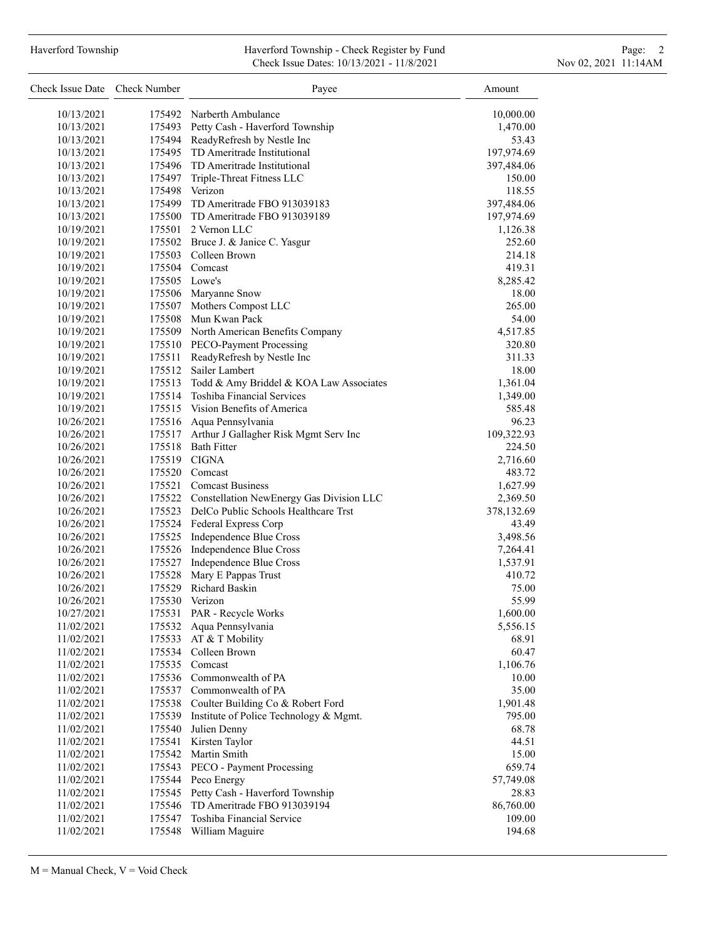## Haverford Township **Haverford Township - Check Register by Fund** Page: 2 Check Issue Dates: 10/13/2021 - 11/8/2021 11:00 Nov 02, 2021 11:14AM

| Check Issue Date Check Number |               | Payee                                           | Amount             |
|-------------------------------|---------------|-------------------------------------------------|--------------------|
| 10/13/2021                    |               | 175492 Narberth Ambulance                       | 10,000.00          |
| 10/13/2021                    |               | 175493 Petty Cash - Haverford Township          | 1,470.00           |
| 10/13/2021                    |               | 175494 ReadyRefresh by Nestle Inc               | 53.43              |
| 10/13/2021                    |               | 175495 TD Ameritrade Institutional              | 197,974.69         |
| 10/13/2021                    |               | 175496 TD Ameritrade Institutional              | 397,484.06         |
| 10/13/2021                    |               | 175497 Triple-Threat Fitness LLC                | 150.00             |
| 10/13/2021                    |               | 175498 Verizon                                  | 118.55             |
| 10/13/2021                    |               | 175499 TD Ameritrade FBO 913039183              | 397,484.06         |
| 10/13/2021                    |               | 175500 TD Ameritrade FBO 913039189              | 197,974.69         |
| 10/19/2021                    |               | 175501 2 Vernon LLC                             | 1,126.38           |
| 10/19/2021                    |               | 175502 Bruce J. & Janice C. Yasgur              | 252.60             |
| 10/19/2021                    |               | 175503 Colleen Brown                            | 214.18             |
| 10/19/2021                    |               | 175504 Comcast                                  | 419.31             |
| 10/19/2021                    | 175505 Lowe's |                                                 | 8,285.42           |
| 10/19/2021                    |               | 175506 Maryanne Snow                            | 18.00              |
| 10/19/2021                    |               | 175507 Mothers Compost LLC                      | 265.00             |
| 10/19/2021                    |               | 175508 Mun Kwan Pack                            | 54.00              |
| 10/19/2021                    |               | 175509 North American Benefits Company          | 4,517.85           |
| 10/19/2021                    |               | 175510 PECO-Payment Processing                  | 320.80             |
| 10/19/2021                    | 175511        | ReadyRefresh by Nestle Inc                      | 311.33             |
| 10/19/2021                    |               | 175512 Sailer Lambert                           | 18.00              |
| 10/19/2021                    |               | 175513 Todd & Amy Briddel & KOA Law Associates  | 1,361.04           |
| 10/19/2021                    |               | 175514 Toshiba Financial Services               | 1,349.00           |
| 10/19/2021                    |               | 175515 Vision Benefits of America               | 585.48             |
| 10/26/2021                    |               | 175516 Aqua Pennsylvania                        | 96.23              |
| 10/26/2021                    |               | 175517 Arthur J Gallagher Risk Mgmt Serv Inc    | 109,322.93         |
| 10/26/2021                    |               | 175518 Bath Fitter                              | 224.50             |
| 10/26/2021                    |               | 175519 CIGNA                                    |                    |
|                               |               | 175520 Comcast                                  | 2,716.60<br>483.72 |
| 10/26/2021                    |               |                                                 |                    |
| 10/26/2021                    |               | 175521 Comcast Business                         | 1,627.99           |
| 10/26/2021                    |               | 175522 Constellation NewEnergy Gas Division LLC | 2,369.50           |
| 10/26/2021                    |               | 175523 DelCo Public Schools Healthcare Trst     | 378,132.69         |
| 10/26/2021                    |               | 175524 Federal Express Corp                     | 43.49              |
| 10/26/2021                    |               | 175525 Independence Blue Cross                  | 3,498.56           |
| 10/26/2021                    |               | 175526 Independence Blue Cross                  | 7,264.41           |
| 10/26/2021                    |               | 175527 Independence Blue Cross                  | 1,537.91           |
| 10/26/2021                    |               | 175528 Mary E Pappas Trust                      | 410.72             |
| 10/26/2021                    |               | 175529 Richard Baskin                           | 75.00              |
| 10/26/2021                    |               | 175530 Verizon                                  | 55.99              |
| 10/27/2021                    | 175531        | PAR - Recycle Works                             | 1,600.00           |
| 11/02/2021                    | 175532        | Aqua Pennsylvania                               | 5,556.15           |
| 11/02/2021                    | 175533        | AT & T Mobility                                 | 68.91              |
| 11/02/2021                    |               | 175534 Colleen Brown                            | 60.47              |
| 11/02/2021                    | 175535        | Comcast                                         | 1,106.76           |
| 11/02/2021                    |               | 175536 Commonwealth of PA                       | 10.00              |
| 11/02/2021                    |               | 175537 Commonwealth of PA                       | 35.00              |
| 11/02/2021                    |               | 175538 Coulter Building Co & Robert Ford        | 1,901.48           |
| 11/02/2021                    |               | 175539 Institute of Police Technology & Mgmt.   | 795.00             |
| 11/02/2021                    | 175540        | Julien Denny                                    | 68.78              |
| 11/02/2021                    | 175541        | Kirsten Taylor                                  | 44.51              |
| 11/02/2021                    | 175542        | Martin Smith                                    | 15.00              |
| 11/02/2021                    |               | 175543 PECO - Payment Processing                | 659.74             |
| 11/02/2021                    |               | 175544 Peco Energy                              | 57,749.08          |
| 11/02/2021                    | 175545        | Petty Cash - Haverford Township                 | 28.83              |
| 11/02/2021                    | 175546        | TD Ameritrade FBO 913039194                     | 86,760.00          |
| 11/02/2021                    |               | 175547 Toshiba Financial Service                | 109.00             |
| 11/02/2021                    |               | 175548 William Maguire                          | 194.68             |
|                               |               |                                                 |                    |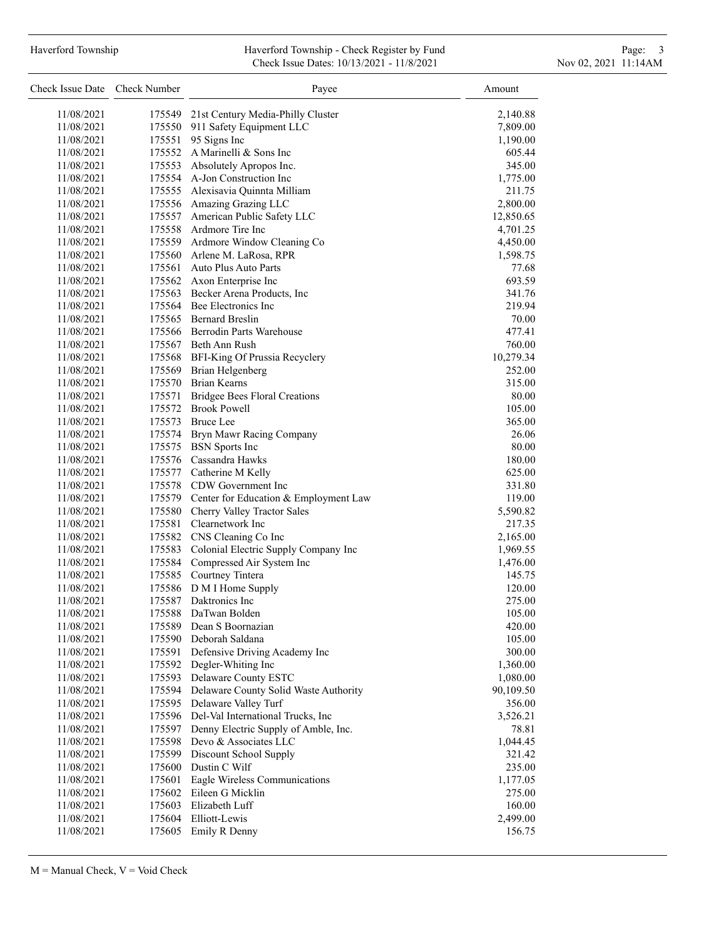## Haverford Township **Haverford Township - Check Register by Fund** Page: 3 and Page: 3 Check Issue Dates: 10/13/2021 - 11/8/2021 11:00 Nov 02, 2021 11:14AM

| Check Issue Date Check Number |        | Payee                                                         | Amount    |
|-------------------------------|--------|---------------------------------------------------------------|-----------|
| 11/08/2021                    | 175549 | 21st Century Media-Philly Cluster                             | 2,140.88  |
| 11/08/2021                    |        | 175550 911 Safety Equipment LLC                               | 7,809.00  |
| 11/08/2021                    |        | 175551 95 Signs Inc                                           | 1,190.00  |
| 11/08/2021                    |        | 175552 A Marinelli & Sons Inc                                 | 605.44    |
| 11/08/2021                    |        | 175553 Absolutely Apropos Inc.                                | 345.00    |
| 11/08/2021                    |        | 175554 A-Jon Construction Inc                                 | 1,775.00  |
| 11/08/2021                    |        | 175555 Alexisavia Quinnta Milliam                             | 211.75    |
| 11/08/2021                    |        | 175556 Amazing Grazing LLC                                    | 2,800.00  |
| 11/08/2021                    |        | 175557 American Public Safety LLC                             | 12,850.65 |
| 11/08/2021                    |        | 175558 Ardmore Tire Inc                                       | 4,701.25  |
| 11/08/2021                    |        | 175559 Ardmore Window Cleaning Co                             | 4,450.00  |
| 11/08/2021                    |        | 175560 Arlene M. LaRosa, RPR                                  | 1,598.75  |
| 11/08/2021                    |        | 175561 Auto Plus Auto Parts                                   | 77.68     |
| 11/08/2021                    |        | 175562 Axon Enterprise Inc                                    | 693.59    |
| 11/08/2021                    |        | 175563 Becker Arena Products, Inc                             | 341.76    |
| 11/08/2021                    |        | 175564 Bee Electronics Inc                                    | 219.94    |
| 11/08/2021                    |        | 175565 Bernard Breslin                                        | 70.00     |
| 11/08/2021                    |        | 175566 Berrodin Parts Warehouse                               | 477.41    |
| 11/08/2021                    |        | 175567 Beth Ann Rush                                          | 760.00    |
| 11/08/2021                    |        | 175568 BFI-King Of Prussia Recyclery                          | 10,279.34 |
| 11/08/2021                    |        | 175569 Brian Helgenberg                                       | 252.00    |
| 11/08/2021                    |        | 175570 Brian Kearns                                           | 315.00    |
| 11/08/2021                    |        | 175571 Bridgee Bees Floral Creations                          | 80.00     |
| 11/08/2021                    |        | 175572 Brook Powell                                           | 105.00    |
| 11/08/2021                    |        | 175573 Bruce Lee                                              | 365.00    |
|                               |        |                                                               | 26.06     |
| 11/08/2021<br>11/08/2021      |        | 175574 Bryn Mawr Racing Company<br>175575 BSN Sports Inc      | 80.00     |
| 11/08/2021                    |        | 175576 Cassandra Hawks                                        | 180.00    |
| 11/08/2021                    |        | 175577 Catherine M Kelly                                      | 625.00    |
|                               |        |                                                               | 331.80    |
| 11/08/2021                    |        | 175578 CDW Government Inc                                     |           |
| 11/08/2021<br>11/08/2021      |        | 175579 Center for Education & Employment Law                  | 119.00    |
| 11/08/2021                    |        | 175580 Cherry Valley Tractor Sales<br>175581 Clearnetwork Inc | 5,590.82  |
|                               |        |                                                               | 217.35    |
| 11/08/2021                    |        | 175582 CNS Cleaning Co Inc                                    | 2,165.00  |
| 11/08/2021                    |        | 175583 Colonial Electric Supply Company Inc                   | 1,969.55  |
| 11/08/2021                    |        | 175584 Compressed Air System Inc                              | 1,476.00  |
| 11/08/2021                    |        | 175585 Courtney Tintera                                       | 145.75    |
| 11/08/2021                    |        | 175586 D M I Home Supply<br>175587 Daktronics Inc             | 120.00    |
| 11/08/2021                    |        |                                                               | 275.00    |
| 11/08/2021                    | 175588 | DaTwan Bolden                                                 | 105.00    |
| 11/08/2021                    |        | 175589 Dean S Boornazian                                      | 420.00    |
| 11/08/2021                    |        | 175590 Deborah Saldana                                        | 105.00    |
| 11/08/2021                    |        | 175591 Defensive Driving Academy Inc                          | 300.00    |
| 11/08/2021                    |        | 175592 Degler-Whiting Inc                                     | 1,360.00  |
| 11/08/2021                    |        | 175593 Delaware County ESTC                                   | 1,080.00  |
| 11/08/2021                    |        | 175594 Delaware County Solid Waste Authority                  | 90,109.50 |
| 11/08/2021                    |        | 175595 Delaware Valley Turf                                   | 356.00    |
| 11/08/2021                    |        | 175596 Del-Val International Trucks, Inc                      | 3,526.21  |
| 11/08/2021                    |        | 175597 Denny Electric Supply of Amble, Inc.                   | 78.81     |
| 11/08/2021                    |        | 175598 Devo & Associates LLC                                  | 1,044.45  |
| 11/08/2021                    |        | 175599 Discount School Supply                                 | 321.42    |
| 11/08/2021                    |        | 175600 Dustin C Wilf                                          | 235.00    |
| 11/08/2021                    | 175601 | Eagle Wireless Communications                                 | 1,177.05  |
| 11/08/2021                    |        | 175602 Eileen G Micklin                                       | 275.00    |
| 11/08/2021                    |        | 175603 Elizabeth Luff                                         | 160.00    |
| 11/08/2021                    |        | 175604 Elliott-Lewis                                          | 2,499.00  |
| 11/08/2021                    |        | 175605 Emily R Denny                                          | 156.75    |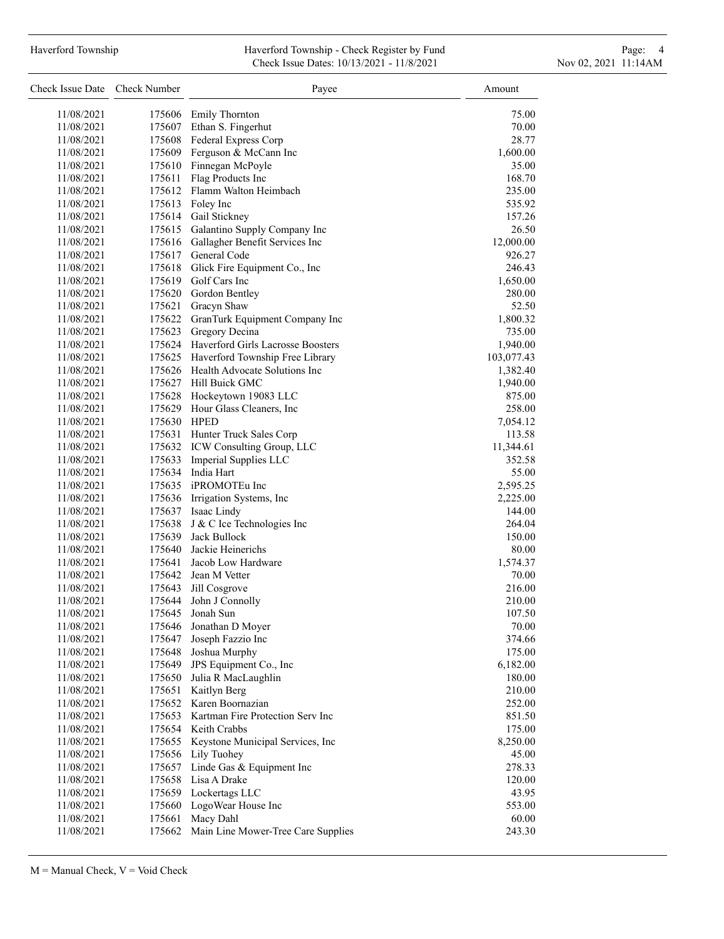#### Haverford Township **Haverford Township - Check Register by Fund** Page: 4 Page: 4 Check Issue Dates: 10/13/2021 - 11/8/2021 11:00 Nov 02, 2021 11:14AM

| Check Issue Date Check Number |             | Payee                                     | Amount             |
|-------------------------------|-------------|-------------------------------------------|--------------------|
| 11/08/2021                    |             | 175606 Emily Thornton                     | 75.00              |
| 11/08/2021                    |             | 175607 Ethan S. Fingerhut                 | 70.00              |
| 11/08/2021                    |             | 175608 Federal Express Corp               | 28.77              |
| 11/08/2021                    |             | 175609 Ferguson & McCann Inc              | 1,600.00           |
| 11/08/2021                    |             | 175610 Finnegan McPoyle                   | 35.00              |
| 11/08/2021                    |             | 175611 Flag Products Inc                  | 168.70             |
| 11/08/2021                    |             | 175612 Flamm Walton Heimbach              | 235.00             |
| 11/08/2021                    |             | 175613 Foley Inc                          | 535.92             |
| 11/08/2021                    |             | 175614 Gail Stickney                      | 157.26             |
| 11/08/2021                    |             | 175615 Galantino Supply Company Inc       | 26.50              |
| 11/08/2021                    |             | 175616 Gallagher Benefit Services Inc     | 12,000.00          |
| 11/08/2021                    |             | 175617 General Code                       | 926.27             |
| 11/08/2021                    |             | 175618 Glick Fire Equipment Co., Inc      | 246.43             |
| 11/08/2021                    |             | 175619 Golf Cars Inc                      | 1,650.00           |
| 11/08/2021                    |             | 175620 Gordon Bentley                     | 280.00             |
| 11/08/2021                    |             | 175621 Gracyn Shaw                        | 52.50              |
| 11/08/2021                    |             | 175622 GranTurk Equipment Company Inc     | 1,800.32           |
| 11/08/2021                    |             | 175623 Gregory Decina                     | 735.00             |
| 11/08/2021                    |             | 175624 Haverford Girls Lacrosse Boosters  | 1,940.00           |
| 11/08/2021                    |             | 175625 Haverford Township Free Library    | 103,077.43         |
| 11/08/2021                    |             | 175626 Health Advocate Solutions Inc      | 1,382.40           |
| 11/08/2021                    |             | 175627 Hill Buick GMC                     | 1,940.00           |
| 11/08/2021                    |             | 175628 Hockeytown 19083 LLC               | 875.00             |
| 11/08/2021                    |             | 175629 Hour Glass Cleaners, Inc           | 258.00             |
| 11/08/2021                    | 175630 HPED |                                           |                    |
| 11/08/2021                    |             | 175631 Hunter Truck Sales Corp            | 7,054.12<br>113.58 |
| 11/08/2021                    |             | 175632 ICW Consulting Group, LLC          | 11,344.61          |
|                               |             | 175633 Imperial Supplies LLC              | 352.58             |
| 11/08/2021<br>11/08/2021      |             | 175634 India Hart                         |                    |
|                               |             | 175635 iPROMOTEu Inc                      | 55.00              |
| 11/08/2021                    |             |                                           | 2,595.25           |
| 11/08/2021                    |             | 175636 Irrigation Systems, Inc            | 2,225.00           |
| 11/08/2021                    |             | 175637 Isaac Lindy                        | 144.00             |
| 11/08/2021                    |             | 175638 J & C Ice Technologies Inc         | 264.04             |
| 11/08/2021                    |             | 175639 Jack Bullock                       | 150.00             |
| 11/08/2021                    |             | 175640 Jackie Heinerichs                  | 80.00              |
| 11/08/2021                    |             | 175641 Jacob Low Hardware                 | 1,574.37           |
| 11/08/2021                    |             | 175642 Jean M Vetter                      | 70.00              |
| 11/08/2021                    | 175643      | Jill Cosgrove                             | 216.00             |
| 11/08/2021                    | 175644      | John J Connolly                           | 210.00             |
| 11/08/2021                    | 175645      | Jonah Sun                                 | 107.50             |
| 11/08/2021                    | 175646      | Jonathan D Moyer                          | 70.00              |
| 11/08/2021                    | 175647      | Joseph Fazzio Inc                         | 374.66             |
| 11/08/2021                    | 175648      | Joshua Murphy                             | 175.00             |
| 11/08/2021                    | 175649      | JPS Equipment Co., Inc                    | 6,182.00           |
| 11/08/2021                    | 175650      | Julia R MacLaughlin                       | 180.00             |
| 11/08/2021                    | 175651      | Kaitlyn Berg                              | 210.00             |
| 11/08/2021                    |             | 175652 Karen Boornazian                   | 252.00             |
| 11/08/2021                    |             | 175653 Kartman Fire Protection Serv Inc   | 851.50             |
| 11/08/2021                    |             | 175654 Keith Crabbs                       | 175.00             |
| 11/08/2021                    | 175655      | Keystone Municipal Services, Inc          | 8,250.00           |
| 11/08/2021                    | 175656      | Lily Tuohey                               | 45.00              |
| 11/08/2021                    | 175657      | Linde Gas & Equipment Inc                 | 278.33             |
| 11/08/2021                    | 175658      | Lisa A Drake                              | 120.00             |
| 11/08/2021                    | 175659      | Lockertags LLC                            | 43.95              |
| 11/08/2021                    | 175660      | LogoWear House Inc                        | 553.00             |
| 11/08/2021                    | 175661      | Macy Dahl                                 | 60.00              |
| 11/08/2021                    |             | 175662 Main Line Mower-Tree Care Supplies | 243.30             |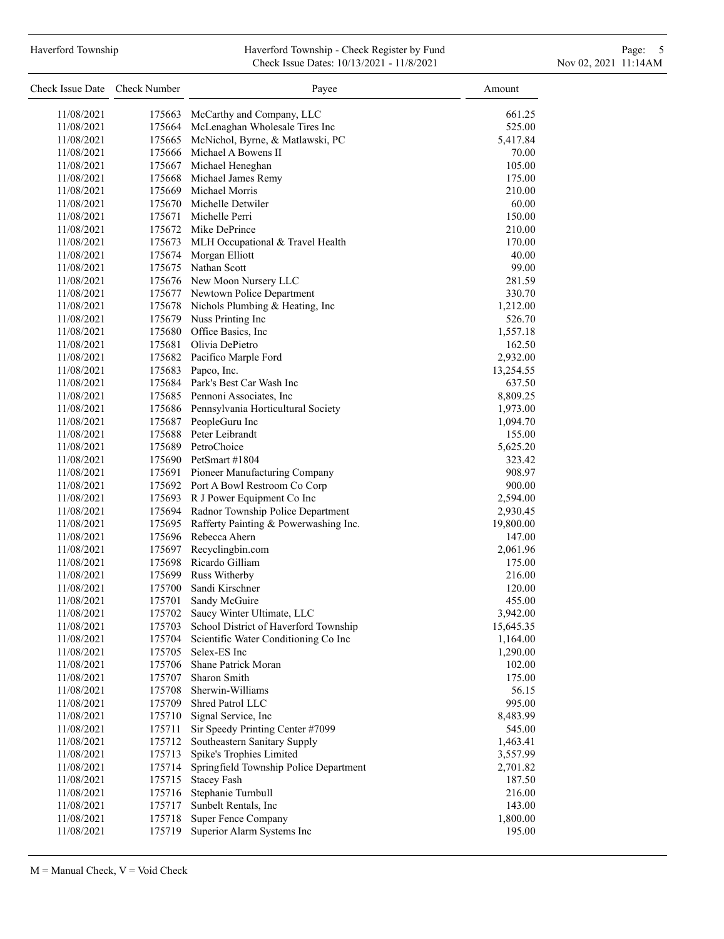### Haverford Township **Haverford Township - Check Register by Fund** Page: 5 - 5 - 7 Page: 5 - 7 Page: 5 - 7 Page: 5 Check Issue Dates: 10/13/2021 - 11/8/2021 11:00 Nov 02, 2021 11:14AM

| Check Issue Date Check Number |                  | Payee                                     | Amount    |
|-------------------------------|------------------|-------------------------------------------|-----------|
| 11/08/2021                    | 175663           | McCarthy and Company, LLC                 | 661.25    |
| 11/08/2021                    | 175664           | McLenaghan Wholesale Tires Inc            | 525.00    |
| 11/08/2021                    | 175665           | McNichol, Byrne, & Matlawski, PC          | 5,417.84  |
| 11/08/2021                    |                  | 175666 Michael A Bowens II                | 70.00     |
| 11/08/2021                    |                  | 175667 Michael Heneghan                   | 105.00    |
| 11/08/2021                    | 175668           | Michael James Remy                        | 175.00    |
| 11/08/2021                    |                  | 175669 Michael Morris                     | 210.00    |
| 11/08/2021                    |                  | 175670 Michelle Detwiler                  | 60.00     |
| 11/08/2021                    |                  | 175671 Michelle Perri                     | 150.00    |
| 11/08/2021                    |                  | 175672 Mike DePrince                      | 210.00    |
| 11/08/2021                    | 175673           | MLH Occupational & Travel Health          | 170.00    |
| 11/08/2021                    | 175674           | Morgan Elliott                            | 40.00     |
| 11/08/2021                    | 175675           | Nathan Scott                              | 99.00     |
| 11/08/2021                    |                  | 175676 New Moon Nursery LLC               | 281.59    |
| 11/08/2021                    |                  | 175677 Newtown Police Department          | 330.70    |
| 11/08/2021                    |                  | 175678 Nichols Plumbing & Heating, Inc    | 1,212.00  |
| 11/08/2021                    |                  | 175679 Nuss Printing Inc                  | 526.70    |
| 11/08/2021                    |                  | 175680 Office Basics, Inc.                | 1,557.18  |
| 11/08/2021                    |                  | 175681 Olivia DePietro                    | 162.50    |
| 11/08/2021                    |                  | 175682 Pacifico Marple Ford               | 2,932.00  |
| 11/08/2021                    |                  | 175683 Papco, Inc.                        | 13,254.55 |
| 11/08/2021                    |                  | 175684 Park's Best Car Wash Inc           | 637.50    |
| 11/08/2021                    |                  | 175685 Pennoni Associates, Inc.           | 8,809.25  |
| 11/08/2021                    |                  | 175686 Pennsylvania Horticultural Society | 1,973.00  |
| 11/08/2021                    |                  | 175687 PeopleGuru Inc                     | 1,094.70  |
| 11/08/2021                    |                  | 175688 Peter Leibrandt                    | 155.00    |
| 11/08/2021                    |                  | 175689 PetroChoice                        | 5,625.20  |
| 11/08/2021                    |                  | 175690 PetSmart #1804                     | 323.42    |
| 11/08/2021                    |                  | 175691 Pioneer Manufacturing Company      | 908.97    |
| 11/08/2021                    |                  | 175692 Port A Bowl Restroom Co Corp       | 900.00    |
| 11/08/2021                    |                  | 175693 R J Power Equipment Co Inc         | 2,594.00  |
| 11/08/2021                    |                  | 175694 Radnor Township Police Department  | 2,930.45  |
| 11/08/2021                    | 175695           | Rafferty Painting & Powerwashing Inc.     | 19,800.00 |
| 11/08/2021                    |                  | 175696 Rebecca Ahern                      | 147.00    |
| 11/08/2021                    |                  | 175697 Recyclingbin.com                   | 2,061.96  |
| 11/08/2021                    |                  | 175698 Ricardo Gilliam                    | 175.00    |
| 11/08/2021                    | 175699           | Russ Witherby                             | 216.00    |
| 11/08/2021                    | 175700           | Sandi Kirschner                           | 120.00    |
| 11/08/2021                    | 175701           | Sandy McGuire                             | 455.00    |
| 11/08/2021                    | 175702           | Saucy Winter Ultimate, LLC                | 3,942.00  |
|                               |                  | School District of Haverford Township     |           |
| 11/08/2021                    | 175703           | Scientific Water Conditioning Co Inc      | 15,645.35 |
| 11/08/2021<br>11/08/2021      | 175704<br>175705 | Selex-ES Inc                              | 1,164.00  |
|                               |                  | Shane Patrick Moran                       | 1,290.00  |
| 11/08/2021                    | 175706           | Sharon Smith                              | 102.00    |
| 11/08/2021                    | 175707           | Sherwin-Williams                          | 175.00    |
| 11/08/2021                    | 175708           | Shred Patrol LLC                          | 56.15     |
| 11/08/2021                    | 175709           |                                           | 995.00    |
| 11/08/2021                    | 175710           | Signal Service, Inc                       | 8,483.99  |
| 11/08/2021                    | 175711           | Sir Speedy Printing Center #7099          | 545.00    |
| 11/08/2021                    | 175712           | Southeastern Sanitary Supply              | 1,463.41  |
| 11/08/2021                    | 175713           | Spike's Trophies Limited                  | 3,557.99  |
| 11/08/2021                    | 175714           | Springfield Township Police Department    | 2,701.82  |
| 11/08/2021                    | 175715           | <b>Stacey Fash</b>                        | 187.50    |
| 11/08/2021                    | 175716           | Stephanie Turnbull                        | 216.00    |
| 11/08/2021                    | 175717           | Sunbelt Rentals, Inc                      | 143.00    |
| 11/08/2021                    | 175718           | Super Fence Company                       | 1,800.00  |
| 11/08/2021                    | 175719           | Superior Alarm Systems Inc                | 195.00    |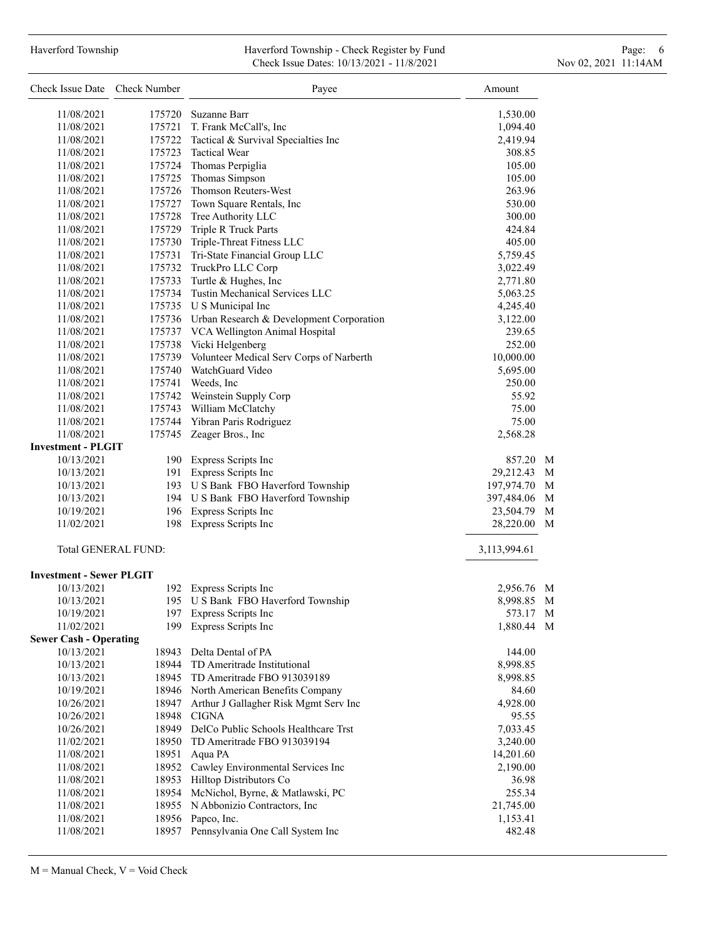# Haverford Township **Haverford Township - Check Register by Fund** Page: 6 Australian Page: 6 Australian Page: 6 Au Check Issue Dates: 10/13/2021 - 11/8/2021 11:00 Nov 02, 2021 11:14AM

| Check Issue Date Check Number               |                            | Payee                                                 | Amount             |   |
|---------------------------------------------|----------------------------|-------------------------------------------------------|--------------------|---|
| 11/08/2021                                  | 175720                     | Suzanne Barr                                          | 1,530.00           |   |
| 11/08/2021                                  |                            | 175721 T. Frank McCall's, Inc                         | 1,094.40           |   |
| 11/08/2021                                  |                            | 175722 Tactical & Survival Specialties Inc            | 2,419.94           |   |
| 11/08/2021                                  |                            | 175723 Tactical Wear                                  | 308.85             |   |
| 11/08/2021                                  |                            | 175724 Thomas Perpiglia                               | 105.00             |   |
| 11/08/2021                                  |                            | 175725 Thomas Simpson                                 | 105.00             |   |
| 11/08/2021                                  |                            | 175726 Thomson Reuters-West                           | 263.96             |   |
| 11/08/2021                                  |                            | 175727 Town Square Rentals, Inc                       | 530.00             |   |
| 11/08/2021                                  |                            | 175728 Tree Authority LLC                             | 300.00             |   |
| 11/08/2021                                  |                            | 175729 Triple R Truck Parts                           | 424.84             |   |
| 11/08/2021                                  |                            | 175730 Triple-Threat Fitness LLC                      | 405.00             |   |
| 11/08/2021                                  |                            | 175731 Tri-State Financial Group LLC                  | 5,759.45           |   |
| 11/08/2021                                  |                            | 175732 TruckPro LLC Corp                              | 3,022.49           |   |
| 11/08/2021                                  |                            | 175733 Turtle & Hughes, Inc                           | 2,771.80           |   |
| 11/08/2021                                  |                            | 175734 Tustin Mechanical Services LLC                 | 5,063.25           |   |
| 11/08/2021                                  |                            | 175735 U S Municipal Inc                              | 4,245.40           |   |
| 11/08/2021                                  |                            | 175736 Urban Research & Development Corporation       | 3,122.00           |   |
| 11/08/2021                                  |                            | 175737 VCA Wellington Animal Hospital                 | 239.65             |   |
| 11/08/2021                                  |                            | 175738 Vicki Helgenberg                               | 252.00             |   |
| 11/08/2021                                  |                            | 175739 Volunteer Medical Serv Corps of Narberth       | 10,000.00          |   |
| 11/08/2021                                  |                            | 175740 WatchGuard Video                               | 5,695.00           |   |
| 11/08/2021                                  |                            | 175741 Weeds, Inc                                     | 250.00             |   |
| 11/08/2021                                  |                            | 175742 Weinstein Supply Corp                          | 55.92              |   |
| 11/08/2021                                  |                            | 175743 William McClatchy                              | 75.00              |   |
| 11/08/2021                                  |                            | 175744 Yibran Paris Rodriguez                         | 75.00              |   |
| 11/08/2021                                  |                            | 175745 Zeager Bros., Inc                              | 2,568.28           |   |
| <b>Investment - PLGIT</b>                   |                            |                                                       |                    |   |
| 10/13/2021                                  |                            | 190 Express Scripts Inc                               | 857.20 M           |   |
| 10/13/2021                                  |                            | 191 Express Scripts Inc                               | 29,212.43          | M |
| 10/13/2021                                  |                            | 193 U S Bank FBO Haverford Township                   | 197,974.70 M       |   |
| 10/13/2021                                  |                            | 194 U S Bank FBO Haverford Township                   | 397,484.06         | M |
| 10/19/2021                                  |                            | 196 Express Scripts Inc                               | 23,504.79          | M |
| 11/02/2021                                  |                            | 198 Express Scripts Inc                               | 28,220.00          | M |
|                                             | <b>Total GENERAL FUND:</b> |                                                       | 3,113,994.61       |   |
|                                             |                            |                                                       |                    |   |
| <b>Investment - Sewer PLGIT</b>             |                            |                                                       |                    |   |
| 10/13/2021                                  | 192                        | Express Scripts Inc                                   | 2,956.76 M         |   |
| 10/13/2021                                  | 195                        | U S Bank FBO Haverford Township                       | 8,998.85           | M |
| 10/19/2021                                  | 197                        | Express Scripts Inc                                   | 573.17 M           |   |
| 11/02/2021                                  | 199                        | Express Scripts Inc                                   | 1,880.44 M         |   |
| <b>Sewer Cash - Operating</b><br>10/13/2021 | 18943                      | Delta Dental of PA                                    |                    |   |
|                                             |                            | 18944 TD Ameritrade Institutional                     | 144.00<br>8,998.85 |   |
| 10/13/2021                                  |                            | 18945 TD Ameritrade FBO 913039189                     |                    |   |
| 10/13/2021                                  |                            |                                                       | 8,998.85           |   |
| 10/19/2021                                  |                            | 18946 North American Benefits Company                 | 84.60              |   |
| 10/26/2021                                  | 18947                      | Arthur J Gallagher Risk Mgmt Serv Inc<br><b>CIGNA</b> | 4,928.00           |   |
| 10/26/2021                                  | 18948                      | 18949 DelCo Public Schools Healthcare Trst            | 95.55<br>7,033.45  |   |
| 10/26/2021                                  |                            |                                                       |                    |   |
| 11/02/2021                                  | 18950                      | TD Ameritrade FBO 913039194                           | 3,240.00           |   |
| 11/08/2021                                  | 18951                      | Aqua PA                                               | 14,201.60          |   |
| 11/08/2021                                  |                            | 18952 Cawley Environmental Services Inc               | 2,190.00           |   |
| 11/08/2021                                  | 18953                      | Hilltop Distributors Co                               | 36.98              |   |
| 11/08/2021                                  | 18954                      | McNichol, Byrne, & Matlawski, PC                      | 255.34             |   |
| 11/08/2021                                  |                            | 18955 N Abbonizio Contractors, Inc                    | 21,745.00          |   |
| 11/08/2021                                  | 18956                      | Papco, Inc.                                           | 1,153.41           |   |
| 11/08/2021                                  | 18957                      | Pennsylvania One Call System Inc                      | 482.48             |   |

 $M =$  Manual Check,  $V =$  Void Check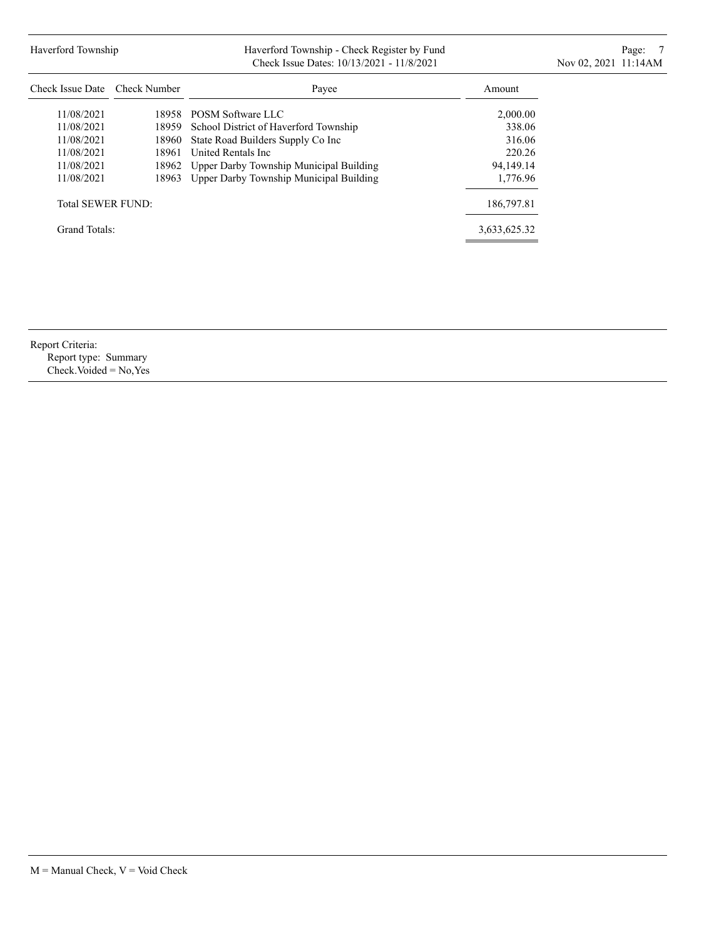# Haverford Township **Haverford Township - Check Register by Fund** Page: 7 **Page: 7** Check Issue Dates: 10/13/2021 - 11/8/2021 11:00 Nov 02, 2021 11:14AM

| Check Issue Date Check Number |       | Payee                                   | Amount       |
|-------------------------------|-------|-----------------------------------------|--------------|
| 11/08/2021                    |       | 18958 POSM Software LLC                 | 2,000.00     |
| 11/08/2021                    | 18959 | School District of Haverford Township   | 338.06       |
| 11/08/2021                    | 18960 | State Road Builders Supply Co Inc       | 316.06       |
| 11/08/2021                    | 18961 | United Rentals Inc.                     | 220.26       |
| 11/08/2021                    | 18962 | Upper Darby Township Municipal Building | 94,149.14    |
| 11/08/2021                    | 18963 | Upper Darby Township Municipal Building | 1,776.96     |
| <b>Total SEWER FUND:</b>      |       |                                         | 186,797.81   |
| Grand Totals:                 |       |                                         | 3,633,625.32 |

Report Criteria:

Report type: Summary Check.Voided = No,Yes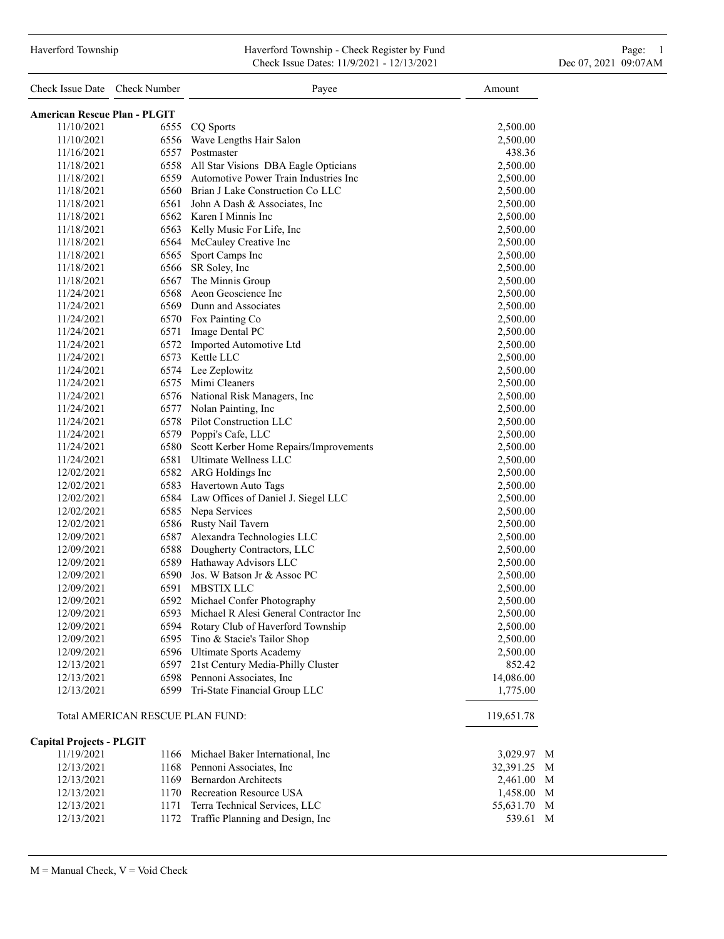### Haverford Township Haverford Township - Check Register by Fund Page: 1 Check Issue Dates: 11/9/2021 - 12/13/2021 Dec 07, 2021 09:07AM

| Check Issue Date Check Number       |                                  | Payee                                       | Amount      |
|-------------------------------------|----------------------------------|---------------------------------------------|-------------|
| <b>American Rescue Plan - PLGIT</b> |                                  |                                             |             |
| 11/10/2021                          |                                  | 6555 CQ Sports                              | 2,500.00    |
| 11/10/2021                          |                                  | 6556 Wave Lengths Hair Salon                | 2,500.00    |
| 11/16/2021                          |                                  | 6557 Postmaster                             | 438.36      |
| 11/18/2021                          |                                  | 6558 All Star Visions DBA Eagle Opticians   | 2,500.00    |
| 11/18/2021                          |                                  | 6559 Automotive Power Train Industries Inc  | 2,500.00    |
| 11/18/2021                          |                                  | 6560 Brian J Lake Construction Co LLC       | 2,500.00    |
| 11/18/2021                          |                                  | 6561 John A Dash & Associates, Inc.         | 2,500.00    |
| 11/18/2021                          |                                  | 6562 Karen I Minnis Inc                     | 2,500.00    |
| 11/18/2021                          |                                  | 6563 Kelly Music For Life, Inc              | 2,500.00    |
| 11/18/2021                          |                                  | 6564 McCauley Creative Inc                  | 2,500.00    |
| 11/18/2021                          | 6565                             | Sport Camps Inc                             | 2,500.00    |
| 11/18/2021                          |                                  | 6566 SR Soley, Inc                          | 2,500.00    |
| 11/18/2021                          |                                  | 6567 The Minnis Group                       | 2,500.00    |
| 11/24/2021                          |                                  | 6568 Aeon Geoscience Inc                    | 2,500.00    |
| 11/24/2021                          |                                  | 6569 Dunn and Associates                    | 2,500.00    |
| 11/24/2021                          |                                  | 6570 Fox Painting Co                        | 2,500.00    |
| 11/24/2021                          |                                  | 6571 Image Dental PC                        | 2,500.00    |
| 11/24/2021                          |                                  | 6572 Imported Automotive Ltd                | 2,500.00    |
| 11/24/2021                          |                                  | 6573 Kettle LLC                             | 2,500.00    |
| 11/24/2021                          |                                  | 6574 Lee Zeplowitz                          | 2,500.00    |
| 11/24/2021                          |                                  | 6575 Mimi Cleaners                          | 2,500.00    |
| 11/24/2021                          |                                  | 6576 National Risk Managers, Inc            | 2,500.00    |
| 11/24/2021                          |                                  | 6577 Nolan Painting, Inc                    | 2,500.00    |
| 11/24/2021                          |                                  | 6578 Pilot Construction LLC                 | 2,500.00    |
| 11/24/2021                          |                                  | 6579 Poppi's Cafe, LLC                      | 2,500.00    |
| 11/24/2021                          |                                  | 6580 Scott Kerber Home Repairs/Improvements | 2,500.00    |
| 11/24/2021                          |                                  | 6581 Ultimate Wellness LLC                  | 2,500.00    |
| 12/02/2021                          |                                  | 6582 ARG Holdings Inc                       | 2,500.00    |
| 12/02/2021                          |                                  | 6583 Havertown Auto Tags                    | 2,500.00    |
| 12/02/2021                          |                                  | 6584 Law Offices of Daniel J. Siegel LLC    | 2,500.00    |
| 12/02/2021                          |                                  | 6585 Nepa Services                          | 2,500.00    |
| 12/02/2021                          |                                  | 6586 Rusty Nail Tavern                      | 2,500.00    |
| 12/09/2021                          |                                  | 6587 Alexandra Technologies LLC             | 2,500.00    |
| 12/09/2021                          |                                  | 6588 Dougherty Contractors, LLC             | 2,500.00    |
| 12/09/2021                          |                                  | 6589 Hathaway Advisors LLC                  | 2,500.00    |
| 12/09/2021                          |                                  | 6590 Jos. W Batson Jr & Assoc PC            | 2,500.00    |
| 12/09/2021                          |                                  | 6591 MBSTIX LLC                             | 2,500.00    |
| 12/09/2021                          |                                  | 6592 Michael Confer Photography             | 2,500.00    |
| 12/09/2021                          |                                  | 6593 Michael R Alesi General Contractor Inc | 2,500.00    |
| 12/09/2021                          |                                  | 6594 Rotary Club of Haverford Township      | 2,500.00    |
| 12/09/2021                          | 6595                             | Tino & Stacie's Tailor Shop                 | 2,500.00    |
| 12/09/2021                          |                                  | 6596 Ultimate Sports Academy                | 2,500.00    |
| 12/13/2021                          | 6597                             | 21st Century Media-Philly Cluster           | 852.42      |
| 12/13/2021                          |                                  | 6598 Pennoni Associates, Inc                | 14,086.00   |
| 12/13/2021                          |                                  | 6599 Tri-State Financial Group LLC          | 1,775.00    |
|                                     | Total AMERICAN RESCUE PLAN FUND: |                                             | 119,651.78  |
| <b>Capital Projects - PLGIT</b>     |                                  |                                             |             |
| 11/19/2021                          |                                  | 1166 Michael Baker International, Inc       | 3,029.97 M  |
| 12/13/2021                          |                                  | 1168 Pennoni Associates, Inc.               | 32,391.25 M |
| 12/13/2021                          |                                  | 1169 Bernardon Architects                   | 2,461.00 M  |
| 12/13/2021                          |                                  | 1170 Recreation Resource USA                | 1,458.00 M  |
| 12/13/2021                          | 1171                             | Terra Technical Services, LLC               | 55,631.70 M |
| 12/13/2021                          |                                  | 1172 Traffic Planning and Design, Inc       | 539.61 M    |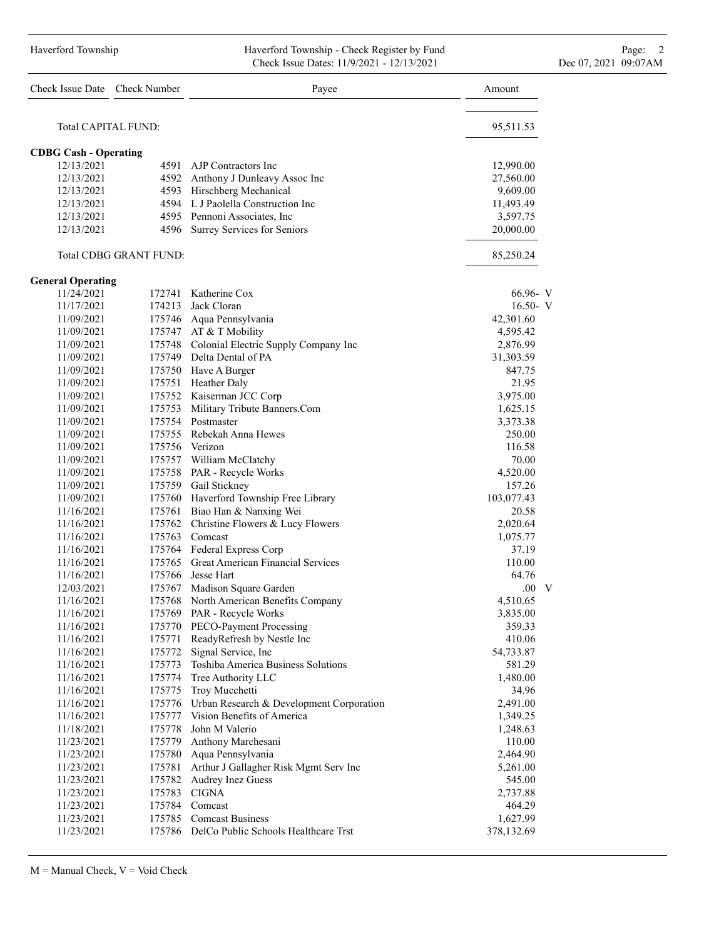#### Haverford Township **Haverford Township - Check Register by Fund** Page: 2 Check Issue Dates: 11/9/2021 - 12/13/2021 Dec 07, 2021 09:07AM

|                              | Check Issue Date Check Number | Payee                                                                   | Amount          |
|------------------------------|-------------------------------|-------------------------------------------------------------------------|-----------------|
|                              | <b>Total CAPITAL FUND:</b>    |                                                                         | 95,511.53       |
| <b>CDBG Cash - Operating</b> |                               |                                                                         |                 |
| 12/13/2021                   |                               | 4591 AJP Contractors Inc                                                | 12,990.00       |
| 12/13/2021                   |                               | 4592 Anthony J Dunleavy Assoc Inc                                       | 27,560.00       |
| 12/13/2021                   |                               | 4593 Hirschberg Mechanical                                              | 9,609.00        |
| 12/13/2021                   |                               | 4594 L.J Paolella Construction Inc.                                     | 11,493.49       |
| 12/13/2021                   |                               | 4595 Pennoni Associates, Inc                                            | 3,597.75        |
| 12/13/2021                   |                               | 4596 Surrey Services for Seniors                                        | 20,000.00       |
|                              | <b>Total CDBG GRANT FUND:</b> |                                                                         | 85,250.24       |
| <b>General Operating</b>     |                               |                                                                         |                 |
| 11/24/2021                   |                               | 172741 Katherine Cox                                                    | 66.96- V        |
| 11/17/2021                   |                               | 174213 Jack Cloran                                                      | $16.50 - V$     |
| 11/09/2021                   |                               | 175746 Aqua Pennsylvania                                                | 42,301.60       |
| 11/09/2021                   |                               | 175747 AT & T Mobility                                                  | 4,595.42        |
| 11/09/2021                   |                               | 175748 Colonial Electric Supply Company Inc                             | 2,876.99        |
| 11/09/2021                   |                               | 175749 Delta Dental of PA                                               | 31,303.59       |
| 11/09/2021                   |                               | 175750 Have A Burger                                                    | 847.75          |
| 11/09/2021                   |                               | 175751 Heather Daly                                                     | 21.95           |
| 11/09/2021                   |                               | 175752 Kaiserman JCC Corp                                               | 3,975.00        |
| 11/09/2021                   |                               | 175753 Military Tribute Banners.Com                                     | 1,625.15        |
| 11/09/2021                   |                               | 175754 Postmaster                                                       | 3,373.38        |
| 11/09/2021                   |                               | 175755 Rebekah Anna Hewes                                               | 250.00          |
| 11/09/2021                   |                               | 175756 Verizon                                                          | 116.58          |
| 11/09/2021                   |                               | 175757 William McClatchy                                                | 70.00           |
| 11/09/2021                   |                               | 175758 PAR - Recycle Works                                              | 4,520.00        |
| 11/09/2021                   |                               | 175759 Gail Stickney                                                    | 157.26          |
| 11/09/2021                   |                               | 175760 Haverford Township Free Library                                  | 103,077.43      |
| 11/16/2021                   |                               | 175761 Biao Han & Nanxing Wei                                           | 20.58           |
| 11/16/2021                   |                               | 175762 Christine Flowers & Lucy Flowers                                 | 2,020.64        |
| 11/16/2021                   |                               | 175763 Comcast                                                          | 1,075.77        |
| 11/16/2021                   |                               | 175764 Federal Express Corp<br>175765 Great American Financial Services | 37.19           |
| 11/16/2021                   |                               | 175766 Jesse Hart                                                       | 110.00<br>64.76 |
| 11/16/2021                   |                               | 175767 Madison Square Garden                                            | $.00\quad V$    |
| 12/03/2021<br>11/16/2021     | 175768                        | North American Benefits Company                                         | 4,510.65        |
| 11/16/2021                   |                               | 175769 PAR - Recycle Works                                              | 3,835.00        |
| 11/16/2021                   |                               | 175770 PECO-Payment Processing                                          | 359.33          |
| 11/16/2021                   |                               | 175771 ReadyRefresh by Nestle Inc                                       | 410.06          |
| 11/16/2021                   |                               | 175772 Signal Service, Inc                                              | 54,733.87       |
| 11/16/2021                   | 175773                        | Toshiba America Business Solutions                                      | 581.29          |
| 11/16/2021                   |                               | 175774 Tree Authority LLC                                               | 1,480.00        |
| 11/16/2021                   |                               | 175775 Troy Mucchetti                                                   | 34.96           |
| 11/16/2021                   |                               | 175776 Urban Research & Development Corporation                         | 2,491.00        |
| 11/16/2021                   |                               | 175777 Vision Benefits of America                                       | 1,349.25        |
| 11/18/2021                   | 175778                        | John M Valerio                                                          | 1,248.63        |
| 11/23/2021                   |                               | 175779 Anthony Marchesani                                               | 110.00          |
| 11/23/2021                   |                               | 175780 Aqua Pennsylvania                                                | 2,464.90        |
| 11/23/2021                   | 175781                        | Arthur J Gallagher Risk Mgmt Serv Inc                                   | 5,261.00        |
| 11/23/2021                   |                               | 175782 Audrey Inez Guess                                                | 545.00          |
| 11/23/2021                   |                               | 175783 CIGNA                                                            | 2,737.88        |
| 11/23/2021                   |                               | 175784 Comcast                                                          | 464.29          |
| 11/23/2021                   |                               | 175785 Comcast Business                                                 | 1,627.99        |
| 11/23/2021                   |                               | 175786 DelCo Public Schools Healthcare Trst                             | 378,132.69      |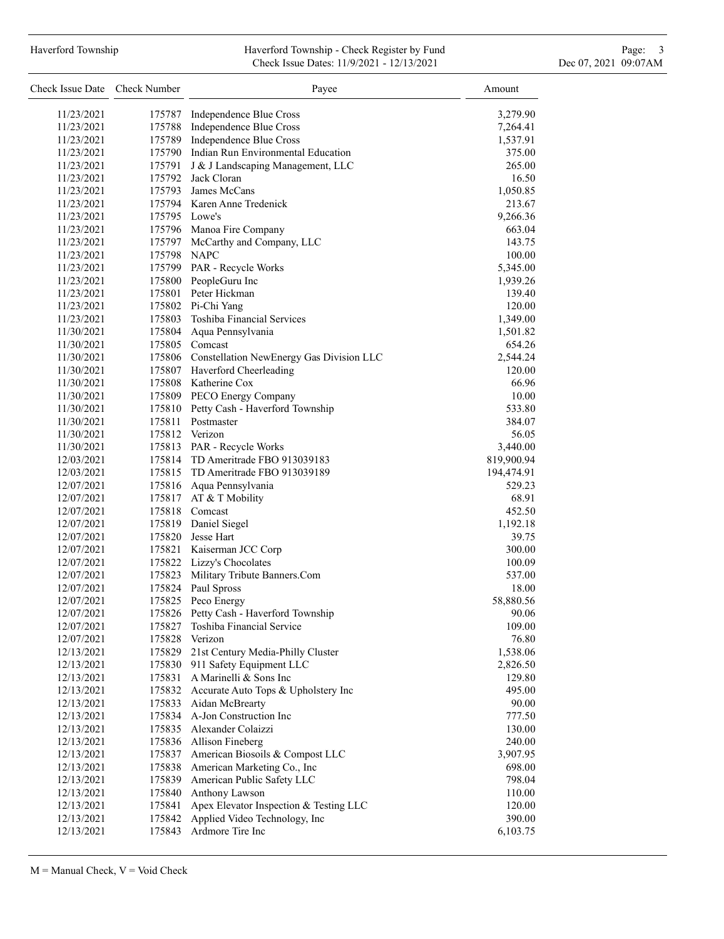# Haverford Township **Haverford Township - Check Register by Fund** Page: 3 and Page: 3 Check Issue Dates: 11/9/2021 - 12/13/2021 Dec 07, 2021 09:07AM

| Check Issue Date Check Number |               | Payee                                           | Amount            |
|-------------------------------|---------------|-------------------------------------------------|-------------------|
| 11/23/2021                    | 175787        | Independence Blue Cross                         | 3,279.90          |
| 11/23/2021                    |               | 175788 Independence Blue Cross                  | 7,264.41          |
| 11/23/2021                    | 175789        | Independence Blue Cross                         | 1,537.91          |
| 11/23/2021                    |               | 175790 Indian Run Environmental Education       | 375.00            |
| 11/23/2021                    | 175791        | J & J Landscaping Management, LLC               | 265.00            |
| 11/23/2021                    |               | 175792 Jack Cloran                              | 16.50             |
| 11/23/2021                    |               | 175793 James McCans                             | 1,050.85          |
| 11/23/2021                    |               | 175794 Karen Anne Tredenick                     | 213.67            |
| 11/23/2021                    | 175795 Lowe's |                                                 | 9,266.36          |
| 11/23/2021                    |               | 175796 Manoa Fire Company                       | 663.04            |
| 11/23/2021                    |               | 175797 McCarthy and Company, LLC                | 143.75            |
| 11/23/2021                    | 175798 NAPC   |                                                 | 100.00            |
| 11/23/2021                    |               | 175799 PAR - Recycle Works                      | 5,345.00          |
| 11/23/2021                    |               | 175800 PeopleGuru Inc                           | 1,939.26          |
| 11/23/2021                    |               | 175801 Peter Hickman                            | 139.40            |
| 11/23/2021                    |               | 175802 Pi-Chi Yang                              | 120.00            |
| 11/23/2021                    |               | 175803 Toshiba Financial Services               | 1,349.00          |
| 11/30/2021                    |               | 175804 Aqua Pennsylvania                        | 1,501.82          |
| 11/30/2021                    |               | 175805 Comcast                                  | 654.26            |
| 11/30/2021                    |               | 175806 Constellation NewEnergy Gas Division LLC | 2,544.24          |
| 11/30/2021                    |               | 175807 Haverford Cheerleading                   | 120.00            |
| 11/30/2021                    |               | 175808 Katherine Cox                            | 66.96             |
| 11/30/2021                    |               | 175809 PECO Energy Company                      | 10.00             |
| 11/30/2021                    |               | 175810 Petty Cash - Haverford Township          | 533.80            |
| 11/30/2021                    | 175811        | Postmaster                                      | 384.07            |
| 11/30/2021                    |               | 175812 Verizon                                  | 56.05             |
| 11/30/2021                    |               | 175813 PAR - Recycle Works                      | 3,440.00          |
| 12/03/2021                    |               | 175814 TD Ameritrade FBO 913039183              | 819,900.94        |
| 12/03/2021                    |               | 175815 TD Ameritrade FBO 913039189              | 194,474.91        |
| 12/07/2021                    |               | 175816 Aqua Pennsylvania                        | 529.23            |
| 12/07/2021                    |               | 175817 AT & T Mobility                          | 68.91             |
| 12/07/2021                    |               | 175818 Comcast                                  | 452.50            |
| 12/07/2021<br>12/07/2021      |               | 175819 Daniel Siegel<br>175820 Jesse Hart       | 1,192.18<br>39.75 |
| 12/07/2021                    |               | 175821 Kaiserman JCC Corp                       | 300.00            |
| 12/07/2021                    |               | 175822 Lizzy's Chocolates                       | 100.09            |
| 12/07/2021                    |               | 175823 Military Tribute Banners.Com             | 537.00            |
| 12/07/2021                    | 175824        | Paul Spross                                     | 18.00             |
| 12/07/2021                    | 175825        | Peco Energy                                     | 58,880.56         |
| 12/07/2021                    | 175826        | Petty Cash - Haverford Township                 | 90.06             |
| 12/07/2021                    | 175827        | Toshiba Financial Service                       | 109.00            |
| 12/07/2021                    |               | 175828 Verizon                                  | 76.80             |
| 12/13/2021                    | 175829        | 21st Century Media-Philly Cluster               | 1,538.06          |
| 12/13/2021                    | 175830        | 911 Safety Equipment LLC                        | 2,826.50          |
| 12/13/2021                    | 175831        | A Marinelli & Sons Inc                          | 129.80            |
| 12/13/2021                    | 175832        | Accurate Auto Tops & Upholstery Inc             | 495.00            |
| 12/13/2021                    | 175833        | Aidan McBrearty                                 | 90.00             |
| 12/13/2021                    | 175834        | A-Jon Construction Inc                          | 777.50            |
| 12/13/2021                    | 175835        | Alexander Colaizzi                              | 130.00            |
| 12/13/2021                    |               | 175836 Allison Fineberg                         | 240.00            |
| 12/13/2021                    | 175837        | American Biosoils & Compost LLC                 | 3,907.95          |
| 12/13/2021                    |               | 175838 American Marketing Co., Inc              | 698.00            |
| 12/13/2021                    | 175839        | American Public Safety LLC                      | 798.04            |
| 12/13/2021                    | 175840        | Anthony Lawson                                  | 110.00            |
| 12/13/2021                    | 175841        | Apex Elevator Inspection & Testing LLC          | 120.00            |
| 12/13/2021                    | 175842        | Applied Video Technology, Inc                   | 390.00            |
| 12/13/2021                    | 175843        | Ardmore Tire Inc                                | 6,103.75          |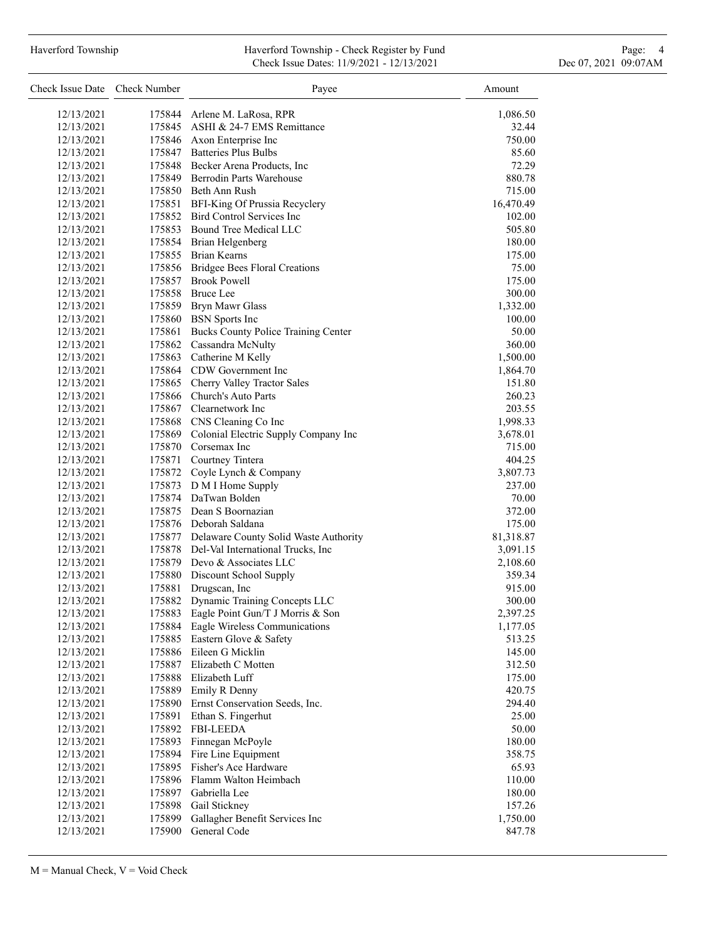## Haverford Township **Haverford Township - Check Register by Fund** Page: 4 Page: 4 Check Issue Dates: 11/9/2021 - 12/13/2021 Dec 07, 2021 09:07AM

| Check Issue Date Check Number |        | Payee                                        | Amount    |
|-------------------------------|--------|----------------------------------------------|-----------|
| 12/13/2021                    |        | 175844 Arlene M. LaRosa, RPR                 | 1,086.50  |
| 12/13/2021                    |        | 175845 ASHI & 24-7 EMS Remittance            | 32.44     |
| 12/13/2021                    |        | 175846 Axon Enterprise Inc                   | 750.00    |
| 12/13/2021                    |        | 175847 Batteries Plus Bulbs                  | 85.60     |
| 12/13/2021                    |        | 175848 Becker Arena Products, Inc.           | 72.29     |
| 12/13/2021                    |        | 175849 Berrodin Parts Warehouse              | 880.78    |
| 12/13/2021                    |        | 175850 Beth Ann Rush                         | 715.00    |
| 12/13/2021                    |        | 175851 BFI-King Of Prussia Recyclery         | 16,470.49 |
| 12/13/2021                    |        | 175852 Bird Control Services Inc             | 102.00    |
| 12/13/2021                    |        | 175853 Bound Tree Medical LLC                | 505.80    |
| 12/13/2021                    |        | 175854 Brian Helgenberg                      | 180.00    |
| 12/13/2021                    |        | 175855 Brian Kearns                          | 175.00    |
| 12/13/2021                    |        | 175856 Bridgee Bees Floral Creations         | 75.00     |
| 12/13/2021                    |        | 175857 Brook Powell                          | 175.00    |
| 12/13/2021                    |        | 175858 Bruce Lee                             | 300.00    |
| 12/13/2021                    |        | 175859 Bryn Mawr Glass                       | 1,332.00  |
| 12/13/2021                    |        | 175860 BSN Sports Inc                        | 100.00    |
| 12/13/2021                    |        | 175861 Bucks County Police Training Center   | 50.00     |
| 12/13/2021                    |        | 175862 Cassandra McNulty                     | 360.00    |
| 12/13/2021                    |        | 175863 Catherine M Kelly                     | 1,500.00  |
| 12/13/2021                    |        | 175864 CDW Government Inc                    | 1,864.70  |
| 12/13/2021                    |        | 175865 Cherry Valley Tractor Sales           | 151.80    |
| 12/13/2021                    |        | 175866 Church's Auto Parts                   | 260.23    |
| 12/13/2021                    |        | 175867 Clearnetwork Inc                      | 203.55    |
| 12/13/2021                    |        | 175868 CNS Cleaning Co Inc                   | 1,998.33  |
| 12/13/2021                    |        | 175869 Colonial Electric Supply Company Inc  | 3,678.01  |
| 12/13/2021                    |        | 175870 Corsemax Inc                          | 715.00    |
| 12/13/2021                    |        | 175871 Courtney Tintera                      | 404.25    |
| 12/13/2021                    |        | 175872 Coyle Lynch & Company                 | 3,807.73  |
| 12/13/2021                    |        | 175873 D M I Home Supply                     | 237.00    |
| 12/13/2021                    |        | 175874 DaTwan Bolden                         | 70.00     |
| 12/13/2021                    |        | 175875 Dean S Boornazian                     | 372.00    |
| 12/13/2021                    |        | 175876 Deborah Saldana                       | 175.00    |
| 12/13/2021                    |        | 175877 Delaware County Solid Waste Authority | 81,318.87 |
| 12/13/2021                    |        | 175878 Del-Val International Trucks, Inc     | 3,091.15  |
| 12/13/2021                    |        | 175879 Devo & Associates LLC                 | 2,108.60  |
| 12/13/2021                    |        | 175880 Discount School Supply                | 359.34    |
| 12/13/2021                    |        | 175881 Drugscan, Inc                         | 915.00    |
| 12/13/2021                    | 175882 | Dynamic Training Concepts LLC                | 300.00    |
| 12/13/2021                    | 175883 | Eagle Point Gun/T J Morris & Son             | 2,397.25  |
| 12/13/2021                    | 175884 | Eagle Wireless Communications                | 1,177.05  |
| 12/13/2021                    |        | 175885 Eastern Glove & Safety                | 513.25    |
| 12/13/2021                    |        | 175886 Eileen G Micklin                      | 145.00    |
| 12/13/2021                    |        | 175887 Elizabeth C Motten                    | 312.50    |
| 12/13/2021                    |        | 175888 Elizabeth Luff                        | 175.00    |
| 12/13/2021                    | 175889 | Emily R Denny                                | 420.75    |
| 12/13/2021                    |        | 175890 Ernst Conservation Seeds, Inc.        | 294.40    |
| 12/13/2021                    |        | 175891 Ethan S. Fingerhut                    | 25.00     |
| 12/13/2021                    |        | 175892 FBI-LEEDA                             | 50.00     |
| 12/13/2021                    | 175893 | Finnegan McPoyle                             | 180.00    |
| 12/13/2021                    | 175894 | Fire Line Equipment                          | 358.75    |
| 12/13/2021                    | 175895 | Fisher's Ace Hardware                        | 65.93     |
| 12/13/2021                    |        | 175896 Flamm Walton Heimbach                 | 110.00    |
| 12/13/2021                    |        | 175897 Gabriella Lee                         | 180.00    |
| 12/13/2021                    | 175898 | Gail Stickney                                | 157.26    |
| 12/13/2021                    | 175899 | Gallagher Benefit Services Inc               | 1,750.00  |
| 12/13/2021                    | 175900 | General Code                                 | 847.78    |
|                               |        |                                              |           |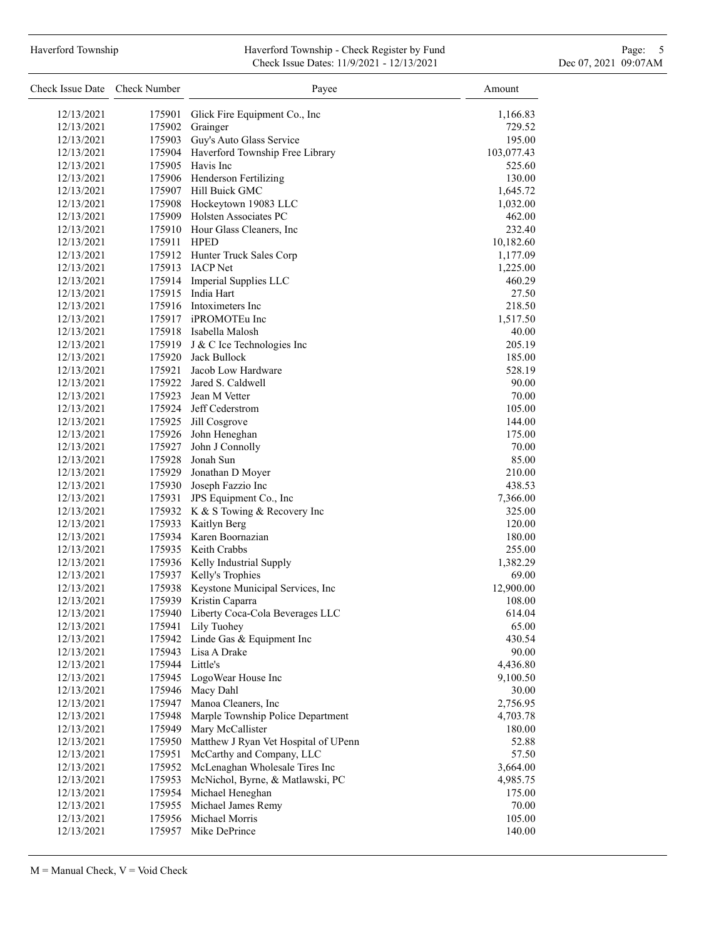### Haverford Township **Haverford Township - Check Register by Fund** Page: 5 - 5 - 7 Page: 5 - 7 Page: 5 - 7 Page: 5 Check Issue Dates: 11/9/2021 - 12/13/2021 Dec 07, 2021 09:07AM

| Check Issue Date Check Number |        | Payee                                                             | Amount     |
|-------------------------------|--------|-------------------------------------------------------------------|------------|
| 12/13/2021                    | 175901 | Glick Fire Equipment Co., Inc.                                    | 1,166.83   |
| 12/13/2021                    | 175902 | Grainger                                                          | 729.52     |
| 12/13/2021                    | 175903 | Guy's Auto Glass Service                                          | 195.00     |
| 12/13/2021                    | 175904 | Haverford Township Free Library                                   | 103,077.43 |
| 12/13/2021                    | 175905 | Havis Inc                                                         | 525.60     |
| 12/13/2021                    | 175906 | Henderson Fertilizing                                             | 130.00     |
| 12/13/2021                    |        | 175907 Hill Buick GMC                                             | 1,645.72   |
| 12/13/2021                    | 175908 | Hockeytown 19083 LLC                                              | 1,032.00   |
| 12/13/2021                    |        | 175909 Holsten Associates PC                                      | 462.00     |
| 12/13/2021                    | 175910 | Hour Glass Cleaners, Inc                                          | 232.40     |
| 12/13/2021                    | 175911 | <b>HPED</b>                                                       | 10,182.60  |
| 12/13/2021                    |        | 175912 Hunter Truck Sales Corp                                    | 1,177.09   |
| 12/13/2021                    |        | 175913 IACP Net                                                   | 1,225.00   |
| 12/13/2021                    | 175914 | Imperial Supplies LLC                                             | 460.29     |
| 12/13/2021                    | 175915 | India Hart                                                        | 27.50      |
| 12/13/2021                    | 175916 | Intoximeters Inc                                                  | 218.50     |
| 12/13/2021                    |        | 175917 iPROMOTEu Inc                                              | 1,517.50   |
| 12/13/2021                    | 175918 | Isabella Malosh                                                   | 40.00      |
| 12/13/2021                    | 175919 | J & C Ice Technologies Inc                                        | 205.19     |
| 12/13/2021                    | 175920 | Jack Bullock                                                      | 185.00     |
| 12/13/2021                    | 175921 | Jacob Low Hardware                                                | 528.19     |
| 12/13/2021                    | 175922 | Jared S. Caldwell                                                 | 90.00      |
| 12/13/2021                    | 175923 | Jean M Vetter                                                     | 70.00      |
| 12/13/2021                    |        | 175924 Jeff Cederstrom                                            | 105.00     |
| 12/13/2021                    | 175925 | Jill Cosgrove                                                     | 144.00     |
| 12/13/2021                    | 175926 | John Heneghan                                                     | 175.00     |
| 12/13/2021                    | 175927 | John J Connolly                                                   | 70.00      |
| 12/13/2021                    | 175928 | Jonah Sun                                                         | 85.00      |
| 12/13/2021                    | 175929 | Jonathan D Moyer                                                  | 210.00     |
| 12/13/2021                    | 175930 | Joseph Fazzio Inc                                                 | 438.53     |
| 12/13/2021                    | 175931 | JPS Equipment Co., Inc                                            | 7,366.00   |
| 12/13/2021                    | 175932 | K & S Towing & Recovery Inc                                       | 325.00     |
| 12/13/2021                    |        | 175933 Kaitlyn Berg                                               | 120.00     |
| 12/13/2021                    |        | 175934 Karen Boornazian                                           | 180.00     |
| 12/13/2021                    |        | 175935 Keith Crabbs                                               | 255.00     |
| 12/13/2021                    |        | 175936 Kelly Industrial Supply                                    | 1,382.29   |
| 12/13/2021                    |        | 175937 Kelly's Trophies                                           | 69.00      |
| 12/13/2021                    | 175938 | Keystone Municipal Services, Inc                                  | 12,900.00  |
| 12/13/2021                    | 175939 | Kristin Caparra                                                   | 108.00     |
| 12/13/2021                    | 175940 | Liberty Coca-Cola Beverages LLC                                   | 614.04     |
| 12/13/2021                    | 175941 | Lily Tuohey                                                       | 65.00      |
| 12/13/2021                    | 175942 | Linde Gas & Equipment Inc                                         | 430.54     |
| 12/13/2021                    | 175943 | Lisa A Drake                                                      | 90.00      |
| 12/13/2021                    | 175944 | Little's                                                          | 4,436.80   |
| 12/13/2021                    | 175945 | LogoWear House Inc                                                | 9,100.50   |
| 12/13/2021                    | 175946 | Macy Dahl                                                         | 30.00      |
| 12/13/2021                    | 175947 | Manoa Cleaners, Inc                                               | 2,756.95   |
| 12/13/2021                    | 175948 | Marple Township Police Department                                 | 4,703.78   |
| 12/13/2021                    | 175949 | Mary McCallister                                                  | 180.00     |
| 12/13/2021                    |        |                                                                   |            |
|                               | 175950 | Matthew J Ryan Vet Hospital of UPenn<br>McCarthy and Company, LLC | 52.88      |
| 12/13/2021                    | 175951 |                                                                   | 57.50      |
| 12/13/2021                    | 175952 | McLenaghan Wholesale Tires Inc                                    | 3,664.00   |
| 12/13/2021                    | 175953 | McNichol, Byrne, & Matlawski, PC                                  | 4,985.75   |
| 12/13/2021                    | 175954 | Michael Heneghan                                                  | 175.00     |
| 12/13/2021                    | 175955 | Michael James Remy                                                | 70.00      |
| 12/13/2021                    | 175956 | Michael Morris                                                    | 105.00     |
| 12/13/2021                    | 175957 | Mike DePrince                                                     | 140.00     |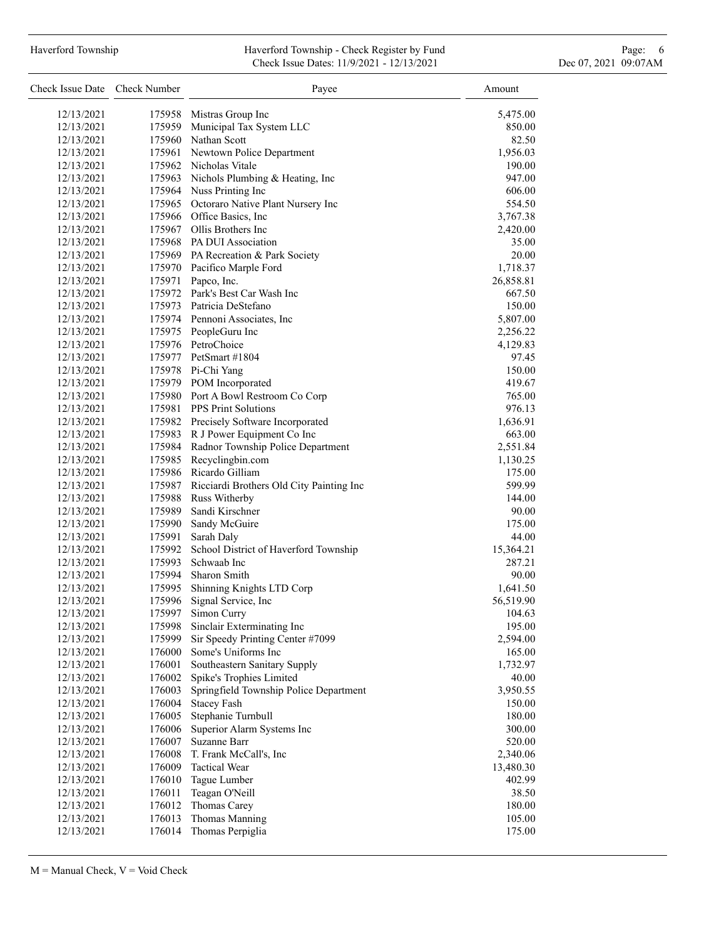#### Haverford Township Haverford Township - Check Register by Fund Page: 6 Check Issue Dates: 11/9/2021 - 12/13/2021 Dec 07, 2021 09:07AM

| Check Issue Date Check Number |        | Payee                                           | Amount    |
|-------------------------------|--------|-------------------------------------------------|-----------|
| 12/13/2021                    |        | 175958 Mistras Group Inc                        | 5,475.00  |
| 12/13/2021                    |        | 175959 Municipal Tax System LLC                 | 850.00    |
| 12/13/2021                    |        | 175960 Nathan Scott                             | 82.50     |
| 12/13/2021                    |        | 175961 Newtown Police Department                | 1,956.03  |
| 12/13/2021                    |        | 175962 Nicholas Vitale                          | 190.00    |
| 12/13/2021                    |        | 175963 Nichols Plumbing & Heating, Inc          | 947.00    |
| 12/13/2021                    |        | 175964 Nuss Printing Inc                        | 606.00    |
| 12/13/2021                    |        | 175965 Octoraro Native Plant Nursery Inc        | 554.50    |
| 12/13/2021                    |        | 175966 Office Basics, Inc.                      | 3,767.38  |
| 12/13/2021                    |        | 175967 Ollis Brothers Inc                       | 2,420.00  |
| 12/13/2021                    |        | 175968 PA DUI Association                       | 35.00     |
| 12/13/2021                    |        | 175969 PA Recreation & Park Society             | 20.00     |
| 12/13/2021                    |        | 175970 Pacifico Marple Ford                     | 1,718.37  |
| 12/13/2021                    |        | 175971 Papco, Inc.                              | 26,858.81 |
| 12/13/2021                    |        | 175972 Park's Best Car Wash Inc                 | 667.50    |
| 12/13/2021                    |        | 175973 Patricia DeStefano                       | 150.00    |
| 12/13/2021                    |        | 175974 Pennoni Associates, Inc.                 | 5,807.00  |
| 12/13/2021                    |        | 175975 PeopleGuru Inc                           | 2,256.22  |
| 12/13/2021                    |        | 175976 PetroChoice                              | 4,129.83  |
| 12/13/2021                    |        | 175977 PetSmart #1804                           | 97.45     |
| 12/13/2021                    |        | 175978 Pi-Chi Yang                              | 150.00    |
| 12/13/2021                    |        | 175979 POM Incorporated                         | 419.67    |
| 12/13/2021                    |        | 175980 Port A Bowl Restroom Co Corp             | 765.00    |
| 12/13/2021                    |        | 175981 PPS Print Solutions                      | 976.13    |
| 12/13/2021                    |        | 175982 Precisely Software Incorporated          | 1,636.91  |
| 12/13/2021                    |        | 175983 R J Power Equipment Co Inc               | 663.00    |
| 12/13/2021                    |        | 175984 Radnor Township Police Department        | 2,551.84  |
| 12/13/2021                    |        | 175985 Recyclingbin.com                         | 1,130.25  |
| 12/13/2021                    |        | 175986 Ricardo Gilliam                          | 175.00    |
| 12/13/2021                    |        | 175987 Ricciardi Brothers Old City Painting Inc | 599.99    |
| 12/13/2021                    |        | 175988 Russ Witherby                            | 144.00    |
| 12/13/2021                    |        | 175989 Sandi Kirschner                          | 90.00     |
| 12/13/2021                    |        | 175990 Sandy McGuire                            | 175.00    |
| 12/13/2021                    | 175991 | Sarah Daly                                      | 44.00     |
| 12/13/2021                    |        | 175992 School District of Haverford Township    | 15,364.21 |
| 12/13/2021                    |        | 175993 Schwaab Inc                              | 287.21    |
| 12/13/2021                    |        | 175994 Sharon Smith                             | 90.00     |
| 12/13/2021                    | 175995 | Shinning Knights LTD Corp                       | 1,641.50  |
| 12/13/2021                    | 175996 | Signal Service, Inc                             | 56,519.90 |
| 12/13/2021                    |        | 175997 Simon Curry                              | 104.63    |
| 12/13/2021                    | 175998 | Sinclair Exterminating Inc                      | 195.00    |
| 12/13/2021                    | 175999 | Sir Speedy Printing Center #7099                | 2,594.00  |
| 12/13/2021                    | 176000 | Some's Uniforms Inc                             | 165.00    |
| 12/13/2021                    | 176001 | Southeastern Sanitary Supply                    | 1,732.97  |
| 12/13/2021                    | 176002 | Spike's Trophies Limited                        | 40.00     |
| 12/13/2021                    | 176003 | Springfield Township Police Department          | 3,950.55  |
| 12/13/2021                    | 176004 | <b>Stacey Fash</b>                              | 150.00    |
| 12/13/2021                    | 176005 | Stephanie Turnbull                              | 180.00    |
| 12/13/2021                    | 176006 | Superior Alarm Systems Inc                      | 300.00    |
| 12/13/2021                    | 176007 | Suzanne Barr                                    | 520.00    |
| 12/13/2021                    | 176008 | T. Frank McCall's, Inc                          | 2,340.06  |
| 12/13/2021                    | 176009 | <b>Tactical Wear</b>                            | 13,480.30 |
| 12/13/2021                    | 176010 | Tague Lumber                                    | 402.99    |
| 12/13/2021                    | 176011 | Teagan O'Neill                                  | 38.50     |
| 12/13/2021                    | 176012 | Thomas Carey                                    | 180.00    |
| 12/13/2021                    | 176013 | Thomas Manning                                  | 105.00    |
| 12/13/2021                    | 176014 | Thomas Perpiglia                                | 175.00    |
|                               |        |                                                 |           |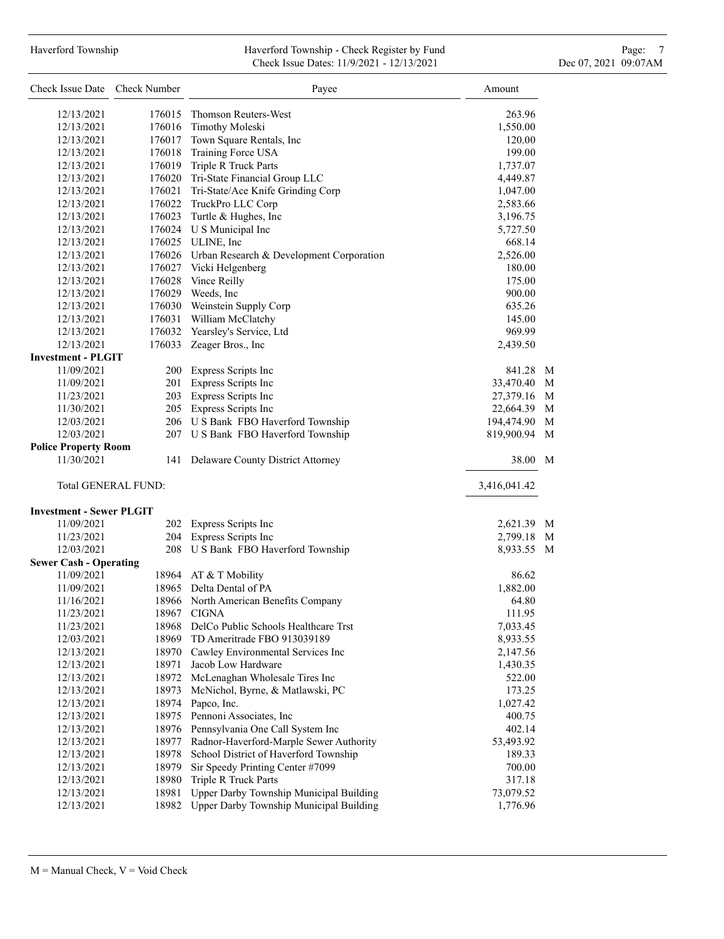# Haverford Township **Haverford Township - Check Register by Fund** Page: 7 **Page: 7** Check Issue Dates: 11/9/2021 - 12/13/2021 Dec 07, 2021 09:07AM

| Check Issue Date Check Number   |        | Payee                                           | Amount          |
|---------------------------------|--------|-------------------------------------------------|-----------------|
| 12/13/2021                      | 176015 | Thomson Reuters-West                            | 263.96          |
| 12/13/2021                      | 176016 | Timothy Moleski                                 | 1,550.00        |
| 12/13/2021                      |        | 176017 Town Square Rentals, Inc                 | 120.00          |
| 12/13/2021                      |        | 176018 Training Force USA                       | 199.00          |
| 12/13/2021                      |        | 176019 Triple R Truck Parts                     | 1,737.07        |
| 12/13/2021                      |        | 176020 Tri-State Financial Group LLC            | 4,449.87        |
| 12/13/2021                      |        | 176021 Tri-State/Ace Knife Grinding Corp        | 1,047.00        |
| 12/13/2021                      |        | 176022 TruckPro LLC Corp                        | 2,583.66        |
| 12/13/2021                      |        | 176023 Turtle & Hughes, Inc                     | 3,196.75        |
| 12/13/2021                      |        | 176024 U S Municipal Inc                        | 5,727.50        |
| 12/13/2021                      |        | 176025 ULINE, Inc                               | 668.14          |
| 12/13/2021                      |        | 176026 Urban Research & Development Corporation | 2,526.00        |
| 12/13/2021                      |        | 176027 Vicki Helgenberg                         | 180.00          |
| 12/13/2021                      |        | 176028 Vince Reilly                             | 175.00          |
| 12/13/2021                      |        | 176029 Weeds, Inc                               | 900.00          |
| 12/13/2021                      |        | 176030 Weinstein Supply Corp                    | 635.26          |
| 12/13/2021                      |        | 176031 William McClatchy                        | 145.00          |
| 12/13/2021                      |        | 176032 Yearsley's Service, Ltd                  | 969.99          |
| 12/13/2021                      |        | 176033 Zeager Bros., Inc                        | 2,439.50        |
| <b>Investment - PLGIT</b>       |        |                                                 |                 |
| 11/09/2021                      |        | 200 Express Scripts Inc                         | 841.28 M        |
| 11/09/2021                      |        | 201 Express Scripts Inc                         | 33,470.40<br>M  |
| 11/23/2021                      |        | 203 Express Scripts Inc                         | 27,379.16<br>M  |
| 11/30/2021                      |        | 205 Express Scripts Inc                         | 22,664.39<br>M  |
| 12/03/2021                      |        | 206 U S Bank FBO Haverford Township             | 194,474.90<br>M |
| 12/03/2021                      |        | 207 U S Bank FBO Haverford Township             | 819,900.94<br>M |
| <b>Police Property Room</b>     |        |                                                 |                 |
| 11/30/2021                      |        | 141 Delaware County District Attorney           | 38.00<br>M      |
| Total GENERAL FUND:             |        |                                                 | 3,416,041.42    |
| <b>Investment - Sewer PLGIT</b> |        |                                                 |                 |
| 11/09/2021                      |        | 202 Express Scripts Inc                         | 2,621.39 M      |
| 11/23/2021                      | 204    | Express Scripts Inc                             | 2,799.18<br>M   |
| 12/03/2021                      |        | 208 U S Bank FBO Haverford Township             | 8,933.55 M      |
| <b>Sewer Cash - Operating</b>   |        |                                                 |                 |
| 11/09/2021                      |        | 18964 AT & T Mobility                           | 86.62           |
| 11/09/2021                      |        | 18965 Delta Dental of PA                        | 1,882.00        |
| 11/16/2021                      |        | 18966 North American Benefits Company           | 64.80           |
| 11/23/2021                      |        | 18967 CIGNA                                     | 111.95          |
| 11/23/2021                      |        | 18968 DelCo Public Schools Healthcare Trst      | 7,033.45        |
| 12/03/2021                      | 18969  | TD Ameritrade FBO 913039189                     | 8,933.55        |
| 12/13/2021                      |        | 18970 Cawley Environmental Services Inc         | 2,147.56        |
| 12/13/2021                      | 18971  | Jacob Low Hardware                              | 1,430.35        |
| 12/13/2021                      |        | 18972 McLenaghan Wholesale Tires Inc            | 522.00          |
| 12/13/2021                      | 18973  | McNichol, Byrne, & Matlawski, PC                | 173.25          |
| 12/13/2021                      | 18974  | Papco, Inc.                                     | 1,027.42        |
| 12/13/2021                      |        | 18975 Pennoni Associates, Inc                   | 400.75          |
| 12/13/2021                      |        | 18976 Pennsylvania One Call System Inc          | 402.14          |
| 12/13/2021                      | 18977  | Radnor-Haverford-Marple Sewer Authority         | 53,493.92       |
| 12/13/2021                      | 18978  | School District of Haverford Township           | 189.33          |
| 12/13/2021                      | 18979  | Sir Speedy Printing Center #7099                | 700.00          |
| 12/13/2021                      | 18980  | Triple R Truck Parts                            | 317.18          |
| 12/13/2021                      | 18981  | Upper Darby Township Municipal Building         | 73,079.52       |
| 12/13/2021                      | 18982  | Upper Darby Township Municipal Building         | 1,776.96        |